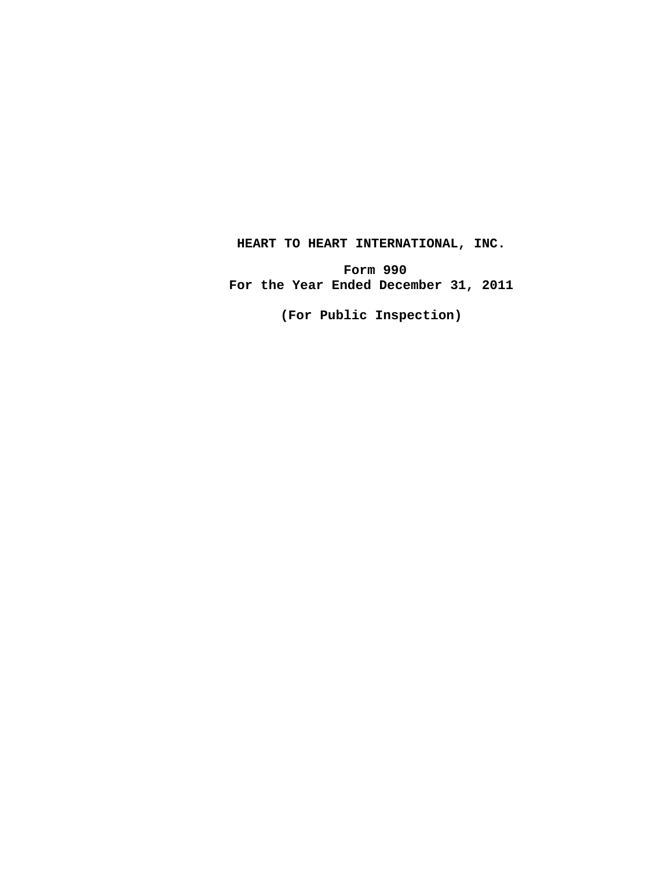## **HEART TO HEART INTERNATIONAL, INC.**

**Form 990 For the Year Ended December 31, 2011**

**(For Public Inspection)**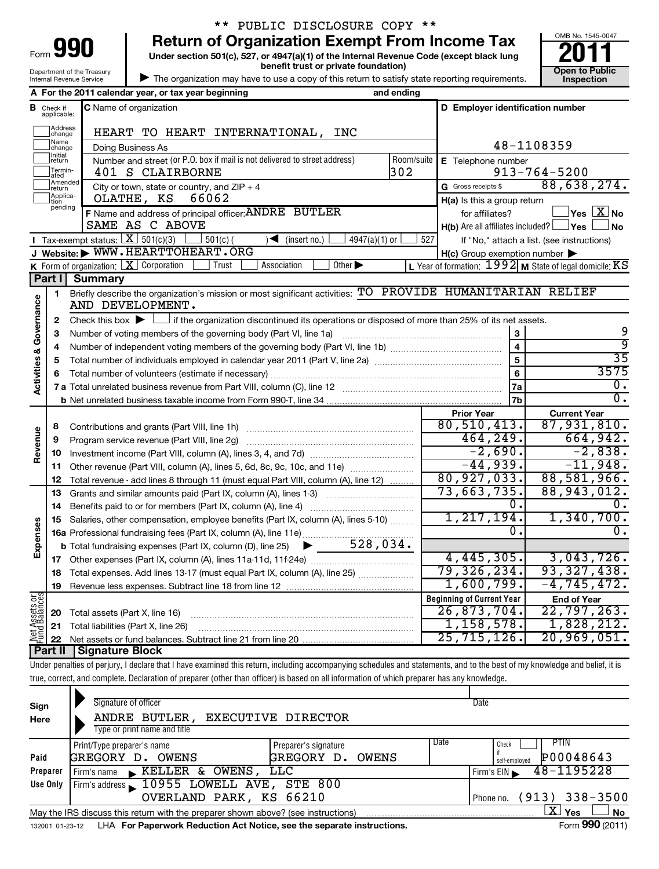| 191<br>Form                |
|----------------------------|
| Department of the Treasury |
| Internal Revenue Service   |

## \*\* PUBLIC DISCLOSURE COPY \*\*

**Under section 501(c), 527, or 4947(a)(1) of the Internal Revenue Code (except black lung 990** Return of Organization Exempt From Income Tax <br>Under section 501(c), 527, or 4947(a)(1) of the Internal Revenue Code (except black lung **2011** 

OMB No. 1545-0047 **benefit trust or private foundation) Construction Construction Construction Construction Inspection**

| The organization may have to use a copy of this return to satisfy state reporting requirements.

|                                |                                  | A For the 2011 calendar year, or tax year beginning                                                                            | and ending                                                                                                                                  |                                                     |                                                             |  |  |  |  |
|--------------------------------|----------------------------------|--------------------------------------------------------------------------------------------------------------------------------|---------------------------------------------------------------------------------------------------------------------------------------------|-----------------------------------------------------|-------------------------------------------------------------|--|--|--|--|
|                                | <b>B</b> Check if<br>applicable: | <b>C</b> Name of organization                                                                                                  |                                                                                                                                             | D Employer identification number                    |                                                             |  |  |  |  |
|                                | ]Address<br>]change              | HEART TO HEART INTERNATIONAL, INC                                                                                              |                                                                                                                                             |                                                     |                                                             |  |  |  |  |
|                                | Name<br>change                   | Doing Business As                                                                                                              |                                                                                                                                             |                                                     | 48-1108359                                                  |  |  |  |  |
|                                | <b>Initial</b><br>return         | Number and street (or P.O. box if mail is not delivered to street address)                                                     | Room/suite                                                                                                                                  | E Telephone number                                  |                                                             |  |  |  |  |
|                                | Termin-<br>ated                  | 401 S CLAIRBORNE                                                                                                               | 302                                                                                                                                         |                                                     | $913 - 764 - 5200$                                          |  |  |  |  |
|                                | Amended<br>return                | City or town, state or country, and $ZIP + 4$                                                                                  |                                                                                                                                             | G Gross receipts \$                                 | 88,638,274.                                                 |  |  |  |  |
|                                | Applica-<br>tion<br>pending      | 66062<br>OLATHE, KS                                                                                                            |                                                                                                                                             | $H(a)$ is this a group return                       |                                                             |  |  |  |  |
|                                |                                  | F Name and address of principal officer: ANDRE BUTLER                                                                          |                                                                                                                                             | for affiliates?                                     | $\left.\right $ Yes $\left[\overline{\mathrm{X}}\right]$ No |  |  |  |  |
|                                |                                  | SAME AS C ABOVE                                                                                                                | 527                                                                                                                                         | $H(b)$ Are all affiliates included? $\Box$ Yes      | <b>No</b>                                                   |  |  |  |  |
|                                |                                  | <b>I</b> Tax-exempt status: $X \over 301(c)(3)$<br>$\sqrt{\frac{1}{1}}$ (insert no.)<br>$4947(a)(1)$ or<br>$501(c)$ (          |                                                                                                                                             | If "No," attach a list. (see instructions)          |                                                             |  |  |  |  |
|                                |                                  | J Website: WWW.HEARTTOHEART.ORG                                                                                                |                                                                                                                                             | $H(c)$ Group exemption number $\blacktriangleright$ |                                                             |  |  |  |  |
|                                |                                  | <b>K</b> Form of organization: $X$ Corporation<br>Association<br>Other $\blacktriangleright$<br>Trust                          |                                                                                                                                             |                                                     | L Year of formation: $1992$ M State of legal domicile: KS   |  |  |  |  |
|                                | Part I                           | <b>Summary</b>                                                                                                                 |                                                                                                                                             |                                                     |                                                             |  |  |  |  |
|                                | 1                                | Briefly describe the organization's mission or most significant activities: TO PROVIDE HUMANITARIAN RELIEF<br>AND DEVELOPMENT. |                                                                                                                                             |                                                     |                                                             |  |  |  |  |
| Activities & Governance        | 2                                |                                                                                                                                | Check this box $\blacktriangleright$ $\Box$ if the organization discontinued its operations or disposed of more than 25% of its net assets. |                                                     |                                                             |  |  |  |  |
|                                | 3                                | Number of voting members of the governing body (Part VI, line 1a)                                                              |                                                                                                                                             | 3                                                   | 9                                                           |  |  |  |  |
|                                | 4                                |                                                                                                                                |                                                                                                                                             | $\overline{\mathbf{4}}$                             | ब्र                                                         |  |  |  |  |
|                                | 5                                |                                                                                                                                |                                                                                                                                             | 5                                                   | 35                                                          |  |  |  |  |
|                                | 6                                |                                                                                                                                |                                                                                                                                             | 6                                                   | 3575                                                        |  |  |  |  |
|                                |                                  |                                                                                                                                |                                                                                                                                             | 7a                                                  | $\overline{0}$ .                                            |  |  |  |  |
|                                |                                  |                                                                                                                                |                                                                                                                                             | 7b                                                  | $\overline{\mathfrak{o}}$ .                                 |  |  |  |  |
|                                |                                  |                                                                                                                                |                                                                                                                                             | <b>Prior Year</b>                                   | <b>Current Year</b>                                         |  |  |  |  |
|                                | 8                                | Contributions and grants (Part VIII, line 1h)                                                                                  |                                                                                                                                             | 80, 510, 413.                                       | 87,931,810.                                                 |  |  |  |  |
| Revenue                        | 9                                | Program service revenue (Part VIII, line 2g)                                                                                   |                                                                                                                                             | 464, 249.                                           | 664,942.                                                    |  |  |  |  |
|                                | 10                               |                                                                                                                                |                                                                                                                                             | $-2,690.$                                           | $-2,838.$                                                   |  |  |  |  |
|                                | 11                               | Other revenue (Part VIII, column (A), lines 5, 6d, 8c, 9c, 10c, and 11e)                                                       |                                                                                                                                             | $-44,939.$                                          | $-11,948.$                                                  |  |  |  |  |
|                                | 12                               | Total revenue - add lines 8 through 11 (must equal Part VIII, column (A), line 12)                                             |                                                                                                                                             | 80,927,033.<br>73,663,735.                          | 88,581,966.<br>88,943,012.                                  |  |  |  |  |
|                                | 13                               | Grants and similar amounts paid (Part IX, column (A), lines 1-3)                                                               |                                                                                                                                             | Ο.                                                  |                                                             |  |  |  |  |
|                                | 14                               |                                                                                                                                |                                                                                                                                             | 1, 217, 194.                                        | 1,340,700.                                                  |  |  |  |  |
| Expenses                       | 15                               | Salaries, other compensation, employee benefits (Part IX, column (A), lines 5-10)                                              |                                                                                                                                             | 0.                                                  | О.                                                          |  |  |  |  |
|                                |                                  |                                                                                                                                |                                                                                                                                             |                                                     |                                                             |  |  |  |  |
|                                |                                  |                                                                                                                                |                                                                                                                                             | 4,445,305.                                          | 3,043,726.                                                  |  |  |  |  |
|                                | 17                               |                                                                                                                                |                                                                                                                                             | 79,326,234.                                         | 93,327,438.                                                 |  |  |  |  |
|                                | 18                               | Total expenses. Add lines 13-17 (must equal Part IX, column (A), line 25)                                                      |                                                                                                                                             | 1,600,799.                                          | $-4, 745, 472.$                                             |  |  |  |  |
|                                | 19                               |                                                                                                                                |                                                                                                                                             | <b>Beginning of Current Year</b>                    |                                                             |  |  |  |  |
| Net Assets or<br>Fund Balances |                                  |                                                                                                                                |                                                                                                                                             | 26,873,704.                                         | <b>End of Year</b><br>22,797,263.                           |  |  |  |  |
|                                | 20                               | Total assets (Part X, line 16)                                                                                                 |                                                                                                                                             | 1,158,578.                                          | 1,828,212.                                                  |  |  |  |  |
|                                | 21<br>22                         | Total liabilities (Part X, line 26)                                                                                            |                                                                                                                                             | 25,715,126.                                         | 20,969,051.                                                 |  |  |  |  |
|                                | Part II                          | <b>Signature Block</b>                                                                                                         |                                                                                                                                             |                                                     |                                                             |  |  |  |  |
|                                |                                  |                                                                                                                                |                                                                                                                                             |                                                     |                                                             |  |  |  |  |

Under penalties of perjury, I declare that I have examined this return, including accompanying schedules and statements, and to the best of my knowledge and belief, it is true, correct, and complete. Declaration of preparer (other than officer) is based on all information of which preparer has any knowledge.

| Sign<br>Here    | Signature of officer<br>ANDRE BUTLER, EXECUTIVE DIRECTOR<br>Type or print name and title |                                    |               | Date                                               |
|-----------------|------------------------------------------------------------------------------------------|------------------------------------|---------------|----------------------------------------------------|
| Paid            | Print/Type preparer's name<br>GREGORY D. OWENS                                           | Preparer's signature<br>GREGORY D. | Date<br>OWENS | <b>PTIN</b><br>Check<br>P00048643<br>self-emploved |
| Preparer        | KELLER & OWENS, LLC<br>Firm's name                                                       |                                    |               | 48-1195228<br>Firm's $EIN$                         |
| Use Only        | Firm's address 10955 LOWELL AVE, STE 800<br>OVERLAND PARK, KS 66210                      |                                    |               | Phone no. (913) 338-3500                           |
|                 | May the IRS discuss this return with the preparer shown above? (see instructions)        |                                    |               | ΧI<br><b>No</b><br>Yes                             |
| 132001 01-23-12 | LHA For Paperwork Reduction Act Notice, see the separate instructions.                   |                                    |               | Form 990 (2011)                                    |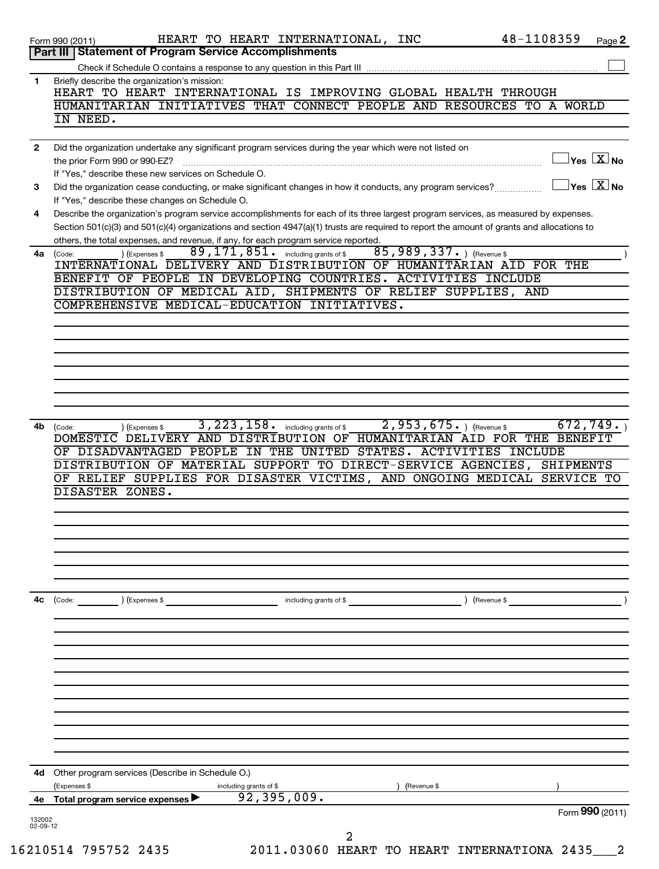|                | Part III   Statement of Program Service Accomplishments                                                                                                                                                                                                                                                                                                                                                                                                   |
|----------------|-----------------------------------------------------------------------------------------------------------------------------------------------------------------------------------------------------------------------------------------------------------------------------------------------------------------------------------------------------------------------------------------------------------------------------------------------------------|
|                | Check if Schedule O contains a response to any question in this Part III                                                                                                                                                                                                                                                                                                                                                                                  |
| 1              | Briefly describe the organization's mission:<br>HEART TO HEART INTERNATIONAL IS IMPROVING GLOBAL HEALTH THROUGH                                                                                                                                                                                                                                                                                                                                           |
|                | HUMANITARIAN INITIATIVES THAT CONNECT PEOPLE AND RESOURCES TO A WORLD                                                                                                                                                                                                                                                                                                                                                                                     |
|                | IN NEED.                                                                                                                                                                                                                                                                                                                                                                                                                                                  |
| $\mathbf{2}$   | Did the organization undertake any significant program services during the year which were not listed on                                                                                                                                                                                                                                                                                                                                                  |
|                | $Yes \quad X \quad No$<br>the prior Form 990 or 990-EZ?<br>$\begin{bmatrix} \begin{bmatrix} 0 & 0 & 0 \\ 0 & 0 & 0 \\ 0 & 0 & 0 \\ 0 & 0 & 0 \\ 0 & 0 & 0 \\ 0 & 0 & 0 \\ 0 & 0 & 0 \\ 0 & 0 & 0 & 0 \\ 0 & 0 & 0 & 0 \\ 0 & 0 & 0 & 0 \\ 0 & 0 & 0 & 0 & 0 \\ 0 & 0 & 0 & 0 & 0 \\ 0 & 0 & 0 & 0 & 0 \\ 0 & 0 & 0 & 0 & 0 \\ 0 & 0 & 0 & 0 & 0 & 0 \\ 0 & 0 & 0 & 0 & 0 & 0 \\ 0 & 0 & 0 & 0 & $<br>If "Yes," describe these new services on Schedule O. |
| 3              | Yes $X$ No<br>Did the organization cease conducting, or make significant changes in how it conducts, any program services?<br>If "Yes," describe these changes on Schedule O.                                                                                                                                                                                                                                                                             |
| 4              | Describe the organization's program service accomplishments for each of its three largest program services, as measured by expenses.                                                                                                                                                                                                                                                                                                                      |
|                | Section 501(c)(3) and 501(c)(4) organizations and section 4947(a)(1) trusts are required to report the amount of grants and allocations to<br>others, the total expenses, and revenue, if any, for each program service reported.                                                                                                                                                                                                                         |
| 4a             | 85,989,337. ) (Revenue \$<br>$89,171,851$ . including grants of \$<br>) (Expenses \$<br>(Code:<br>INTERNATIONAL DELIVERY AND DISTRIBUTION OF HUMANITARIAN AID FOR THE                                                                                                                                                                                                                                                                                     |
|                | BENEFIT OF PEOPLE IN DEVELOPING COUNTRIES. ACTIVITIES INCLUDE                                                                                                                                                                                                                                                                                                                                                                                             |
|                | DISTRIBUTION OF MEDICAL AID, SHIPMENTS OF RELIEF SUPPLIES, AND<br>COMPREHENSIVE MEDICAL-EDUCATION INITIATIVES.                                                                                                                                                                                                                                                                                                                                            |
|                |                                                                                                                                                                                                                                                                                                                                                                                                                                                           |
|                |                                                                                                                                                                                                                                                                                                                                                                                                                                                           |
|                |                                                                                                                                                                                                                                                                                                                                                                                                                                                           |
|                |                                                                                                                                                                                                                                                                                                                                                                                                                                                           |
|                |                                                                                                                                                                                                                                                                                                                                                                                                                                                           |
|                |                                                                                                                                                                                                                                                                                                                                                                                                                                                           |
|                | OF DISADVANTAGED PEOPLE IN THE UNITED STATES. ACTIVITIES INCLUDE<br>DISTRIBUTION OF MATERIAL SUPPORT TO DIRECT-SERVICE AGENCIES, SHIPMENTS<br>OF RELIEF SUPPLIES FOR DISASTER VICTIMS, AND ONGOING MEDICAL SERVICE TO                                                                                                                                                                                                                                     |
|                | DISASTER ZONES.                                                                                                                                                                                                                                                                                                                                                                                                                                           |
|                |                                                                                                                                                                                                                                                                                                                                                                                                                                                           |
|                |                                                                                                                                                                                                                                                                                                                                                                                                                                                           |
|                |                                                                                                                                                                                                                                                                                                                                                                                                                                                           |
|                | ) (Revenue \$<br>(Code: ) (Expenses \$<br>including grants of \$                                                                                                                                                                                                                                                                                                                                                                                          |
|                |                                                                                                                                                                                                                                                                                                                                                                                                                                                           |
|                |                                                                                                                                                                                                                                                                                                                                                                                                                                                           |
|                |                                                                                                                                                                                                                                                                                                                                                                                                                                                           |
|                |                                                                                                                                                                                                                                                                                                                                                                                                                                                           |
|                |                                                                                                                                                                                                                                                                                                                                                                                                                                                           |
|                |                                                                                                                                                                                                                                                                                                                                                                                                                                                           |
|                | Other program services (Describe in Schedule O.)                                                                                                                                                                                                                                                                                                                                                                                                          |
| 4с<br>4d<br>4е | (Expenses \$<br>including grants of \$<br>(Revenue \$<br>92, 395, 009.<br>Total program service expenses ▶<br>Form 990 (2011)                                                                                                                                                                                                                                                                                                                             |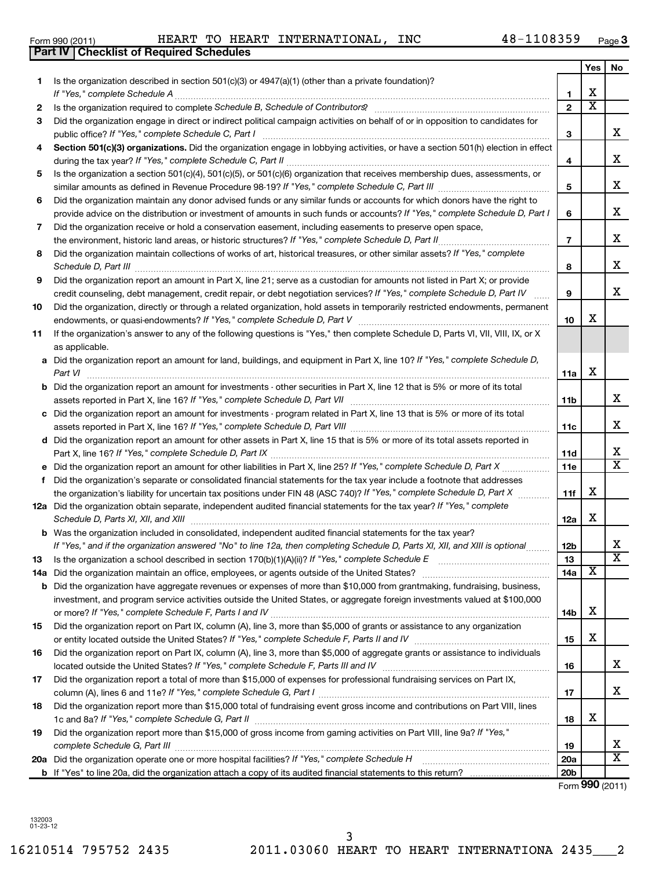16210514 795752 2435 2011.03060 HEART TO HEART INTERNATIONA 2435\_\_\_2 3

| Form 990 (2011) | HEART | TO | HEART <sub>-</sub> | <b>INTERNATIONAL</b> | <b>INC</b> | 48-1108359 | Page |
|-----------------|-------|----|--------------------|----------------------|------------|------------|------|

|     | <b>Part IV   Checklist of Required Schedules</b>                                                                                                                                                                                    |                |                         |                         |
|-----|-------------------------------------------------------------------------------------------------------------------------------------------------------------------------------------------------------------------------------------|----------------|-------------------------|-------------------------|
|     |                                                                                                                                                                                                                                     |                | Yes                     | No                      |
| 1.  | Is the organization described in section $501(c)(3)$ or $4947(a)(1)$ (other than a private foundation)?                                                                                                                             |                |                         |                         |
|     | If "Yes," complete Schedule A                                                                                                                                                                                                       | 1              | х                       |                         |
| 2   |                                                                                                                                                                                                                                     | $\overline{2}$ | $\overline{\mathbf{X}}$ |                         |
| 3   | Did the organization engage in direct or indirect political campaign activities on behalf of or in opposition to candidates for                                                                                                     |                |                         |                         |
|     | public office? If "Yes," complete Schedule C, Part I                                                                                                                                                                                | З              |                         | x                       |
| 4   | Section 501(c)(3) organizations. Did the organization engage in lobbying activities, or have a section 501(h) election in effect                                                                                                    |                |                         |                         |
|     |                                                                                                                                                                                                                                     | 4              |                         | x                       |
| 5   | Is the organization a section 501(c)(4), 501(c)(5), or 501(c)(6) organization that receives membership dues, assessments, or                                                                                                        |                |                         |                         |
|     |                                                                                                                                                                                                                                     | 5              |                         | X                       |
| 6   | Did the organization maintain any donor advised funds or any similar funds or accounts for which donors have the right to                                                                                                           |                |                         |                         |
|     | provide advice on the distribution or investment of amounts in such funds or accounts? If "Yes," complete Schedule D, Part I                                                                                                        | 6              |                         | X                       |
| 7   | Did the organization receive or hold a conservation easement, including easements to preserve open space,                                                                                                                           |                |                         |                         |
|     | the environment, historic land areas, or historic structures? If "Yes," complete Schedule D, Part II                                                                                                                                | $\overline{7}$ |                         | X                       |
| 8   | Did the organization maintain collections of works of art, historical treasures, or other similar assets? If "Yes," complete                                                                                                        |                |                         |                         |
|     | Schedule D, Part III <b>Marting Communities</b> and the contract of the contract of the contract of the contract of the contract of the contract of the contract of the contract of the contract of the contract of the contract of | 8              |                         | X                       |
| 9   | Did the organization report an amount in Part X, line 21; serve as a custodian for amounts not listed in Part X; or provide                                                                                                         |                |                         |                         |
|     | credit counseling, debt management, credit repair, or debt negotiation services? If "Yes," complete Schedule D, Part IV                                                                                                             | 9              |                         | X                       |
|     | Did the organization, directly or through a related organization, hold assets in temporarily restricted endowments, permanent                                                                                                       |                |                         |                         |
| 10  |                                                                                                                                                                                                                                     | 10             | х                       |                         |
|     |                                                                                                                                                                                                                                     |                |                         |                         |
| 11  | If the organization's answer to any of the following questions is "Yes," then complete Schedule D, Parts VI, VII, VIII, IX, or X                                                                                                    |                |                         |                         |
|     | as applicable.                                                                                                                                                                                                                      |                |                         |                         |
|     | a Did the organization report an amount for land, buildings, and equipment in Part X, line 10? If "Yes," complete Schedule D,                                                                                                       |                | X                       |                         |
|     | Part VI                                                                                                                                                                                                                             | 11a            |                         |                         |
|     | <b>b</b> Did the organization report an amount for investments - other securities in Part X, line 12 that is 5% or more of its total                                                                                                |                |                         | x                       |
|     |                                                                                                                                                                                                                                     | 11b            |                         |                         |
| с   | Did the organization report an amount for investments - program related in Part X, line 13 that is 5% or more of its total                                                                                                          |                |                         |                         |
|     |                                                                                                                                                                                                                                     | 11c            |                         | x                       |
|     | d Did the organization report an amount for other assets in Part X, line 15 that is 5% or more of its total assets reported in                                                                                                      |                |                         |                         |
|     |                                                                                                                                                                                                                                     | 11d            |                         | х                       |
|     | Did the organization report an amount for other liabilities in Part X, line 25? If "Yes," complete Schedule D, Part X                                                                                                               | 11e            |                         | X                       |
| f   | Did the organization's separate or consolidated financial statements for the tax year include a footnote that addresses                                                                                                             |                |                         |                         |
|     | the organization's liability for uncertain tax positions under FIN 48 (ASC 740)? If "Yes," complete Schedule D, Part X                                                                                                              | 11f            | х                       |                         |
|     | 12a Did the organization obtain separate, independent audited financial statements for the tax year? If "Yes," complete                                                                                                             |                |                         |                         |
|     | Schedule D, Parts XI, XII, and XIII                                                                                                                                                                                                 | 12a            | х                       |                         |
|     | <b>b</b> Was the organization included in consolidated, independent audited financial statements for the tax year?                                                                                                                  |                |                         |                         |
|     | If "Yes," and if the organization answered "No" to line 12a, then completing Schedule D, Parts XI, XII, and XIII is optional                                                                                                        | 12D            |                         | ▵                       |
| 13  | Is the organization a school described in section 170(b)(1)(A)(ii)? If "Yes," complete Schedule E                                                                                                                                   | 13             |                         | $\overline{\text{x}}$   |
| 14a | Did the organization maintain an office, employees, or agents outside of the United States?                                                                                                                                         | 14a            | х                       |                         |
|     | <b>b</b> Did the organization have aggregate revenues or expenses of more than \$10,000 from grantmaking, fundraising, business,                                                                                                    |                |                         |                         |
|     | investment, and program service activities outside the United States, or aggregate foreign investments valued at \$100,000                                                                                                          |                |                         |                         |
|     |                                                                                                                                                                                                                                     | 14b            | х                       |                         |
| 15  | Did the organization report on Part IX, column (A), line 3, more than \$5,000 of grants or assistance to any organization                                                                                                           |                |                         |                         |
|     |                                                                                                                                                                                                                                     | 15             | х                       |                         |
| 16  | Did the organization report on Part IX, column (A), line 3, more than \$5,000 of aggregate grants or assistance to individuals                                                                                                      |                |                         |                         |
|     |                                                                                                                                                                                                                                     | 16             |                         | x                       |
| 17  | Did the organization report a total of more than \$15,000 of expenses for professional fundraising services on Part IX,                                                                                                             |                |                         |                         |
|     |                                                                                                                                                                                                                                     | 17             |                         | x                       |
| 18  | Did the organization report more than \$15,000 total of fundraising event gross income and contributions on Part VIII, lines                                                                                                        |                |                         |                         |
|     |                                                                                                                                                                                                                                     | 18             | х                       |                         |
| 19  | Did the organization report more than \$15,000 of gross income from gaming activities on Part VIII, line 9a? If "Yes,"                                                                                                              |                |                         |                         |
|     |                                                                                                                                                                                                                                     | 19             |                         | x                       |
|     | 20a Did the organization operate one or more hospital facilities? If "Yes," complete Schedule H                                                                                                                                     | <b>20a</b>     |                         | $\overline{\textbf{X}}$ |

**b** If "Yes" to line 20a, did the organization attach a copy of its audited financial statements to this return? Did the organization operate one or more hospital facilities? ~~~~~~~~~~~~~~~~

Form (2011) **990**

**20b**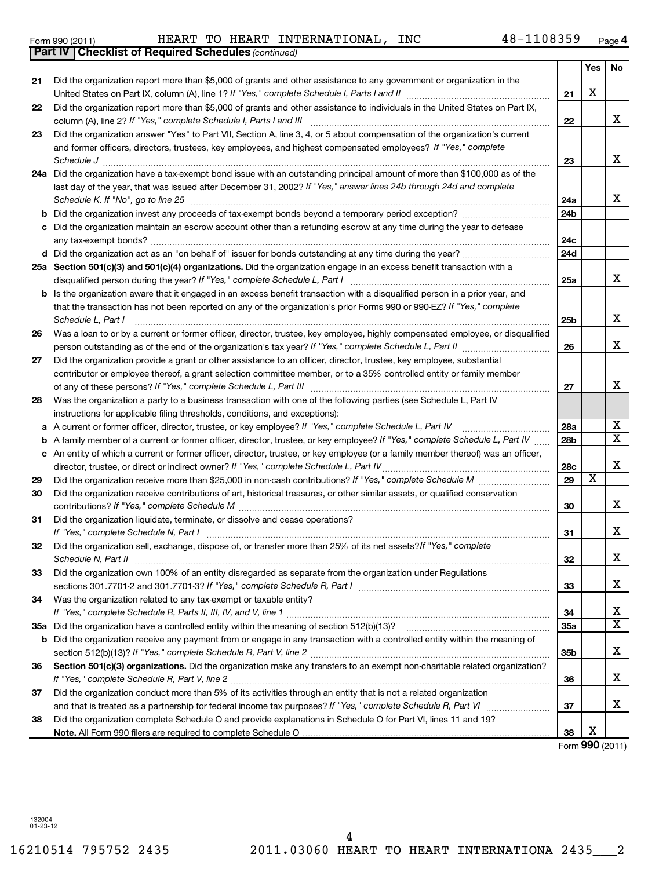16210514 795752 2435 2011.03060 HEART TO HEART INTERNATIONA 2435\_\_\_2 4

|    | <b>b</b> Is the organization aware that it engaged in an excess benefit transaction with a disqualified person in a prior year, and<br>that the transaction has not been reported on any of the organization's prior Forms 990 or 990-EZ? If "Yes," complete<br>Schedule L, Part I                              |
|----|-----------------------------------------------------------------------------------------------------------------------------------------------------------------------------------------------------------------------------------------------------------------------------------------------------------------|
|    | Was a loan to or by a current or former officer, director, trustee, key employee, highly compensated employee, or disqualified<br>person outstanding as of the end of the organization's tax year? If "Yes," complete Schedule L, Part II                                                                       |
|    | Did the organization provide a grant or other assistance to an officer, director, trustee, key employee, substantial<br>contributor or employee thereof, a grant selection committee member, or to a 35% controlled entity or family member<br>of any of these persons? If "Yes," complete Schedule L, Part III |
|    | Was the organization a party to a business transaction with one of the following parties (see Schedule L, Part IV<br>instructions for applicable filing thresholds, conditions, and exceptions):<br>a A current or former officer, director, trustee, or key employee? If "Yes," complete Schedule L, Part IV   |
|    | <b>b</b> A family member of a current or former officer, director, trustee, or key employee? If "Yes," complete Schedule L, Part IV                                                                                                                                                                             |
| с  | An entity of which a current or former officer, director, trustee, or key employee (or a family member thereof) was an officer,<br>director, trustee, or direct or indirect owner? If "Yes," complete Schedule L, Part IV                                                                                       |
|    | Did the organization receive more than \$25,000 in non-cash contributions? If "Yes," complete Schedule M                                                                                                                                                                                                        |
|    | Did the organization receive contributions of art, historical treasures, or other similar assets, or qualified conservation<br>contributions? If "Yes," complete Schedule M                                                                                                                                     |
|    | Did the organization liquidate, terminate, or dissolve and cease operations?<br>If "Yes," complete Schedule N, Part I                                                                                                                                                                                           |
|    | Did the organization sell, exchange, dispose of, or transfer more than 25% of its net assets? If "Yes," complete<br>Schedule N, Part II                                                                                                                                                                         |
|    | Did the organization own 100% of an entity disregarded as separate from the organization under Regulations<br>sections 301.7701-2 and 301.7701-3? If "Yes," complete Schedule R, Part I                                                                                                                         |
|    | Was the organization related to any tax-exempt or taxable entity?<br>If "Yes," complete Schedule R, Parts II, III, IV, and V, line 1                                                                                                                                                                            |
| ōа | Did the organization have a controlled entity within the meaning of section 512(b)(13)?                                                                                                                                                                                                                         |
| b  | Did the organization receive any payment from or engage in any transaction with a controlled entity within the meaning of<br>section 512(b)(13)? If "Yes," complete Schedule R, Part V, line 2                                                                                                                  |
|    | Section 501(c)(3) organizations. Did the organization make any transfers to an exempt non-charitable related organization?                                                                                                                                                                                      |
|    | Did the organization conduct more than 5% of its activities through an entity that is not a related organization<br>and that is treated as a partnership for federal income tax purposes? If "Yes," complete Schedule R, Part VI                                                                                |
|    | Did the organization complete Schedule O and provide explanations in Schedule O for Part VI, lines 11 and 19?<br>Note. All Form 990 filers are required to complete Schedule O                                                                                                                                  |

*(continued)* **Part IV Checklist of Required Schedules** Form 990 (2011) Page HEART TO HEART INTERNATIONAL, INC 48-1108359

**4**

**21**

**22**

**23**

**24a 24b**

**24c 24d**

**25a**

~~~~~~~~~~~~~~~~~~~~~~~~~

**25b**

**26**

**27**

**28a 28b**

**28c 29**

 $\overline{\text{x}}$ 

**30**

**31**

**32**

**33**

**34 35a**

**35b**

**36**

**37**

**38**

Form (2011) **990**

X

**Yes No**

X

X

X

X

X

X

X

X  $\overline{\text{x}}$ 

X

X

X

X

X

X  $\overline{\text{x}}$ 

X

X

X

X

|  | Form 990 (2011) |
|--|-----------------|
|  |                 |

**21**

**22**

**23**

**26**

**27**

**28**

**29 30**

**31**

**32**

**33**

**34**

**35 a**

**36**

**37**

**38**

Did the organization report more than \$5,000 of grants and other assistance to any government or organization in the

United States on Part IX, column (A), line 1? If "Yes," complete Schedule I, Parts I and II manual component compo

Did the organization report more than \$5,000 of grants and other assistance to individuals in the United States on Part IX,

Did the organization answer "Yes" to Part VII, Section A, line 3, 4, or 5 about compensation of the organization's current

*If "Yes," complete Schedule I, Parts I and III* column (A), line 2? ~~~~~~~~~~~~~~~~~~~~~~~~~~~~~~

*Schedule J* ~~~~~~~~~~~~~~~~~~~~~~~~~~~~~~~~~~~~~~~~~~~~~~~~~~~~~~~~

**24 a** Did the organization have a tax-exempt bond issue with an outstanding principal amount of more than \$100,000 as of the

last day of the year, that was issued after December 31, 2002? If "Yes," answer lines 24b through 24d and complete *Schedule K. If "No", go to line 25* ~~~~~~~~~~~~~~~~~~~~~~~~~~~~~~~~~~~~~~~~~~~~~

and former officers, directors, trustees, key employees, and highest compensated employees? If "Yes," complete

**b** Did the organization invest any proceeds of tax-exempt bonds beyond a temporary period exception? *\_\_\_\_\_\_\_\_\_\_\_\_\_\_\_\_\_\_\_\_\_* **c** Did the organization maintain an escrow account other than a refunding escrow at any time during the year to defease

**d** Did the organization act as an "on behalf of" issuer for bonds outstanding at any time during the year? ~~~~~~~~~~~

any tax-exempt bonds? ~~~~~~~~~~~~~~~~~~~~~~~~~~~~~~~~~~~~~~~~~~~~~~~~~~

**25 a Section 501(c)(3) and 501(c)(4) organizations.**  Did the organization engage in an excess benefit transaction with a

disqualified person during the year? If "Yes," complete Schedule L, Part I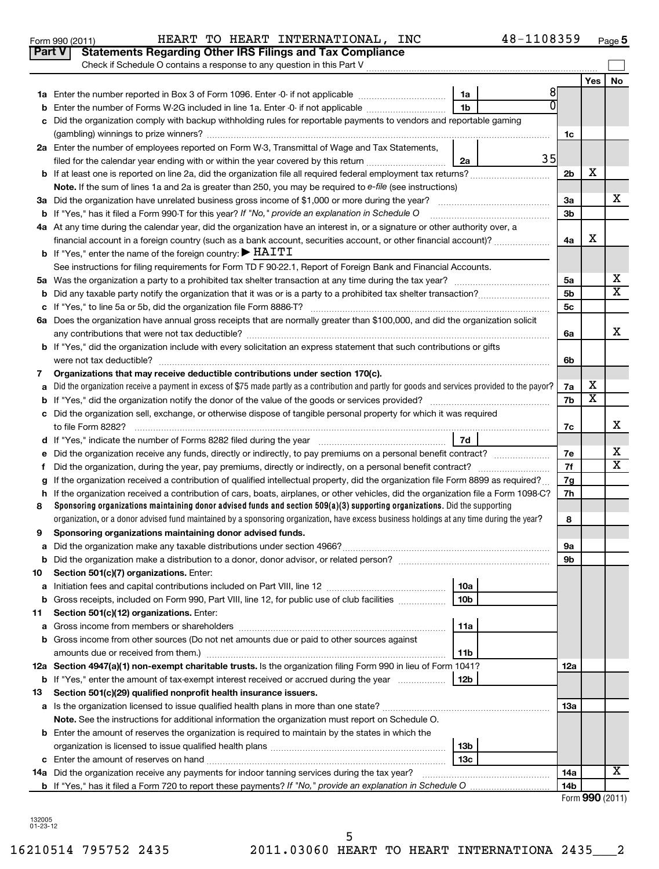|        | Check if Schedule O contains a response to any question in this Part V                                                                          |                        |    |                |                         |                              |  |
|--------|-------------------------------------------------------------------------------------------------------------------------------------------------|------------------------|----|----------------|-------------------------|------------------------------|--|
|        |                                                                                                                                                 |                        |    |                | Yes                     | No                           |  |
|        |                                                                                                                                                 | 1a                     | 81 |                |                         |                              |  |
| b      | Enter the number of Forms W-2G included in line 1a. Enter -0- if not applicable                                                                 | 1 <sub>b</sub>         | U  |                |                         |                              |  |
| C      | Did the organization comply with backup withholding rules for reportable payments to vendors and reportable gaming                              |                        |    |                |                         |                              |  |
|        |                                                                                                                                                 |                        |    | 1c             |                         |                              |  |
|        | 2a Enter the number of employees reported on Form W-3, Transmittal of Wage and Tax Statements,                                                  |                        |    |                |                         |                              |  |
|        | filed for the calendar year ending with or within the year covered by this return                                                               | 2a                     | 35 |                |                         |                              |  |
| b      | If at least one is reported on line 2a, did the organization file all required federal employment tax returns?                                  |                        |    | 2 <sub>b</sub> | х                       |                              |  |
|        | Note. If the sum of lines 1a and 2a is greater than 250, you may be required to e-file (see instructions)                                       |                        |    |                |                         |                              |  |
|        |                                                                                                                                                 |                        |    | За             |                         | x                            |  |
| b      | If "Yes," has it filed a Form 990-T for this year? If "No," provide an explanation in Schedule O                                                |                        |    | 3 <sub>b</sub> |                         |                              |  |
|        | 4a At any time during the calendar year, did the organization have an interest in, or a signature or other authority over, a                    |                        |    |                |                         |                              |  |
|        | financial account in a foreign country (such as a bank account, securities account, or other financial account)?                                |                        |    | 4a             | х                       |                              |  |
|        | <b>b</b> If "Yes," enter the name of the foreign country: $\blacktriangleright$ HAITI                                                           |                        |    |                |                         |                              |  |
|        | See instructions for filing requirements for Form TD F 90-22.1, Report of Foreign Bank and Financial Accounts.                                  |                        |    |                |                         |                              |  |
| 5а     |                                                                                                                                                 |                        |    | 5a             |                         | X<br>$\overline{\mathtt{x}}$ |  |
| b      |                                                                                                                                                 |                        |    |                |                         |                              |  |
| с      | 5c                                                                                                                                              |                        |    |                |                         |                              |  |
|        | 6a Does the organization have annual gross receipts that are normally greater than \$100,000, and did the organization solicit                  |                        |    |                |                         |                              |  |
|        |                                                                                                                                                 |                        |    | 6а             |                         | х                            |  |
|        | <b>b</b> If "Yes," did the organization include with every solicitation an express statement that such contributions or gifts                   |                        |    |                |                         |                              |  |
|        |                                                                                                                                                 |                        |    | 6b             |                         |                              |  |
| 7      | Organizations that may receive deductible contributions under section 170(c).                                                                   |                        |    |                |                         |                              |  |
| a      | Did the organization receive a payment in excess of \$75 made partly as a contribution and partly for goods and services provided to the payor? |                        |    | 7a             | х                       |                              |  |
| b      |                                                                                                                                                 |                        |    | 7b             | $\overline{\textbf{X}}$ |                              |  |
| c      | Did the organization sell, exchange, or otherwise dispose of tangible personal property for which it was required                               |                        |    |                |                         |                              |  |
|        |                                                                                                                                                 |                        |    | 7c             |                         | X                            |  |
| d      | If "Yes," indicate the number of Forms 8282 filed during the year [111] [11] "Yes," indicate the number of Forms 8282 filed during the year     | <b>7d</b>              |    |                |                         |                              |  |
| е      | Did the organization receive any funds, directly or indirectly, to pay premiums on a personal benefit contract?                                 |                        |    | 7е             |                         | х                            |  |
| f      |                                                                                                                                                 |                        |    | 7f             |                         | X                            |  |
| g      | If the organization received a contribution of qualified intellectual property, did the organization file Form 8899 as required?                |                        |    | 7g             |                         |                              |  |
| h      | If the organization received a contribution of cars, boats, airplanes, or other vehicles, did the organization file a Form 1098-C?              |                        |    | 7h             |                         |                              |  |
| 8      | Sponsoring organizations maintaining donor advised funds and section $509(a)(3)$ supporting organizations. Did the supporting                   |                        |    |                |                         |                              |  |
|        | organization, or a donor advised fund maintained by a sponsoring organization, have excess business holdings at any time during the year?       |                        |    | 8              |                         |                              |  |
| 9      | Sponsoring organizations maintaining donor advised funds.                                                                                       |                        |    |                |                         |                              |  |
| а      |                                                                                                                                                 |                        |    | 9а             |                         |                              |  |
|        |                                                                                                                                                 |                        |    | 9b             |                         |                              |  |
| 10     | Section 501(c)(7) organizations. Enter:                                                                                                         |                        |    |                |                         |                              |  |
| а<br>b | Gross receipts, included on Form 990, Part VIII, line 12, for public use of club facilities                                                     | 10a<br>10 <sub>b</sub> |    |                |                         |                              |  |
| 11     | Section 501(c)(12) organizations. Enter:                                                                                                        |                        |    |                |                         |                              |  |
| а      |                                                                                                                                                 | 11a                    |    |                |                         |                              |  |
| b      | Gross income from other sources (Do not net amounts due or paid to other sources against                                                        |                        |    |                |                         |                              |  |
|        | amounts due or received from them.)                                                                                                             | 11b                    |    |                |                         |                              |  |
|        | 12a Section 4947(a)(1) non-exempt charitable trusts. Is the organization filing Form 990 in lieu of Form 1041?                                  |                        |    | 12a            |                         |                              |  |
|        | <b>b</b> If "Yes," enter the amount of tax-exempt interest received or accrued during the year                                                  | 12b                    |    |                |                         |                              |  |
| 13     | Section 501(c)(29) qualified nonprofit health insurance issuers.                                                                                |                        |    |                |                         |                              |  |
|        | a Is the organization licensed to issue qualified health plans in more than one state?                                                          |                        |    | 13a            |                         |                              |  |
|        | Note. See the instructions for additional information the organization must report on Schedule O.                                               |                        |    |                |                         |                              |  |
| b      | Enter the amount of reserves the organization is required to maintain by the states in which the                                                |                        |    |                |                         |                              |  |
|        | 13 <sub>b</sub>                                                                                                                                 |                        |    |                |                         |                              |  |
| с      |                                                                                                                                                 | 13c                    |    |                |                         |                              |  |
|        | 14a Did the organization receive any payments for indoor tanning services during the tax year?                                                  |                        |    | 14a            |                         | x                            |  |
|        | <b>b</b> If "Yes," has it filed a Form 720 to report these payments? If "No," provide an explanation in Schedule O                              |                        |    | 14b            |                         |                              |  |
|        |                                                                                                                                                 |                        |    |                | Form 990 (2011)         |                              |  |

132005 01-23-12

## Form 990 (2011) Page HEART TO HEART INTERNATIONAL, INC 48-1108359 **Part V** Statements Regarding Other IRS Filings and Tax Compliance

**5**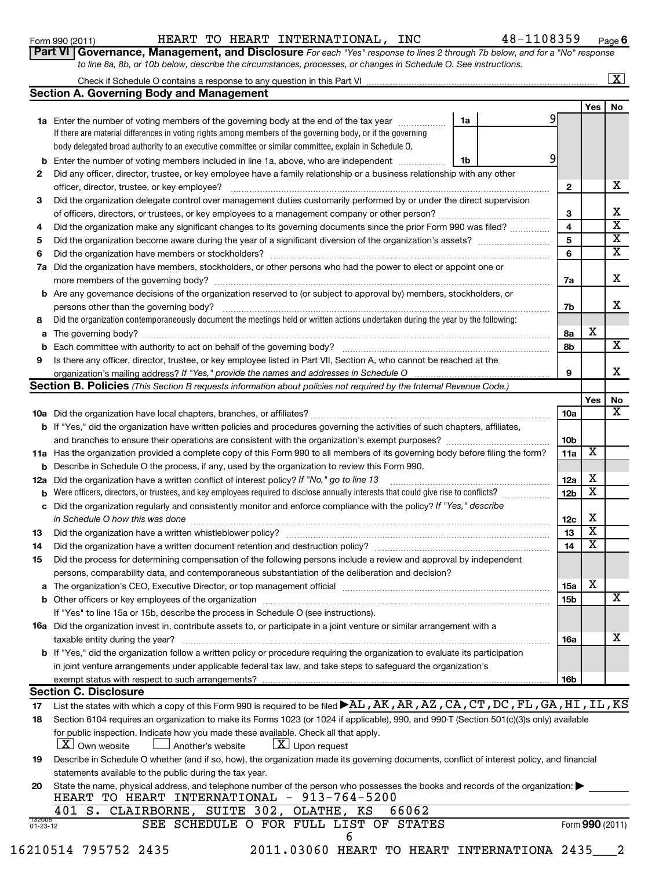| Form 990 (2011)    |  |
|--------------------|--|
| <b>Part VI Gov</b> |  |

## Form 990 (2011) Page HEART TO HEART INTERNATIONAL, INC 48-1108359

**6**

**9**

X

| <b>rt VI   Governance, Management, and Disclosure</b> For each "Yes" response to lines 2 through 7b below, and for a "No" response |  |  |  |  |  |
|------------------------------------------------------------------------------------------------------------------------------------|--|--|--|--|--|
| to line 8a, 8b, or 10b below, describe the circumstances, processes, or changes in Schedule O. See instructions.                   |  |  |  |  |  |

|    | to line 8a, 8b, or 10b below, describe the circumstances, processes, or changes in Schedule O. See instructions.                  |    |         |                         |
|----|-----------------------------------------------------------------------------------------------------------------------------------|----|---------|-------------------------|
|    |                                                                                                                                   |    |         | $\mathbf{X}$            |
|    | <b>Section A. Governing Body and Management</b>                                                                                   |    |         |                         |
|    |                                                                                                                                   |    | Yes     | <b>No</b>               |
|    | <b>1a</b> Enter the number of voting members of the governing body at the end of the tax year                                     | 1a |         |                         |
|    | If there are material differences in voting rights among members of the governing body, or if the governing                       |    |         |                         |
|    | body delegated broad authority to an executive committee or similar committee, explain in Schedule O.                             |    |         |                         |
| b  | Enter the number of voting members included in line 1a, above, who are independent <i>manumum</i>                                 | 1b |         |                         |
| 2  | Did any officer, director, trustee, or key employee have a family relationship or a business relationship with any other          |    |         |                         |
|    | officer, director, trustee, or key employee?                                                                                      |    | 2       | x.                      |
| 3  | Did the organization delegate control over management duties customarily performed by or under the direct supervision             |    |         |                         |
|    |                                                                                                                                   |    | 3       | х                       |
| 4  | Did the organization make any significant changes to its governing documents since the prior Form 990 was filed?                  |    | 4       | x                       |
| 5  |                                                                                                                                   |    | 5       | X                       |
| 6  | Did the organization have members or stockholders?                                                                                |    | 6       | $\overline{\mathtt{x}}$ |
| 7a | Did the organization have members, stockholders, or other persons who had the power to elect or appoint one or                    |    |         |                         |
|    | more members of the governing body?                                                                                               |    | 7a      | x.                      |
|    | <b>b</b> Are any governance decisions of the organization reserved to (or subject to approval by) members, stockholders, or       |    |         |                         |
|    | persons other than the governing body?                                                                                            |    | 7b      | x                       |
| 8  | Did the organization contemporaneously document the meetings held or written actions undertaken during the year by the following: |    |         |                         |
| a  | The governing body?                                                                                                               |    | х<br>8a |                         |
| b  | Each committee with authority to act on behalf of the governing body?                                                             |    | 8b      | X                       |
|    | Is there any officer, director, trustee, or key employee listed in Part VII, Section A, who cannot be reached at the              |    |         |                         |

organization's mailing address? If "Yes," provide the names and addresses in Schedule O manument content content

| Section B. Policies (This Section B requests information about policies not required by the Internal Revenue Code.) |                                                                                                                                                 |                 |       |           |  |  |  |  |
|---------------------------------------------------------------------------------------------------------------------|-------------------------------------------------------------------------------------------------------------------------------------------------|-----------------|-------|-----------|--|--|--|--|
|                                                                                                                     |                                                                                                                                                 |                 | Yes l | <b>No</b> |  |  |  |  |
|                                                                                                                     |                                                                                                                                                 | 10a             |       | X         |  |  |  |  |
|                                                                                                                     | <b>b</b> If "Yes," did the organization have written policies and procedures governing the activities of such chapters, affiliates,             |                 |       |           |  |  |  |  |
|                                                                                                                     |                                                                                                                                                 | 10 <sub>b</sub> |       |           |  |  |  |  |
|                                                                                                                     | 11a Has the organization provided a complete copy of this Form 990 to all members of its governing body before filing the form?                 | 11a             | х     |           |  |  |  |  |
|                                                                                                                     | <b>b</b> Describe in Schedule O the process, if any, used by the organization to review this Form 990.                                          |                 |       |           |  |  |  |  |
| 12a                                                                                                                 | Did the organization have a written conflict of interest policy? If "No," go to line 13                                                         | 12a             | х     |           |  |  |  |  |
| b                                                                                                                   | Were officers, directors, or trustees, and key employees required to disclose annually interests that could give rise to conflicts?             | 12 <sub>b</sub> | х     |           |  |  |  |  |
|                                                                                                                     | c Did the organization regularly and consistently monitor and enforce compliance with the policy? If "Yes," describe                            |                 |       |           |  |  |  |  |
|                                                                                                                     | in Schedule O how this was done                                                                                                                 | 12 <sub>c</sub> | х     |           |  |  |  |  |
| 13                                                                                                                  |                                                                                                                                                 | 13              | X     |           |  |  |  |  |
| 14                                                                                                                  |                                                                                                                                                 | 14              | х     |           |  |  |  |  |
| 15                                                                                                                  | Did the process for determining compensation of the following persons include a review and approval by independent                              |                 |       |           |  |  |  |  |
|                                                                                                                     | persons, comparability data, and contemporaneous substantiation of the deliberation and decision?                                               |                 |       |           |  |  |  |  |
| a                                                                                                                   |                                                                                                                                                 | 15a             | х     |           |  |  |  |  |
|                                                                                                                     |                                                                                                                                                 | 15 <sub>b</sub> |       | X         |  |  |  |  |
|                                                                                                                     | If "Yes" to line 15a or 15b, describe the process in Schedule O (see instructions).                                                             |                 |       |           |  |  |  |  |
|                                                                                                                     | <b>16a</b> Did the organization invest in, contribute assets to, or participate in a joint venture or similar arrangement with a                |                 |       |           |  |  |  |  |
|                                                                                                                     | taxable entity during the year?                                                                                                                 | <b>16a</b>      |       | x         |  |  |  |  |
|                                                                                                                     | <b>b</b> If "Yes," did the organization follow a written policy or procedure requiring the organization to evaluate its participation           |                 |       |           |  |  |  |  |
|                                                                                                                     | in joint venture arrangements under applicable federal tax law, and take steps to safeguard the organization's                                  |                 |       |           |  |  |  |  |
|                                                                                                                     |                                                                                                                                                 | 16 <sub>b</sub> |       |           |  |  |  |  |
|                                                                                                                     | <b>Section C. Disclosure</b>                                                                                                                    |                 |       |           |  |  |  |  |
| 17                                                                                                                  | List the states with which a copy of this Form 990 is required to be filed $\blacktriangleright$ AL, AK, AR, AZ, CA, CT, DC, FL, GA, HI, IL, KS |                 |       |           |  |  |  |  |
| 18                                                                                                                  | Section 6104 requires an organization to make its Forms 1023 (or 1024 if applicable), 990, and 990-T (Section 501(c)(3)s only) available        |                 |       |           |  |  |  |  |

| for public inspection. Indicate how you made these available. Check all that apply. |  |
|-------------------------------------------------------------------------------------|--|
|-------------------------------------------------------------------------------------|--|

 $\boxed{\textbf{X}}$  Own website  $\boxed{\textbf{X}}$  Another's website  $\boxed{\textbf{X}}$  Upon request

**19** Describe in Schedule O whether (and if so, how), the organization made its governing documents, conflict of interest policy, and financial statements available to the public during the tax year.

|  | 20 State the name, physical address, and telephone number of the person who possesses the books and records of the organization: |  |
|--|----------------------------------------------------------------------------------------------------------------------------------|--|
|  | HEART TO HEART INTERNATIONAL - 913-764-5200                                                                                      |  |

|  |                          |  |                      | 401 S. CLAIRBORNE, SUITE 302, OLATHE, KS |  |  | 66062 |                                               |                 |  |
|--|--------------------------|--|----------------------|------------------------------------------|--|--|-------|-----------------------------------------------|-----------------|--|
|  | 132000<br>$01 - 23 - 12$ |  |                      | SEE SCHEDULE O FOR FULL LIST OF STATES   |  |  |       |                                               | Form 990 (2011) |  |
|  |                          |  |                      |                                          |  |  |       |                                               |                 |  |
|  |                          |  | 16210514 795752 2435 |                                          |  |  |       | 2011.03060 HEART TO HEART INTERNATIONA 2435 2 |                 |  |
|  |                          |  |                      |                                          |  |  |       |                                               |                 |  |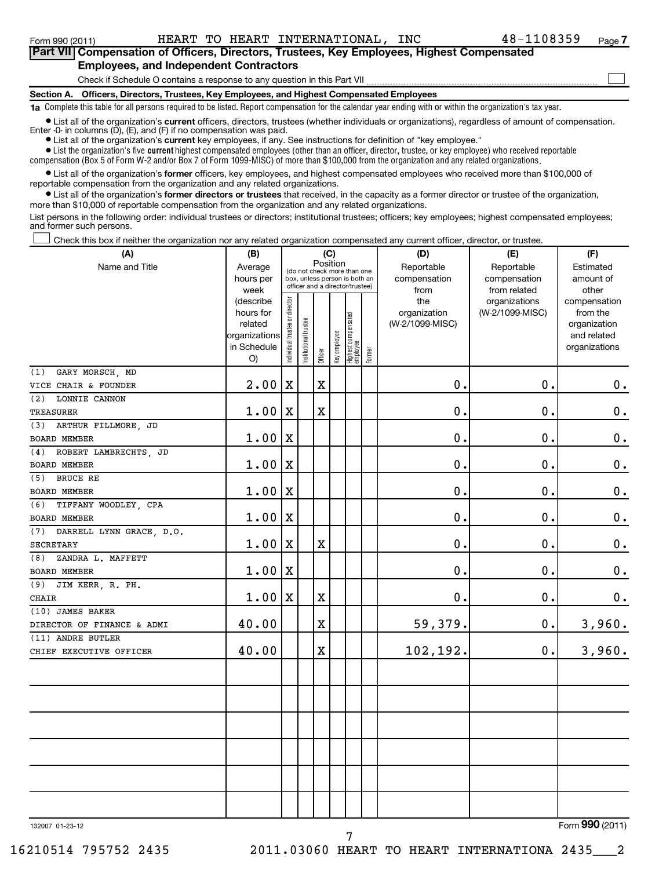### **Section A. Officers, Directors, Trustees, Key Employees, and Highest Compensated Employees** Check if Schedule O contains a response to any question in this Part VII **Part VII Compensation of Officers, Directors, Trustees, Key Employees, Highest Compensated Employees, and Independent Contractors**  $\sim$

**1a**  Complete this table for all persons required to be listed. Report compensation for the calendar year ending with or within the organization's tax year.

**•** List all of the organization's current officers, directors, trustees (whether individuals or organizations), regardless of amount of compensation. Enter -0- in columns  $(D)$ ,  $(E)$ , and  $(F)$  if no compensation was paid.

**•** List all of the organization's **current** key employees, if any. See instructions for definition of "key employee."

 $\bullet$  List the organization's five  $\tt current$  highest compensated employees (other than an officer, director, trustee, or key employee) who received reportable

compensation (Box 5 of Form W-2 and/or Box 7 of Form 1099-MISC) of more than \$100,000 from the organization and any related organizations .

 $\bullet$  List all of the organization's former officers, key employees, and highest compensated employees who received more than \$100,000 of reportable compensation from the organization and any related organizations.

**•** List all of the organization's former directors or trustees that received, in the capacity as a former director or trustee of the organization, more than \$10,000 of reportable compensation from the organization and any related organizations.

List persons in the following order: individual trustees or directors; institutional trustees; officers; key employees; highest compensated employees; and former such persons.

Check this box if neither the organization nor any related organization compensated any current officer, director, or trustee.  $\left\vert \cdot\right\vert$ 

| (A)                                          | (B)                                                                                                                                           | (C)         |              |                                   |        |                                                                                                 |                                  | (D)                                                                      | (E)                                        | (F)                             |
|----------------------------------------------|-----------------------------------------------------------------------------------------------------------------------------------------------|-------------|--------------|-----------------------------------|--------|-------------------------------------------------------------------------------------------------|----------------------------------|--------------------------------------------------------------------------|--------------------------------------------|---------------------------------|
| Name and Title                               | Average<br>hours per<br>week                                                                                                                  |             |              | Position                          |        | (do not check more than one<br>box, unless person is both an<br>officer and a director/trustee) |                                  | Reportable<br>compensation<br>from                                       | Reportable<br>compensation<br>from related | Estimated<br>amount of<br>other |
|                                              | Individual trustee or director<br>(describe<br>hours for<br>Institutional trustee<br>related<br>organizations<br>in Schedule<br>Officer<br>O) |             | Key employee | Highest compensated<br>  employee | Former | the<br>organization<br>(W-2/1099-MISC)                                                          | organizations<br>(W-2/1099-MISC) | compensation<br>from the<br>organization<br>and related<br>organizations |                                            |                                 |
| GARY MORSCH, MD<br>(1)                       |                                                                                                                                               |             |              |                                   |        |                                                                                                 |                                  |                                                                          |                                            |                                 |
| VICE CHAIR & FOUNDER                         | 2.00                                                                                                                                          | $\mathbf X$ |              | X                                 |        |                                                                                                 |                                  | $\mathbf 0$ .                                                            | $\mathbf 0$ .                              | $0 \cdot$                       |
| (2)<br>LONNIE CANNON                         |                                                                                                                                               |             |              |                                   |        |                                                                                                 |                                  |                                                                          |                                            |                                 |
| <b>TREASURER</b>                             | 1.00                                                                                                                                          | X           |              | $\mathbf X$                       |        |                                                                                                 |                                  | 0.                                                                       | $\mathbf 0$ .                              | $\mathbf 0$ .                   |
| ARTHUR FILLMORE, JD<br>(3)                   |                                                                                                                                               |             |              |                                   |        |                                                                                                 |                                  |                                                                          |                                            |                                 |
| BOARD MEMBER                                 | 1.00                                                                                                                                          | X           |              |                                   |        |                                                                                                 |                                  | $\mathbf 0$ .                                                            | $\mathbf 0$ .                              | $\boldsymbol{0}$ .              |
| ROBERT LAMBRECHTS, JD<br>(4)                 |                                                                                                                                               |             |              |                                   |        |                                                                                                 |                                  |                                                                          |                                            |                                 |
| BOARD MEMBER                                 | 1.00                                                                                                                                          | X           |              |                                   |        |                                                                                                 |                                  | $\mathbf 0$                                                              | $\mathbf 0$                                | $\boldsymbol{0}$ .              |
| BRUCE RE<br>(5)                              |                                                                                                                                               |             |              |                                   |        |                                                                                                 |                                  |                                                                          |                                            |                                 |
| BOARD MEMBER                                 | 1.00                                                                                                                                          | X           |              |                                   |        |                                                                                                 |                                  | $\mathbf 0$ .                                                            | $\mathbf 0$ .                              | $\mathbf 0$ .                   |
| TIFFANY WOODLEY, CPA<br>(6)                  |                                                                                                                                               |             |              |                                   |        |                                                                                                 |                                  |                                                                          |                                            |                                 |
| BOARD MEMBER                                 | 1.00                                                                                                                                          | X           |              |                                   |        |                                                                                                 |                                  | $\mathbf 0$ .                                                            | $\mathbf 0$ .                              | $\mathbf 0$ .                   |
| DARRELL LYNN GRACE, D.O.<br>(7)              |                                                                                                                                               |             |              |                                   |        |                                                                                                 |                                  |                                                                          |                                            |                                 |
| <b>SECRETARY</b>                             | 1.00                                                                                                                                          | $\mathbf X$ |              | $\mathbf X$                       |        |                                                                                                 |                                  | $\mathbf 0$ .                                                            | $\mathbf 0$ .                              | $\mathbf 0$ .                   |
| ZANDRA L. MAFFETT<br>(8)                     |                                                                                                                                               |             |              |                                   |        |                                                                                                 |                                  |                                                                          |                                            |                                 |
| <b>BOARD MEMBER</b>                          | 1.00                                                                                                                                          | Х           |              |                                   |        |                                                                                                 |                                  | 0.                                                                       | $\mathbf 0$ .                              | $\mathbf 0$ .                   |
| JIM KERR, R. PH.<br>(9)                      |                                                                                                                                               |             |              |                                   |        |                                                                                                 |                                  |                                                                          |                                            |                                 |
| <b>CHAIR</b>                                 | 1.00                                                                                                                                          | $\mathbf X$ |              | $\mathbf X$                       |        |                                                                                                 |                                  | $\mathbf 0$ .                                                            | $\mathbf 0$ .                              | $\mathbf 0$ .                   |
| (10) JAMES BAKER                             |                                                                                                                                               |             |              |                                   |        |                                                                                                 |                                  |                                                                          |                                            |                                 |
| DIRECTOR OF FINANCE & ADMI                   | 40.00                                                                                                                                         |             |              | $\mathbf X$                       |        |                                                                                                 |                                  | 59,379.                                                                  | $\mathbf 0$ .                              | 3,960.                          |
| (11) ANDRE BUTLER<br>CHIEF EXECUTIVE OFFICER | 40.00                                                                                                                                         |             |              | $\mathbf X$                       |        |                                                                                                 |                                  | 102,192.                                                                 | $\mathbf 0$ .                              | 3,960.                          |
|                                              |                                                                                                                                               |             |              |                                   |        |                                                                                                 |                                  |                                                                          |                                            |                                 |
|                                              |                                                                                                                                               |             |              |                                   |        |                                                                                                 |                                  |                                                                          |                                            |                                 |
|                                              |                                                                                                                                               |             |              |                                   |        |                                                                                                 |                                  |                                                                          |                                            |                                 |
| 132007 01-23-12                              |                                                                                                                                               |             |              |                                   |        |                                                                                                 |                                  |                                                                          |                                            | Form 990 (2011)                 |

7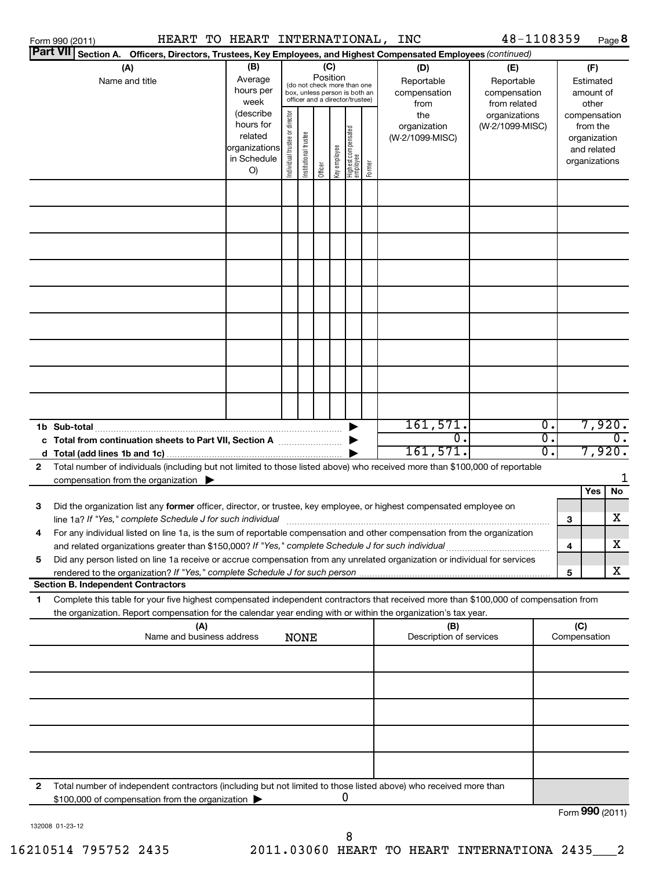| HEART TO HEART INTERNATIONAL,<br>Form 990 (2011)                                                                                                                                                                                                                       |                                                                         |                                |                       |                 |              |                                                                                                 |        | <b>INC</b>                                | 48-1108359                                        |                  |                                                                          |                                        | Page 8                      |
|------------------------------------------------------------------------------------------------------------------------------------------------------------------------------------------------------------------------------------------------------------------------|-------------------------------------------------------------------------|--------------------------------|-----------------------|-----------------|--------------|-------------------------------------------------------------------------------------------------|--------|-------------------------------------------|---------------------------------------------------|------------------|--------------------------------------------------------------------------|----------------------------------------|-----------------------------|
| <b>Part VII</b><br>Section A. Officers, Directors, Trustees, Key Employees, and Highest Compensated Employees (continued)                                                                                                                                              |                                                                         |                                |                       |                 |              |                                                                                                 |        |                                           |                                                   |                  |                                                                          |                                        |                             |
| (A)<br>Name and title                                                                                                                                                                                                                                                  | (B)<br>Average<br>hours per<br>week                                     |                                |                       | (C)<br>Position |              | (do not check more than one<br>box, unless person is both an<br>officer and a director/trustee) |        | (D)<br>Reportable<br>compensation<br>from | (E)<br>Reportable<br>compensation<br>from related |                  |                                                                          | (F)<br>Estimated<br>amount of<br>other |                             |
|                                                                                                                                                                                                                                                                        | (describe<br>hours for<br>related<br>organizations<br>in Schedule<br>O) | Individual trustee or director | Institutional trustee | Officer         | Key employee | Highest compensated<br>  employee                                                               | Former | the<br>organization<br>(W-2/1099-MISC)    | organizations<br>(W-2/1099-MISC)                  |                  | compensation<br>from the<br>organization<br>and related<br>organizations |                                        |                             |
|                                                                                                                                                                                                                                                                        |                                                                         |                                |                       |                 |              |                                                                                                 |        |                                           |                                                   |                  |                                                                          |                                        |                             |
|                                                                                                                                                                                                                                                                        |                                                                         |                                |                       |                 |              |                                                                                                 |        |                                           |                                                   |                  |                                                                          |                                        |                             |
|                                                                                                                                                                                                                                                                        |                                                                         |                                |                       |                 |              |                                                                                                 |        |                                           |                                                   |                  |                                                                          |                                        |                             |
|                                                                                                                                                                                                                                                                        |                                                                         |                                |                       |                 |              |                                                                                                 |        |                                           |                                                   |                  |                                                                          |                                        |                             |
|                                                                                                                                                                                                                                                                        |                                                                         |                                |                       |                 |              |                                                                                                 |        | 161,571.                                  |                                                   | $\overline{0}$ . |                                                                          | 7,920.                                 |                             |
| c Total from continuation sheets to Part VII, Section A                                                                                                                                                                                                                |                                                                         |                                |                       |                 |              |                                                                                                 |        | 0.                                        |                                                   | σ.               |                                                                          |                                        | $\overline{\mathfrak{o}}$ . |
|                                                                                                                                                                                                                                                                        |                                                                         |                                |                       |                 |              |                                                                                                 |        | 161,571.                                  |                                                   | 0.               |                                                                          | 7,920.                                 |                             |
| Total number of individuals (including but not limited to those listed above) who received more than \$100,000 of reportable<br>2<br>compensation from the organization $\qquad \qquad$                                                                                |                                                                         |                                |                       |                 |              |                                                                                                 |        |                                           |                                                   |                  |                                                                          |                                        | 1                           |
| 3<br>Did the organization list any former officer, director, or trustee, key employee, or highest compensated employee on                                                                                                                                              |                                                                         |                                |                       |                 |              |                                                                                                 |        |                                           |                                                   |                  |                                                                          | Yes                                    | <b>No</b>                   |
| line 1a? If "Yes," complete Schedule J for such individual manufacture content to the set of the set of the schedule J for such individual<br>For any individual listed on line 1a, is the sum of reportable compensation and other compensation from the organization |                                                                         |                                |                       |                 |              |                                                                                                 |        |                                           |                                                   |                  | 3                                                                        |                                        | х                           |
| and related organizations greater than \$150,000? If "Yes," complete Schedule J for such individual                                                                                                                                                                    |                                                                         |                                |                       |                 |              |                                                                                                 |        |                                           |                                                   |                  | 4                                                                        |                                        | х                           |
| Did any person listed on line 1a receive or accrue compensation from any unrelated organization or individual for services<br>5<br>rendered to the organization? If "Yes," complete Schedule J for such person                                                         |                                                                         |                                |                       |                 |              |                                                                                                 |        |                                           |                                                   |                  | 5                                                                        |                                        | x                           |
| <b>Section B. Independent Contractors</b>                                                                                                                                                                                                                              |                                                                         |                                |                       |                 |              |                                                                                                 |        |                                           |                                                   |                  |                                                                          |                                        |                             |
| Complete this table for your five highest compensated independent contractors that received more than \$100,000 of compensation from<br>1<br>the organization. Report compensation for the calendar year ending with or within the organization's tax year.            |                                                                         |                                |                       |                 |              |                                                                                                 |        |                                           |                                                   |                  |                                                                          |                                        |                             |
| (A)                                                                                                                                                                                                                                                                    |                                                                         |                                |                       |                 |              |                                                                                                 |        | (B)                                       |                                                   |                  | (C)                                                                      |                                        |                             |
| Name and business address                                                                                                                                                                                                                                              |                                                                         |                                | <b>NONE</b>           |                 |              |                                                                                                 |        | Description of services                   |                                                   |                  | Compensation                                                             |                                        |                             |
|                                                                                                                                                                                                                                                                        |                                                                         |                                |                       |                 |              |                                                                                                 |        |                                           |                                                   |                  |                                                                          |                                        |                             |
|                                                                                                                                                                                                                                                                        |                                                                         |                                |                       |                 |              |                                                                                                 |        |                                           |                                                   |                  |                                                                          |                                        |                             |
|                                                                                                                                                                                                                                                                        |                                                                         |                                |                       |                 |              |                                                                                                 |        |                                           |                                                   |                  |                                                                          |                                        |                             |
|                                                                                                                                                                                                                                                                        |                                                                         |                                |                       |                 |              |                                                                                                 |        |                                           |                                                   |                  |                                                                          |                                        |                             |
| Total number of independent contractors (including but not limited to those listed above) who received more than<br>2                                                                                                                                                  |                                                                         |                                |                       |                 |              |                                                                                                 |        |                                           |                                                   |                  |                                                                          |                                        |                             |
| \$100,000 of compensation from the organization                                                                                                                                                                                                                        |                                                                         |                                |                       |                 |              | 0                                                                                               |        |                                           |                                                   |                  | Form 990 (2011)                                                          |                                        |                             |

132008 01-23-12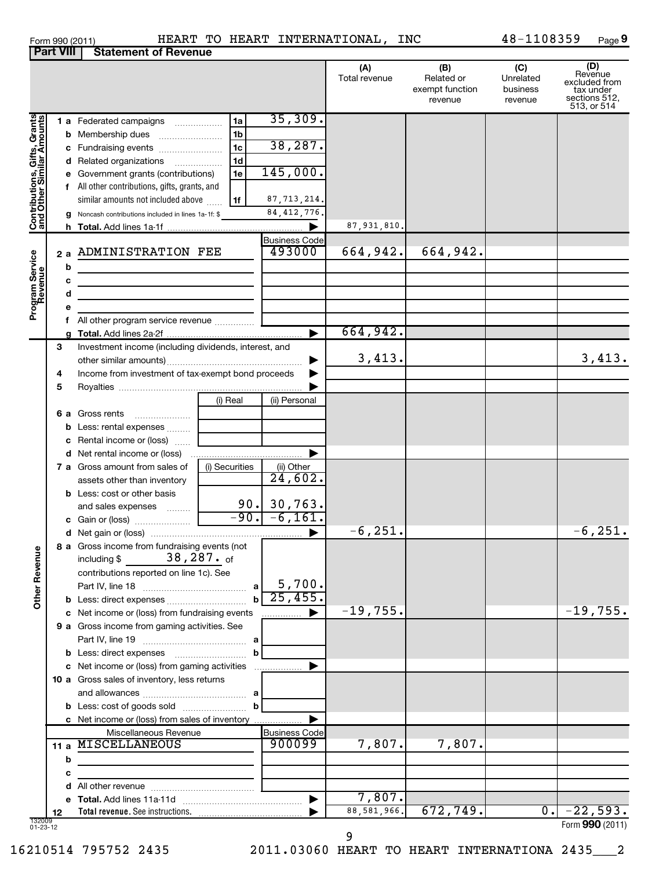| Form 990 (2011) |                                       | HEART T |  |
|-----------------|---------------------------------------|---------|--|
|                 | <b>Part VIII Statement of Revenue</b> |         |  |

## Form 990 (2011) HEART TO HEART INTERNATIONAL, INC 48-1108359 Page

 $48 - 1108359$  Page 9

|                                                           |        |                                                                                                                                                                                                                                                                                                    |                                                                                                                                          | (A)<br>Total revenue | (B)<br>Related or<br>exempt function<br>revenue | (C)<br>Unrelated<br>business<br>revenue | (D)<br>Revenue<br>excluded from<br>tax under<br>sections 512,<br>513, or 514 |
|-----------------------------------------------------------|--------|----------------------------------------------------------------------------------------------------------------------------------------------------------------------------------------------------------------------------------------------------------------------------------------------------|------------------------------------------------------------------------------------------------------------------------------------------|----------------------|-------------------------------------------------|-----------------------------------------|------------------------------------------------------------------------------|
| Contributions, Gifts, Grants<br>and Other Similar Amounts |        | <b>1 a</b> Federated campaigns<br><b>b</b> Membership dues<br>c Fundraising events<br>d Related organizations<br>e Government grants (contributions)<br>f All other contributions, gifts, grants, and<br>similar amounts not included above<br>g Noncash contributions included in lines 1a-1f: \$ | 35,309.<br>1a<br>1 <sub>b</sub><br>38,287.<br>1 <sub>c</sub><br>1 <sub>d</sub><br>145,000.<br>1e<br>87, 713, 214.<br>1f<br>84, 412, 776. | 87,931,810           |                                                 |                                         |                                                                              |
|                                                           |        |                                                                                                                                                                                                                                                                                                    | <b>Business Code</b>                                                                                                                     |                      |                                                 |                                         |                                                                              |
| Program Service<br>Revenue                                | 2a     | <b>ADMINISTRATION FEE</b>                                                                                                                                                                                                                                                                          | 493000                                                                                                                                   | 664,942.             | 664,942.                                        |                                         |                                                                              |
|                                                           | b<br>с |                                                                                                                                                                                                                                                                                                    |                                                                                                                                          |                      |                                                 |                                         |                                                                              |
|                                                           | d      |                                                                                                                                                                                                                                                                                                    |                                                                                                                                          |                      |                                                 |                                         |                                                                              |
|                                                           | е      |                                                                                                                                                                                                                                                                                                    |                                                                                                                                          |                      |                                                 |                                         |                                                                              |
|                                                           |        | f All other program service revenue                                                                                                                                                                                                                                                                |                                                                                                                                          |                      |                                                 |                                         |                                                                              |
|                                                           |        |                                                                                                                                                                                                                                                                                                    |                                                                                                                                          | 664,942.             |                                                 |                                         |                                                                              |
|                                                           | 3      | Investment income (including dividends, interest, and                                                                                                                                                                                                                                              |                                                                                                                                          | 3,413.               |                                                 |                                         | 3,413.                                                                       |
|                                                           | 4      | Income from investment of tax-exempt bond proceeds                                                                                                                                                                                                                                                 |                                                                                                                                          |                      |                                                 |                                         |                                                                              |
|                                                           | 5      |                                                                                                                                                                                                                                                                                                    |                                                                                                                                          |                      |                                                 |                                         |                                                                              |
|                                                           |        |                                                                                                                                                                                                                                                                                                    | (i) Real<br>(ii) Personal                                                                                                                |                      |                                                 |                                         |                                                                              |
|                                                           | 6а     | Gross rents                                                                                                                                                                                                                                                                                        |                                                                                                                                          |                      |                                                 |                                         |                                                                              |
|                                                           |        | <b>b</b> Less: rental expenses $\ldots$                                                                                                                                                                                                                                                            |                                                                                                                                          |                      |                                                 |                                         |                                                                              |
|                                                           |        | c Rental income or (loss)                                                                                                                                                                                                                                                                          |                                                                                                                                          |                      |                                                 |                                         |                                                                              |
|                                                           |        | <b>d</b> Net rental income or (loss)<br><b>7 a</b> Gross amount from sales of                                                                                                                                                                                                                      | (i) Securities<br>(ii) Other                                                                                                             |                      |                                                 |                                         |                                                                              |
|                                                           |        | assets other than inventory                                                                                                                                                                                                                                                                        | 24,602.                                                                                                                                  |                      |                                                 |                                         |                                                                              |
|                                                           |        | <b>b</b> Less: cost or other basis                                                                                                                                                                                                                                                                 |                                                                                                                                          |                      |                                                 |                                         |                                                                              |
|                                                           |        | and sales expenses                                                                                                                                                                                                                                                                                 | $90.$ 30,763.                                                                                                                            |                      |                                                 |                                         |                                                                              |
|                                                           |        |                                                                                                                                                                                                                                                                                                    | $-90. -6, 161.$                                                                                                                          |                      |                                                 |                                         |                                                                              |
|                                                           |        |                                                                                                                                                                                                                                                                                                    |                                                                                                                                          | $-6, 251.$           |                                                 |                                         | $-6, 251.$                                                                   |
| Ф<br>Other Revenu                                         |        | 8 a Gross income from fundraising events (not<br>$38,287.$ of<br>including \$<br>contributions reported on line 1c). See                                                                                                                                                                           |                                                                                                                                          |                      |                                                 |                                         |                                                                              |
|                                                           |        |                                                                                                                                                                                                                                                                                                    | 5,700.<br>a                                                                                                                              |                      |                                                 |                                         |                                                                              |
|                                                           |        |                                                                                                                                                                                                                                                                                                    | 25,455                                                                                                                                   |                      |                                                 |                                         |                                                                              |
|                                                           |        | c Net income or (loss) from fundraising events                                                                                                                                                                                                                                                     |                                                                                                                                          | $-19,755$ .          |                                                 |                                         | $-19,755.$                                                                   |
|                                                           |        | 9 a Gross income from gaming activities. See                                                                                                                                                                                                                                                       |                                                                                                                                          |                      |                                                 |                                         |                                                                              |
|                                                           |        |                                                                                                                                                                                                                                                                                                    | b                                                                                                                                        |                      |                                                 |                                         |                                                                              |
|                                                           |        | c Net income or (loss) from gaming activities                                                                                                                                                                                                                                                      |                                                                                                                                          |                      |                                                 |                                         |                                                                              |
|                                                           |        | 10 a Gross sales of inventory, less returns                                                                                                                                                                                                                                                        |                                                                                                                                          |                      |                                                 |                                         |                                                                              |
|                                                           |        |                                                                                                                                                                                                                                                                                                    |                                                                                                                                          |                      |                                                 |                                         |                                                                              |
|                                                           |        |                                                                                                                                                                                                                                                                                                    | b                                                                                                                                        |                      |                                                 |                                         |                                                                              |
|                                                           |        | c Net income or (loss) from sales of inventory                                                                                                                                                                                                                                                     |                                                                                                                                          |                      |                                                 |                                         |                                                                              |
|                                                           |        | Miscellaneous Revenue<br>11 a MISCELLANEOUS                                                                                                                                                                                                                                                        | <b>Business Code</b><br>900099                                                                                                           | 7,807.               | 7,807.                                          |                                         |                                                                              |
|                                                           | b      |                                                                                                                                                                                                                                                                                                    |                                                                                                                                          |                      |                                                 |                                         |                                                                              |
|                                                           | с      |                                                                                                                                                                                                                                                                                                    |                                                                                                                                          |                      |                                                 |                                         |                                                                              |
|                                                           |        |                                                                                                                                                                                                                                                                                                    |                                                                                                                                          |                      |                                                 |                                         |                                                                              |
|                                                           |        |                                                                                                                                                                                                                                                                                                    |                                                                                                                                          | 7,807.               |                                                 |                                         |                                                                              |
|                                                           | 12     | Total revenue. See instructions.                                                                                                                                                                                                                                                                   |                                                                                                                                          | 88, 581, 966.        | 672,749.                                        | 0.1                                     | $-22,593.$                                                                   |
| 132009<br>01-23-12                                        |        |                                                                                                                                                                                                                                                                                                    |                                                                                                                                          |                      |                                                 |                                         | Form 990 (2011)                                                              |

9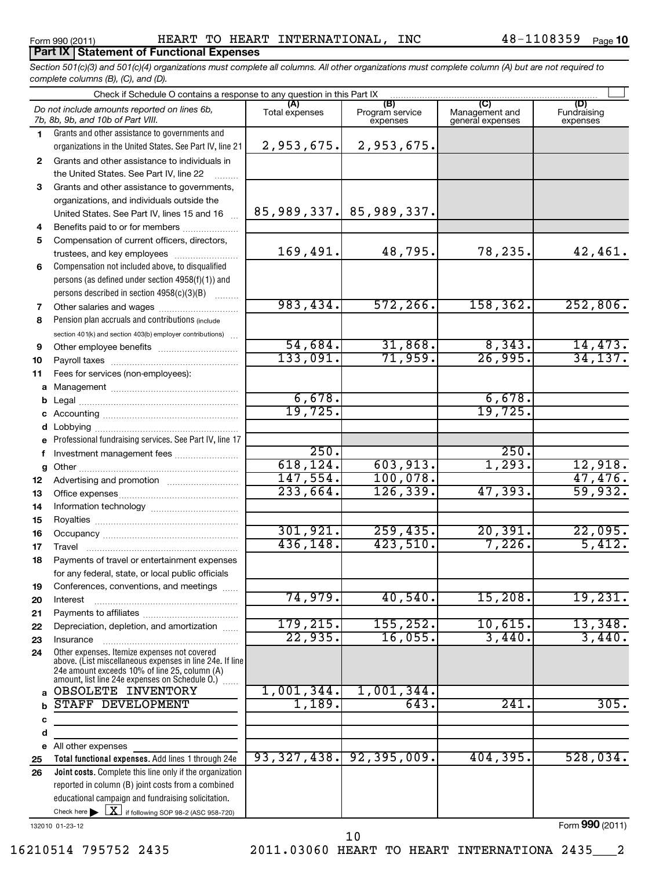## **Part IX Statement of Functional Expenses**

*Section 501(c)(3) and 501(c)(4) organizations must complete all columns. All other organizations must complete column (A) but are not required to complete columns (B), (C), and (D).*

|              | Check if Schedule O contains a response to any question in this Part IX                                   |                |                                    |                                           |                                |  |  |  |  |  |  |
|--------------|-----------------------------------------------------------------------------------------------------------|----------------|------------------------------------|-------------------------------------------|--------------------------------|--|--|--|--|--|--|
|              | Do not include amounts reported on lines 6b,<br>7b, 8b, 9b, and 10b of Part VIII.                         | Total expenses | (B)<br>Program service<br>expenses | (C)<br>Management and<br>general expenses | (D)<br>Fundraising<br>expenses |  |  |  |  |  |  |
| 1.           | Grants and other assistance to governments and                                                            |                |                                    |                                           |                                |  |  |  |  |  |  |
|              | organizations in the United States. See Part IV, line 21                                                  | 2,953,675.     | 2,953,675.                         |                                           |                                |  |  |  |  |  |  |
| $\mathbf{2}$ | Grants and other assistance to individuals in                                                             |                |                                    |                                           |                                |  |  |  |  |  |  |
|              | the United States. See Part IV, line 22                                                                   |                |                                    |                                           |                                |  |  |  |  |  |  |
| 3            | Grants and other assistance to governments,                                                               |                |                                    |                                           |                                |  |  |  |  |  |  |
|              | organizations, and individuals outside the                                                                |                |                                    |                                           |                                |  |  |  |  |  |  |
|              | United States. See Part IV, lines 15 and 16                                                               |                | 85,989,337. 85,989,337.            |                                           |                                |  |  |  |  |  |  |
| 4            | Benefits paid to or for members                                                                           |                |                                    |                                           |                                |  |  |  |  |  |  |
| 5            | Compensation of current officers, directors,                                                              |                |                                    |                                           |                                |  |  |  |  |  |  |
|              | trustees, and key employees                                                                               | 169,491.       | 48,795.                            | 78,235.                                   | 42,461.                        |  |  |  |  |  |  |
| 6            | Compensation not included above, to disqualified                                                          |                |                                    |                                           |                                |  |  |  |  |  |  |
|              | persons (as defined under section 4958(f)(1)) and                                                         |                |                                    |                                           |                                |  |  |  |  |  |  |
|              | persons described in section 4958(c)(3)(B)                                                                | 983,434.       | 572, 266.                          |                                           |                                |  |  |  |  |  |  |
| 7            |                                                                                                           |                |                                    | 158, 362.                                 | 252,806.                       |  |  |  |  |  |  |
| 8            | Pension plan accruals and contributions (include                                                          |                |                                    |                                           |                                |  |  |  |  |  |  |
|              | section 401(k) and section 403(b) employer contributions)                                                 | 54,684.        | 31,868.                            | 8,343.                                    | 14,473.                        |  |  |  |  |  |  |
| 9            |                                                                                                           | 133,091.       | 71,959.                            | 26,995.                                   | 34,137.                        |  |  |  |  |  |  |
| 10           |                                                                                                           |                |                                    |                                           |                                |  |  |  |  |  |  |
| 11           | Fees for services (non-employees):                                                                        |                |                                    |                                           |                                |  |  |  |  |  |  |
| a<br>b       |                                                                                                           | 6,678.         |                                    | 6,678.                                    |                                |  |  |  |  |  |  |
|              |                                                                                                           | 19,725.        |                                    | 19,725.                                   |                                |  |  |  |  |  |  |
| d            | Lobbying                                                                                                  |                |                                    |                                           |                                |  |  |  |  |  |  |
|              | Professional fundraising services. See Part IV, line 17                                                   |                |                                    |                                           |                                |  |  |  |  |  |  |
| f            | Investment management fees                                                                                | 250.           |                                    | 250.                                      |                                |  |  |  |  |  |  |
| g            |                                                                                                           | 618, 124.      | 603,913.                           | 1,293.                                    | 12,918.                        |  |  |  |  |  |  |
| 12           |                                                                                                           | 147,554.       | 100,078.                           |                                           | 47,476.                        |  |  |  |  |  |  |
| 13           |                                                                                                           | 233,664.       | 126, 339.                          | 47,393.                                   | 59,932.                        |  |  |  |  |  |  |
| 14           |                                                                                                           |                |                                    |                                           |                                |  |  |  |  |  |  |
| 15           |                                                                                                           |                |                                    |                                           |                                |  |  |  |  |  |  |
| 16           |                                                                                                           | 301, 921.      | 259, 435.                          | 20,391.                                   | 22,095.                        |  |  |  |  |  |  |
| 17           |                                                                                                           | 436,148.       | 423,510.                           | 7,226.                                    | 5,412.                         |  |  |  |  |  |  |
| 18           | Payments of travel or entertainment expenses                                                              |                |                                    |                                           |                                |  |  |  |  |  |  |
|              | for any federal, state, or local public officials                                                         |                |                                    |                                           |                                |  |  |  |  |  |  |
| 19           | Conferences, conventions, and meetings                                                                    | 74,979.        | 40,540.                            | 15,208.                                   | 19,231.                        |  |  |  |  |  |  |
| 20           | Interest                                                                                                  |                |                                    |                                           |                                |  |  |  |  |  |  |
| 21           | Depreciation, depletion, and amortization                                                                 | 179, 215.      | 155, 252.                          | 10,615.                                   | 13,348.                        |  |  |  |  |  |  |
| 22<br>23     | Insurance                                                                                                 | 22,935.        | 16,055.                            | 3,440.                                    | 3,440.                         |  |  |  |  |  |  |
| 24           | Other expenses. Itemize expenses not covered                                                              |                |                                    |                                           |                                |  |  |  |  |  |  |
|              | above. (List miscellaneous expenses in line 24e. If line<br>24e amount exceeds 10% of line 25, column (A) |                |                                    |                                           |                                |  |  |  |  |  |  |
| a            | amount, list line 24e expenses on Schedule O.) [<br>OBSOLETE INVENTORY                                    | 1,001,344.     | 1,001,344.                         |                                           |                                |  |  |  |  |  |  |
| b            | STAFF DEVELOPMENT                                                                                         | 1,189.         | 643                                | 241.                                      | 305.                           |  |  |  |  |  |  |
| c            |                                                                                                           |                |                                    |                                           |                                |  |  |  |  |  |  |
| d            |                                                                                                           |                |                                    |                                           |                                |  |  |  |  |  |  |
| е            | All other expenses                                                                                        |                |                                    |                                           |                                |  |  |  |  |  |  |
| 25           | Total functional expenses. Add lines 1 through 24e                                                        | 93,327,438.    | 92, 395, 009.                      | 404,395.                                  | 528,034.                       |  |  |  |  |  |  |
| 26           | Joint costs. Complete this line only if the organization                                                  |                |                                    |                                           |                                |  |  |  |  |  |  |
|              | reported in column (B) joint costs from a combined                                                        |                |                                    |                                           |                                |  |  |  |  |  |  |
|              | educational campaign and fundraising solicitation.                                                        |                |                                    |                                           |                                |  |  |  |  |  |  |
|              | Check here $\blacktriangleright$ $\boxed{\textbf{X}}$ if following SOP 98-2 (ASC 958-720)                 |                |                                    |                                           |                                |  |  |  |  |  |  |

132010 01-23-12

10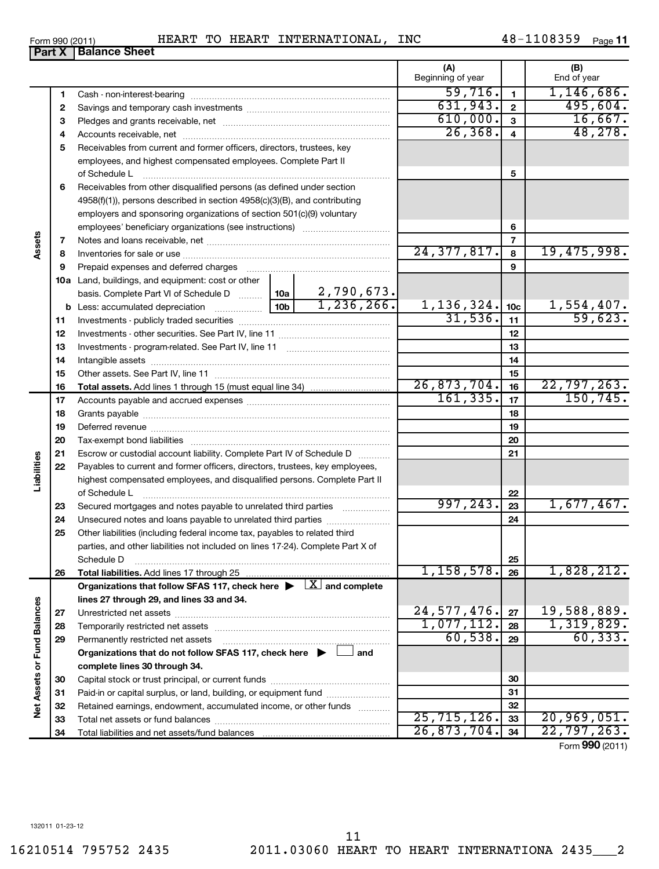|             | <b>Part X   Balance Sheet</b>                                                  |
|-------------|--------------------------------------------------------------------------------|
|             |                                                                                |
|             |                                                                                |
| 2           |                                                                                |
| 3           |                                                                                |
| 4           |                                                                                |
| 5           | Receivables from current and former officers, directors, trustees, key         |
|             | employees, and highest compensated employees. Complete Part II                 |
|             | of Schedule L                                                                  |
| 6           | Receivables from other disqualified persons (as defined under section          |
|             | $4958(f)(1)$ , persons described in section $4958(c)(3)(B)$ , and contributing |
|             | employers and sponsoring organizations of section 501(c)(9) voluntary          |
|             |                                                                                |
| Assets<br>7 |                                                                                |
| 8           |                                                                                |
| 9           |                                                                                |

**10 a** Land, buildings, and equipment: cost or other **5 6 7 8 9 10c 11 12 13 14** basis. Complete Part VI of Schedule D www. 10a **10b** of Schedule L ~~~~~~~~~~~~~~~~~~~~~~~~~~~~~~~ employees' beneficiary organizations (see instructions) ~~~~~~~~~~~ ~~~~~~~~~~~~~~~~~~~~~~~ ~~~~~~~~~~~~~~~~~~~~~~~~~~ ~~~~~~~~~~~~~~~~~~ Less: accumulated depreciation ~~~~~~ Investments - publicly traded securities Investments - other securities. See Part IV, line 11 Investments - program-related. See Part IV, line 11 Intangible assets ~~~~~~~~~~~~~~~~~~~ ~~~~~~~~~~~~~~ …………………………………… ~~~~~~~~~~~~~~~~~~~~~~~~~~~~~~  $24,377,817.$  8 19,475,998. 2,790,673.

|                      |    | 1,236,266.                                                                              | 1,136,324.    | 10 <sub>c</sub> | 1,554,407.      |
|----------------------|----|-----------------------------------------------------------------------------------------|---------------|-----------------|-----------------|
|                      | 11 |                                                                                         | 31,536.       | 11              | 59,623.         |
|                      | 12 |                                                                                         |               | 12              |                 |
|                      | 13 |                                                                                         |               | 13              |                 |
|                      | 14 |                                                                                         |               | 14              |                 |
|                      | 15 |                                                                                         |               | 15              |                 |
|                      | 16 |                                                                                         | 26,873,704.   | 16              | 22,797,263.     |
|                      | 17 |                                                                                         | 161, 335.     | 17              | 150, 745.       |
|                      | 18 |                                                                                         |               | 18              |                 |
|                      | 19 |                                                                                         |               | 19              |                 |
|                      | 20 |                                                                                         |               | 20              |                 |
|                      | 21 | Escrow or custodial account liability. Complete Part IV of Schedule D [                 |               | 21              |                 |
|                      | 22 | Payables to current and former officers, directors, trustees, key employees,            |               |                 |                 |
| Liabilities          |    | highest compensated employees, and disqualified persons. Complete Part II               |               |                 |                 |
|                      |    | of Schedule L                                                                           |               | 22              |                 |
|                      | 23 | Secured mortgages and notes payable to unrelated third parties                          | 997, 243.     | 23              | 1,677,467.      |
|                      | 24 | Unsecured notes and loans payable to unrelated third parties                            |               | 24              |                 |
|                      | 25 | Other liabilities (including federal income tax, payables to related third              |               |                 |                 |
|                      |    | parties, and other liabilities not included on lines 17-24). Complete Part X of         |               |                 |                 |
|                      |    | Schedule D                                                                              |               | 25              |                 |
|                      | 26 |                                                                                         | 1,158,578.    | 26              | 1,828,212.      |
|                      |    | Organizations that follow SFAS 117, check here $\blacktriangleright \Box$ and complete  |               |                 |                 |
|                      |    | lines 27 through 29, and lines 33 and 34.                                               |               |                 |                 |
|                      | 27 |                                                                                         | 24,577,476.   | 27              | 19,588,889.     |
| <b>Fund Balances</b> | 28 |                                                                                         | 1,077,112.    | 28              | 1,319,829.      |
|                      | 29 | Permanently restricted net assets                                                       | 60,538.       | 29              | 60, 333.        |
|                      |    | Organizations that do not follow SFAS 117, check here $\blacktriangleright \Box$<br>and |               |                 |                 |
|                      |    | complete lines 30 through 34.                                                           |               |                 |                 |
|                      | 30 |                                                                                         |               | 30              |                 |
|                      | 31 | Paid-in or capital surplus, or land, building, or equipment fund                        |               | 31              |                 |
| <b>Net Assets or</b> | 32 | Retained earnings, endowment, accumulated income, or other funds                        |               | 32              |                 |
|                      | 33 |                                                                                         | 25, 715, 126. | 33              | 20,969,051.     |
|                      | 34 |                                                                                         | 26,873,704.   | 34              | 22,797,263.     |
|                      |    |                                                                                         |               |                 | Form 990 (2011) |

Form 990 (2011) Page HEART TO HEART INTERNATIONAL, INC 48-1108359

48-1108359 <sub>Page</sub> 11

26,368. 48,278.

**(A) (B)**

Beginning of year | Find of year

 $\overline{59,716.}$  1,146,686.  $631,943.$  2 495,604.  $\begin{array}{|c|c|c|c|c|}\hline 610,000. & 3 & & 16,667. \ \hline 26,368. & 4 & & 48,278. \ \hline \end{array}$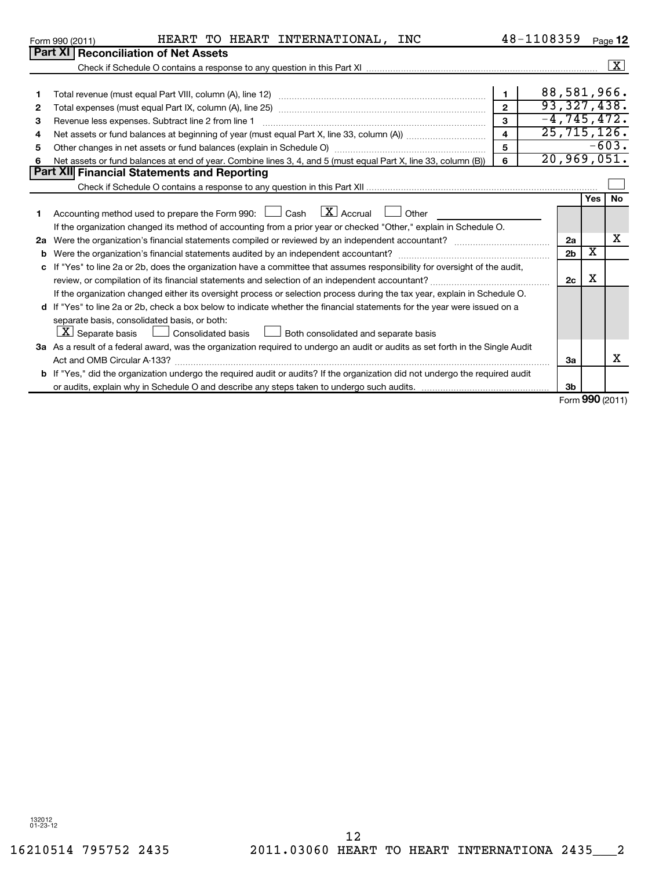|              | HEART TO HEART INTERNATIONAL, INC<br>Form 990 (2011)                                                                            |                         | 48-1108359  |                |     | Page 12                        |
|--------------|---------------------------------------------------------------------------------------------------------------------------------|-------------------------|-------------|----------------|-----|--------------------------------|
|              | <b>Part XI Reconciliation of Net Assets</b>                                                                                     |                         |             |                |     |                                |
|              |                                                                                                                                 |                         |             |                |     | $\lfloor x \rfloor$            |
|              |                                                                                                                                 |                         |             |                |     |                                |
| 1            |                                                                                                                                 | $\mathbf{1}$            | 88,581,966. |                |     |                                |
| 2            |                                                                                                                                 |                         |             |                |     | 93, 327, 438.                  |
| 3            | Revenue less expenses. Subtract line 2 from line 1                                                                              | $\overline{\mathbf{3}}$ |             |                |     | $-4, 745, 472.$                |
| 4            |                                                                                                                                 | $\overline{4}$          |             |                |     | $\overline{25,715,126}$ .      |
| 5            |                                                                                                                                 | 5                       |             |                |     | $-603.$                        |
| 6            | Net assets or fund balances at end of year. Combine lines 3, 4, and 5 (must equal Part X, line 33, column (B))                  | 6                       |             |                |     | 20,969,051.                    |
|              | <b>Part XII Financial Statements and Reporting</b>                                                                              |                         |             |                |     |                                |
|              |                                                                                                                                 |                         |             |                |     |                                |
|              |                                                                                                                                 |                         |             |                | Yes | <b>No</b>                      |
|              | Accounting method used to prepare the Form 990: $\Box$ Cash $\Box X$ Accrual<br>Other                                           |                         |             |                |     |                                |
|              | If the organization changed its method of accounting from a prior year or checked "Other," explain in Schedule O.               |                         |             |                |     |                                |
| 2a           |                                                                                                                                 |                         |             | 2a             |     | х                              |
| b            |                                                                                                                                 |                         |             | 2 <sub>b</sub> | X   |                                |
| $\mathbf{c}$ | If "Yes" to line 2a or 2b, does the organization have a committee that assumes responsibility for oversight of the audit,       |                         |             |                |     |                                |
|              |                                                                                                                                 |                         |             | 2c             | х   |                                |
|              | If the organization changed either its oversight process or selection process during the tax year, explain in Schedule O.       |                         |             |                |     |                                |
|              | d If "Yes" to line 2a or 2b, check a box below to indicate whether the financial statements for the year were issued on a       |                         |             |                |     |                                |
|              | separate basis, consolidated basis, or both:                                                                                    |                         |             |                |     |                                |
|              | $ \mathbf{X} $ Separate basis<br>$\mathbb{R}^n$<br>Consolidated basis <u>Luis</u> Both consolidated and separate basis          |                         |             |                |     |                                |
|              | 3a As a result of a federal award, was the organization required to undergo an audit or audits as set forth in the Single Audit |                         |             |                |     |                                |
|              |                                                                                                                                 |                         |             | За             |     | x                              |
|              | b If "Yes," did the organization undergo the required audit or audits? If the organization did not undergo the required audit   |                         |             |                |     |                                |
|              |                                                                                                                                 |                         |             | 3 <sub>b</sub> |     |                                |
|              |                                                                                                                                 |                         |             |                |     | $T_{\text{max}}$ 000 $(0.011)$ |

Form (2011) **990**

## 132012 01-23-12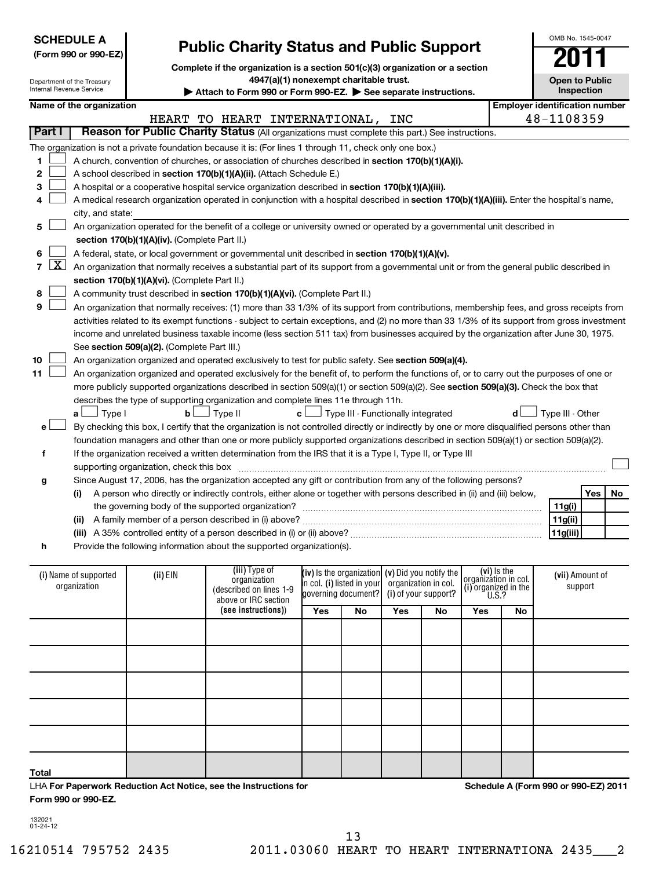| <b>SCHEDULE A</b>              |                            |                                               |                                                                                                                                               |  |                                        |                                                   | OMB No. 1545-0047 |                      |                                     |    |                                       |            |    |
|--------------------------------|----------------------------|-----------------------------------------------|-----------------------------------------------------------------------------------------------------------------------------------------------|--|----------------------------------------|---------------------------------------------------|-------------------|----------------------|-------------------------------------|----|---------------------------------------|------------|----|
| (Form 990 or 990-EZ)           |                            |                                               | <b>Public Charity Status and Public Support</b>                                                                                               |  |                                        |                                                   |                   |                      |                                     |    |                                       |            |    |
|                                |                            |                                               | Complete if the organization is a section 501(c)(3) organization or a section                                                                 |  |                                        |                                                   |                   |                      |                                     |    |                                       |            |    |
|                                | Department of the Treasury |                                               |                                                                                                                                               |  | 4947(a)(1) nonexempt charitable trust. |                                                   |                   |                      |                                     |    | <b>Open to Public</b>                 |            |    |
| Internal Revenue Service       |                            |                                               | Attach to Form 990 or Form 990-EZ. $\triangleright$ See separate instructions.                                                                |  |                                        |                                                   |                   |                      |                                     |    |                                       | Inspection |    |
|                                | Name of the organization   |                                               |                                                                                                                                               |  |                                        |                                                   |                   |                      |                                     |    | <b>Employer identification number</b> |            |    |
|                                |                            |                                               | HEART TO HEART INTERNATIONAL, INC                                                                                                             |  |                                        |                                                   |                   |                      |                                     |    | 48-1108359                            |            |    |
| Part I                         |                            |                                               | Reason for Public Charity Status (All organizations must complete this part.) See instructions.                                               |  |                                        |                                                   |                   |                      |                                     |    |                                       |            |    |
|                                |                            |                                               | The organization is not a private foundation because it is: (For lines 1 through 11, check only one box.)                                     |  |                                        |                                                   |                   |                      |                                     |    |                                       |            |    |
| 1                              |                            |                                               | A church, convention of churches, or association of churches described in section 170(b)(1)(A)(i).                                            |  |                                        |                                                   |                   |                      |                                     |    |                                       |            |    |
| 2                              |                            |                                               | A school described in section 170(b)(1)(A)(ii). (Attach Schedule E.)                                                                          |  |                                        |                                                   |                   |                      |                                     |    |                                       |            |    |
| 3                              |                            |                                               | A hospital or a cooperative hospital service organization described in section 170(b)(1)(A)(iii).                                             |  |                                        |                                                   |                   |                      |                                     |    |                                       |            |    |
|                                |                            |                                               | A medical research organization operated in conjunction with a hospital described in section 170(b)(1)(A)(iii). Enter the hospital's name,    |  |                                        |                                                   |                   |                      |                                     |    |                                       |            |    |
|                                | city, and state:           |                                               |                                                                                                                                               |  |                                        |                                                   |                   |                      |                                     |    |                                       |            |    |
| 5                              |                            |                                               | An organization operated for the benefit of a college or university owned or operated by a governmental unit described in                     |  |                                        |                                                   |                   |                      |                                     |    |                                       |            |    |
|                                |                            | section 170(b)(1)(A)(iv). (Complete Part II.) |                                                                                                                                               |  |                                        |                                                   |                   |                      |                                     |    |                                       |            |    |
| 6                              |                            |                                               | A federal, state, or local government or governmental unit described in section 170(b)(1)(A)(v).                                              |  |                                        |                                                   |                   |                      |                                     |    |                                       |            |    |
| $\mathbf{X}$<br>$\overline{7}$ |                            |                                               | An organization that normally receives a substantial part of its support from a governmental unit or from the general public described in     |  |                                        |                                                   |                   |                      |                                     |    |                                       |            |    |
|                                |                            | section 170(b)(1)(A)(vi). (Complete Part II.) |                                                                                                                                               |  |                                        |                                                   |                   |                      |                                     |    |                                       |            |    |
| 8                              |                            |                                               | A community trust described in section 170(b)(1)(A)(vi). (Complete Part II.)                                                                  |  |                                        |                                                   |                   |                      |                                     |    |                                       |            |    |
| 9                              |                            |                                               | An organization that normally receives: (1) more than 33 1/3% of its support from contributions, membership fees, and gross receipts from     |  |                                        |                                                   |                   |                      |                                     |    |                                       |            |    |
|                                |                            |                                               | activities related to its exempt functions - subject to certain exceptions, and (2) no more than 33 1/3% of its support from gross investment |  |                                        |                                                   |                   |                      |                                     |    |                                       |            |    |
|                                |                            |                                               | income and unrelated business taxable income (less section 511 tax) from businesses acquired by the organization after June 30, 1975.         |  |                                        |                                                   |                   |                      |                                     |    |                                       |            |    |
|                                |                            | See section 509(a)(2). (Complete Part III.)   |                                                                                                                                               |  |                                        |                                                   |                   |                      |                                     |    |                                       |            |    |
| 10                             |                            |                                               | An organization organized and operated exclusively to test for public safety. See section 509(a)(4).                                          |  |                                        |                                                   |                   |                      |                                     |    |                                       |            |    |
| 11                             |                            |                                               | An organization organized and operated exclusively for the benefit of, to perform the functions of, or to carry out the purposes of one or    |  |                                        |                                                   |                   |                      |                                     |    |                                       |            |    |
|                                |                            |                                               | more publicly supported organizations described in section 509(a)(1) or section 509(a)(2). See section 509(a)(3). Check the box that          |  |                                        |                                                   |                   |                      |                                     |    |                                       |            |    |
|                                |                            |                                               | describes the type of supporting organization and complete lines 11e through 11h.                                                             |  |                                        |                                                   |                   |                      |                                     |    |                                       |            |    |
|                                | 」Туре I<br>aι              | bl                                            | J Type II                                                                                                                                     |  | c L                                    | $\Box$ Type III - Functionally integrated         |                   |                      |                                     |    | Type III - Other                      |            |    |
| e l                            |                            |                                               | By checking this box, I certify that the organization is not controlled directly or indirectly by one or more disqualified persons other than |  |                                        |                                                   |                   |                      |                                     |    |                                       |            |    |
|                                |                            |                                               | foundation managers and other than one or more publicly supported organizations described in section 509(a)(1) or section 509(a)(2).          |  |                                        |                                                   |                   |                      |                                     |    |                                       |            |    |
| f                              |                            |                                               | If the organization received a written determination from the IRS that it is a Type I, Type II, or Type III                                   |  |                                        |                                                   |                   |                      |                                     |    |                                       |            |    |
|                                |                            | supporting organization, check this box       |                                                                                                                                               |  |                                        |                                                   |                   |                      |                                     |    |                                       |            |    |
| g                              |                            |                                               | Since August 17, 2006, has the organization accepted any gift or contribution from any of the following persons?                              |  |                                        |                                                   |                   |                      |                                     |    |                                       |            |    |
|                                | $\left( 1\right)$          |                                               | A person who directly or indirectly controls, either alone or together with persons described in (ii) and (iii) below,                        |  |                                        |                                                   |                   |                      |                                     |    |                                       | Yes        | No |
|                                |                            |                                               | the governing body of the supported organization?                                                                                             |  |                                        |                                                   |                   |                      |                                     |    | 11g(i)                                |            |    |
|                                |                            |                                               |                                                                                                                                               |  |                                        |                                                   |                   |                      |                                     |    | 11g(ii)                               |            |    |
|                                |                            |                                               |                                                                                                                                               |  |                                        |                                                   |                   |                      |                                     |    | 11g(iii)                              |            |    |
| h                              |                            |                                               | Provide the following information about the supported organization(s).                                                                        |  |                                        |                                                   |                   |                      |                                     |    |                                       |            |    |
|                                |                            |                                               |                                                                                                                                               |  |                                        |                                                   |                   |                      |                                     |    |                                       |            |    |
|                                | (i) Name of supported      | (ii) EIN                                      | (iii) Type of                                                                                                                                 |  |                                        | (iv) is the organization $(v)$ Did you notify the |                   |                      | (vi) Is the<br>organization in col. |    | (vii) Amount of                       |            |    |
|                                | organization               |                                               | organization<br>(described on lines 1-9                                                                                                       |  | in col. (i) listed in your             |                                                   |                   | organization in col. | (i) organized in the                |    |                                       | support    |    |
|                                |                            |                                               | above or IRC section                                                                                                                          |  |                                        | governing document?                               |                   | (i) of your support? | U.S.?                               |    |                                       |            |    |
|                                |                            |                                               | (see instructions))                                                                                                                           |  | Yes                                    | No                                                | Yes               | No                   | Yes                                 | No |                                       |            |    |
|                                |                            |                                               |                                                                                                                                               |  |                                        |                                                   |                   |                      |                                     |    |                                       |            |    |
|                                |                            |                                               |                                                                                                                                               |  |                                        |                                                   |                   |                      |                                     |    |                                       |            |    |
|                                |                            |                                               |                                                                                                                                               |  |                                        |                                                   |                   |                      |                                     |    |                                       |            |    |
|                                |                            |                                               |                                                                                                                                               |  |                                        |                                                   |                   |                      |                                     |    |                                       |            |    |
|                                |                            |                                               |                                                                                                                                               |  |                                        |                                                   |                   |                      |                                     |    |                                       |            |    |
|                                |                            |                                               |                                                                                                                                               |  |                                        |                                                   |                   |                      |                                     |    |                                       |            |    |

**Form 990 or 990-EZ.**

LHA **For Paperwork Reduction Act Notice, see the Instructions for** 

132021 01-24-12

**Total**

**Schedule A (Form 990 or 990-EZ) 2011**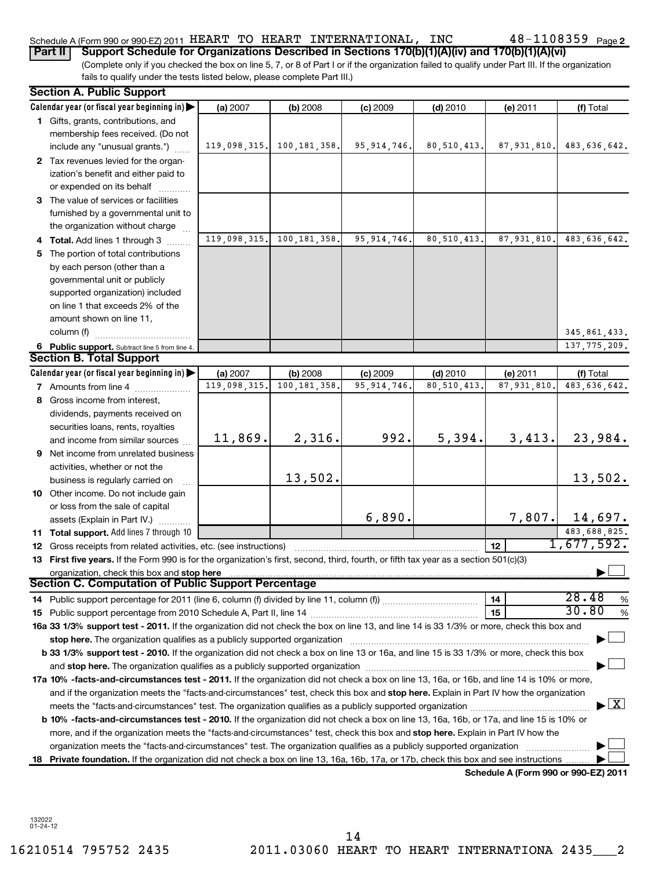## Schedule A (Form 990 or 990-EZ) 2011 <code>HEART TO HEART INTERNATIONAL</code> , <code>INC</code>  $48$  –  $1108359$  <code>Page</code>

48-1108359 Page 2

(Complete only if you checked the box on line 5, 7, or 8 of Part I or if the organization failed to qualify under Part III. If the organization fails to qualify under the tests listed below, please complete Part III.) **Part II Support Schedule for Organizations Described in Sections 170(b)(1)(A)(iv) and 170(b)(1)(A)(vi)**

|    | <b>Section A. Public Support</b>                                                                                                                                           |              |                |               |               |               |                                         |  |
|----|----------------------------------------------------------------------------------------------------------------------------------------------------------------------------|--------------|----------------|---------------|---------------|---------------|-----------------------------------------|--|
|    | Calendar year (or fiscal year beginning in)                                                                                                                                | (a) 2007     | (b) 2008       | (c) 2009      | $(d)$ 2010    | (e) 2011      | (f) Total                               |  |
|    | 1 Gifts, grants, contributions, and                                                                                                                                        |              |                |               |               |               |                                         |  |
|    | membership fees received. (Do not                                                                                                                                          |              |                |               |               |               |                                         |  |
|    | include any "unusual grants.")                                                                                                                                             | 119,098,315. | 100,181,358.   | 95, 914, 746. | 80,510,413.   | 87,931,810.   | 483,636,642.                            |  |
|    | 2 Tax revenues levied for the organ-                                                                                                                                       |              |                |               |               |               |                                         |  |
|    | ization's benefit and either paid to                                                                                                                                       |              |                |               |               |               |                                         |  |
|    | or expended on its behalf                                                                                                                                                  |              |                |               |               |               |                                         |  |
|    | 3 The value of services or facilities                                                                                                                                      |              |                |               |               |               |                                         |  |
|    | furnished by a governmental unit to                                                                                                                                        |              |                |               |               |               |                                         |  |
|    | the organization without charge                                                                                                                                            |              |                |               |               |               |                                         |  |
|    | 4 Total. Add lines 1 through 3                                                                                                                                             | 119,098,315. | 100, 181, 358. | 95, 914, 746. | 80, 510, 413. | 87, 931, 810. | 483,636,642.                            |  |
| 5  | The portion of total contributions                                                                                                                                         |              |                |               |               |               |                                         |  |
|    | by each person (other than a                                                                                                                                               |              |                |               |               |               |                                         |  |
|    | governmental unit or publicly                                                                                                                                              |              |                |               |               |               |                                         |  |
|    | supported organization) included                                                                                                                                           |              |                |               |               |               |                                         |  |
|    | on line 1 that exceeds 2% of the                                                                                                                                           |              |                |               |               |               |                                         |  |
|    | amount shown on line 11,                                                                                                                                                   |              |                |               |               |               |                                         |  |
|    | column (f)                                                                                                                                                                 |              |                |               |               |               | 345, 861, 433.                          |  |
|    | 6 Public support. Subtract line 5 from line 4.                                                                                                                             |              |                |               |               |               | 137, 775, 209.                          |  |
|    | <b>Section B. Total Support</b>                                                                                                                                            |              |                |               |               |               |                                         |  |
|    | Calendar year (or fiscal year beginning in)                                                                                                                                | (a) 2007     | (b) 2008       | $(c)$ 2009    | $(d)$ 2010    | (e) 2011      | (f) Total                               |  |
|    | <b>7</b> Amounts from line 4                                                                                                                                               | 119,098,315  | 100, 181, 358, | 95, 914, 746  | 80, 510, 413  | 87,931,810    | 483,636,642.                            |  |
|    | 8 Gross income from interest,                                                                                                                                              |              |                |               |               |               |                                         |  |
|    | dividends, payments received on                                                                                                                                            |              |                |               |               |               |                                         |  |
|    | securities loans, rents, royalties                                                                                                                                         |              |                |               |               |               |                                         |  |
|    | and income from similar sources                                                                                                                                            | 11,869.      | 2,316.         | 992.          | 5,394.        | 3,413.        | 23,984.                                 |  |
|    | <b>9</b> Net income from unrelated business                                                                                                                                |              |                |               |               |               |                                         |  |
|    | activities, whether or not the                                                                                                                                             |              | 13,502.        |               |               |               |                                         |  |
|    | business is regularly carried on                                                                                                                                           |              |                |               |               |               | 13,502.                                 |  |
|    | 10 Other income. Do not include gain                                                                                                                                       |              |                |               |               |               |                                         |  |
|    | or loss from the sale of capital                                                                                                                                           |              |                | 6,890.        |               | 7,807.        |                                         |  |
|    | assets (Explain in Part IV.)                                                                                                                                               |              |                |               |               |               | 14,697.<br>483,688,825.                 |  |
|    | 11 Total support. Add lines 7 through 10                                                                                                                                   |              |                |               |               |               | 1,677,592.                              |  |
|    | <b>12</b> Gross receipts from related activities, etc. (see instructions)                                                                                                  |              |                |               |               | 12            |                                         |  |
|    | 13 First five years. If the Form 990 is for the organization's first, second, third, fourth, or fifth tax year as a section 501(c)(3)                                      |              |                |               |               |               |                                         |  |
|    | organization, check this box and stop here<br>Section C. Computation of Public Support Percentage                                                                          |              |                |               |               |               |                                         |  |
|    |                                                                                                                                                                            |              |                |               |               | 14            | 28.48<br>%                              |  |
|    |                                                                                                                                                                            |              |                |               |               | 15            | 30.80<br>%                              |  |
|    | 16a 33 1/3% support test - 2011. If the organization did not check the box on line 13, and line 14 is 33 1/3% or more, check this box and                                  |              |                |               |               |               |                                         |  |
|    | stop here. The organization qualifies as a publicly supported organization manufactured content and the organization                                                       |              |                |               |               |               |                                         |  |
|    | b 33 1/3% support test - 2010. If the organization did not check a box on line 13 or 16a, and line 15 is 33 1/3% or more, check this box                                   |              |                |               |               |               |                                         |  |
|    |                                                                                                                                                                            |              |                |               |               |               |                                         |  |
|    | 17a 10% -facts-and-circumstances test - 2011. If the organization did not check a box on line 13, 16a, or 16b, and line 14 is 10% or more,                                 |              |                |               |               |               |                                         |  |
|    | and if the organization meets the "facts-and-circumstances" test, check this box and stop here. Explain in Part IV how the organization                                    |              |                |               |               |               |                                         |  |
|    | meets the "facts-and-circumstances" test. The organization qualifies as a publicly supported organization <i>manumumumumum</i>                                             |              |                |               |               |               | $\blacktriangleright$ $\vert$ X $\vert$ |  |
|    | b 10% -facts-and-circumstances test - 2010. If the organization did not check a box on line 13, 16a, 16b, or 17a, and line 15 is 10% or                                    |              |                |               |               |               |                                         |  |
|    | more, and if the organization meets the "facts-and-circumstances" test, check this box and stop here. Explain in Part IV how the                                           |              |                |               |               |               |                                         |  |
|    | organization meets the "facts-and-circumstances" test. The organization qualifies as a publicly supported organization                                                     |              |                |               |               |               |                                         |  |
| 18 |                                                                                                                                                                            |              |                |               |               |               |                                         |  |
|    | Private foundation. If the organization did not check a box on line 13, 16a, 16b, 17a, or 17b, check this box and see instructions<br>Schedule A (Form 990 or 990-EZ) 2011 |              |                |               |               |               |                                         |  |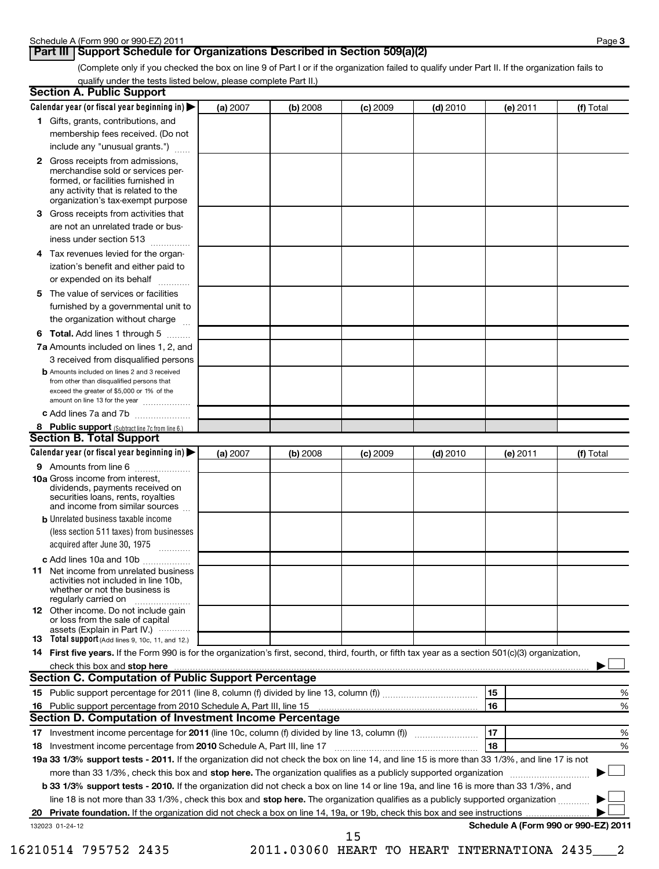## **Part III** Support Schedule for Organizations Described in Section 509(a)(2)

(Complete only if you checked the box on line 9 of Part I or if the organization failed to qualify under Part II. If the organization fails to qualify under the tests listed below, please complete Part II.)

| <b>Section A. Public Support</b>                                                                                                                                                                                               |          |          |            |            |          |                                      |
|--------------------------------------------------------------------------------------------------------------------------------------------------------------------------------------------------------------------------------|----------|----------|------------|------------|----------|--------------------------------------|
| Calendar year (or fiscal year beginning in)                                                                                                                                                                                    | (a) 2007 | (b) 2008 | $(c)$ 2009 | $(d)$ 2010 | (e) 2011 | (f) Total                            |
| 1 Gifts, grants, contributions, and                                                                                                                                                                                            |          |          |            |            |          |                                      |
| membership fees received. (Do not                                                                                                                                                                                              |          |          |            |            |          |                                      |
| include any "unusual grants.")                                                                                                                                                                                                 |          |          |            |            |          |                                      |
| <b>2</b> Gross receipts from admissions,<br>merchandise sold or services per-<br>formed, or facilities furnished in<br>any activity that is related to the<br>organization's tax-exempt purpose                                |          |          |            |            |          |                                      |
| 3 Gross receipts from activities that<br>are not an unrelated trade or bus-                                                                                                                                                    |          |          |            |            |          |                                      |
| iness under section 513                                                                                                                                                                                                        |          |          |            |            |          |                                      |
| Tax revenues levied for the organ-<br>4<br>ization's benefit and either paid to<br>or expended on its behalf                                                                                                                   |          |          |            |            |          |                                      |
| 5 The value of services or facilities                                                                                                                                                                                          |          |          |            |            |          |                                      |
| furnished by a governmental unit to<br>the organization without charge                                                                                                                                                         |          |          |            |            |          |                                      |
| <b>6 Total.</b> Add lines 1 through 5                                                                                                                                                                                          |          |          |            |            |          |                                      |
| 7a Amounts included on lines 1, 2, and<br>3 received from disqualified persons                                                                                                                                                 |          |          |            |            |          |                                      |
| <b>b</b> Amounts included on lines 2 and 3 received<br>from other than disqualified persons that<br>exceed the greater of \$5,000 or 1% of the<br>amount on line 13 for the year                                               |          |          |            |            |          |                                      |
| c Add lines 7a and 7b                                                                                                                                                                                                          |          |          |            |            |          |                                      |
| 8 Public support (Subtract line 7c from line 6.)                                                                                                                                                                               |          |          |            |            |          |                                      |
| <b>Section B. Total Support</b>                                                                                                                                                                                                |          |          |            |            |          |                                      |
| Calendar year (or fiscal year beginning in)                                                                                                                                                                                    | (a) 2007 | (b) 2008 | $(c)$ 2009 | $(d)$ 2010 | (e) 2011 | (f) Total                            |
| 9 Amounts from line 6                                                                                                                                                                                                          |          |          |            |            |          |                                      |
| <b>10a</b> Gross income from interest,<br>dividends, payments received on<br>securities loans, rents, royalties<br>and income from similar sources                                                                             |          |          |            |            |          |                                      |
| <b>b</b> Unrelated business taxable income                                                                                                                                                                                     |          |          |            |            |          |                                      |
| (less section 511 taxes) from businesses<br>acquired after June 30, 1975<br>$\overline{\phantom{a}}$                                                                                                                           |          |          |            |            |          |                                      |
| c Add lines 10a and 10b                                                                                                                                                                                                        |          |          |            |            |          |                                      |
| <b>11</b> Net income from unrelated business<br>activities not included in line 10b,<br>whether or not the business is<br>regularly carried on                                                                                 |          |          |            |            |          |                                      |
| 12 Other income. Do not include gain<br>or loss from the sale of capital<br>assets (Explain in Part IV.)                                                                                                                       |          |          |            |            |          |                                      |
| 13 Total support (Add lines 9, 10c, 11, and 12.)                                                                                                                                                                               |          |          |            |            |          |                                      |
| 14 First five years. If the Form 990 is for the organization's first, second, third, fourth, or fifth tax year as a section 501(c)(3) organization,                                                                            |          |          |            |            |          |                                      |
| check this box and stop here with the content of the content of the state of the content of the state of the state of the content of the content of the content of the content of the content of the content of the content of |          |          |            |            |          |                                      |
| Section C. Computation of Public Support Percentage                                                                                                                                                                            |          |          |            |            |          |                                      |
|                                                                                                                                                                                                                                |          |          |            |            | 15       | %                                    |
|                                                                                                                                                                                                                                |          |          |            |            | 16       | %                                    |
| Section D. Computation of Investment Income Percentage                                                                                                                                                                         |          |          |            |            |          |                                      |
|                                                                                                                                                                                                                                |          |          |            |            | 17       | %                                    |
| 18 Investment income percentage from 2010 Schedule A, Part III, line 17                                                                                                                                                        |          |          |            |            | 18       | %                                    |
| 19a 33 1/3% support tests - 2011. If the organization did not check the box on line 14, and line 15 is more than 33 1/3%, and line 17 is not                                                                                   |          |          |            |            |          |                                      |
| more than 33 1/3%, check this box and stop here. The organization qualifies as a publicly supported organization                                                                                                               |          |          |            |            |          |                                      |
| b 33 1/3% support tests - 2010. If the organization did not check a box on line 14 or line 19a, and line 16 is more than 33 1/3%, and                                                                                          |          |          |            |            |          |                                      |
| line 18 is not more than 33 1/3%, check this box and stop here. The organization qualifies as a publicly supported organization                                                                                                |          |          |            |            |          |                                      |
| 20<br>132023 01-24-12                                                                                                                                                                                                          |          |          |            |            |          | Schedule A (Form 990 or 990-EZ) 2011 |
|                                                                                                                                                                                                                                |          |          | 15         |            |          |                                      |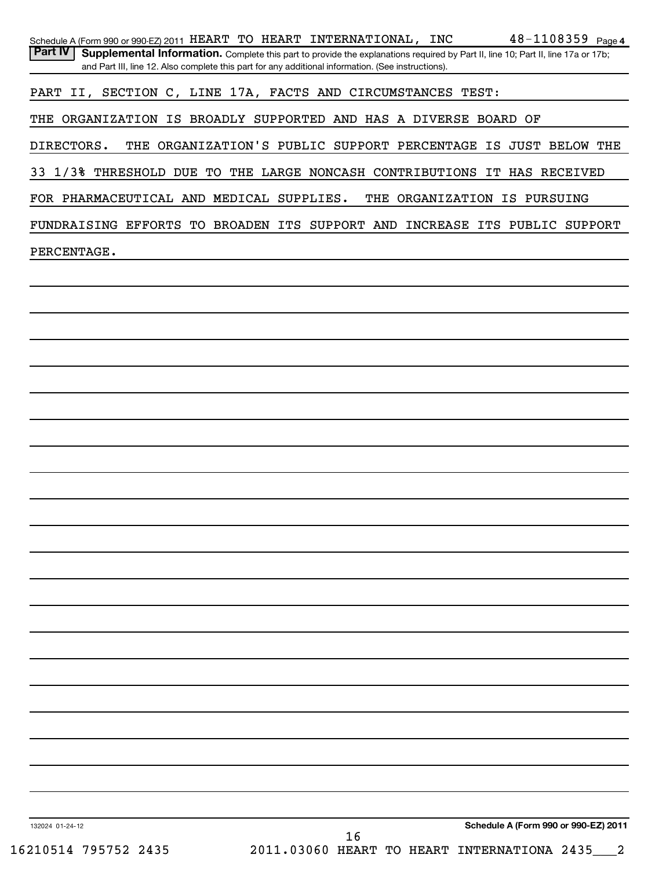|                                          | $48 - 1108359$ Page 4<br>Schedule A (Form 990 or 990-EZ) 2011 HEART TO HEART INTERNATIONAL, INC                                                                                                                                        |
|------------------------------------------|----------------------------------------------------------------------------------------------------------------------------------------------------------------------------------------------------------------------------------------|
| Part IV                                  | Supplemental Information. Complete this part to provide the explanations required by Part II, line 10; Part II, line 17a or 17b;<br>and Part III, line 12. Also complete this part for any additional information. (See instructions). |
|                                          | PART II, SECTION C, LINE 17A, FACTS AND CIRCUMSTANCES TEST:                                                                                                                                                                            |
|                                          |                                                                                                                                                                                                                                        |
|                                          | THE ORGANIZATION IS BROADLY SUPPORTED AND HAS A DIVERSE BOARD OF                                                                                                                                                                       |
| DIRECTORS.                               | THE ORGANIZATION'S PUBLIC SUPPORT PERCENTAGE IS JUST BELOW THE                                                                                                                                                                         |
|                                          | 33 1/3% THRESHOLD DUE TO THE LARGE NONCASH CONTRIBUTIONS IT HAS RECEIVED                                                                                                                                                               |
| FOR PHARMACEUTICAL AND MEDICAL SUPPLIES. | THE ORGANIZATION IS PURSUING                                                                                                                                                                                                           |
|                                          | FUNDRAISING EFFORTS TO BROADEN ITS SUPPORT AND INCREASE ITS PUBLIC SUPPORT                                                                                                                                                             |
|                                          |                                                                                                                                                                                                                                        |
| PERCENTAGE.                              |                                                                                                                                                                                                                                        |
|                                          |                                                                                                                                                                                                                                        |
|                                          |                                                                                                                                                                                                                                        |
|                                          |                                                                                                                                                                                                                                        |
|                                          |                                                                                                                                                                                                                                        |
|                                          |                                                                                                                                                                                                                                        |
|                                          |                                                                                                                                                                                                                                        |
|                                          |                                                                                                                                                                                                                                        |
|                                          |                                                                                                                                                                                                                                        |
|                                          |                                                                                                                                                                                                                                        |
|                                          |                                                                                                                                                                                                                                        |
|                                          |                                                                                                                                                                                                                                        |
|                                          |                                                                                                                                                                                                                                        |
|                                          |                                                                                                                                                                                                                                        |
|                                          |                                                                                                                                                                                                                                        |
|                                          |                                                                                                                                                                                                                                        |
|                                          |                                                                                                                                                                                                                                        |
|                                          |                                                                                                                                                                                                                                        |
|                                          |                                                                                                                                                                                                                                        |
|                                          |                                                                                                                                                                                                                                        |
|                                          |                                                                                                                                                                                                                                        |
|                                          |                                                                                                                                                                                                                                        |
|                                          |                                                                                                                                                                                                                                        |
|                                          |                                                                                                                                                                                                                                        |
|                                          |                                                                                                                                                                                                                                        |
|                                          |                                                                                                                                                                                                                                        |
| 132024 01-24-12                          | Schedule A (Form 990 or 990-EZ) 2011                                                                                                                                                                                                   |
|                                          | 16                                                                                                                                                                                                                                     |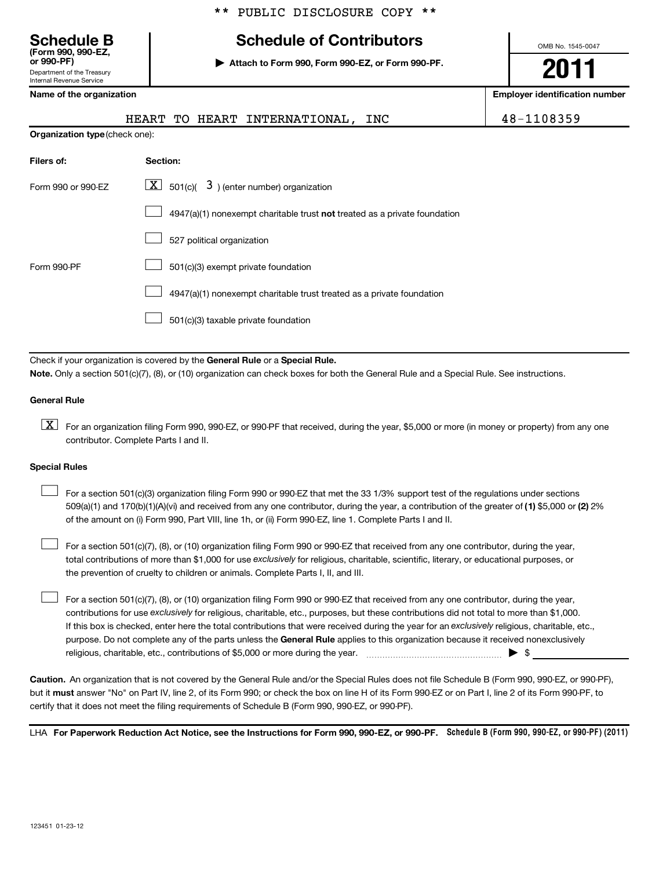## **Schedule B Schedule of Contributors**

**or 990-PF) | Attach to Form 990, Form 990-EZ, or Form 990-PF.**

OMB No. 1545-0047

**2011**

**Name of the organization Employer identification number**

| -- -- - - - .              |  |
|----------------------------|--|
| Department of the Treasury |  |
| Internal Revenue Service   |  |
|                            |  |

**(Form 990, 990-EZ,**

| Name or the organization              |                                                                           | <b>Employer Renuncation number</b> |
|---------------------------------------|---------------------------------------------------------------------------|------------------------------------|
|                                       | HEART TO HEART INTERNATIONAL,<br>INC                                      | 48-1108359                         |
| <b>Organization type (check one):</b> |                                                                           |                                    |
| Filers of:                            | Section:                                                                  |                                    |
| Form 990 or 990-EZ                    | $\lfloor \underline{X} \rfloor$ 501(c)( 3) (enter number) organization    |                                    |
|                                       | 4947(a)(1) nonexempt charitable trust not treated as a private foundation |                                    |
|                                       | 527 political organization                                                |                                    |
| Form 990-PF                           | 501(c)(3) exempt private foundation                                       |                                    |
|                                       | 4947(a)(1) nonexempt charitable trust treated as a private foundation     |                                    |
|                                       | 501(c)(3) taxable private foundation                                      |                                    |

Check if your organization is covered by the General Rule or a Special Rule. **Note.**  Only a section 501(c)(7), (8), or (10) organization can check boxes for both the General Rule and a Special Rule. See instructions.

## **General Rule**

 $\boxed{\textbf{X}}$  For an organization filing Form 990, 990-EZ, or 990-PF that received, during the year, \$5,000 or more (in money or property) from any one contributor. Complete Parts I and II.

## **Special Rules**

509(a)(1) and 170(b)(1)(A)(vi) and received from any one contributor, during the year, a contribution of the greater of (1**)** \$5,000 or (**2**) 2% For a section 501(c)(3) organization filing Form 990 or 990-EZ that met the 33 1/3% support test of the regulations under sections of the amount on (i) Form 990, Part VIII, line 1h, or (ii) Form 990-EZ, line 1. Complete Parts I and II.  $\left\vert \cdot\right\vert$ 

total contributions of more than \$1,000 for use exclusively for religious, charitable, scientific, literary, or educational purposes, or For a section 501(c)(7), (8), or (10) organization filing Form 990 or 990-EZ that received from any one contributor, during the year, the prevention of cruelty to children or animals. Complete Parts I, II, and III.  $\left\vert \cdot\right\vert$ 

purpose. Do not complete any of the parts unless the General Rule applies to this organization because it received nonexclusively contributions for use exclusively for religious, charitable, etc., purposes, but these contributions did not total to more than \$1,000. If this box is checked, enter here the total contributions that were received during the year for an exclusively religious, charitable, etc., For a section 501(c)(7), (8), or (10) organization filing Form 990 or 990-EZ that received from any one contributor, during the year, religious, charitable, etc., contributions of \$5,000 or more during the year.  $\ldots$   $\ldots$   $\ldots$   $\ldots$   $\ldots$   $\ldots$   $\ldots$   $\ldots$   $\ldots$  $\left\vert \cdot\right\vert$ 

**Caution.** An organization that is not covered by the General Rule and/or the Special Rules does not file Schedule B (Form 990, 990-EZ, or 990-PF), but it **must** answer "No" on Part IV, line 2, of its Form 990; or check the box on line H of its Form 990-EZ or on Part I, line 2 of its Form 990-PF, to certify that it does not meet the filing requirements of Schedule B (Form 990, 990-EZ, or 990-PF).

LHA For Paperwork Reduction Act Notice, see the Instructions for Form 990, 990-EZ, or 990-PF. Schedule B (Form 990, 990-EZ, or 990-PF) (2011)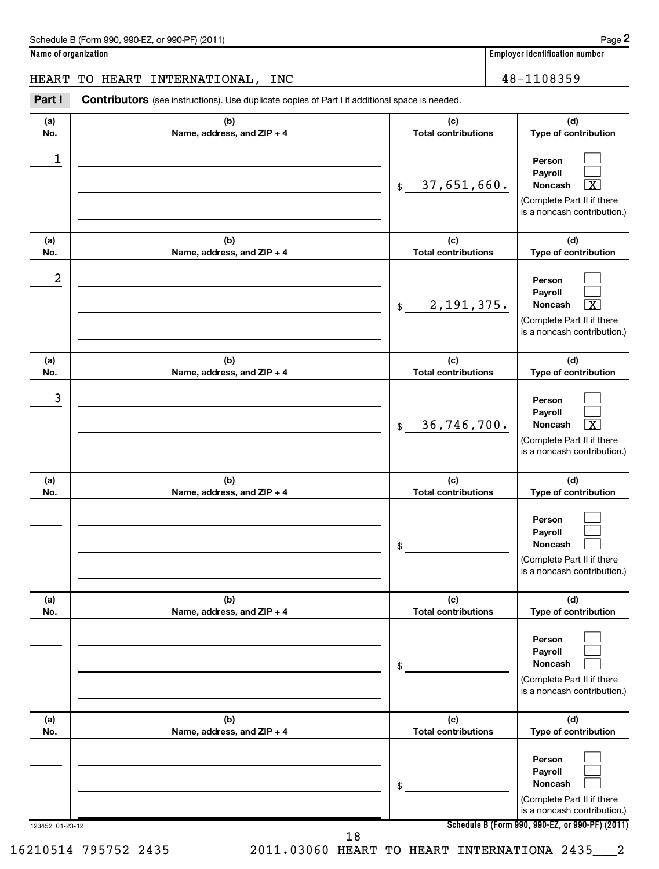**Name of organization Employer identification number**

## HEART TO HEART INTERNATIONAL, INC  $\vert$  48-1108359

123452 01-23-12 **Schedule B (Form 990, 990-EZ, or 990-PF) (2011) (a) No. (b) Name, address, and ZIP + 4 (c) Total contributions (d) Type of contribution Person Payroll Noncash (a) No. (b) Name, address, and ZIP + 4 (c) Total contributions (d) Type of contribution Person Payroll Noncash (a) No. (b) Name, address, and ZIP + 4 (c) Total contributions (d) Type of contribution Person Payroll Noncash (a) No. (b) Name, address, and ZIP + 4 (c) Total contributions (d) Type of contribution Person Payroll Noncash (a) No. (b) Name, address, and ZIP + 4 (c) Total contributions (d) Type of contribution Person Payroll Noncash (a) No. (b) Name, address, and ZIP + 4 (c) Total contributions (d) Type of contribution Person Payroll Noncash** Part I Contributors (see instructions). Use duplicate copies of Part I if additional space is needed. \$ (Complete Part II if there is a noncash contribution.) \$ (Complete Part II if there is a noncash contribution.) \$ (Complete Part II if there is a noncash contribution.) \$ (Complete Part II if there is a noncash contribution.) \$ (Complete Part II if there is a noncash contribution.) \$ (Complete Part II if there is a noncash contribution.)  $\Box$  $\Box$  $\overline{\mathbf{x}}$  $\Box$  $\Box$  $\lfloor x \rfloor$  $\Box$  $\Box$  $\overline{X}$  $\Box$  $\Box$  $\Box$  $\Box$  $\Box$  $\Box$  $\Box$  $\Box$  $\Box$ 1 37,651,660. X 2 2,191,375. X 3 36,746,700. X 18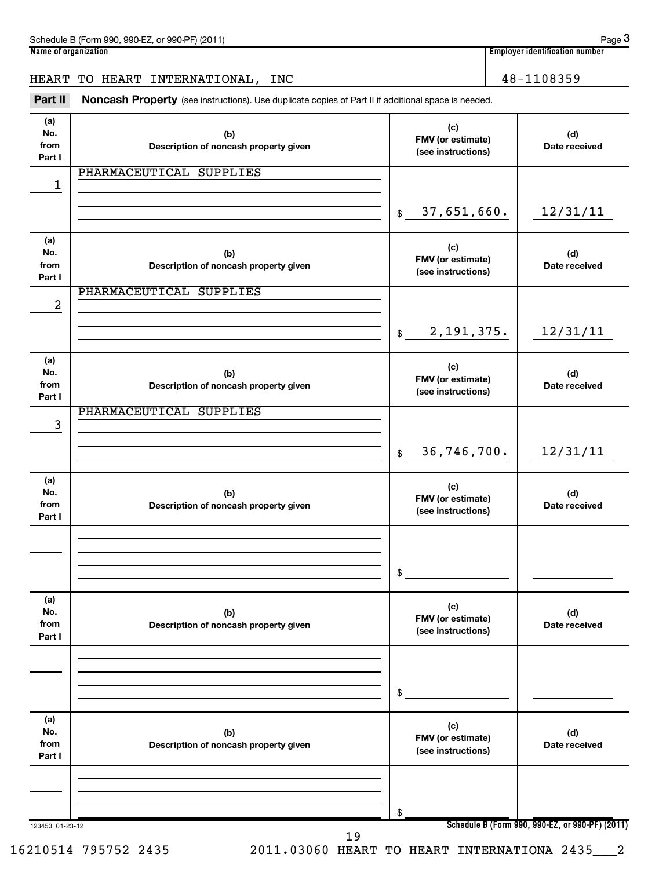| Schedule B (Form 990, 990-EZ, or 990-PF) (2011)<br>Page |     |                                |  |  |
|---------------------------------------------------------|-----|--------------------------------|--|--|
| Name of organization                                    |     | Emplover identification number |  |  |
|                                                         |     |                                |  |  |
| HEART<br>TO HEART INTERNATIONAL,                        | INC | 48-1108359                     |  |  |

Part II Noncash Property (see instructions). Use duplicate copies of Part II if additional space is needed.

**(a) No. from Part I (c) FMV (or estimate) (see instructions) (b) Description of noncash property given (d) Date received (a) No. from Part I (c) FMV (or estimate) (see instructions) (b) Description of noncash property given (d) Date received (a) No. from Part I (c) FMV (or estimate) (see instructions) (b) Description of noncash property given (d) Date received (a) No. from Part I (c) FMV (or estimate) (see instructions) (b) Description of noncash property given (d) Date received** \$ \$ \$ \$ PHARMACEUTICAL SUPPLIES 1 37,651,660. 12/31/11 PHARMACEUTICAL SUPPLIES 2 2,191,375. 12/31/11 PHARMACEUTICAL SUPPLIES 3 36,746,700. 12/31/11

|                              |                                              | \$                                             |                                                 |
|------------------------------|----------------------------------------------|------------------------------------------------|-------------------------------------------------|
| (a)<br>No.<br>from<br>Part I | (b)<br>Description of noncash property given | (c)<br>FMV (or estimate)<br>(see instructions) | (d)<br>Date received                            |
|                              |                                              | \$                                             |                                                 |
| (a)<br>No.<br>from<br>Part I | (b)<br>Description of noncash property given | (c)<br>FMV (or estimate)<br>(see instructions) | (d)<br>Date received                            |
|                              |                                              | \$                                             |                                                 |
| 123453 01-23-12              | 19                                           |                                                | Schedule B (Form 990, 990-EZ, or 990-PF) (2011) |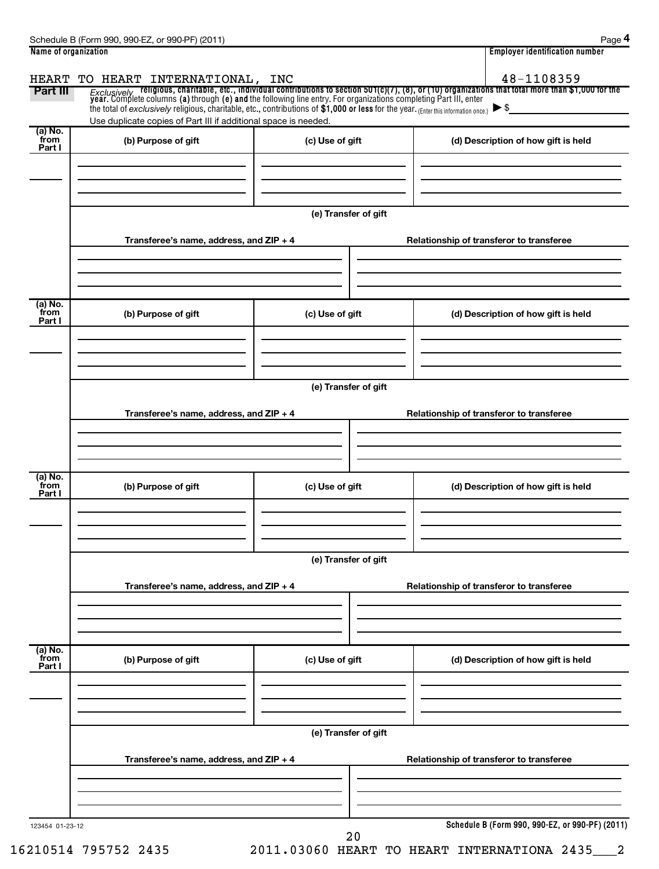| Name of organization      |                                                                                                                                                                                        |                      | <b>Employer identification number</b>                                                                                                                                                                                                                |  |  |  |
|---------------------------|----------------------------------------------------------------------------------------------------------------------------------------------------------------------------------------|----------------------|------------------------------------------------------------------------------------------------------------------------------------------------------------------------------------------------------------------------------------------------------|--|--|--|
| <b>HEART</b><br>Part III  | TO HEART INTERNATIONAL, INC<br>the total of exclusively religious, charitable, etc., contributions of \$1,000 or less for the year. (Enter this information once.) $\triangleright$ \$ |                      | 48-1108359<br><i>Exclusively</i> religious, charitable, etc., individual contributions to section 501(c)(7), (8), or (10) organizations that total more than \$1,000 for the<br>year. Complete columns (a) through (e) and the following line entry. |  |  |  |
|                           | Use duplicate copies of Part III if additional space is needed.                                                                                                                        |                      |                                                                                                                                                                                                                                                      |  |  |  |
| (a) No.<br>from<br>Part I | (b) Purpose of gift                                                                                                                                                                    | (c) Use of gift      | (d) Description of how gift is held                                                                                                                                                                                                                  |  |  |  |
|                           |                                                                                                                                                                                        | (e) Transfer of gift |                                                                                                                                                                                                                                                      |  |  |  |
|                           | Transferee's name, address, and ZIP + 4                                                                                                                                                |                      | Relationship of transferor to transferee                                                                                                                                                                                                             |  |  |  |
| (a) No.<br>from<br>Part I | (b) Purpose of gift                                                                                                                                                                    | (c) Use of gift      | (d) Description of how gift is held                                                                                                                                                                                                                  |  |  |  |
|                           | Transferee's name, address, and ZIP + 4                                                                                                                                                | (e) Transfer of gift | Relationship of transferor to transferee                                                                                                                                                                                                             |  |  |  |
| (a) No.                   |                                                                                                                                                                                        |                      |                                                                                                                                                                                                                                                      |  |  |  |
| from<br>Part I            | (b) Purpose of gift                                                                                                                                                                    | (c) Use of gift      | (d) Description of how gift is held                                                                                                                                                                                                                  |  |  |  |
|                           |                                                                                                                                                                                        |                      |                                                                                                                                                                                                                                                      |  |  |  |
|                           | Transferee's name, address, and ZIP + 4                                                                                                                                                | (e) Transfer of gift | Relationship of transferor to transferee                                                                                                                                                                                                             |  |  |  |
| (a) No.<br>from<br>Part I | (b) Purpose of gift                                                                                                                                                                    | (c) Use of gift      | (d) Description of how gift is held                                                                                                                                                                                                                  |  |  |  |
|                           |                                                                                                                                                                                        | (e) Transfer of gift |                                                                                                                                                                                                                                                      |  |  |  |
|                           | Transferee's name, address, and ZIP + 4                                                                                                                                                |                      | Relationship of transferor to transferee                                                                                                                                                                                                             |  |  |  |
| 123454 01-23-12           |                                                                                                                                                                                        | 20                   | Schedule B (Form 990, 990-EZ, or 990-PF) (2011)                                                                                                                                                                                                      |  |  |  |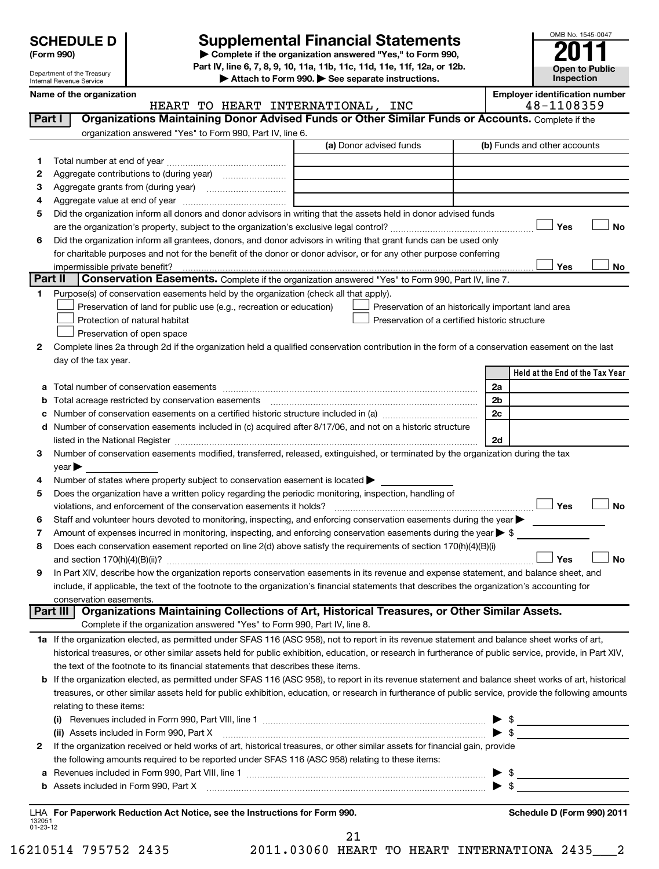Department of the Treasury Internal Revenue Service

## **SCHEDULE D Supplemental Financial Statements 2011**

**Part IV, line 6, 7, 8, 9, 10, 11a, 11b, 11c, 11d, 11e, 11f, 12a, or 12b.**

**| Attach to Form 990. | See separate instructions.**

OMB No. 1545-0047 **Open to Public Inspection**

|                          | Name of the organization<br>HEART TO HEART INTERNATIONAL, INC                                                                                                                                                                 | <b>Employer identification number</b><br>48-1108359                                                                                                                                                                                                                                                                 |
|--------------------------|-------------------------------------------------------------------------------------------------------------------------------------------------------------------------------------------------------------------------------|---------------------------------------------------------------------------------------------------------------------------------------------------------------------------------------------------------------------------------------------------------------------------------------------------------------------|
| Part I                   | Organizations Maintaining Donor Advised Funds or Other Similar Funds or Accounts. Complete if the                                                                                                                             |                                                                                                                                                                                                                                                                                                                     |
|                          | organization answered "Yes" to Form 990, Part IV, line 6.                                                                                                                                                                     |                                                                                                                                                                                                                                                                                                                     |
|                          | (a) Donor advised funds                                                                                                                                                                                                       | (b) Funds and other accounts                                                                                                                                                                                                                                                                                        |
|                          |                                                                                                                                                                                                                               |                                                                                                                                                                                                                                                                                                                     |
| 1                        |                                                                                                                                                                                                                               |                                                                                                                                                                                                                                                                                                                     |
| 2                        |                                                                                                                                                                                                                               |                                                                                                                                                                                                                                                                                                                     |
| з                        |                                                                                                                                                                                                                               |                                                                                                                                                                                                                                                                                                                     |
| 4                        |                                                                                                                                                                                                                               |                                                                                                                                                                                                                                                                                                                     |
| 5                        | Did the organization inform all donors and donor advisors in writing that the assets held in donor advised funds                                                                                                              |                                                                                                                                                                                                                                                                                                                     |
|                          |                                                                                                                                                                                                                               | Yes<br>No                                                                                                                                                                                                                                                                                                           |
| 6                        | Did the organization inform all grantees, donors, and donor advisors in writing that grant funds can be used only                                                                                                             |                                                                                                                                                                                                                                                                                                                     |
|                          | for charitable purposes and not for the benefit of the donor or donor advisor, or for any other purpose conferring                                                                                                            |                                                                                                                                                                                                                                                                                                                     |
|                          |                                                                                                                                                                                                                               | Yes<br>No                                                                                                                                                                                                                                                                                                           |
| Part II                  | <b>Conservation Easements.</b> Complete if the organization answered "Yes" to Form 990, Part IV, line 7.                                                                                                                      |                                                                                                                                                                                                                                                                                                                     |
| 1                        | Purpose(s) of conservation easements held by the organization (check all that apply).                                                                                                                                         |                                                                                                                                                                                                                                                                                                                     |
|                          | Preservation of land for public use (e.g., recreation or education)<br>Preservation of an historically important land area                                                                                                    |                                                                                                                                                                                                                                                                                                                     |
|                          | Protection of natural habitat<br>Preservation of a certified historic structure                                                                                                                                               |                                                                                                                                                                                                                                                                                                                     |
|                          | Preservation of open space                                                                                                                                                                                                    |                                                                                                                                                                                                                                                                                                                     |
| 2                        | Complete lines 2a through 2d if the organization held a qualified conservation contribution in the form of a conservation easement on the last                                                                                |                                                                                                                                                                                                                                                                                                                     |
|                          | day of the tax year.                                                                                                                                                                                                          |                                                                                                                                                                                                                                                                                                                     |
|                          |                                                                                                                                                                                                                               | Held at the End of the Tax Year                                                                                                                                                                                                                                                                                     |
| а                        |                                                                                                                                                                                                                               | 2a                                                                                                                                                                                                                                                                                                                  |
|                          |                                                                                                                                                                                                                               | 2 <sub>b</sub>                                                                                                                                                                                                                                                                                                      |
|                          |                                                                                                                                                                                                                               | 2c                                                                                                                                                                                                                                                                                                                  |
|                          | Number of conservation easements included in (c) acquired after 8/17/06, and not on a historic structure                                                                                                                      |                                                                                                                                                                                                                                                                                                                     |
|                          | listed in the National Register [111] Marshall Register [11] Marshall Register [11] Marshall Register [11] Marshall Register [11] Marshall Register [11] Marshall Register [11] Marshall Register [11] Marshall Register [11] | 2d                                                                                                                                                                                                                                                                                                                  |
| 3                        | Number of conservation easements modified, transferred, released, extinguished, or terminated by the organization during the tax                                                                                              |                                                                                                                                                                                                                                                                                                                     |
|                          | $\mathsf{year}$                                                                                                                                                                                                               |                                                                                                                                                                                                                                                                                                                     |
| 4                        | Number of states where property subject to conservation easement is located >                                                                                                                                                 |                                                                                                                                                                                                                                                                                                                     |
| 5                        | Does the organization have a written policy regarding the periodic monitoring, inspection, handling of                                                                                                                        |                                                                                                                                                                                                                                                                                                                     |
|                          | violations, and enforcement of the conservation easements it holds?                                                                                                                                                           | Yes<br><b>No</b>                                                                                                                                                                                                                                                                                                    |
| 6                        | Staff and volunteer hours devoted to monitoring, inspecting, and enforcing conservation easements during the year                                                                                                             |                                                                                                                                                                                                                                                                                                                     |
| 7                        | Amount of expenses incurred in monitoring, inspecting, and enforcing conservation easements during the year $\triangleright$ \$                                                                                               |                                                                                                                                                                                                                                                                                                                     |
| 8                        | Does each conservation easement reported on line 2(d) above satisfy the requirements of section 170(h)(4)(B)(i)                                                                                                               |                                                                                                                                                                                                                                                                                                                     |
|                          |                                                                                                                                                                                                                               | Yes<br><b>No</b>                                                                                                                                                                                                                                                                                                    |
| 9                        | In Part XIV, describe how the organization reports conservation easements in its revenue and expense statement, and balance sheet, and                                                                                        |                                                                                                                                                                                                                                                                                                                     |
|                          | include, if applicable, the text of the footnote to the organization's financial statements that describes the organization's accounting for                                                                                  |                                                                                                                                                                                                                                                                                                                     |
|                          | conservation easements.                                                                                                                                                                                                       |                                                                                                                                                                                                                                                                                                                     |
|                          | Organizations Maintaining Collections of Art, Historical Treasures, or Other Similar Assets.<br>Part III                                                                                                                      |                                                                                                                                                                                                                                                                                                                     |
|                          | Complete if the organization answered "Yes" to Form 990, Part IV, line 8.                                                                                                                                                     |                                                                                                                                                                                                                                                                                                                     |
|                          | 1a If the organization elected, as permitted under SFAS 116 (ASC 958), not to report in its revenue statement and balance sheet works of art,                                                                                 |                                                                                                                                                                                                                                                                                                                     |
|                          | historical treasures, or other similar assets held for public exhibition, education, or research in furtherance of public service, provide, in Part XIV,                                                                      |                                                                                                                                                                                                                                                                                                                     |
|                          | the text of the footnote to its financial statements that describes these items.                                                                                                                                              |                                                                                                                                                                                                                                                                                                                     |
| b                        | If the organization elected, as permitted under SFAS 116 (ASC 958), to report in its revenue statement and balance sheet works of art, historical                                                                             |                                                                                                                                                                                                                                                                                                                     |
|                          | treasures, or other similar assets held for public exhibition, education, or research in furtherance of public service, provide the following amounts                                                                         |                                                                                                                                                                                                                                                                                                                     |
|                          | relating to these items:                                                                                                                                                                                                      |                                                                                                                                                                                                                                                                                                                     |
|                          |                                                                                                                                                                                                                               | $\blacktriangleright$ \$                                                                                                                                                                                                                                                                                            |
|                          | (ii) Assets included in Form 990, Part X                                                                                                                                                                                      | $\blacktriangleright$ \$                                                                                                                                                                                                                                                                                            |
| 2                        | If the organization received or held works of art, historical treasures, or other similar assets for financial gain, provide                                                                                                  |                                                                                                                                                                                                                                                                                                                     |
|                          | the following amounts required to be reported under SFAS 116 (ASC 958) relating to these items:                                                                                                                               |                                                                                                                                                                                                                                                                                                                     |
|                          |                                                                                                                                                                                                                               |                                                                                                                                                                                                                                                                                                                     |
| а                        |                                                                                                                                                                                                                               | $\frac{1}{2}$ $\frac{1}{2}$ $\frac{1}{2}$ $\frac{1}{2}$ $\frac{1}{2}$ $\frac{1}{2}$ $\frac{1}{2}$ $\frac{1}{2}$ $\frac{1}{2}$ $\frac{1}{2}$ $\frac{1}{2}$ $\frac{1}{2}$ $\frac{1}{2}$ $\frac{1}{2}$ $\frac{1}{2}$ $\frac{1}{2}$ $\frac{1}{2}$ $\frac{1}{2}$ $\frac{1}{2}$ $\frac{1}{2}$ $\frac{1}{2}$ $\frac{1}{2}$ |
| b                        | Assets included in Form 990, Part X [CONSERVING DETERMAN DELISTING DETAILS DESCRIPTION AND RELATIONS                                                                                                                          |                                                                                                                                                                                                                                                                                                                     |
|                          | LHA For Paperwork Reduction Act Notice, see the Instructions for Form 990.                                                                                                                                                    | Schedule D (Form 990) 2011                                                                                                                                                                                                                                                                                          |
| 132051<br>$01 - 23 - 12$ |                                                                                                                                                                                                                               |                                                                                                                                                                                                                                                                                                                     |

21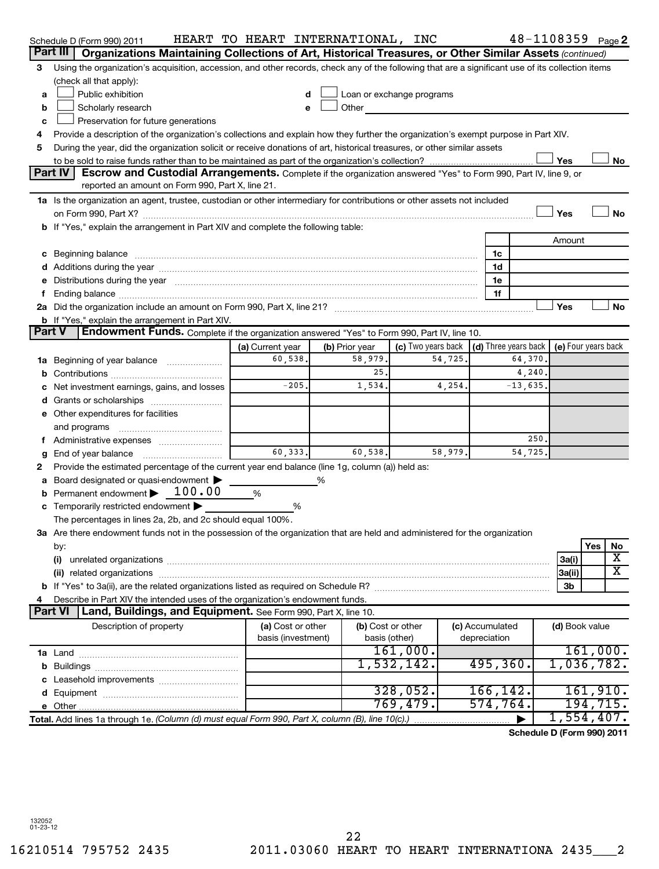|               | Schedule D (Form 990) 2011                                                                                                                                                                                                     | HEART TO HEART INTERNATIONAL, INC |                |                           |         |                      |           |                | $48 - 1108359$ Page 2      |
|---------------|--------------------------------------------------------------------------------------------------------------------------------------------------------------------------------------------------------------------------------|-----------------------------------|----------------|---------------------------|---------|----------------------|-----------|----------------|----------------------------|
| Part III      | Organizations Maintaining Collections of Art, Historical Treasures, or Other Similar Assets (continued)                                                                                                                        |                                   |                |                           |         |                      |           |                |                            |
| 3             | Using the organization's acquisition, accession, and other records, check any of the following that are a significant use of its collection items                                                                              |                                   |                |                           |         |                      |           |                |                            |
|               | (check all that apply):                                                                                                                                                                                                        |                                   |                |                           |         |                      |           |                |                            |
| a             | Public exhibition                                                                                                                                                                                                              | d                                 |                | Loan or exchange programs |         |                      |           |                |                            |
| b             | Scholarly research                                                                                                                                                                                                             | е                                 | Other          |                           |         |                      |           |                |                            |
| c             | Preservation for future generations                                                                                                                                                                                            |                                   |                |                           |         |                      |           |                |                            |
| 4             | Provide a description of the organization's collections and explain how they further the organization's exempt purpose in Part XIV.                                                                                            |                                   |                |                           |         |                      |           |                |                            |
| 5             | During the year, did the organization solicit or receive donations of art, historical treasures, or other similar assets                                                                                                       |                                   |                |                           |         |                      |           |                |                            |
|               |                                                                                                                                                                                                                                |                                   |                |                           |         |                      |           | Yes            | No                         |
|               | Part IV<br>Escrow and Custodial Arrangements. Complete if the organization answered "Yes" to Form 990, Part IV, line 9, or                                                                                                     |                                   |                |                           |         |                      |           |                |                            |
|               | reported an amount on Form 990, Part X, line 21.                                                                                                                                                                               |                                   |                |                           |         |                      |           |                |                            |
|               | 1a Is the organization an agent, trustee, custodian or other intermediary for contributions or other assets not included                                                                                                       |                                   |                |                           |         |                      |           |                |                            |
|               |                                                                                                                                                                                                                                |                                   |                |                           |         |                      |           | Yes            | <b>No</b>                  |
|               | <b>b</b> If "Yes," explain the arrangement in Part XIV and complete the following table:                                                                                                                                       |                                   |                |                           |         |                      |           |                |                            |
|               |                                                                                                                                                                                                                                |                                   |                |                           |         |                      |           | Amount         |                            |
| с             | Beginning balance measurements and the contract of the contract of the contract of the contract of the contract of the contract of the contract of the contract of the contract of the contract of the contract of the contrac |                                   |                |                           |         | 1c                   |           |                |                            |
|               | Additions during the year manufactured and an annual contract of the year manufactured and all the year manufactured and all the year manufactured and all the year manufactured and all the year manufactured and all the yea |                                   |                |                           |         | 1d                   |           |                |                            |
|               | Distributions during the year manufactured and an account of the year manufactured and the year manufactured and the year manufactured and the year manufactured and the year manufactured and the year manufactured and the y |                                   |                |                           |         | 1e                   |           |                |                            |
|               |                                                                                                                                                                                                                                |                                   |                |                           |         | 1f                   |           |                |                            |
|               |                                                                                                                                                                                                                                |                                   |                |                           |         |                      |           | Yes            | No                         |
|               | b If "Yes," explain the arrangement in Part XIV.                                                                                                                                                                               |                                   |                |                           |         |                      |           |                |                            |
| <b>Part V</b> | Endowment Funds. Complete if the organization answered "Yes" to Form 990, Part IV, line 10.                                                                                                                                    |                                   |                |                           |         |                      |           |                |                            |
|               |                                                                                                                                                                                                                                | (a) Current year                  | (b) Prior year | (c) Two years back        |         | (d) Three years back |           |                | (e) Four years back        |
| 1a            | Beginning of year balance                                                                                                                                                                                                      | 60,538,                           | 58,979.        |                           | 54,725  |                      | 64,370.   |                |                            |
|               |                                                                                                                                                                                                                                |                                   | 25.            |                           |         |                      | 4,240.    |                |                            |
|               | Net investment earnings, gains, and losses                                                                                                                                                                                     | $-205.$                           | 1,534.         |                           | 4,254.  |                      | $-13,635$ |                |                            |
|               | Grants or scholarships                                                                                                                                                                                                         |                                   |                |                           |         |                      |           |                |                            |
| е             | Other expenditures for facilities                                                                                                                                                                                              |                                   |                |                           |         |                      |           |                |                            |
|               | and programs                                                                                                                                                                                                                   |                                   |                |                           |         |                      |           |                |                            |
|               |                                                                                                                                                                                                                                |                                   |                |                           |         |                      | 250       |                |                            |
| g             | End of year balance                                                                                                                                                                                                            | 60,333.                           | 60,538.        |                           | 58,979. |                      | 54,725    |                |                            |
| 2             | Provide the estimated percentage of the current year end balance (line 1g, column (a)) held as:                                                                                                                                |                                   |                |                           |         |                      |           |                |                            |
|               | Board designated or quasi-endowment                                                                                                                                                                                            |                                   |                |                           |         |                      |           |                |                            |
|               | Permanent endowment > 100.00                                                                                                                                                                                                   | %                                 |                |                           |         |                      |           |                |                            |
|               | Temporarily restricted endowment                                                                                                                                                                                               | %                                 |                |                           |         |                      |           |                |                            |
|               | The percentages in lines 2a, 2b, and 2c should equal 100%.                                                                                                                                                                     |                                   |                |                           |         |                      |           |                |                            |
|               | 3a Are there endowment funds not in the possession of the organization that are held and administered for the organization                                                                                                     |                                   |                |                           |         |                      |           |                |                            |
|               | by:                                                                                                                                                                                                                            |                                   |                |                           |         |                      |           |                | Yes<br>No                  |
|               | (i)                                                                                                                                                                                                                            |                                   |                |                           |         |                      |           | 3a(i)          | х                          |
|               |                                                                                                                                                                                                                                |                                   |                |                           |         |                      |           | 3a(ii)         | $\overline{\texttt{x}}$    |
|               |                                                                                                                                                                                                                                |                                   |                |                           |         |                      |           | 3 <sub>b</sub> |                            |
|               | Describe in Part XIV the intended uses of the organization's endowment funds.                                                                                                                                                  |                                   |                |                           |         |                      |           |                |                            |
|               | <b>Part VI</b><br>Land, Buildings, and Equipment. See Form 990, Part X, line 10.                                                                                                                                               |                                   |                |                           |         |                      |           |                |                            |
|               | Description of property                                                                                                                                                                                                        | (a) Cost or other                 |                | (b) Cost or other         |         | (c) Accumulated      |           | (d) Book value |                            |
|               |                                                                                                                                                                                                                                | basis (investment)                |                | basis (other)             |         | depreciation         |           |                |                            |
|               |                                                                                                                                                                                                                                |                                   |                | 161,000.                  |         |                      |           |                | 161,000.                   |
|               |                                                                                                                                                                                                                                |                                   |                | 1,532,142.                |         | 495, 360.            |           |                | 1,036,782.                 |
|               |                                                                                                                                                                                                                                |                                   |                |                           |         |                      |           |                |                            |
|               |                                                                                                                                                                                                                                |                                   |                | 328,052.                  |         | 166, 142.            |           |                | 161,910.                   |
|               |                                                                                                                                                                                                                                |                                   |                | 769,479.                  |         | 574,764.             |           |                | 194,715.                   |
|               | Total. Add lines 1a through 1e. (Column (d) must equal Form 990, Part X, column (B), line 10(c).)                                                                                                                              |                                   |                |                           |         |                      |           |                | 1,554,407.                 |
|               |                                                                                                                                                                                                                                |                                   |                |                           |         |                      |           |                | Schedule D (Form 990) 2011 |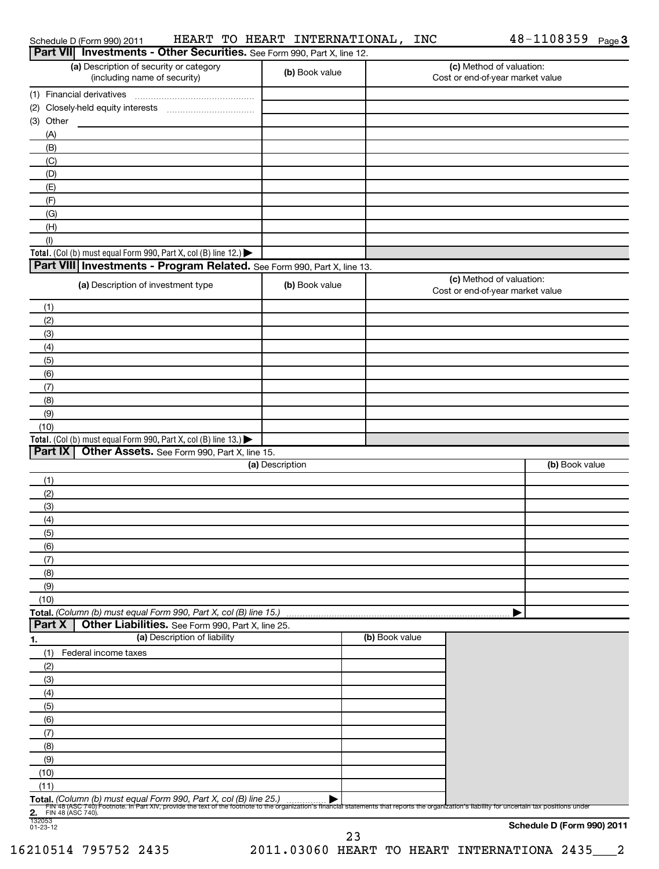| Schedule D (Form 990) 2011 |
|----------------------------|
|----------------------------|

Schedule D (Form 990) 2011 HEART'TO HEART'INTERNATIONAL,INC 48-IIU8359 Page HEART TO HEART INTERNATIONAL, INC 48-1108359

| Part VII Investments - Other Securities. See Form 990, Part X, line 12.                                                                                                                                                                                               |                 |                |                                                              |                            |
|-----------------------------------------------------------------------------------------------------------------------------------------------------------------------------------------------------------------------------------------------------------------------|-----------------|----------------|--------------------------------------------------------------|----------------------------|
| (a) Description of security or category<br>(including name of security)                                                                                                                                                                                               | (b) Book value  |                | (c) Method of valuation:<br>Cost or end-of-year market value |                            |
| (1) Financial derivatives                                                                                                                                                                                                                                             |                 |                |                                                              |                            |
|                                                                                                                                                                                                                                                                       |                 |                |                                                              |                            |
| (3) Other                                                                                                                                                                                                                                                             |                 |                |                                                              |                            |
| (A)                                                                                                                                                                                                                                                                   |                 |                |                                                              |                            |
| (B)                                                                                                                                                                                                                                                                   |                 |                |                                                              |                            |
| (C)                                                                                                                                                                                                                                                                   |                 |                |                                                              |                            |
| (D)                                                                                                                                                                                                                                                                   |                 |                |                                                              |                            |
| (E)                                                                                                                                                                                                                                                                   |                 |                |                                                              |                            |
| (F)                                                                                                                                                                                                                                                                   |                 |                |                                                              |                            |
| (G)                                                                                                                                                                                                                                                                   |                 |                |                                                              |                            |
| (H)                                                                                                                                                                                                                                                                   |                 |                |                                                              |                            |
| (1)                                                                                                                                                                                                                                                                   |                 |                |                                                              |                            |
| Total. (Col (b) must equal Form 990, Part X, col (B) line 12.)<br>Part VIII Investments - Program Related. See Form 990, Part X, line 13.                                                                                                                             |                 |                |                                                              |                            |
|                                                                                                                                                                                                                                                                       |                 |                | (c) Method of valuation:                                     |                            |
| (a) Description of investment type                                                                                                                                                                                                                                    | (b) Book value  |                | Cost or end-of-year market value                             |                            |
| (1)                                                                                                                                                                                                                                                                   |                 |                |                                                              |                            |
| (2)                                                                                                                                                                                                                                                                   |                 |                |                                                              |                            |
| (3)                                                                                                                                                                                                                                                                   |                 |                |                                                              |                            |
| (4)<br>(5)                                                                                                                                                                                                                                                            |                 |                |                                                              |                            |
| (6)                                                                                                                                                                                                                                                                   |                 |                |                                                              |                            |
| (7)                                                                                                                                                                                                                                                                   |                 |                |                                                              |                            |
| (8)                                                                                                                                                                                                                                                                   |                 |                |                                                              |                            |
| (9)                                                                                                                                                                                                                                                                   |                 |                |                                                              |                            |
| (10)                                                                                                                                                                                                                                                                  |                 |                |                                                              |                            |
| Total. (Col (b) must equal Form 990, Part X, col (B) line 13.) $\blacktriangleright$                                                                                                                                                                                  |                 |                |                                                              |                            |
| Part IX<br>Other Assets. See Form 990, Part X, line 15.                                                                                                                                                                                                               |                 |                |                                                              |                            |
|                                                                                                                                                                                                                                                                       | (a) Description |                |                                                              | (b) Book value             |
| (1)                                                                                                                                                                                                                                                                   |                 |                |                                                              |                            |
| (2)                                                                                                                                                                                                                                                                   |                 |                |                                                              |                            |
| (3)                                                                                                                                                                                                                                                                   |                 |                |                                                              |                            |
| (4)                                                                                                                                                                                                                                                                   |                 |                |                                                              |                            |
| (5)                                                                                                                                                                                                                                                                   |                 |                |                                                              |                            |
| (6)                                                                                                                                                                                                                                                                   |                 |                |                                                              |                            |
| (7)                                                                                                                                                                                                                                                                   |                 |                |                                                              |                            |
| (8)                                                                                                                                                                                                                                                                   |                 |                |                                                              |                            |
| (9)                                                                                                                                                                                                                                                                   |                 |                |                                                              |                            |
| (10)<br>Total. (Column (b) must equal Form 990, Part X, col (B) line 15.)                                                                                                                                                                                             |                 |                |                                                              |                            |
| Part X<br>Other Liabilities. See Form 990, Part X, line 25.                                                                                                                                                                                                           |                 |                |                                                              |                            |
| (a) Description of liability<br><u>1.</u>                                                                                                                                                                                                                             |                 | (b) Book value |                                                              |                            |
| (1)<br>Federal income taxes                                                                                                                                                                                                                                           |                 |                |                                                              |                            |
| (2)                                                                                                                                                                                                                                                                   |                 |                |                                                              |                            |
| (3)                                                                                                                                                                                                                                                                   |                 |                |                                                              |                            |
| (4)                                                                                                                                                                                                                                                                   |                 |                |                                                              |                            |
| (5)                                                                                                                                                                                                                                                                   |                 |                |                                                              |                            |
| (6)                                                                                                                                                                                                                                                                   |                 |                |                                                              |                            |
| (7)                                                                                                                                                                                                                                                                   |                 |                |                                                              |                            |
| (8)                                                                                                                                                                                                                                                                   |                 |                |                                                              |                            |
| (9)                                                                                                                                                                                                                                                                   |                 |                |                                                              |                            |
| (10)                                                                                                                                                                                                                                                                  |                 |                |                                                              |                            |
| (11)                                                                                                                                                                                                                                                                  |                 |                |                                                              |                            |
| Total. (Column (b) must equal Form 990, Part X, col (B) line 25.)<br>Fily 48 (ASC 740) Footnote. In Part XIV, provide the text of the footnote to the organization's financial statements that reports the organization's liability for uncertain tax positions under |                 |                |                                                              |                            |
| 2. FIN 4<br>132053<br>01-23-12<br>FIN 48 (ASC 740).                                                                                                                                                                                                                   |                 |                |                                                              |                            |
|                                                                                                                                                                                                                                                                       |                 |                |                                                              | Schedule D (Form 990) 2011 |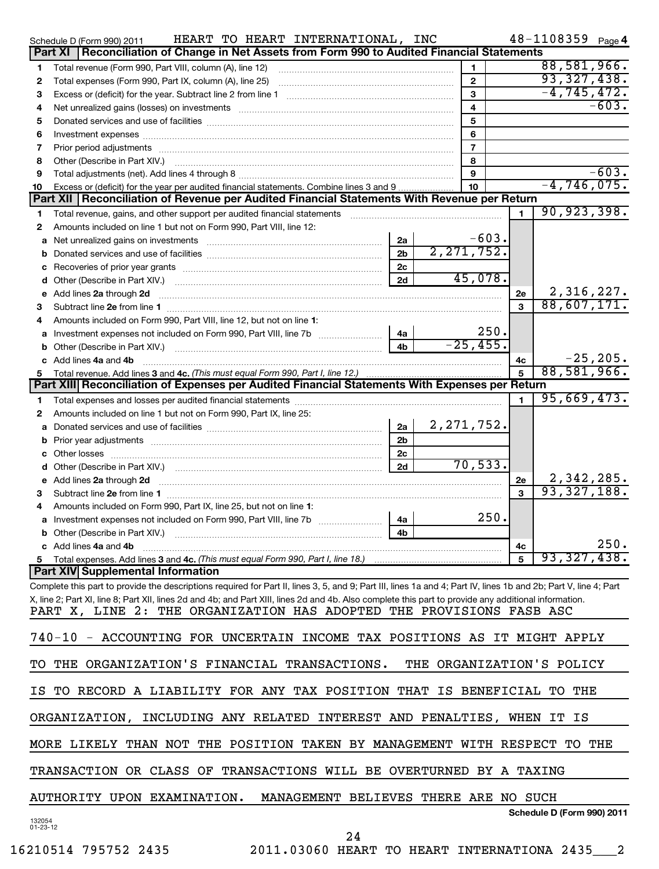|                    | HEART TO HEART INTERNATIONAL, INC<br>Schedule D (Form 990) 2011                                                                                                  |                |              |                |      |              | 48-1108359 Page 4          |             |
|--------------------|------------------------------------------------------------------------------------------------------------------------------------------------------------------|----------------|--------------|----------------|------|--------------|----------------------------|-------------|
|                    | Reconciliation of Change in Net Assets from Form 990 to Audited Financial Statements<br>Part XI                                                                  |                |              |                |      |              |                            |             |
| 1                  | Total revenue (Form 990, Part VIII, column (A), line 12)                                                                                                         |                |              | 1.             |      |              | 88,581,966.                |             |
| 2                  |                                                                                                                                                                  |                |              | $\mathbf{2}$   |      |              | 93,327,438.                |             |
| з                  |                                                                                                                                                                  |                |              | $\mathbf{3}$   |      |              | $-4, 745, 472.$            |             |
| 4                  | Net unrealized gains (losses) on investments [111] Martin Martin Martin Martin Martin Martin Martin Martin Mar                                                   |                |              | $\overline{4}$ |      |              |                            | $-603.$     |
| 5                  |                                                                                                                                                                  |                |              | 5              |      |              |                            |             |
| 6                  |                                                                                                                                                                  |                |              | 6              |      |              |                            |             |
| 7                  |                                                                                                                                                                  |                |              | $\overline{7}$ |      |              |                            |             |
| 8                  |                                                                                                                                                                  |                |              | 8              |      |              |                            |             |
| 9                  |                                                                                                                                                                  |                |              | 9              |      |              |                            | $-603.$     |
| 10                 | Excess or (deficit) for the year per audited financial statements. Combine lines 3 and 9                                                                         |                |              | 10             |      |              | $-4, 746, 075.$            |             |
|                    | Part XII   Reconciliation of Revenue per Audited Financial Statements With Revenue per Return                                                                    |                |              |                |      |              |                            |             |
| 1                  |                                                                                                                                                                  |                |              |                |      | $\mathbf{1}$ | 90, 923, 398.              |             |
| 2                  | Amounts included on line 1 but not on Form 990, Part VIII, line 12:                                                                                              |                |              |                |      |              |                            |             |
|                    | a Net unrealized gains on investments [11] [12] Net unrealised by Ret unrealized gains on investments                                                            | 2a             |              | $-603.$        |      |              |                            |             |
|                    |                                                                                                                                                                  | 2 <sub>b</sub> | 2, 271, 752. |                |      |              |                            |             |
|                    |                                                                                                                                                                  | 2c             |              |                |      |              |                            |             |
|                    |                                                                                                                                                                  | 2d             |              | 45,078.        |      |              |                            |             |
|                    |                                                                                                                                                                  |                |              |                |      | 2e           | 2,316,227.                 |             |
| з                  |                                                                                                                                                                  |                |              |                |      | $\mathbf{a}$ | 88,607,171.                |             |
|                    | Amounts included on Form 990, Part VIII, line 12, but not on line 1:                                                                                             |                |              |                |      |              |                            |             |
|                    |                                                                                                                                                                  | 4a             |              |                | 250. |              |                            |             |
|                    |                                                                                                                                                                  | 4 <sub>b</sub> |              | $-25,455.$     |      |              |                            |             |
|                    | c Add lines 4a and 4b                                                                                                                                            |                |              |                |      | 4с           |                            | $-25, 205.$ |
|                    |                                                                                                                                                                  |                |              |                |      |              | 88,581,966.                |             |
|                    | Part XIII Reconciliation of Expenses per Audited Financial Statements With Expenses per Return                                                                   |                |              |                |      |              |                            |             |
|                    |                                                                                                                                                                  |                |              |                |      | 1.           | 95,669,473.                |             |
| 1.                 |                                                                                                                                                                  |                |              |                |      |              |                            |             |
| 2                  | Amounts included on line 1 but not on Form 990, Part IX, line 25:                                                                                                |                | 2, 271, 752. |                |      |              |                            |             |
|                    |                                                                                                                                                                  | 2a             |              |                |      |              |                            |             |
|                    |                                                                                                                                                                  | 2 <sub>b</sub> |              |                |      |              |                            |             |
|                    |                                                                                                                                                                  | 2c             |              |                |      |              |                            |             |
|                    |                                                                                                                                                                  | 2d             |              | 70, 533.       |      |              |                            |             |
|                    |                                                                                                                                                                  |                |              |                |      | 2e           | 2,342,285.                 |             |
| з                  |                                                                                                                                                                  |                |              |                |      | $\mathbf{a}$ | 93, 327, 188.              |             |
|                    | Amounts included on Form 990, Part IX, line 25, but not on line 1:                                                                                               |                |              |                |      |              |                            |             |
|                    |                                                                                                                                                                  | 4a             |              |                | 250. |              |                            |             |
|                    | <b>b</b> Other (Describe in Part XIV.)                                                                                                                           | 4b             |              |                |      |              |                            |             |
|                    | c Add lines 4a and 4b                                                                                                                                            |                |              |                |      | 4c           |                            | 250.        |
|                    |                                                                                                                                                                  |                |              |                |      | 5            | 93,327,438.                |             |
|                    | <b>Part XIV Supplemental Information</b>                                                                                                                         |                |              |                |      |              |                            |             |
|                    | Complete this part to provide the descriptions required for Part II, lines 3, 5, and 9; Part III, lines 1a and 4; Part IV, lines 1b and 2b; Part V, line 4; Part |                |              |                |      |              |                            |             |
|                    | X, line 2; Part XI, line 8; Part XII, lines 2d and 4b; and Part XIII, lines 2d and 4b. Also complete this part to provide any additional information.            |                |              |                |      |              |                            |             |
|                    | PART X, LINE 2: THE ORGANIZATION HAS ADOPTED THE PROVISIONS FASB ASC                                                                                             |                |              |                |      |              |                            |             |
|                    | 740-10 - ACCOUNTING FOR UNCERTAIN INCOME TAX POSITIONS AS IT MIGHT APPLY                                                                                         |                |              |                |      |              |                            |             |
|                    |                                                                                                                                                                  |                |              |                |      |              |                            |             |
| TO                 | THE ORGANIZATION'S FINANCIAL TRANSACTIONS.                                                                                                                       |                |              |                |      |              | THE ORGANIZATION'S POLICY  |             |
| IS                 | TO RECORD A LIABILITY FOR ANY TAX POSITION THAT IS BENEFICIAL TO THE                                                                                             |                |              |                |      |              |                            |             |
|                    | ORGANIZATION, INCLUDING ANY RELATED INTEREST AND PENALTIES, WHEN IT IS                                                                                           |                |              |                |      |              |                            |             |
|                    |                                                                                                                                                                  |                |              |                |      |              |                            |             |
|                    | MORE LIKELY THAN NOT THE POSITION TAKEN BY MANAGEMENT WITH RESPECT TO THE                                                                                        |                |              |                |      |              |                            |             |
|                    | TRANSACTION OR CLASS OF TRANSACTIONS WILL BE OVERTURNED BY A TAXING                                                                                              |                |              |                |      |              |                            |             |
|                    | AUTHORITY UPON EXAMINATION.<br>MANAGEMENT BELIEVES THERE ARE NO SUCH                                                                                             |                |              |                |      |              |                            |             |
|                    |                                                                                                                                                                  |                |              |                |      |              | Schedule D (Form 990) 2011 |             |
| 132054<br>01-23-12 | 24                                                                                                                                                               |                |              |                |      |              |                            |             |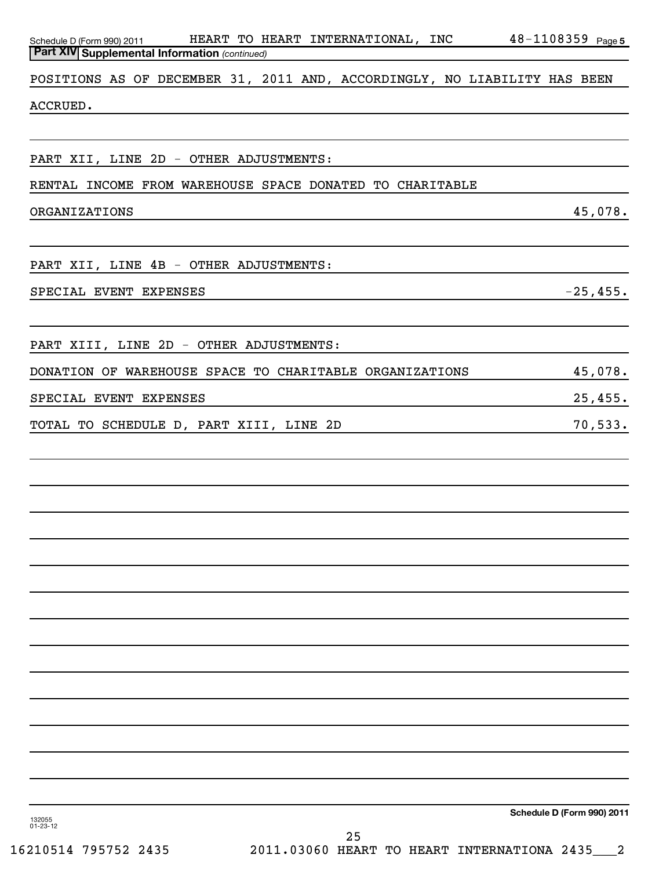| Schedule D (Form 990) 2011 HEART TO HEART INTERNATIONAL, INC 48-1108359 Page 5<br>Part XIV Supplemental Information (continued) |                            |
|---------------------------------------------------------------------------------------------------------------------------------|----------------------------|
|                                                                                                                                 |                            |
| POSITIONS AS OF DECEMBER 31, 2011 AND, ACCORDINGLY, NO LIABILITY HAS BEEN                                                       |                            |
| ACCRUED.                                                                                                                        |                            |
|                                                                                                                                 |                            |
| PART XII, LINE 2D - OTHER ADJUSTMENTS:                                                                                          |                            |
| RENTAL INCOME FROM WAREHOUSE SPACE DONATED TO CHARITABLE                                                                        |                            |
| $\frac{45,078.}{2}$<br>ORGANIZATIONS                                                                                            |                            |
|                                                                                                                                 |                            |
| PART XII, LINE 4B - OTHER ADJUSTMENTS:                                                                                          |                            |
| $-25,455.$<br>SPECIAL EVENT EXPENSES                                                                                            |                            |
|                                                                                                                                 |                            |
| PART XIII, LINE 2D - OTHER ADJUSTMENTS:                                                                                         |                            |
| DONATION OF WAREHOUSE SPACE TO CHARITABLE ORGANIZATIONS 45,078.                                                                 |                            |
| SPECIAL EVENT EXPENSES                                                                                                          | 25,455.                    |
| TOTAL TO SCHEDULE D, PART XIII, LINE 2D                                                                                         | 70,533.                    |
|                                                                                                                                 |                            |
|                                                                                                                                 |                            |
|                                                                                                                                 |                            |
|                                                                                                                                 |                            |
|                                                                                                                                 |                            |
|                                                                                                                                 |                            |
|                                                                                                                                 |                            |
|                                                                                                                                 |                            |
|                                                                                                                                 |                            |
|                                                                                                                                 |                            |
|                                                                                                                                 |                            |
|                                                                                                                                 |                            |
|                                                                                                                                 |                            |
|                                                                                                                                 |                            |
| 132055<br>$01 - 23 - 12$                                                                                                        | Schedule D (Form 990) 2011 |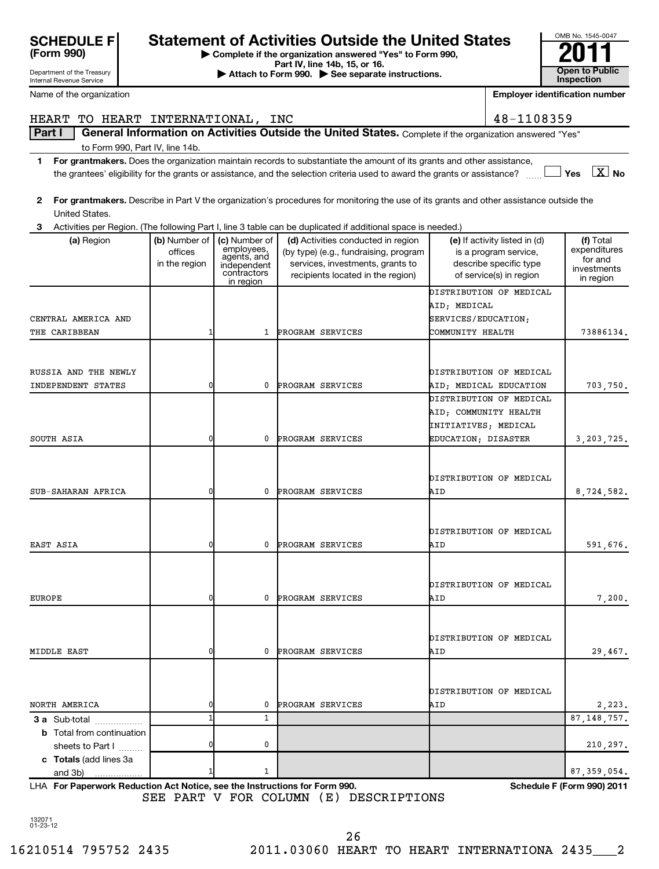| SUNEDULE F<br>(Form 990)   |
|----------------------------|
| Department of the Treasury |

Internal Revenue Service

# SCHEDULE F<br> **Statement of Activities Outside the United States**<br>
Peartment of the Treasury<br> **Statement of the Treasury**<br> **Peartment of the Treasury**<br> **Peartment of the Treasury**<br> **Peartment of the Treasury**<br> **Peartment of**

**| Complete if the organization answered "Yes" to Form 990,**

**Part IV, line 14b, 15, or 16. Conserved Bart IV, Ince 14b, 15, or 16. Conserved Bart IV, 15 See separate instructions. Conserved Bart III Conserved Bart III Conserved Bart II Conserved Bart II Conserved Bart** 

| Name of the organization          | <b>Employer identification number</b> |                                                     |                                                                                                                                         |                       |                                                   |                           |
|-----------------------------------|---------------------------------------|-----------------------------------------------------|-----------------------------------------------------------------------------------------------------------------------------------------|-----------------------|---------------------------------------------------|---------------------------|
| HEART TO HEART INTERNATIONAL, INC |                                       |                                                     |                                                                                                                                         |                       | 48-1108359                                        |                           |
| Part I                            |                                       |                                                     | General Information on Activities Outside the United States. Complete if the organization answered "Yes"                                |                       |                                                   |                           |
| to Form 990, Part IV, line 14b.   |                                       |                                                     |                                                                                                                                         |                       |                                                   |                           |
| 1                                 |                                       |                                                     | For grantmakers. Does the organization maintain records to substantiate the amount of its grants and other assistance,                  |                       |                                                   |                           |
|                                   |                                       |                                                     | the grantees' eligibility for the grants or assistance, and the selection criteria used to award the grants or assistance?              |                       |                                                   | Yes $\boxed{\text{X}}$ No |
|                                   |                                       |                                                     |                                                                                                                                         |                       |                                                   |                           |
| 2                                 |                                       |                                                     | For grantmakers. Describe in Part V the organization's procedures for monitoring the use of its grants and other assistance outside the |                       |                                                   |                           |
| United States.                    |                                       |                                                     |                                                                                                                                         |                       |                                                   |                           |
| З                                 |                                       |                                                     | Activities per Region. (The following Part I, line 3 table can be duplicated if additional space is needed.)                            |                       |                                                   |                           |
| (a) Region                        | (b) Number of                         | (c) Number of<br>(d) Activities conducted in region |                                                                                                                                         |                       | (e) If activity listed in (d)                     | (f) Total                 |
|                                   | offices                               | employees,<br>agents, and                           | (by type) (e.g., fundraising, program                                                                                                   |                       | is a program service,                             | expenditures<br>for and   |
|                                   | in the region                         | independent<br>contractors                          | services, investments, grants to<br>recipients located in the region)                                                                   |                       | describe specific type<br>of service(s) in region | investments               |
|                                   |                                       | in region                                           |                                                                                                                                         |                       |                                                   | in region                 |
|                                   |                                       |                                                     |                                                                                                                                         |                       | DISTRIBUTION OF MEDICAL                           |                           |
|                                   |                                       |                                                     |                                                                                                                                         | AID; MEDICAL          |                                                   |                           |
| CENTRAL AMERICA AND               |                                       |                                                     |                                                                                                                                         | SERVICES/EDUCATION;   |                                                   |                           |
| THE CARIBBEAN                     | -1                                    | 1                                                   | PROGRAM SERVICES                                                                                                                        | COMMUNITY HEALTH      |                                                   | 73886134.                 |
|                                   |                                       |                                                     |                                                                                                                                         |                       |                                                   |                           |
| RUSSIA AND THE NEWLY              |                                       |                                                     |                                                                                                                                         |                       | DISTRIBUTION OF MEDICAL                           |                           |
| INDEPENDENT STATES                | 0                                     | 0                                                   | PROGRAM SERVICES                                                                                                                        |                       | AID; MEDICAL EDUCATION                            | 703,750.                  |
|                                   |                                       |                                                     |                                                                                                                                         |                       | DISTRIBUTION OF MEDICAL                           |                           |
|                                   |                                       |                                                     |                                                                                                                                         | AID; COMMUNITY HEALTH |                                                   |                           |
|                                   |                                       |                                                     |                                                                                                                                         | INITIATIVES; MEDICAL  |                                                   |                           |
| SOUTH ASIA                        | 0                                     | 0                                                   | PROGRAM SERVICES                                                                                                                        | EDUCATION; DISASTER   |                                                   | 3, 203, 725.              |
|                                   |                                       |                                                     |                                                                                                                                         |                       |                                                   |                           |
|                                   |                                       |                                                     |                                                                                                                                         |                       |                                                   |                           |
|                                   |                                       |                                                     |                                                                                                                                         |                       | DISTRIBUTION OF MEDICAL                           |                           |
| SUB-SAHARAN AFRICA                | 0                                     | 0                                                   | PROGRAM SERVICES                                                                                                                        | AID                   |                                                   | 8,724,582.                |
|                                   |                                       |                                                     |                                                                                                                                         |                       |                                                   |                           |
|                                   |                                       |                                                     |                                                                                                                                         |                       |                                                   |                           |
|                                   |                                       |                                                     |                                                                                                                                         |                       | DISTRIBUTION OF MEDICAL                           |                           |
| EAST ASIA                         | 0                                     | 0                                                   | PROGRAM SERVICES                                                                                                                        | AID                   |                                                   | 591,676.                  |
|                                   |                                       |                                                     |                                                                                                                                         |                       |                                                   |                           |
|                                   |                                       |                                                     |                                                                                                                                         |                       | DISTRIBUTION OF MEDICAL                           |                           |
| <b>EUROPE</b>                     | 0                                     | 0                                                   | PROGRAM SERVICES                                                                                                                        | AID                   |                                                   | 7,200.                    |
|                                   |                                       |                                                     |                                                                                                                                         |                       |                                                   |                           |
|                                   |                                       |                                                     |                                                                                                                                         |                       |                                                   |                           |
|                                   |                                       |                                                     |                                                                                                                                         |                       | DISTRIBUTION OF MEDICAL                           |                           |
| MIDDLE EAST                       | 0                                     | 0                                                   | PROGRAM SERVICES                                                                                                                        | AID                   |                                                   | 29,467.                   |
|                                   |                                       |                                                     |                                                                                                                                         |                       |                                                   |                           |
|                                   |                                       |                                                     |                                                                                                                                         |                       |                                                   |                           |
|                                   |                                       |                                                     |                                                                                                                                         |                       | DISTRIBUTION OF MEDICAL                           |                           |
| NORTH AMERICA                     | 0                                     | 0                                                   | PROGRAM SERVICES                                                                                                                        | AID                   |                                                   | 2,223.                    |
| 3 a Sub-total                     | 1                                     | $\mathbf{1}$                                        |                                                                                                                                         |                       |                                                   | 87, 148, 757.             |
| <b>b</b> Total from continuation  |                                       |                                                     |                                                                                                                                         |                       |                                                   |                           |
| sheets to Part I                  | 0                                     | 0                                                   |                                                                                                                                         |                       |                                                   | 210,297.                  |
| c Totals (add lines 3a            |                                       |                                                     |                                                                                                                                         |                       |                                                   |                           |
| and 3b)                           |                                       | 1                                                   |                                                                                                                                         |                       |                                                   | 87, 359, 054.             |

**For Paperwork Reduction Act Notice, see the Instructions for Form 990. Schedule F (Form 990) 2011** LHA SEE PART V FOR COLUMN (E) DESCRIPTIONS

OMB No. 1545-0047

132071 01-23-12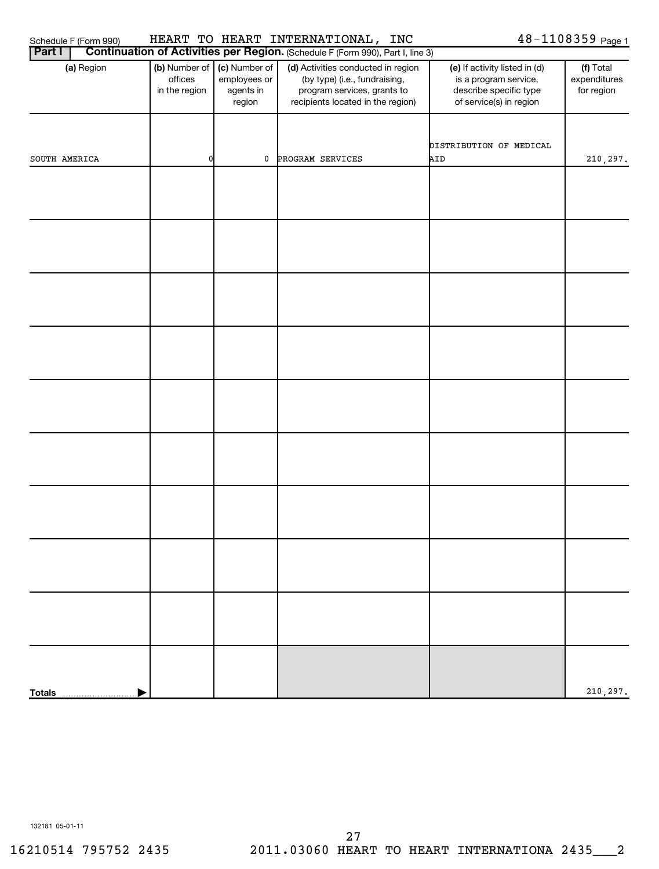| (Form 990)<br>Schedule F | <b>HEART</b> | mn<br>±U. | <b>HEART</b> | INTERNATIONAL, | <b>INC</b> | ⊥08359 r<br>10 D<br>ΨO<br>Page |
|--------------------------|--------------|-----------|--------------|----------------|------------|--------------------------------|
|--------------------------|--------------|-----------|--------------|----------------|------------|--------------------------------|

| <b>Part I</b> | Continuation of Activities per Region. (Schedule F (Form 990), Part I, line 3) |                                                      |                                                                                                                                         |                                                                                                             |                                         |  |  |  |  |  |
|---------------|--------------------------------------------------------------------------------|------------------------------------------------------|-----------------------------------------------------------------------------------------------------------------------------------------|-------------------------------------------------------------------------------------------------------------|-----------------------------------------|--|--|--|--|--|
| (a) Region    | (b) Number of<br>offices<br>in the region                                      | (c) Number of<br>employees or<br>agents in<br>region | (d) Activities conducted in region<br>(by type) (i.e., fundraising,<br>program services, grants to<br>recipients located in the region) | (e) If activity listed in (d)<br>is a program service,<br>describe specific type<br>of service(s) in region | (f) Total<br>expenditures<br>for region |  |  |  |  |  |
| SOUTH AMERICA | $\mathbf{0}$                                                                   | $\mathbf 0$                                          | PROGRAM SERVICES                                                                                                                        | DISTRIBUTION OF MEDICAL<br>AID                                                                              | 210,297.                                |  |  |  |  |  |
|               |                                                                                |                                                      |                                                                                                                                         |                                                                                                             |                                         |  |  |  |  |  |
|               |                                                                                |                                                      |                                                                                                                                         |                                                                                                             |                                         |  |  |  |  |  |
|               |                                                                                |                                                      |                                                                                                                                         |                                                                                                             |                                         |  |  |  |  |  |
|               |                                                                                |                                                      |                                                                                                                                         |                                                                                                             |                                         |  |  |  |  |  |
|               |                                                                                |                                                      |                                                                                                                                         |                                                                                                             |                                         |  |  |  |  |  |
|               |                                                                                |                                                      |                                                                                                                                         |                                                                                                             |                                         |  |  |  |  |  |
|               |                                                                                |                                                      |                                                                                                                                         |                                                                                                             |                                         |  |  |  |  |  |
|               |                                                                                |                                                      |                                                                                                                                         |                                                                                                             |                                         |  |  |  |  |  |
|               |                                                                                |                                                      |                                                                                                                                         |                                                                                                             |                                         |  |  |  |  |  |
| <b>Totals</b> |                                                                                |                                                      |                                                                                                                                         |                                                                                                             | 210,297.                                |  |  |  |  |  |

132181 05-01-11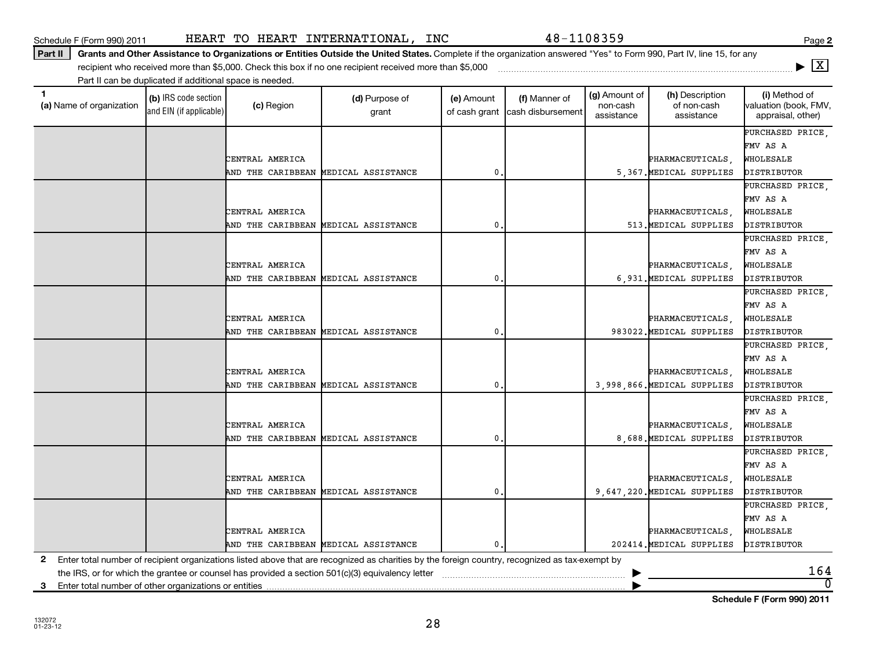**(a)** Name of organization (b) IRS code section (c) Region (c) Region (d) Purpose of (e) Amount (f) Manner of (g) Amount of (h) Description (i) (a) Name of organization (f) IRS code section (c) Region (d) Purpose of (d) Am (b) IRS code section and EIN (if applicable) Part II can be duplicated if additional space is needed. (c) Region (d) Purpose of grant (e) Amount of cash grant (f) Manner of cash disbursement

Part II | Grants and Other Assistance to Organizations or Entities Outside the United States. Complete if the organization answered "Yes" to Form 990, Part IV, line 15, for any Schedule F (Form 990) 2011 HEART TO HEART INTERNATIONAL,INC 48-1108359 recipient who received more than \$5,000. Check this box if no one recipient received more than \$5,000 ~~~~~~~~~~~~~~~~~~~~~~~~~~~~~~~~~~~~~

| F (Form 990) 2011 |  | HEART TO HEART |
|-------------------|--|----------------|
|                   |  |                |

(a) Name of organization

|              | AND THE CARIBBEAN MEDICAL ASSISTANCE                                                                                                            |                                      | 0.            | 5,367. MEDICAL SUPPLIES       | <b>DISTRIBUTOR</b>         |
|--------------|-------------------------------------------------------------------------------------------------------------------------------------------------|--------------------------------------|---------------|-------------------------------|----------------------------|
|              |                                                                                                                                                 |                                      |               |                               | PURCHASED PRICE,           |
|              |                                                                                                                                                 |                                      |               |                               | FMV AS A                   |
|              | CENTRAL AMERICA                                                                                                                                 |                                      |               | PHARMACEUTICALS,              | WHOLESALE                  |
|              | AND THE CARIBBEAN                                                                                                                               | MEDICAL ASSISTANCE                   | 0.            | 513. MEDICAL SUPPLIES         | DISTRIBUTOR                |
|              |                                                                                                                                                 |                                      |               |                               | PURCHASED PRICE,           |
|              |                                                                                                                                                 |                                      |               |                               | FMV AS A                   |
|              | CENTRAL AMERICA                                                                                                                                 |                                      |               | PHARMACEUTICALS,              | WHOLESALE                  |
|              | AND THE CARIBBEAN                                                                                                                               | MEDICAL ASSISTANCE                   | 0.            | 6,931. MEDICAL SUPPLIES       | DISTRIBUTOR                |
|              |                                                                                                                                                 |                                      |               |                               | PURCHASED PRICE,           |
|              |                                                                                                                                                 |                                      |               |                               | FMV AS A                   |
|              | CENTRAL AMERICA                                                                                                                                 |                                      |               | PHARMACEUTICALS,              | WHOLESALE                  |
|              | AND THE CARIBBEAN                                                                                                                               | MEDICAL ASSISTANCE                   | $\mathbf 0$   | 983022. MEDICAL SUPPLIES      | DISTRIBUTOR                |
|              |                                                                                                                                                 |                                      |               |                               | PURCHASED PRICE,           |
|              |                                                                                                                                                 |                                      |               |                               | FMV AS A                   |
|              | CENTRAL AMERICA                                                                                                                                 |                                      |               | PHARMACEUTICALS,              | WHOLESALE                  |
|              | AND THE CARIBBEAN                                                                                                                               | MEDICAL ASSISTANCE                   | 0.            | 3,998,866. MEDICAL SUPPLIES   | DISTRIBUTOR                |
|              |                                                                                                                                                 |                                      |               |                               | PURCHASED PRICE.           |
|              |                                                                                                                                                 |                                      |               |                               | FMV AS A                   |
|              | CENTRAL AMERICA                                                                                                                                 |                                      |               | PHARMACEUTICALS,              | WHOLESALE                  |
|              | AND THE CARIBBEAN MEDICAL ASSISTANCE                                                                                                            |                                      | $\mathsf 0$ . | 8,688. MEDICAL SUPPLIES       | <b>DISTRIBUTOR</b>         |
|              |                                                                                                                                                 |                                      |               |                               | PURCHASED PRICE,           |
|              |                                                                                                                                                 |                                      |               |                               | FMV AS A                   |
|              | CENTRAL AMERICA                                                                                                                                 |                                      |               | PHARMACEUTICALS,              | WHOLESALE                  |
|              | AND THE CARIBBEAN MEDICAL ASSISTANCE                                                                                                            |                                      | 0.            | 9, 647, 220. MEDICAL SUPPLIES | <b>DISTRIBUTOR</b>         |
|              |                                                                                                                                                 |                                      |               |                               | PURCHASED PRICE            |
|              |                                                                                                                                                 |                                      |               |                               | FMV AS A                   |
|              | CENTRAL AMERICA                                                                                                                                 |                                      |               | PHARMACEUTICALS,              | WHOLESALE                  |
|              |                                                                                                                                                 | AND THE CARIBBEAN MEDICAL ASSISTANCE | 0.            | 202414. MEDICAL SUPPLIES      | DISTRIBUTOR                |
| $\mathbf{2}$ | Enter total number of recipient organizations listed above that are recognized as charities by the foreign country, recognized as tax-exempt by |                                      |               |                               |                            |
|              |                                                                                                                                                 |                                      |               |                               | 164                        |
| 3            | Enter total number of other organizations or entities                                                                                           |                                      |               |                               | $\overline{0}$             |
|              |                                                                                                                                                 |                                      |               |                               | Schedule F (Form 990) 2011 |

28

CENTRAL AMERICA PHARMACEUTICALS, WHOLESALE

**2**

**|** X

(i) Method of valuation (book, FMV, appraisal, other)

PURCHASED PRICE,

FMV AS A

(g) Amount of non-cash assistance

(h) Description of non-cash assistance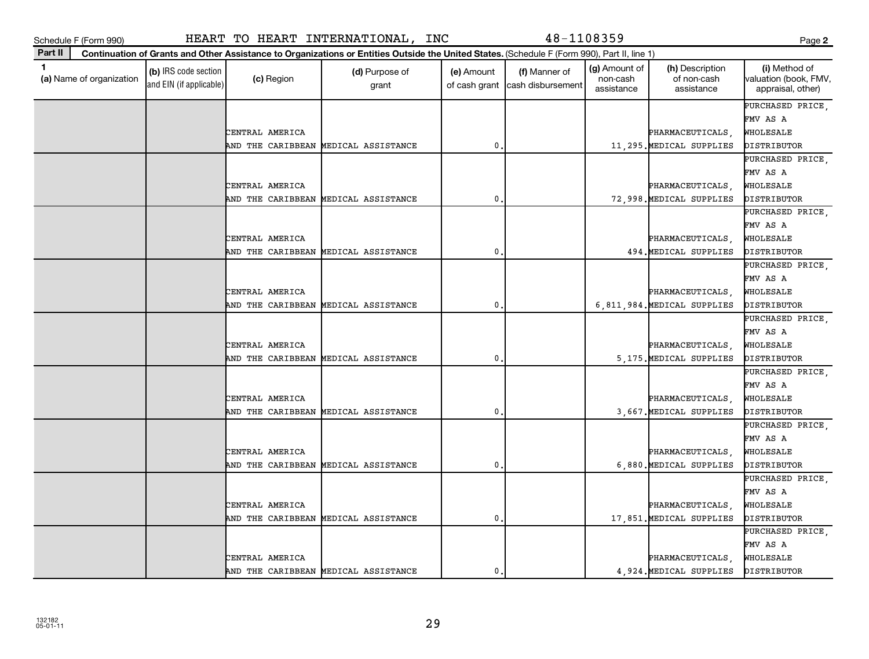| $\mathbf 1$<br>(a) Name of organization | (b) IRS code section<br>and EIN (if applicable) | (c) Region                           | (d) Purpose of<br>grant | (e) Amount<br>of cash grant | (f) Manner of<br>cash disbursement | (g) Amount of<br>non-cash<br>assistance | (h) Description<br>of non-cash<br>assistance    | (i) Method of<br>valuation (book, FMV,<br>appraisal, other) |
|-----------------------------------------|-------------------------------------------------|--------------------------------------|-------------------------|-----------------------------|------------------------------------|-----------------------------------------|-------------------------------------------------|-------------------------------------------------------------|
|                                         |                                                 |                                      |                         |                             |                                    |                                         |                                                 | PURCHASED PRICE,                                            |
|                                         |                                                 |                                      |                         |                             |                                    |                                         |                                                 | FMV AS A                                                    |
|                                         |                                                 | CENTRAL AMERICA                      |                         |                             |                                    |                                         | PHARMACEUTICALS,                                | WHOLESALE                                                   |
|                                         |                                                 | AND THE CARIBBEAN MEDICAL ASSISTANCE |                         | $\mathbf{0}$                |                                    |                                         | 11,295. MEDICAL SUPPLIES                        | DISTRIBUTOR                                                 |
|                                         |                                                 |                                      |                         |                             |                                    |                                         |                                                 | PURCHASED PRICE,                                            |
|                                         |                                                 |                                      |                         |                             |                                    |                                         |                                                 | FMV AS A                                                    |
|                                         |                                                 | CENTRAL AMERICA                      |                         |                             |                                    |                                         | PHARMACEUTICALS,                                | WHOLESALE                                                   |
|                                         |                                                 | AND THE CARIBBEAN MEDICAL ASSISTANCE |                         | 0                           |                                    |                                         | 72,998. MEDICAL SUPPLIES                        | DISTRIBUTOR                                                 |
|                                         |                                                 |                                      |                         |                             |                                    |                                         |                                                 | PURCHASED PRICE,                                            |
|                                         |                                                 |                                      |                         |                             |                                    |                                         |                                                 | FMV AS A                                                    |
|                                         |                                                 | CENTRAL AMERICA                      |                         |                             |                                    |                                         | PHARMACEUTICALS,                                | WHOLESALE                                                   |
|                                         |                                                 | AND THE CARIBBEAN                    | MEDICAL ASSISTANCE      | $\mathbf 0$                 |                                    |                                         | 494. MEDICAL SUPPLIES                           | DISTRIBUTOR                                                 |
|                                         |                                                 |                                      |                         |                             |                                    |                                         |                                                 | PURCHASED PRICE,                                            |
|                                         |                                                 |                                      |                         |                             |                                    |                                         |                                                 | FMV AS A                                                    |
|                                         |                                                 | CENTRAL AMERICA                      |                         | $\mathbf{0}$                |                                    |                                         | PHARMACEUTICALS,<br>6,811,984. MEDICAL SUPPLIES | WHOLESALE<br>DISTRIBUTOR                                    |
|                                         |                                                 | AND THE CARIBBEAN MEDICAL ASSISTANCE |                         |                             |                                    |                                         |                                                 | PURCHASED PRICE,                                            |
|                                         |                                                 |                                      |                         |                             |                                    |                                         |                                                 | FMV AS A                                                    |
|                                         |                                                 | CENTRAL AMERICA                      |                         |                             |                                    |                                         | PHARMACEUTICALS,                                | WHOLESALE                                                   |
|                                         |                                                 | AND THE CARIBBEAN MEDICAL ASSISTANCE |                         | $\mathbf{0}$                |                                    |                                         | 5,175. MEDICAL SUPPLIES                         | DISTRIBUTOR                                                 |
|                                         |                                                 |                                      |                         |                             |                                    |                                         |                                                 | PURCHASED PRICE,                                            |
|                                         |                                                 |                                      |                         |                             |                                    |                                         |                                                 | FMV AS A                                                    |
|                                         |                                                 | CENTRAL AMERICA                      |                         |                             |                                    |                                         | PHARMACEUTICALS,                                | WHOLESALE                                                   |
|                                         |                                                 | AND THE CARIBBEAN MEDICAL ASSISTANCE |                         | $\mathbf{0}$                |                                    |                                         | 3,667. MEDICAL SUPPLIES                         | DISTRIBUTOR                                                 |
|                                         |                                                 |                                      |                         |                             |                                    |                                         |                                                 | PURCHASED PRICE,                                            |
|                                         |                                                 |                                      |                         |                             |                                    |                                         |                                                 | FMV AS A                                                    |
|                                         |                                                 | CENTRAL AMERICA                      |                         |                             |                                    |                                         | PHARMACEUTICALS,                                | WHOLESALE                                                   |
|                                         |                                                 | AND THE CARIBBEAN                    | MEDICAL ASSISTANCE      | 0                           |                                    |                                         | 6,880. MEDICAL SUPPLIES                         | DISTRIBUTOR                                                 |
|                                         |                                                 |                                      |                         |                             |                                    |                                         |                                                 | PURCHASED PRICE,                                            |
|                                         |                                                 |                                      |                         |                             |                                    |                                         |                                                 | FMV AS A                                                    |
|                                         |                                                 | CENTRAL AMERICA                      |                         |                             |                                    |                                         | PHARMACEUTICALS,                                | WHOLESALE                                                   |
|                                         |                                                 | AND THE CARIBBEAN MEDICAL ASSISTANCE |                         | $\mathbf{0}$                |                                    |                                         | 17,851. MEDICAL SUPPLIES                        | DISTRIBUTOR                                                 |
|                                         |                                                 |                                      |                         |                             |                                    |                                         |                                                 | PURCHASED PRICE,                                            |
|                                         |                                                 |                                      |                         |                             |                                    |                                         |                                                 | FMV AS A                                                    |
|                                         |                                                 | CENTRAL AMERICA                      |                         |                             |                                    |                                         | PHARMACEUTICALS,                                | WHOLESALE                                                   |
|                                         |                                                 | AND THE CARIBBEAN MEDICAL ASSISTANCE |                         | $\mathbf 0$ .               |                                    |                                         | 4,924. MEDICAL SUPPLIES                         | DISTRIBUTOR                                                 |

**Part II Continuation of Grants and Other Assistance to Organizations or Entities Outside the United States.**  (Schedule F (Form 990), Part II, line 1)

**2**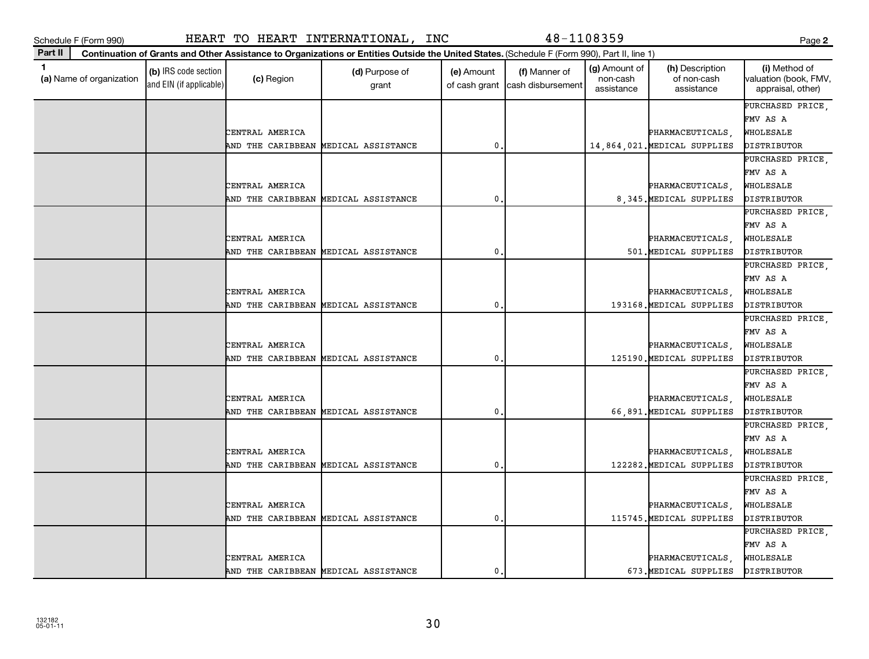| ×<br>۰.<br>. .<br>v | ×<br>۰. |
|---------------------|---------|

| 1<br>(a) Name of organization | (b) IRS code section<br>and EIN (if applicable) | (c) Region                           | (d) Purpose of<br>grant              | (e) Amount<br>of cash grant | (f) Manner of<br>cash disbursement | (g) Amount of<br>non-cash<br>assistance | (h) Description<br>of non-cash<br>assistance     | (i) Method of<br>valuation (book, FMV,<br>appraisal, other) |
|-------------------------------|-------------------------------------------------|--------------------------------------|--------------------------------------|-----------------------------|------------------------------------|-----------------------------------------|--------------------------------------------------|-------------------------------------------------------------|
|                               |                                                 |                                      |                                      |                             |                                    |                                         |                                                  | PURCHASED PRICE,<br>FMV AS A                                |
|                               |                                                 |                                      |                                      |                             |                                    |                                         |                                                  |                                                             |
|                               |                                                 | CENTRAL AMERICA<br>AND THE CARIBBEAN | MEDICAL ASSISTANCE                   | 0                           |                                    |                                         | PHARMACEUTICALS,<br>14,864,021. MEDICAL SUPPLIES | WHOLESALE<br><b><i>DISTRIBUTOR</i></b>                      |
|                               |                                                 |                                      |                                      |                             |                                    |                                         |                                                  | PURCHASED PRICE,                                            |
|                               |                                                 |                                      |                                      |                             |                                    |                                         |                                                  | FMV AS A                                                    |
|                               |                                                 | CENTRAL AMERICA                      |                                      |                             |                                    |                                         | PHARMACEUTICALS,                                 | WHOLESALE                                                   |
|                               |                                                 | AND THE CARIBBEAN                    | MEDICAL ASSISTANCE                   | $\mathbf 0$ .               |                                    |                                         | 8,345. MEDICAL SUPPLIES                          | DISTRIBUTOR                                                 |
|                               |                                                 |                                      |                                      |                             |                                    |                                         |                                                  | PURCHASED PRICE,                                            |
|                               |                                                 |                                      |                                      |                             |                                    |                                         |                                                  | FMV AS A                                                    |
|                               |                                                 | CENTRAL AMERICA                      |                                      |                             |                                    |                                         | PHARMACEUTICALS,                                 | WHOLESALE                                                   |
|                               |                                                 | AND THE CARIBBEAN                    | MEDICAL ASSISTANCE                   | $\mathbf 0$                 |                                    |                                         | 501. MEDICAL SUPPLIES                            | DISTRIBUTOR                                                 |
|                               |                                                 |                                      |                                      |                             |                                    |                                         |                                                  | PURCHASED PRICE,                                            |
|                               |                                                 |                                      |                                      |                             |                                    |                                         |                                                  | FMV AS A                                                    |
|                               |                                                 | CENTRAL AMERICA                      |                                      |                             |                                    |                                         | PHARMACEUTICALS,                                 | WHOLESALE                                                   |
|                               |                                                 | AND THE CARIBBEAN                    | MEDICAL ASSISTANCE                   | 0                           |                                    |                                         | 193168. MEDICAL SUPPLIES                         | DISTRIBUTOR                                                 |
|                               |                                                 |                                      |                                      |                             |                                    |                                         |                                                  | PURCHASED PRICE,                                            |
|                               |                                                 |                                      |                                      |                             |                                    |                                         |                                                  | FMV AS A                                                    |
|                               |                                                 | CENTRAL AMERICA                      |                                      |                             |                                    |                                         | PHARMACEUTICALS,                                 | WHOLESALE                                                   |
|                               |                                                 | AND THE CARIBBEAN                    | MEDICAL ASSISTANCE                   | $\mathbf{0}$                |                                    |                                         | 125190. MEDICAL SUPPLIES                         | DISTRIBUTOR                                                 |
|                               |                                                 |                                      |                                      |                             |                                    |                                         |                                                  | PURCHASED PRICE,                                            |
|                               |                                                 |                                      |                                      |                             |                                    |                                         |                                                  | FMV AS A                                                    |
|                               |                                                 | CENTRAL AMERICA                      |                                      |                             |                                    |                                         | PHARMACEUTICALS,                                 | WHOLESALE                                                   |
|                               |                                                 | AND THE CARIBBEAN                    | MEDICAL ASSISTANCE                   | $\mathbf 0$                 |                                    |                                         | 66,891. MEDICAL SUPPLIES                         | DISTRIBUTOR                                                 |
|                               |                                                 |                                      |                                      |                             |                                    |                                         |                                                  | PURCHASED PRICE,                                            |
|                               |                                                 |                                      |                                      |                             |                                    |                                         |                                                  | FMV AS A                                                    |
|                               |                                                 | CENTRAL AMERICA                      |                                      |                             |                                    |                                         | PHARMACEUTICALS,                                 | WHOLESALE                                                   |
|                               |                                                 | AND THE CARIBBEAN                    | MEDICAL ASSISTANCE                   | 0                           |                                    |                                         | 122282. MEDICAL SUPPLIES                         | DISTRIBUTOR                                                 |
|                               |                                                 |                                      |                                      |                             |                                    |                                         |                                                  | PURCHASED PRICE,                                            |
|                               |                                                 |                                      |                                      |                             |                                    |                                         |                                                  | FMV AS A                                                    |
|                               |                                                 | CENTRAL AMERICA                      |                                      |                             |                                    |                                         | PHARMACEUTICALS,                                 | WHOLESALE                                                   |
|                               |                                                 | AND THE CARIBBEAN                    | MEDICAL ASSISTANCE                   | $\mathbf 0$ .               |                                    |                                         | 115745. MEDICAL SUPPLIES                         | DISTRIBUTOR                                                 |
|                               |                                                 |                                      |                                      |                             |                                    |                                         |                                                  | PURCHASED PRICE,                                            |
|                               |                                                 |                                      |                                      |                             |                                    |                                         |                                                  | FMV AS A                                                    |
|                               |                                                 | CENTRAL AMERICA                      |                                      |                             |                                    |                                         | PHARMACEUTICALS,                                 | WHOLESALE                                                   |
|                               |                                                 |                                      | AND THE CARIBBEAN MEDICAL ASSISTANCE | $\mathbf 0$                 |                                    |                                         | 673. MEDICAL SUPPLIES                            | DISTRIBUTOR                                                 |

## Schedule F (Form 990) HEART TO HEART INTERNATIONAL, INC 48-1108359 Page

**Part II Continuation of Grants and Other Assistance to Organizations or Entities Outside the United States.**  (Schedule F (Form 990), Part II, line 1)

**2**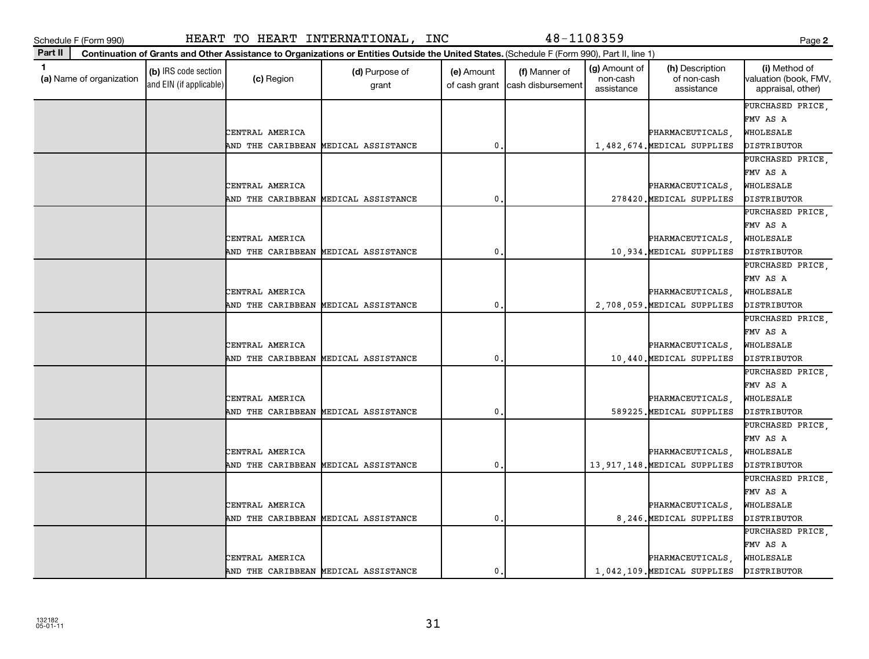**(a)**  Name of organization

and EIN (if applicable)

| ×<br>۰.<br>v<br>. . |  |
|---------------------|--|

|                 |                                      |   |  |                                | PURCHASED PRICE, |
|-----------------|--------------------------------------|---|--|--------------------------------|------------------|
|                 |                                      |   |  |                                | FMV AS A         |
| CENTRAL AMERICA |                                      |   |  | PHARMACEUTICALS,               | WHOLESALE        |
|                 | AND THE CARIBBEAN MEDICAL ASSISTANCE | 0 |  | 1,482,674. MEDICAL SUPPLIES    | DISTRIBUTOR      |
|                 |                                      |   |  |                                | PURCHASED PRICE, |
|                 |                                      |   |  |                                | FMV AS A         |
| CENTRAL AMERICA |                                      |   |  | PHARMACEUTICALS,               | WHOLESALE        |
|                 | AND THE CARIBBEAN MEDICAL ASSISTANCE | 0 |  | 278420. MEDICAL SUPPLIES       | DISTRIBUTOR      |
|                 |                                      |   |  |                                | PURCHASED PRICE, |
|                 |                                      |   |  |                                | FMV AS A         |
| CENTRAL AMERICA |                                      |   |  | PHARMACEUTICALS,               | WHOLESALE        |
|                 | AND THE CARIBBEAN MEDICAL ASSISTANCE | 0 |  | 10,934. MEDICAL SUPPLIES       | DISTRIBUTOR      |
|                 |                                      |   |  |                                | PURCHASED PRICE, |
|                 |                                      |   |  |                                | FMV AS A         |
| CENTRAL AMERICA |                                      |   |  | PHARMACEUTICALS,               | WHOLESALE        |
|                 | AND THE CARIBBEAN MEDICAL ASSISTANCE | 0 |  | 2,708,059. MEDICAL SUPPLIES    | DISTRIBUTOR      |
|                 |                                      |   |  |                                | PURCHASED PRICE, |
|                 |                                      |   |  |                                | FMV AS A         |
| CENTRAL AMERICA |                                      |   |  | PHARMACEUTICALS,               | WHOLESALE        |
|                 | AND THE CARIBBEAN MEDICAL ASSISTANCE | 0 |  | 10,440. MEDICAL SUPPLIES       | DISTRIBUTOR      |
|                 |                                      |   |  |                                | PURCHASED PRICE, |
|                 |                                      |   |  |                                | FMV AS A         |
| CENTRAL AMERICA |                                      |   |  | PHARMACEUTICALS,               | WHOLESALE        |
|                 | AND THE CARIBBEAN MEDICAL ASSISTANCE | 0 |  | 589225. MEDICAL SUPPLIES       | DISTRIBUTOR      |
|                 |                                      |   |  |                                | PURCHASED PRICE, |
|                 |                                      |   |  |                                | FMV AS A         |
| CENTRAL AMERICA |                                      |   |  | PHARMACEUTICALS,               | WHOLESALE        |
|                 | AND THE CARIBBEAN MEDICAL ASSISTANCE | 0 |  | 13, 917, 148. MEDICAL SUPPLIES | DISTRIBUTOR      |
|                 |                                      |   |  |                                | PURCHASED PRICE, |
|                 |                                      |   |  |                                | FMV AS A         |
| CENTRAL AMERICA |                                      |   |  | PHARMACEUTICALS,               | WHOLESALE        |
|                 | AND THE CARIBBEAN MEDICAL ASSISTANCE | 0 |  | 8, 246. MEDICAL SUPPLIES       | DISTRIBUTOR      |
|                 |                                      |   |  |                                | PURCHASED PRICE, |
|                 |                                      |   |  |                                | FMV AS A         |
| CENTRAL AMERICA |                                      |   |  | PHARMACEUTICALS,               | WHOLESALE        |
|                 | AND THE CARIBBEAN MEDICAL ASSISTANCE | 0 |  | 1,042,109. MEDICAL SUPPLIES    | DISTRIBUTOR      |
|                 |                                      |   |  |                                |                  |

## Schedule F (Form 990) HEART TO HEART INTERNATIONAL, INC 48-1108359 Page

 $\begin{array}{|c|c|c|}\n\hline\n\text{(c) Region} & \text{(d) Purpose of} \\
\hline\n\end{array}$ 

**Continuation of Grants and Other Assistance to Organizations or Entities Outside the United States.**  (Schedule F (Form 990), Part II, line 1)

grant

**1 (b)** IRS code section **(c)** Region **(d)** Purpose of **(e)** Amount **(f)** Manner of **(g)** Amount of **(h)** Description **(i) (a)** Name of organization **(h)** Description **(i) (c)** Region **(d)** Purpose of **(d)** Amount **(** 

(e) Amount

of cash grant | cash disbursement

(f) Manner of

(g) Amount of non-cash assistance

(h) Description of non-cash assistance

**2**

(i) Method of valuation (book, FMV, appraisal, other)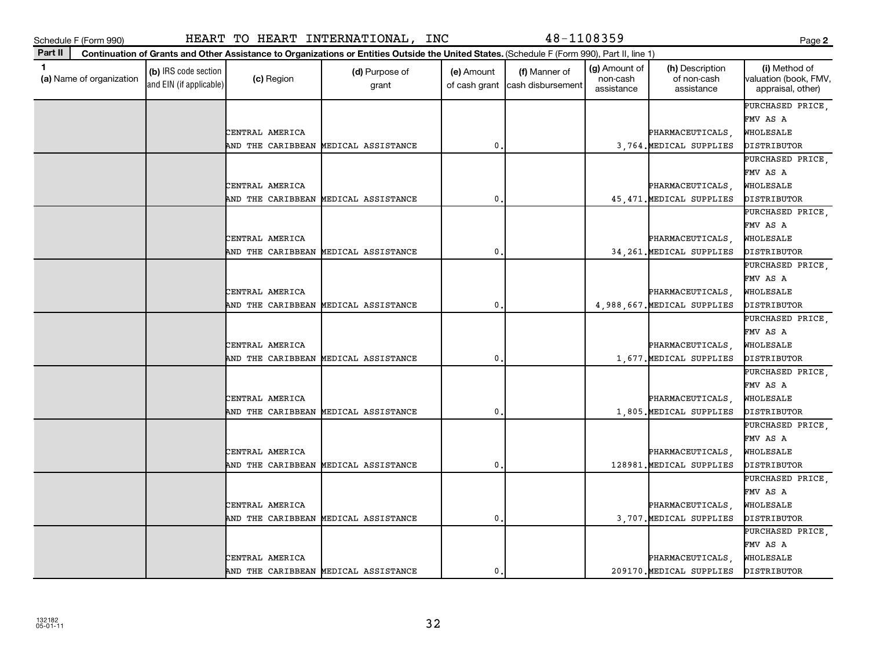**(a)**  Name of organization

and EIN (if applicable)

| ×<br>. .<br>v |  |
|---------------|--|

|  | and EIN (if applicable) |                 |                   | grant                                |   | of cash grant   cash disbursement | assistance | assistance                  | appraisal, other)  |
|--|-------------------------|-----------------|-------------------|--------------------------------------|---|-----------------------------------|------------|-----------------------------|--------------------|
|  |                         |                 |                   |                                      |   |                                   |            |                             | PURCHASED PRICE,   |
|  |                         |                 |                   |                                      |   |                                   |            |                             | FMV AS A           |
|  |                         | CENTRAL AMERICA |                   |                                      |   |                                   |            | PHARMACEUTICALS,            | WHOLESALE          |
|  |                         |                 |                   | AND THE CARIBBEAN MEDICAL ASSISTANCE | 0 |                                   |            | 3,764. MEDICAL SUPPLIES     | <b>DISTRIBUTOR</b> |
|  |                         |                 |                   |                                      |   |                                   |            |                             | PURCHASED PRICE,   |
|  |                         |                 |                   |                                      |   |                                   |            |                             | FMV AS A           |
|  |                         | CENTRAL AMERICA |                   |                                      |   |                                   |            | PHARMACEUTICALS,            | WHOLESALE          |
|  |                         |                 |                   | AND THE CARIBBEAN MEDICAL ASSISTANCE | 0 |                                   |            | 45, 471. MEDICAL SUPPLIES   | DISTRIBUTOR        |
|  |                         |                 |                   |                                      |   |                                   |            |                             | PURCHASED PRICE,   |
|  |                         |                 |                   |                                      |   |                                   |            |                             | FMV AS A           |
|  |                         | CENTRAL AMERICA |                   |                                      |   |                                   |            | PHARMACEUTICALS,            | WHOLESALE          |
|  |                         |                 |                   | AND THE CARIBBEAN MEDICAL ASSISTANCE | 0 |                                   |            | 34, 261. MEDICAL SUPPLIES   | DISTRIBUTOR        |
|  |                         |                 |                   |                                      |   |                                   |            |                             | PURCHASED PRICE,   |
|  |                         |                 |                   |                                      |   |                                   |            |                             | FMV AS A           |
|  |                         | CENTRAL AMERICA |                   |                                      |   |                                   |            | PHARMACEUTICALS,            | WHOLESALE          |
|  |                         |                 | AND THE CARIBBEAN | MEDICAL ASSISTANCE                   | 0 |                                   |            | 4,988,667. MEDICAL SUPPLIES | DISTRIBUTOR        |
|  |                         |                 |                   |                                      |   |                                   |            |                             | PURCHASED PRICE,   |
|  |                         |                 |                   |                                      |   |                                   |            |                             | FMV AS A           |
|  |                         | CENTRAL AMERICA |                   |                                      |   |                                   |            | PHARMACEUTICALS,            | WHOLESALE          |
|  |                         |                 | AND THE CARIBBEAN | MEDICAL ASSISTANCE                   | 0 |                                   |            | 1,677. MEDICAL SUPPLIES     | DISTRIBUTOR        |
|  |                         |                 |                   |                                      |   |                                   |            |                             | PURCHASED PRICE,   |
|  |                         |                 |                   |                                      |   |                                   |            |                             | FMV AS A           |
|  |                         | CENTRAL AMERICA |                   |                                      |   |                                   |            | PHARMACEUTICALS,            | WHOLESALE          |
|  |                         |                 |                   | AND THE CARIBBEAN MEDICAL ASSISTANCE | 0 |                                   |            | 1,805. MEDICAL SUPPLIES     | DISTRIBUTOR        |
|  |                         |                 |                   |                                      |   |                                   |            |                             | PURCHASED PRICE,   |
|  |                         |                 |                   |                                      |   |                                   |            |                             | FMV AS A           |
|  |                         | CENTRAL AMERICA |                   |                                      |   |                                   |            | PHARMACEUTICALS,            | WHOLESALE          |
|  |                         |                 |                   | AND THE CARIBBEAN MEDICAL ASSISTANCE | 0 |                                   |            | 128981. MEDICAL SUPPLIES    | DISTRIBUTOR        |
|  |                         |                 |                   |                                      |   |                                   |            |                             | PURCHASED PRICE,   |
|  |                         |                 |                   |                                      |   |                                   |            |                             | FMV AS A           |
|  |                         | CENTRAL AMERICA |                   |                                      |   |                                   |            | PHARMACEUTICALS,            | WHOLESALE          |
|  |                         |                 |                   | AND THE CARIBBEAN MEDICAL ASSISTANCE | 0 |                                   |            | 3,707. MEDICAL SUPPLIES     | DISTRIBUTOR        |
|  |                         |                 |                   |                                      |   |                                   |            |                             | PURCHASED PRICE,   |
|  |                         |                 |                   |                                      |   |                                   |            |                             | FMV AS A           |
|  |                         | CENTRAL AMERICA |                   |                                      |   |                                   |            | PHARMACEUTICALS,            | WHOLESALE          |
|  |                         |                 |                   | AND THE CARIBBEAN MEDICAL ASSISTANCE | 0 |                                   |            | 209170. MEDICAL SUPPLIES    | DISTRIBUTOR        |
|  |                         |                 |                   |                                      |   |                                   |            |                             |                    |

 $\begin{array}{|c|c|c|}\n\hline\n\text{(c) Region} & \text{(d) Purpose of} \\
\hline\n\end{array}$ 

**Continuation of Grants and Other Assistance to Organizations or Entities Outside the United States.**  (Schedule F (Form 990), Part II, line 1)

grant

**1 (b)** IRS code section **(c)** Region **(d)** Purpose of **(e)** Amount **(f)** Manner of **(g)** Amount of **(h)** Description **(i) (a)** Name of organization **(h)** Description **(i) (c)** Region **(d)** Purpose of **(d)** Amount **(** 

(e) Amount

of cash grant | cash disbursement

(f) Manner of

(g) Amount of non-cash

(h) Description of non-cash assistance

**2**

(i) Method of valuation (book, FMV,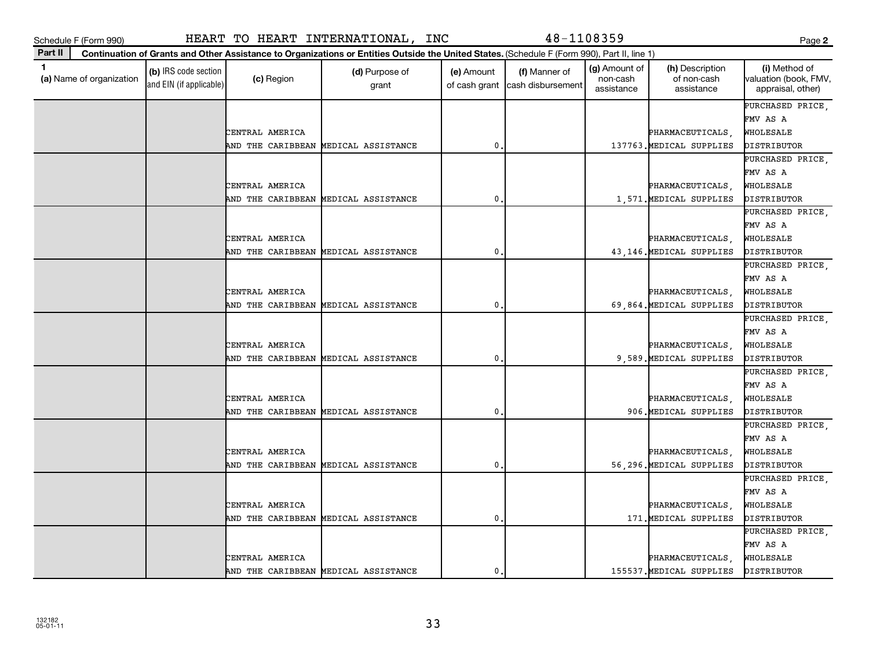**(a)**  Name of organization

and EIN (if applicable)

| ×<br>۰.<br>. .<br>v | ×<br>I<br>٠<br>۰. |
|---------------------|-------------------|

|                   |                                      |              |  |                          | PURCHASED PRICE,   |
|-------------------|--------------------------------------|--------------|--|--------------------------|--------------------|
|                   |                                      |              |  |                          | FMV AS A           |
| CENTRAL AMERICA   |                                      |              |  | PHARMACEUTICALS,         | WHOLESALE          |
|                   | AND THE CARIBBEAN MEDICAL ASSISTANCE | 0            |  | 137763. MEDICAL SUPPLIES | <b>DISTRIBUTOR</b> |
|                   |                                      |              |  |                          | PURCHASED PRICE,   |
|                   |                                      |              |  |                          | FMV AS A           |
| CENTRAL AMERICA   |                                      |              |  | PHARMACEUTICALS,         | WHOLESALE          |
| AND THE CARIBBEAN | MEDICAL ASSISTANCE                   | 0            |  | 1,571. MEDICAL SUPPLIES  | DISTRIBUTOR        |
|                   |                                      |              |  |                          | PURCHASED PRICE,   |
|                   |                                      |              |  |                          | FMV AS A           |
| CENTRAL AMERICA   |                                      |              |  | PHARMACEUTICALS,         | WHOLESALE          |
| AND THE CARIBBEAN | MEDICAL ASSISTANCE                   | 0            |  | 43,146. MEDICAL SUPPLIES | DISTRIBUTOR        |
|                   |                                      |              |  |                          | PURCHASED PRICE,   |
|                   |                                      |              |  |                          | FMV AS A           |
| CENTRAL AMERICA   |                                      |              |  | PHARMACEUTICALS,         | WHOLESALE          |
|                   | AND THE CARIBBEAN MEDICAL ASSISTANCE | 0            |  | 69,864. MEDICAL SUPPLIES | DISTRIBUTOR        |
|                   |                                      |              |  |                          | PURCHASED PRICE,   |
|                   |                                      |              |  |                          | FMV AS A           |
| CENTRAL AMERICA   |                                      |              |  | PHARMACEUTICALS,         | WHOLESALE          |
|                   | AND THE CARIBBEAN MEDICAL ASSISTANCE | 0            |  | 9,589. MEDICAL SUPPLIES  | <b>DISTRIBUTOR</b> |
|                   |                                      |              |  |                          | PURCHASED PRICE,   |
|                   |                                      |              |  |                          | FMV AS A           |
| CENTRAL AMERICA   |                                      |              |  | PHARMACEUTICALS,         | WHOLESALE          |
|                   | AND THE CARIBBEAN MEDICAL ASSISTANCE | $\mathbf{0}$ |  | 906. MEDICAL SUPPLIES    | DISTRIBUTOR        |
|                   |                                      |              |  |                          | PURCHASED PRICE,   |
|                   |                                      |              |  |                          | FMV AS A           |
| CENTRAL AMERICA   |                                      |              |  | PHARMACEUTICALS,         | WHOLESALE          |
|                   | AND THE CARIBBEAN MEDICAL ASSISTANCE | 0            |  | 56,296. MEDICAL SUPPLIES | DISTRIBUTOR        |
|                   |                                      |              |  |                          | PURCHASED PRICE,   |
|                   |                                      |              |  |                          | FMV AS A           |
| CENTRAL AMERICA   |                                      |              |  | PHARMACEUTICALS,         | WHOLESALE          |
| AND THE CARIBBEAN | MEDICAL ASSISTANCE                   | 0            |  | 171. MEDICAL SUPPLIES    | DISTRIBUTOR        |
|                   |                                      |              |  |                          | PURCHASED PRICE.   |
|                   |                                      |              |  |                          | FMV AS A           |
| CENTRAL AMERICA   |                                      |              |  | PHARMACEUTICALS,         | WHOLESALE          |
|                   | AND THE CARIBBEAN MEDICAL ASSISTANCE | 0            |  | 155537. MEDICAL SUPPLIES | <b>DISTRIBUTOR</b> |
|                   |                                      |              |  |                          |                    |

Schedule F (Form 990) HEART TO HEART INTERNATIONAL, INC 48-1108359 Page

 $\begin{array}{|c|c|c|}\n\hline\n\text{(c) Region} & \text{(d) Purpose of} \\
\hline\n\end{array}$ 

**Continuation of Grants and Other Assistance to Organizations or Entities Outside the United States.**  (Schedule F (Form 990), Part II, line 1)

grant

**1 (b)** IRS code section **(c)** Region **(d)** Purpose of **(e)** Amount **(f)** Manner of **(g)** Amount of **(h)** Description **(i) (a)** Name of organization **(h)** Description **(i) (c)** Region **(d)** Purpose of **(d)** Amount **(** 

(e) Amount

of cash grant | cash disbursement

(g) Amount of non-cash assistance

(h) Description of non-cash assistance

(f) Manner of

**2**

(i) Method of valuation (book, FMV, appraisal, other)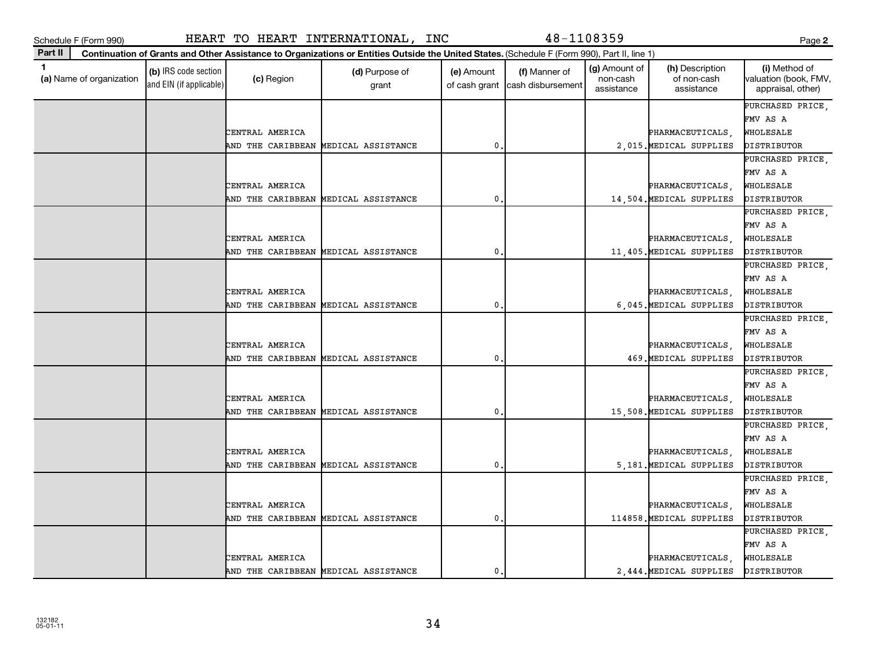| ×<br>. .<br>v |  |
|---------------|--|

| 1.<br>(a) Name of organization | (b) IRS code section<br>and EIN (if applicable) | (c) Region        | (d) Purpose of<br>grant              | (e) Amount<br>of cash grant | (f) Manner of<br>cash disbursement | (g) Amount of<br>non-cash<br>assistance | (h) Description<br>of non-cash<br>assistance | (i) Method of<br>valuation (book, FMV,<br>appraisal, other) |
|--------------------------------|-------------------------------------------------|-------------------|--------------------------------------|-----------------------------|------------------------------------|-----------------------------------------|----------------------------------------------|-------------------------------------------------------------|
|                                |                                                 |                   |                                      |                             |                                    |                                         |                                              | PURCHASED PRICE,                                            |
|                                |                                                 |                   |                                      |                             |                                    |                                         |                                              | FMV AS A                                                    |
|                                |                                                 | CENTRAL AMERICA   |                                      |                             |                                    |                                         | PHARMACEUTICALS,                             | WHOLESALE                                                   |
|                                |                                                 | AND THE CARIBBEAN | MEDICAL ASSISTANCE                   | $\mathbf{0}$                |                                    |                                         | 2,015. MEDICAL SUPPLIES                      | DISTRIBUTOR                                                 |
|                                |                                                 |                   |                                      |                             |                                    |                                         |                                              | PURCHASED PRICE                                             |
|                                |                                                 |                   |                                      |                             |                                    |                                         |                                              | FMV AS A                                                    |
|                                |                                                 | CENTRAL AMERICA   |                                      |                             |                                    |                                         | PHARMACEUTICALS,                             | WHOLESALE                                                   |
|                                |                                                 |                   | AND THE CARIBBEAN MEDICAL ASSISTANCE | $\pmb{0}$                   |                                    |                                         | 14,504. MEDICAL SUPPLIES                     | DISTRIBUTOR                                                 |
|                                |                                                 |                   |                                      |                             |                                    |                                         |                                              | PURCHASED PRICE,                                            |
|                                |                                                 |                   |                                      |                             |                                    |                                         |                                              | FMV AS A                                                    |
|                                |                                                 | CENTRAL AMERICA   |                                      |                             |                                    |                                         | PHARMACEUTICALS,                             | WHOLESALE                                                   |
|                                |                                                 | AND THE CARIBBEAN | MEDICAL ASSISTANCE                   | $\mathbf{0}$                |                                    |                                         | 11,405. MEDICAL SUPPLIES                     | DISTRIBUTOR                                                 |
|                                |                                                 |                   |                                      |                             |                                    |                                         |                                              | PURCHASED PRICE,                                            |
|                                |                                                 |                   |                                      |                             |                                    |                                         |                                              | FMV AS A                                                    |
|                                |                                                 | CENTRAL AMERICA   |                                      |                             |                                    |                                         | PHARMACEUTICALS,                             | WHOLESALE                                                   |
|                                |                                                 | AND THE CARIBBEAN | MEDICAL ASSISTANCE                   | $\mathbf{0}$                |                                    |                                         | 6,045. MEDICAL SUPPLIES                      | DISTRIBUTOR                                                 |
|                                |                                                 |                   |                                      |                             |                                    |                                         |                                              | PURCHASED PRICE,                                            |
|                                |                                                 |                   |                                      |                             |                                    |                                         |                                              | FMV AS A                                                    |
|                                |                                                 | CENTRAL AMERICA   |                                      |                             |                                    |                                         | PHARMACEUTICALS,                             | WHOLESALE                                                   |
|                                |                                                 |                   | AND THE CARIBBEAN MEDICAL ASSISTANCE | $\mathbf 0$                 |                                    |                                         | 469. MEDICAL SUPPLIES                        | DISTRIBUTOR                                                 |
|                                |                                                 |                   |                                      |                             |                                    |                                         |                                              | PURCHASED PRICE,                                            |
|                                |                                                 |                   |                                      |                             |                                    |                                         |                                              | FMV AS A                                                    |
|                                |                                                 | CENTRAL AMERICA   |                                      |                             |                                    |                                         | PHARMACEUTICALS,                             | WHOLESALE                                                   |
|                                |                                                 | AND THE CARIBBEAN | MEDICAL ASSISTANCE                   | 0                           |                                    |                                         | 15,508. MEDICAL SUPPLIES                     | DISTRIBUTOR                                                 |
|                                |                                                 |                   |                                      |                             |                                    |                                         |                                              | PURCHASED PRICE,                                            |
|                                |                                                 |                   |                                      |                             |                                    |                                         |                                              | FMV AS A                                                    |
|                                |                                                 | CENTRAL AMERICA   |                                      |                             |                                    |                                         | PHARMACEUTICALS,                             | WHOLESALE                                                   |
|                                |                                                 |                   | AND THE CARIBBEAN MEDICAL ASSISTANCE | $\mathbf{0}$                |                                    |                                         | 5,181. MEDICAL SUPPLIES                      | DISTRIBUTOR                                                 |
|                                |                                                 |                   |                                      |                             |                                    |                                         |                                              | PURCHASED PRICE,                                            |
|                                |                                                 |                   |                                      |                             |                                    |                                         |                                              | FMV AS A                                                    |
|                                |                                                 | CENTRAL AMERICA   |                                      |                             |                                    |                                         | PHARMACEUTICALS,                             | WHOLESALE                                                   |
|                                |                                                 |                   | AND THE CARIBBEAN MEDICAL ASSISTANCE | $\mathbf 0$                 |                                    |                                         | 114858. MEDICAL SUPPLIES                     | DISTRIBUTOR                                                 |
|                                |                                                 |                   |                                      |                             |                                    |                                         |                                              | PURCHASED PRICE,                                            |
|                                |                                                 |                   |                                      |                             |                                    |                                         |                                              | FMV AS A                                                    |
|                                |                                                 | CENTRAL AMERICA   |                                      |                             |                                    |                                         | PHARMACEUTICALS                              | WHOLESALE                                                   |
|                                |                                                 |                   | AND THE CARIBBEAN MEDICAL ASSISTANCE | 0                           |                                    |                                         | 2,444. MEDICAL SUPPLIES                      | DISTRIBUTOR                                                 |

**Continuation of Grants and Other Assistance to Organizations or Entities Outside the United States.**  (Schedule F (Form 990), Part II, line 1)

(g) Amount of

(h) Description

**2**

(i) Method of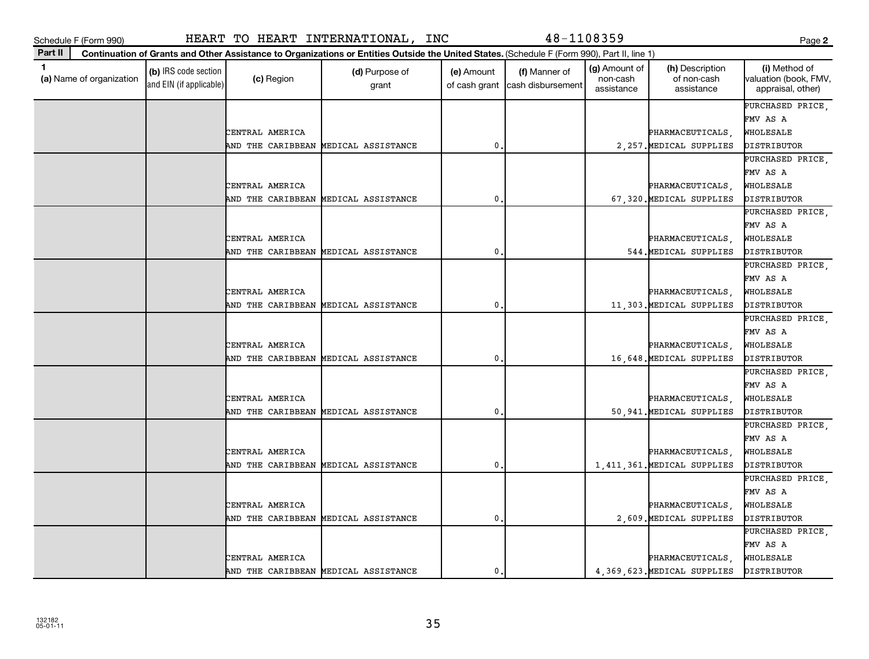**(a)**  Name of organization

and EIN (if applicable)

|                     | . .                 |
|---------------------|---------------------|
| ×<br>۰.<br>. .<br>v | ×<br>I<br>. .<br>۰. |

|  |                                      |  |                    |   |  |                               | PURCHASED PRICE,   |
|--|--------------------------------------|--|--------------------|---|--|-------------------------------|--------------------|
|  |                                      |  |                    |   |  |                               | FMV AS A           |
|  | CENTRAL AMERICA                      |  |                    |   |  | PHARMACEUTICALS,              | WHOLESALE          |
|  | AND THE CARIBBEAN                    |  | MEDICAL ASSISTANCE | 0 |  | 2, 257. MEDICAL SUPPLIES      | DISTRIBUTOR        |
|  |                                      |  |                    |   |  |                               | PURCHASED PRICE,   |
|  |                                      |  |                    |   |  |                               | FMV AS A           |
|  | CENTRAL AMERICA                      |  |                    |   |  | PHARMACEUTICALS,              | WHOLESALE          |
|  | AND THE CARIBBEAN MEDICAL ASSISTANCE |  |                    | 0 |  | 67,320. MEDICAL SUPPLIES      | DISTRIBUTOR        |
|  |                                      |  |                    |   |  |                               | PURCHASED PRICE,   |
|  |                                      |  |                    |   |  |                               | FMV AS A           |
|  | CENTRAL AMERICA                      |  |                    |   |  | PHARMACEUTICALS,              | WHOLESALE          |
|  | AND THE CARIBBEAN MEDICAL ASSISTANCE |  |                    | 0 |  | 544. MEDICAL SUPPLIES         | DISTRIBUTOR        |
|  |                                      |  |                    |   |  |                               | PURCHASED PRICE,   |
|  |                                      |  |                    |   |  |                               | FMV AS A           |
|  | CENTRAL AMERICA                      |  |                    |   |  | PHARMACEUTICALS,              | WHOLESALE          |
|  | AND THE CARIBBEAN MEDICAL ASSISTANCE |  |                    | 0 |  | 11,303. MEDICAL SUPPLIES      | DISTRIBUTOR        |
|  |                                      |  |                    |   |  |                               | PURCHASED PRICE,   |
|  |                                      |  |                    |   |  |                               | FMV AS A           |
|  | CENTRAL AMERICA                      |  |                    |   |  | PHARMACEUTICALS,              | WHOLESALE          |
|  | AND THE CARIBBEAN MEDICAL ASSISTANCE |  |                    | 0 |  | 16,648. MEDICAL SUPPLIES      | <b>DISTRIBUTOR</b> |
|  |                                      |  |                    |   |  |                               | PURCHASED PRICE,   |
|  |                                      |  |                    |   |  |                               | FMV AS A           |
|  | CENTRAL AMERICA                      |  |                    |   |  | PHARMACEUTICALS,              | WHOLESALE          |
|  | AND THE CARIBBEAN MEDICAL ASSISTANCE |  |                    | 0 |  | 50,941. MEDICAL SUPPLIES      | DISTRIBUTOR        |
|  |                                      |  |                    |   |  |                               | PURCHASED PRICE,   |
|  |                                      |  |                    |   |  |                               | FMV AS A           |
|  | CENTRAL AMERICA                      |  |                    |   |  | PHARMACEUTICALS,              | WHOLESALE          |
|  | AND THE CARIBBEAN                    |  | MEDICAL ASSISTANCE | 0 |  | 1, 411, 361. MEDICAL SUPPLIES | DISTRIBUTOR        |
|  |                                      |  |                    |   |  |                               | PURCHASED PRICE,   |
|  |                                      |  |                    |   |  |                               | FMV AS A           |
|  | CENTRAL AMERICA                      |  |                    |   |  | PHARMACEUTICALS,              | WHOLESALE          |
|  | AND THE CARIBBEAN MEDICAL ASSISTANCE |  |                    | 0 |  | 2,609. MEDICAL SUPPLIES       | DISTRIBUTOR        |
|  |                                      |  |                    |   |  |                               | PURCHASED PRICE,   |
|  |                                      |  |                    |   |  |                               | FMV AS A           |
|  | CENTRAL AMERICA                      |  |                    |   |  | PHARMACEUTICALS,              | WHOLESALE          |
|  | AND THE CARIBBEAN MEDICAL ASSISTANCE |  |                    | 0 |  | 4,369,623. MEDICAL SUPPLIES   | DISTRIBUTOR        |
|  |                                      |  |                    |   |  |                               |                    |

## Schedule F (Form 990) HEART TO HEART INTERNATIONAL, INC 48-1108359 Page

(c) Region (d) Purpose of

**Continuation of Grants and Other Assistance to Organizations or Entities Outside the United States.**  (Schedule F (Form 990), Part II, line 1)

grant

**1 (b)** IRS code section **(c)** Region **(d)** Purpose of **(e)** Amount **(f)** Manner of **(g)** Amount of **(h)** Description **(i) (a)** Name of organization **(h)** Description **(i) (c)** Region **(d)** Purpose of **(d)** Amount **(** 

(e) Amount

of cash grant | cash disbursement

(f) Manner of

(g) Amount of non-cash assistance

(h) Description of non-cash assistance

**2**

(i) Method of valuation (book, FMV, appraisal, other)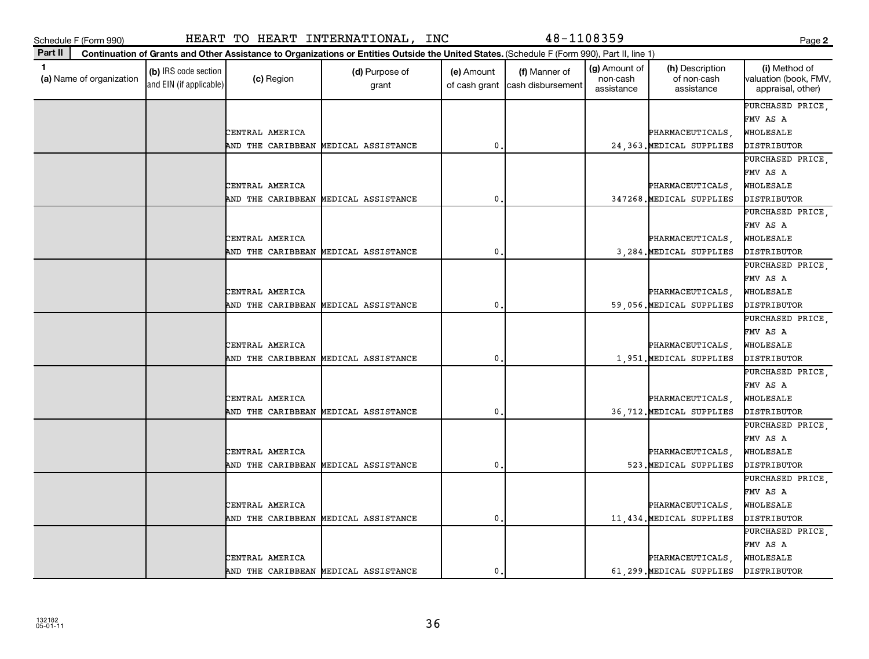| ×<br>۰.<br>. .<br>v | ۰,<br>× |
|---------------------|---------|

| $\mathbf 1$<br>(a) Name of organization | (b) IRS code section<br>and EIN (if applicable) | (c) Region                           | (d) Purpose of<br>grant | (e) Amount<br>of cash grant | (f) Manner of<br>cash disbursement | (g) Amount of<br>non-cash<br>assistance | (h) Description<br>of non-cash<br>assistance | (i) Method of<br>valuation (book, FMV,<br>appraisal, other) |
|-----------------------------------------|-------------------------------------------------|--------------------------------------|-------------------------|-----------------------------|------------------------------------|-----------------------------------------|----------------------------------------------|-------------------------------------------------------------|
|                                         |                                                 |                                      |                         |                             |                                    |                                         |                                              | PURCHASED PRICE,                                            |
|                                         |                                                 |                                      |                         |                             |                                    |                                         |                                              | FMV AS A                                                    |
|                                         |                                                 | CENTRAL AMERICA                      |                         |                             |                                    |                                         | PHARMACEUTICALS,                             | WHOLESALE                                                   |
|                                         |                                                 | AND THE CARIBBEAN MEDICAL ASSISTANCE |                         | $\mathbf{0}$                |                                    |                                         | 24,363. MEDICAL SUPPLIES                     | DISTRIBUTOR                                                 |
|                                         |                                                 |                                      |                         |                             |                                    |                                         |                                              | PURCHASED PRICE,<br>FMV AS A                                |
|                                         |                                                 | CENTRAL AMERICA                      |                         |                             |                                    |                                         | PHARMACEUTICALS,                             | WHOLESALE                                                   |
|                                         |                                                 | AND THE CARIBBEAN MEDICAL ASSISTANCE |                         | 0                           |                                    |                                         | 347268. MEDICAL SUPPLIES                     | DISTRIBUTOR                                                 |
|                                         |                                                 |                                      |                         |                             |                                    |                                         |                                              | PURCHASED PRICE,                                            |
|                                         |                                                 |                                      |                         |                             |                                    |                                         |                                              | FMV AS A                                                    |
|                                         |                                                 | CENTRAL AMERICA                      |                         |                             |                                    |                                         | PHARMACEUTICALS,                             | WHOLESALE                                                   |
|                                         |                                                 | AND THE CARIBBEAN MEDICAL ASSISTANCE |                         | $\mathbf 0$                 |                                    |                                         | 3,284. MEDICAL SUPPLIES                      | DISTRIBUTOR                                                 |
|                                         |                                                 |                                      |                         |                             |                                    |                                         |                                              | PURCHASED PRICE,                                            |
|                                         |                                                 |                                      |                         |                             |                                    |                                         |                                              | FMV AS A                                                    |
|                                         |                                                 | CENTRAL AMERICA                      |                         |                             |                                    |                                         | PHARMACEUTICALS,                             | WHOLESALE                                                   |
|                                         |                                                 | AND THE CARIBBEAN MEDICAL ASSISTANCE |                         | $\mathbf{0}$                |                                    |                                         | 59,056. MEDICAL SUPPLIES                     | DISTRIBUTOR                                                 |
|                                         |                                                 |                                      |                         |                             |                                    |                                         |                                              | PURCHASED PRICE,                                            |
|                                         |                                                 |                                      |                         |                             |                                    |                                         |                                              | FMV AS A                                                    |
|                                         |                                                 | CENTRAL AMERICA                      |                         |                             |                                    |                                         | PHARMACEUTICALS,                             | WHOLESALE                                                   |
|                                         |                                                 | AND THE CARIBBEAN MEDICAL ASSISTANCE |                         | $\mathbf{0}$                |                                    |                                         | 1,951. MEDICAL SUPPLIES                      | DISTRIBUTOR                                                 |
|                                         |                                                 |                                      |                         |                             |                                    |                                         |                                              | PURCHASED PRICE,                                            |
|                                         |                                                 |                                      |                         |                             |                                    |                                         |                                              | FMV AS A                                                    |
|                                         |                                                 | CENTRAL AMERICA                      |                         |                             |                                    |                                         | PHARMACEUTICALS,                             | WHOLESALE                                                   |
|                                         |                                                 | AND THE CARIBBEAN MEDICAL ASSISTANCE |                         | $\mathbf{0}$                |                                    |                                         | 36,712. MEDICAL SUPPLIES                     | DISTRIBUTOR                                                 |
|                                         |                                                 |                                      |                         |                             |                                    |                                         |                                              | PURCHASED PRICE,                                            |
|                                         |                                                 |                                      |                         |                             |                                    |                                         |                                              | FMV AS A                                                    |
|                                         |                                                 | CENTRAL AMERICA                      |                         |                             |                                    |                                         | PHARMACEUTICALS,                             | WHOLESALE                                                   |
|                                         |                                                 | AND THE CARIBBEAN                    | MEDICAL ASSISTANCE      | 0                           |                                    |                                         | 523. MEDICAL SUPPLIES                        | DISTRIBUTOR                                                 |
|                                         |                                                 |                                      |                         |                             |                                    |                                         |                                              | PURCHASED PRICE,                                            |
|                                         |                                                 |                                      |                         |                             |                                    |                                         |                                              | FMV AS A                                                    |
|                                         |                                                 | CENTRAL AMERICA                      |                         |                             |                                    |                                         | PHARMACEUTICALS,                             | WHOLESALE                                                   |
|                                         |                                                 | AND THE CARIBBEAN MEDICAL ASSISTANCE |                         | $\mathbf{0}$                |                                    |                                         | 11,434. MEDICAL SUPPLIES                     | DISTRIBUTOR                                                 |
|                                         |                                                 |                                      |                         |                             |                                    |                                         |                                              | PURCHASED PRICE,                                            |
|                                         |                                                 |                                      |                         |                             |                                    |                                         |                                              | FMV AS A                                                    |
|                                         |                                                 | CENTRAL AMERICA                      |                         |                             |                                    |                                         | PHARMACEUTICALS,                             | WHOLESALE                                                   |
|                                         |                                                 | AND THE CARIBBEAN MEDICAL ASSISTANCE |                         | $\mathbf 0$ .               |                                    |                                         | 61,299. MEDICAL SUPPLIES                     | DISTRIBUTOR                                                 |

**Part II Continuation of Grants and Other Assistance to Organizations or Entities Outside the United States.**  (Schedule F (Form 990), Part II, line 1)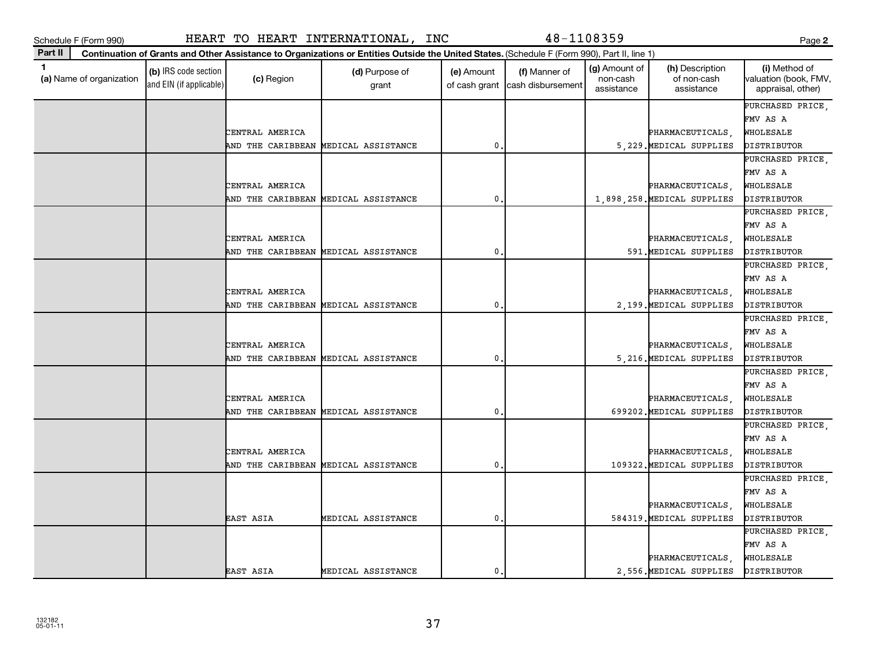| ×<br>۰.<br>. .<br>v | × |
|---------------------|---|

| Part II                                  |                                                 |                   | Continuation of Grants and Other Assistance to Organizations or Entities Outside the United States. (Schedule F (Form 990), Part II, line 1) |                             |                                    |                                         |                                              |                                                             |
|------------------------------------------|-------------------------------------------------|-------------------|----------------------------------------------------------------------------------------------------------------------------------------------|-----------------------------|------------------------------------|-----------------------------------------|----------------------------------------------|-------------------------------------------------------------|
| $\mathbf{1}$<br>(a) Name of organization | (b) IRS code section<br>and EIN (if applicable) | (c) Region        | (d) Purpose of<br>grant                                                                                                                      | (e) Amount<br>of cash grant | (f) Manner of<br>cash disbursement | (g) Amount of<br>non-cash<br>assistance | (h) Description<br>of non-cash<br>assistance | (i) Method of<br>valuation (book, FMV,<br>appraisal, other) |
|                                          |                                                 |                   |                                                                                                                                              |                             |                                    |                                         |                                              | PURCHASED PRICE                                             |
|                                          |                                                 |                   |                                                                                                                                              |                             |                                    |                                         |                                              | FMV AS A                                                    |
|                                          |                                                 | CENTRAL AMERICA   |                                                                                                                                              |                             |                                    |                                         | PHARMACEUTICALS                              | WHOLESALE                                                   |
|                                          |                                                 | AND THE CARIBBEAN | MEDICAL ASSISTANCE                                                                                                                           | 0.                          |                                    |                                         | 5, 229. MEDICAL SUPPLIES                     | DISTRIBUTOR                                                 |
|                                          |                                                 |                   |                                                                                                                                              |                             |                                    |                                         |                                              | PURCHASED PRICE,                                            |
|                                          |                                                 |                   |                                                                                                                                              |                             |                                    |                                         |                                              | FMV AS A                                                    |
|                                          |                                                 | CENTRAL AMERICA   |                                                                                                                                              |                             |                                    |                                         | PHARMACEUTICALS                              | WHOLESALE                                                   |
|                                          |                                                 | AND THE CARIBBEAN | MEDICAL ASSISTANCE                                                                                                                           | 0                           |                                    |                                         | 1,898,258. MEDICAL SUPPLIES                  | DISTRIBUTOR                                                 |
|                                          |                                                 |                   |                                                                                                                                              |                             |                                    |                                         |                                              | PURCHASED PRICE,                                            |
|                                          |                                                 |                   |                                                                                                                                              |                             |                                    |                                         |                                              | FMV AS A                                                    |
|                                          |                                                 | CENTRAL AMERICA   |                                                                                                                                              |                             |                                    |                                         | PHARMACEUTICALS,                             | WHOLESALE                                                   |
|                                          |                                                 | AND THE CARIBBEAN | MEDICAL ASSISTANCE                                                                                                                           | 0                           |                                    |                                         | 591. MEDICAL SUPPLIES                        | DISTRIBUTOR                                                 |
|                                          |                                                 |                   |                                                                                                                                              |                             |                                    |                                         |                                              | PURCHASED PRICE,                                            |
|                                          |                                                 |                   |                                                                                                                                              |                             |                                    |                                         |                                              | FMV AS A                                                    |
|                                          |                                                 | CENTRAL AMERICA   |                                                                                                                                              |                             |                                    |                                         | PHARMACEUTICALS                              | WHOLESALE                                                   |
|                                          |                                                 | AND THE CARIBBEAN | MEDICAL ASSISTANCE                                                                                                                           | 0                           |                                    |                                         | 2,199. MEDICAL SUPPLIES                      | DISTRIBUTOR                                                 |
|                                          |                                                 |                   |                                                                                                                                              |                             |                                    |                                         |                                              | PURCHASED PRICE,                                            |
|                                          |                                                 |                   |                                                                                                                                              |                             |                                    |                                         |                                              | FMV AS A                                                    |
|                                          |                                                 | CENTRAL AMERICA   |                                                                                                                                              |                             |                                    |                                         | PHARMACEUTICALS.                             | WHOLESALE                                                   |
|                                          |                                                 | AND THE CARIBBEAN | MEDICAL ASSISTANCE                                                                                                                           | $\mathbf 0$ .               |                                    |                                         | 5, 216. MEDICAL SUPPLIES                     | DISTRIBUTOR                                                 |
|                                          |                                                 |                   |                                                                                                                                              |                             |                                    |                                         |                                              | PURCHASED PRICE,                                            |
|                                          |                                                 |                   |                                                                                                                                              |                             |                                    |                                         |                                              | FMV AS A                                                    |
|                                          |                                                 | CENTRAL AMERICA   |                                                                                                                                              |                             |                                    |                                         | PHARMACEUTICALS.                             | WHOLESALE                                                   |
|                                          |                                                 | AND THE CARIBBEAN | MEDICAL ASSISTANCE                                                                                                                           | 0.                          |                                    |                                         | 699202. MEDICAL SUPPLIES                     | DISTRIBUTOR                                                 |
|                                          |                                                 |                   |                                                                                                                                              |                             |                                    |                                         |                                              | PURCHASED PRICE,                                            |
|                                          |                                                 |                   |                                                                                                                                              |                             |                                    |                                         |                                              | FMV AS A                                                    |
|                                          |                                                 | CENTRAL AMERICA   |                                                                                                                                              |                             |                                    |                                         | PHARMACEUTICALS                              | WHOLESALE                                                   |
|                                          |                                                 | AND THE CARIBBEAN | MEDICAL ASSISTANCE                                                                                                                           | 0.                          |                                    |                                         | 109322. MEDICAL SUPPLIES                     | DISTRIBUTOR                                                 |
|                                          |                                                 |                   |                                                                                                                                              |                             |                                    |                                         |                                              | PURCHASED PRICE,                                            |
|                                          |                                                 |                   |                                                                                                                                              |                             |                                    |                                         |                                              | FMV AS A                                                    |
|                                          |                                                 |                   |                                                                                                                                              |                             |                                    |                                         | PHARMACEUTICALS.                             | WHOLESALE                                                   |
|                                          |                                                 | EAST ASIA         | MEDICAL ASSISTANCE                                                                                                                           | $\mathbf{0}$ .              |                                    |                                         | 584319 MEDICAL SUPPLIES                      | DISTRIBUTOR                                                 |
|                                          |                                                 |                   |                                                                                                                                              |                             |                                    |                                         |                                              | PURCHASED PRICE,                                            |
|                                          |                                                 |                   |                                                                                                                                              |                             |                                    |                                         |                                              | FMV AS A                                                    |
|                                          |                                                 |                   |                                                                                                                                              |                             |                                    |                                         | PHARMACEUTICALS                              | WHOLESALE                                                   |
|                                          |                                                 | <b>EAST ASIA</b>  | MEDICAL ASSISTANCE                                                                                                                           | $\mathbf{0}$ .              |                                    |                                         | 2.556. MEDICAL SUPPLIES                      | DISTRIBUTOR                                                 |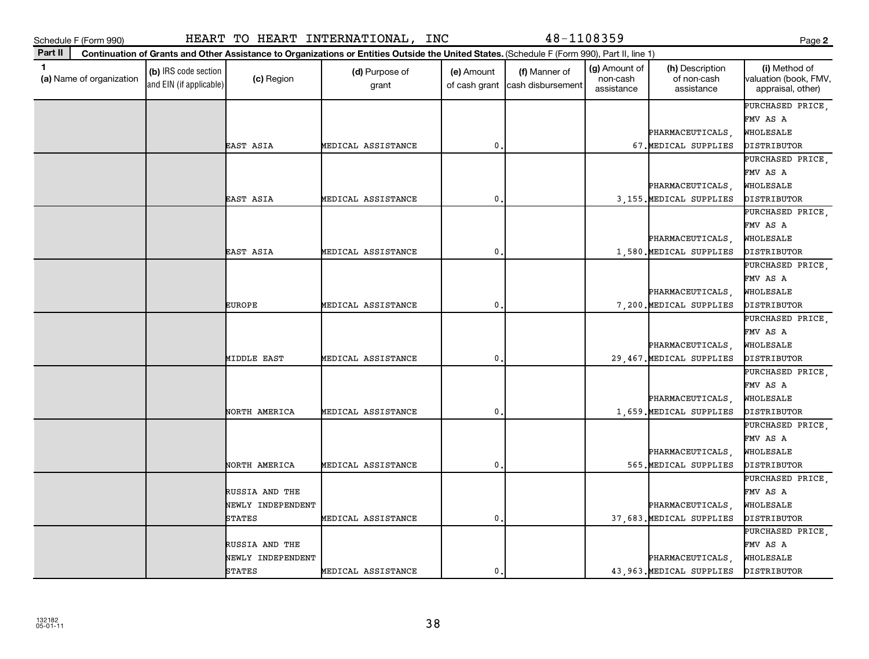| Schedule F (Form 990)                    |                                                 |                   | HEART TO HEART INTERNATIONAL, INC                                                                                                            |                             | 48-1108359                         |                                         |                                              | Page 2                                                      |
|------------------------------------------|-------------------------------------------------|-------------------|----------------------------------------------------------------------------------------------------------------------------------------------|-----------------------------|------------------------------------|-----------------------------------------|----------------------------------------------|-------------------------------------------------------------|
| Part II                                  |                                                 |                   | Continuation of Grants and Other Assistance to Organizations or Entities Outside the United States. (Schedule F (Form 990), Part II, line 1) |                             |                                    |                                         |                                              |                                                             |
| $\mathbf{1}$<br>(a) Name of organization | (b) IRS code section<br>and EIN (if applicable) | (c) Region        | (d) Purpose of<br>grant                                                                                                                      | (e) Amount<br>of cash grant | (f) Manner of<br>cash disbursement | (g) Amount of<br>non-cash<br>assistance | (h) Description<br>of non-cash<br>assistance | (i) Method of<br>valuation (book, FMV,<br>appraisal, other) |
|                                          |                                                 |                   |                                                                                                                                              |                             |                                    |                                         |                                              | PURCHASED PRICE                                             |
|                                          |                                                 |                   |                                                                                                                                              |                             |                                    |                                         |                                              | FMV AS A                                                    |
|                                          |                                                 |                   |                                                                                                                                              |                             |                                    |                                         | PHARMACEUTICALS,                             | WHOLESALE                                                   |
|                                          |                                                 | EAST ASIA         | MEDICAL ASSISTANCE                                                                                                                           | $\mathbf 0$                 |                                    |                                         | 67. MEDICAL SUPPLIES                         | DISTRIBUTOR                                                 |
|                                          |                                                 |                   |                                                                                                                                              |                             |                                    |                                         |                                              | PURCHASED PRICE.                                            |
|                                          |                                                 |                   |                                                                                                                                              |                             |                                    |                                         |                                              | FMV AS A                                                    |
|                                          |                                                 |                   |                                                                                                                                              |                             |                                    |                                         | PHARMACEUTICALS,                             | WHOLESALE                                                   |
|                                          |                                                 | EAST ASIA         | MEDICAL ASSISTANCE                                                                                                                           | 0                           |                                    |                                         | 3,155. MEDICAL SUPPLIES                      | DISTRIBUTOR                                                 |
|                                          |                                                 |                   |                                                                                                                                              |                             |                                    |                                         |                                              | PURCHASED PRICE,                                            |
|                                          |                                                 |                   |                                                                                                                                              |                             |                                    |                                         |                                              | FMV AS A                                                    |
|                                          |                                                 |                   |                                                                                                                                              |                             |                                    |                                         | PHARMACEUTICALS                              | WHOLESALE                                                   |
|                                          |                                                 | EAST ASIA         | MEDICAL ASSISTANCE                                                                                                                           | 0                           |                                    |                                         | 1,580. MEDICAL SUPPLIES                      | DISTRIBUTOR                                                 |
|                                          |                                                 |                   |                                                                                                                                              |                             |                                    |                                         |                                              | PURCHASED PRICE                                             |
|                                          |                                                 |                   |                                                                                                                                              |                             |                                    |                                         |                                              | FMV AS A                                                    |
|                                          |                                                 |                   |                                                                                                                                              |                             |                                    |                                         | PHARMACEUTICALS                              | WHOLESALE                                                   |
|                                          |                                                 | EUROPE            | MEDICAL ASSISTANCE                                                                                                                           | $\mathbf 0$                 |                                    |                                         | 7.200. MEDICAL SUPPLIES                      | DISTRIBUTOR                                                 |
|                                          |                                                 |                   |                                                                                                                                              |                             |                                    |                                         |                                              | PURCHASED PRICE,                                            |
|                                          |                                                 |                   |                                                                                                                                              |                             |                                    |                                         |                                              | FMV AS A                                                    |
|                                          |                                                 |                   |                                                                                                                                              |                             |                                    |                                         | PHARMACEUTICALS,                             | WHOLESALE                                                   |
|                                          |                                                 | MIDDLE EAST       | MEDICAL ASSISTANCE                                                                                                                           | 0                           |                                    |                                         | 29,467. MEDICAL SUPPLIES                     | DISTRIBUTOR                                                 |
|                                          |                                                 |                   |                                                                                                                                              |                             |                                    |                                         |                                              | PURCHASED PRICE,                                            |
|                                          |                                                 |                   |                                                                                                                                              |                             |                                    |                                         |                                              | FMV AS A                                                    |
|                                          |                                                 |                   |                                                                                                                                              |                             |                                    |                                         | PHARMACEUTICALS                              | WHOLESALE                                                   |
|                                          |                                                 | NORTH AMERICA     | MEDICAL ASSISTANCE                                                                                                                           | 0                           |                                    |                                         | 1,659. MEDICAL SUPPLIES                      | DISTRIBUTOR                                                 |
|                                          |                                                 |                   |                                                                                                                                              |                             |                                    |                                         |                                              | PURCHASED PRICE                                             |
|                                          |                                                 |                   |                                                                                                                                              |                             |                                    |                                         |                                              | FMV AS A                                                    |
|                                          |                                                 |                   |                                                                                                                                              |                             |                                    |                                         | PHARMACEUTICALS.                             | WHOLESALE                                                   |
|                                          |                                                 | NORTH AMERICA     | MEDICAL ASSISTANCE                                                                                                                           | $\mathbf{0}$                |                                    |                                         | 565. MEDICAL SUPPLIES                        | DISTRIBUTOR                                                 |
|                                          |                                                 |                   |                                                                                                                                              |                             |                                    |                                         |                                              | PURCHASED PRICE,                                            |
|                                          |                                                 | RUSSIA AND THE    |                                                                                                                                              |                             |                                    |                                         |                                              | FMV AS A                                                    |
|                                          |                                                 | NEWLY INDEPENDENT |                                                                                                                                              |                             |                                    |                                         | PHARMACEUTICALS,                             | WHOLESALE                                                   |
|                                          |                                                 | <b>STATES</b>     | MEDICAL ASSISTANCE                                                                                                                           | $\mathbf 0$                 |                                    |                                         | 37,683. MEDICAL SUPPLIES                     | DISTRIBUTOR                                                 |
|                                          |                                                 |                   |                                                                                                                                              |                             |                                    |                                         |                                              | PURCHASED PRICE.                                            |
|                                          |                                                 | RUSSIA AND THE    |                                                                                                                                              |                             |                                    |                                         |                                              | FMV AS A                                                    |
|                                          |                                                 | NEWLY INDEPENDENT |                                                                                                                                              |                             |                                    |                                         | PHARMACEUTICALS                              | WHOLESALE                                                   |
|                                          |                                                 | <b>STATES</b>     | MEDICAL ASSISTANCE                                                                                                                           | 0.                          |                                    |                                         | 43,963. MEDICAL SUPPLIES                     | DISTRIBUTOR                                                 |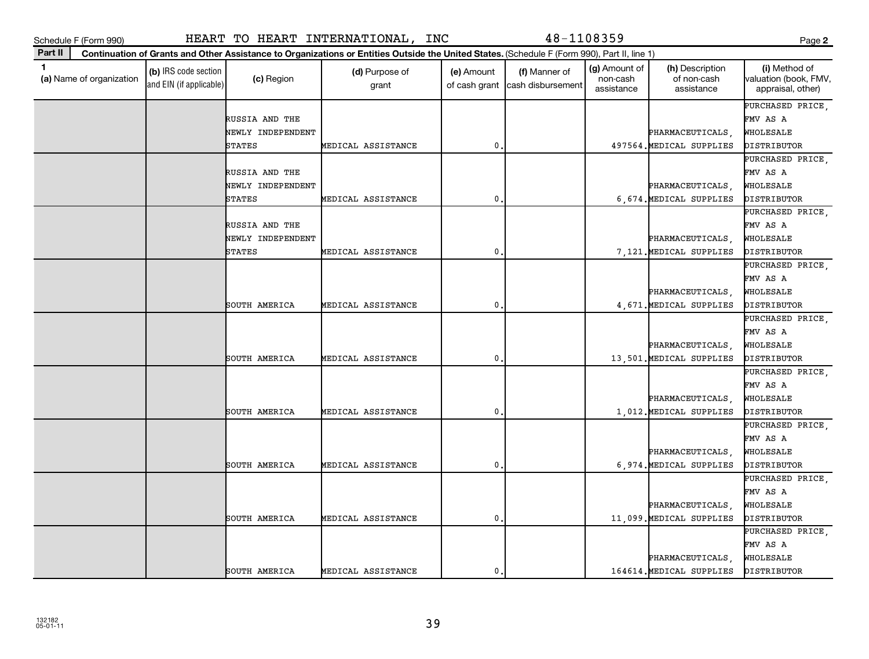|         | Schedule F (Form 990) | HEART | TO HEART | INTERNATIONAL | INC | $48 - 7$                                                                                                                                     | Page |
|---------|-----------------------|-------|----------|---------------|-----|----------------------------------------------------------------------------------------------------------------------------------------------|------|
| Part II |                       |       |          |               |     | Continuation of Grants and Other Assistance to Organizations or Entities Outside the United States. (Schedule F (Form 990), Part II, line 1) |      |

| 1<br>(g) Amount of<br>(i) Method of<br>(h) Description<br>(b) IRS code section<br>(f) Manner of<br>(d) Purpose of<br>(e) Amount<br>(a) Name of organization<br>(c) Region<br>of non-cash<br>valuation (book, FMV,<br>non-cash<br>and EIN (if applicable)<br>cash disbursement<br>of cash grant<br>grant<br>assistance<br>assistance<br>appraisal, other)<br>PURCHASED PRICE<br>RUSSIA AND THE<br>FMV AS A<br>NEWLY INDEPENDENT<br>WHOLESALE<br>PHARMACEUTICALS,<br>$\mathbf{0}$<br>MEDICAL ASSISTANCE<br>497564. MEDICAL SUPPLIES<br><b>STATES</b><br>DISTRIBUTOR<br>PURCHASED PRICE<br>RUSSIA AND THE<br>FMV AS A<br>NEWLY INDEPENDENT<br>PHARMACEUTICALS,<br>WHOLESALE<br>6,674. MEDICAL SUPPLIES<br><b>STATES</b><br>MEDICAL ASSISTANCE<br>0<br>DISTRIBUTOR<br>PURCHASED PRICE,<br>RUSSIA AND THE<br>FMV AS A<br>PHARMACEUTICALS,<br>NEWLY INDEPENDENT<br>WHOLESALE<br><b>STATES</b><br>0<br>7.121. MEDICAL SUPPLIES<br>MEDICAL ASSISTANCE<br>DISTRIBUTOR<br>PURCHASED PRICE,<br>FMV AS A<br>PHARMACEUTICALS,<br>WHOLESALE<br>$\pmb{0}$<br>4,671. MEDICAL SUPPLIES<br>SOUTH AMERICA<br>MEDICAL ASSISTANCE<br>DISTRIBUTOR<br>PURCHASED PRICE,<br>FMV AS A<br>PHARMACEUTICALS,<br>WHOLESALE<br>SOUTH AMERICA<br>MEDICAL ASSISTANCE<br>0<br>13,501. MEDICAL SUPPLIES<br>DISTRIBUTOR<br>PURCHASED PRICE,<br>FMV AS A<br>PHARMACEUTICALS.<br>WHOLESALE<br>$\mathbf{0}$<br>SOUTH AMERICA<br>MEDICAL ASSISTANCE<br>1,012. MEDICAL SUPPLIES<br>DISTRIBUTOR<br>PURCHASED PRICE.<br>FMV AS A<br>PHARMACEUTICALS,<br>WHOLESALE<br>SOUTH AMERICA<br>0<br>6,974. MEDICAL SUPPLIES<br>MEDICAL ASSISTANCE<br>DISTRIBUTOR<br>PURCHASED PRICE,<br>FMV AS A<br>PHARMACEUTICALS,<br>WHOLESALE<br>0<br>SOUTH AMERICA<br>MEDICAL ASSISTANCE<br>11,099. MEDICAL SUPPLIES<br>DISTRIBUTOR<br>PURCHASED PRICE,<br>FMV AS A<br>PHARMACEUTICALS<br>WHOLESALE<br>$\mathbf{0}$<br>164614. MEDICAL SUPPLIES<br>DISTRIBUTOR<br>SOUTH AMERICA<br>MEDICAL ASSISTANCE | Part II |  | Continuation of Grants and Other Assistance to Organizations or Entities Outside the United States. (Schedule F (Form 990), Part II, line 1) |  |  |  |
|----------------------------------------------------------------------------------------------------------------------------------------------------------------------------------------------------------------------------------------------------------------------------------------------------------------------------------------------------------------------------------------------------------------------------------------------------------------------------------------------------------------------------------------------------------------------------------------------------------------------------------------------------------------------------------------------------------------------------------------------------------------------------------------------------------------------------------------------------------------------------------------------------------------------------------------------------------------------------------------------------------------------------------------------------------------------------------------------------------------------------------------------------------------------------------------------------------------------------------------------------------------------------------------------------------------------------------------------------------------------------------------------------------------------------------------------------------------------------------------------------------------------------------------------------------------------------------------------------------------------------------------------------------------------------------------------------------------------------------------------------------------------------------------------------------------------------------------------------------------------------------------------------------------------------------------|---------|--|----------------------------------------------------------------------------------------------------------------------------------------------|--|--|--|
|                                                                                                                                                                                                                                                                                                                                                                                                                                                                                                                                                                                                                                                                                                                                                                                                                                                                                                                                                                                                                                                                                                                                                                                                                                                                                                                                                                                                                                                                                                                                                                                                                                                                                                                                                                                                                                                                                                                                        |         |  |                                                                                                                                              |  |  |  |
|                                                                                                                                                                                                                                                                                                                                                                                                                                                                                                                                                                                                                                                                                                                                                                                                                                                                                                                                                                                                                                                                                                                                                                                                                                                                                                                                                                                                                                                                                                                                                                                                                                                                                                                                                                                                                                                                                                                                        |         |  |                                                                                                                                              |  |  |  |
|                                                                                                                                                                                                                                                                                                                                                                                                                                                                                                                                                                                                                                                                                                                                                                                                                                                                                                                                                                                                                                                                                                                                                                                                                                                                                                                                                                                                                                                                                                                                                                                                                                                                                                                                                                                                                                                                                                                                        |         |  |                                                                                                                                              |  |  |  |
|                                                                                                                                                                                                                                                                                                                                                                                                                                                                                                                                                                                                                                                                                                                                                                                                                                                                                                                                                                                                                                                                                                                                                                                                                                                                                                                                                                                                                                                                                                                                                                                                                                                                                                                                                                                                                                                                                                                                        |         |  |                                                                                                                                              |  |  |  |
|                                                                                                                                                                                                                                                                                                                                                                                                                                                                                                                                                                                                                                                                                                                                                                                                                                                                                                                                                                                                                                                                                                                                                                                                                                                                                                                                                                                                                                                                                                                                                                                                                                                                                                                                                                                                                                                                                                                                        |         |  |                                                                                                                                              |  |  |  |
|                                                                                                                                                                                                                                                                                                                                                                                                                                                                                                                                                                                                                                                                                                                                                                                                                                                                                                                                                                                                                                                                                                                                                                                                                                                                                                                                                                                                                                                                                                                                                                                                                                                                                                                                                                                                                                                                                                                                        |         |  |                                                                                                                                              |  |  |  |
|                                                                                                                                                                                                                                                                                                                                                                                                                                                                                                                                                                                                                                                                                                                                                                                                                                                                                                                                                                                                                                                                                                                                                                                                                                                                                                                                                                                                                                                                                                                                                                                                                                                                                                                                                                                                                                                                                                                                        |         |  |                                                                                                                                              |  |  |  |
|                                                                                                                                                                                                                                                                                                                                                                                                                                                                                                                                                                                                                                                                                                                                                                                                                                                                                                                                                                                                                                                                                                                                                                                                                                                                                                                                                                                                                                                                                                                                                                                                                                                                                                                                                                                                                                                                                                                                        |         |  |                                                                                                                                              |  |  |  |
|                                                                                                                                                                                                                                                                                                                                                                                                                                                                                                                                                                                                                                                                                                                                                                                                                                                                                                                                                                                                                                                                                                                                                                                                                                                                                                                                                                                                                                                                                                                                                                                                                                                                                                                                                                                                                                                                                                                                        |         |  |                                                                                                                                              |  |  |  |
|                                                                                                                                                                                                                                                                                                                                                                                                                                                                                                                                                                                                                                                                                                                                                                                                                                                                                                                                                                                                                                                                                                                                                                                                                                                                                                                                                                                                                                                                                                                                                                                                                                                                                                                                                                                                                                                                                                                                        |         |  |                                                                                                                                              |  |  |  |
|                                                                                                                                                                                                                                                                                                                                                                                                                                                                                                                                                                                                                                                                                                                                                                                                                                                                                                                                                                                                                                                                                                                                                                                                                                                                                                                                                                                                                                                                                                                                                                                                                                                                                                                                                                                                                                                                                                                                        |         |  |                                                                                                                                              |  |  |  |
|                                                                                                                                                                                                                                                                                                                                                                                                                                                                                                                                                                                                                                                                                                                                                                                                                                                                                                                                                                                                                                                                                                                                                                                                                                                                                                                                                                                                                                                                                                                                                                                                                                                                                                                                                                                                                                                                                                                                        |         |  |                                                                                                                                              |  |  |  |
|                                                                                                                                                                                                                                                                                                                                                                                                                                                                                                                                                                                                                                                                                                                                                                                                                                                                                                                                                                                                                                                                                                                                                                                                                                                                                                                                                                                                                                                                                                                                                                                                                                                                                                                                                                                                                                                                                                                                        |         |  |                                                                                                                                              |  |  |  |
|                                                                                                                                                                                                                                                                                                                                                                                                                                                                                                                                                                                                                                                                                                                                                                                                                                                                                                                                                                                                                                                                                                                                                                                                                                                                                                                                                                                                                                                                                                                                                                                                                                                                                                                                                                                                                                                                                                                                        |         |  |                                                                                                                                              |  |  |  |
|                                                                                                                                                                                                                                                                                                                                                                                                                                                                                                                                                                                                                                                                                                                                                                                                                                                                                                                                                                                                                                                                                                                                                                                                                                                                                                                                                                                                                                                                                                                                                                                                                                                                                                                                                                                                                                                                                                                                        |         |  |                                                                                                                                              |  |  |  |
|                                                                                                                                                                                                                                                                                                                                                                                                                                                                                                                                                                                                                                                                                                                                                                                                                                                                                                                                                                                                                                                                                                                                                                                                                                                                                                                                                                                                                                                                                                                                                                                                                                                                                                                                                                                                                                                                                                                                        |         |  |                                                                                                                                              |  |  |  |
|                                                                                                                                                                                                                                                                                                                                                                                                                                                                                                                                                                                                                                                                                                                                                                                                                                                                                                                                                                                                                                                                                                                                                                                                                                                                                                                                                                                                                                                                                                                                                                                                                                                                                                                                                                                                                                                                                                                                        |         |  |                                                                                                                                              |  |  |  |
|                                                                                                                                                                                                                                                                                                                                                                                                                                                                                                                                                                                                                                                                                                                                                                                                                                                                                                                                                                                                                                                                                                                                                                                                                                                                                                                                                                                                                                                                                                                                                                                                                                                                                                                                                                                                                                                                                                                                        |         |  |                                                                                                                                              |  |  |  |
|                                                                                                                                                                                                                                                                                                                                                                                                                                                                                                                                                                                                                                                                                                                                                                                                                                                                                                                                                                                                                                                                                                                                                                                                                                                                                                                                                                                                                                                                                                                                                                                                                                                                                                                                                                                                                                                                                                                                        |         |  |                                                                                                                                              |  |  |  |
|                                                                                                                                                                                                                                                                                                                                                                                                                                                                                                                                                                                                                                                                                                                                                                                                                                                                                                                                                                                                                                                                                                                                                                                                                                                                                                                                                                                                                                                                                                                                                                                                                                                                                                                                                                                                                                                                                                                                        |         |  |                                                                                                                                              |  |  |  |
|                                                                                                                                                                                                                                                                                                                                                                                                                                                                                                                                                                                                                                                                                                                                                                                                                                                                                                                                                                                                                                                                                                                                                                                                                                                                                                                                                                                                                                                                                                                                                                                                                                                                                                                                                                                                                                                                                                                                        |         |  |                                                                                                                                              |  |  |  |
|                                                                                                                                                                                                                                                                                                                                                                                                                                                                                                                                                                                                                                                                                                                                                                                                                                                                                                                                                                                                                                                                                                                                                                                                                                                                                                                                                                                                                                                                                                                                                                                                                                                                                                                                                                                                                                                                                                                                        |         |  |                                                                                                                                              |  |  |  |
|                                                                                                                                                                                                                                                                                                                                                                                                                                                                                                                                                                                                                                                                                                                                                                                                                                                                                                                                                                                                                                                                                                                                                                                                                                                                                                                                                                                                                                                                                                                                                                                                                                                                                                                                                                                                                                                                                                                                        |         |  |                                                                                                                                              |  |  |  |
|                                                                                                                                                                                                                                                                                                                                                                                                                                                                                                                                                                                                                                                                                                                                                                                                                                                                                                                                                                                                                                                                                                                                                                                                                                                                                                                                                                                                                                                                                                                                                                                                                                                                                                                                                                                                                                                                                                                                        |         |  |                                                                                                                                              |  |  |  |
|                                                                                                                                                                                                                                                                                                                                                                                                                                                                                                                                                                                                                                                                                                                                                                                                                                                                                                                                                                                                                                                                                                                                                                                                                                                                                                                                                                                                                                                                                                                                                                                                                                                                                                                                                                                                                                                                                                                                        |         |  |                                                                                                                                              |  |  |  |
|                                                                                                                                                                                                                                                                                                                                                                                                                                                                                                                                                                                                                                                                                                                                                                                                                                                                                                                                                                                                                                                                                                                                                                                                                                                                                                                                                                                                                                                                                                                                                                                                                                                                                                                                                                                                                                                                                                                                        |         |  |                                                                                                                                              |  |  |  |
|                                                                                                                                                                                                                                                                                                                                                                                                                                                                                                                                                                                                                                                                                                                                                                                                                                                                                                                                                                                                                                                                                                                                                                                                                                                                                                                                                                                                                                                                                                                                                                                                                                                                                                                                                                                                                                                                                                                                        |         |  |                                                                                                                                              |  |  |  |
|                                                                                                                                                                                                                                                                                                                                                                                                                                                                                                                                                                                                                                                                                                                                                                                                                                                                                                                                                                                                                                                                                                                                                                                                                                                                                                                                                                                                                                                                                                                                                                                                                                                                                                                                                                                                                                                                                                                                        |         |  |                                                                                                                                              |  |  |  |
|                                                                                                                                                                                                                                                                                                                                                                                                                                                                                                                                                                                                                                                                                                                                                                                                                                                                                                                                                                                                                                                                                                                                                                                                                                                                                                                                                                                                                                                                                                                                                                                                                                                                                                                                                                                                                                                                                                                                        |         |  |                                                                                                                                              |  |  |  |
|                                                                                                                                                                                                                                                                                                                                                                                                                                                                                                                                                                                                                                                                                                                                                                                                                                                                                                                                                                                                                                                                                                                                                                                                                                                                                                                                                                                                                                                                                                                                                                                                                                                                                                                                                                                                                                                                                                                                        |         |  |                                                                                                                                              |  |  |  |
|                                                                                                                                                                                                                                                                                                                                                                                                                                                                                                                                                                                                                                                                                                                                                                                                                                                                                                                                                                                                                                                                                                                                                                                                                                                                                                                                                                                                                                                                                                                                                                                                                                                                                                                                                                                                                                                                                                                                        |         |  |                                                                                                                                              |  |  |  |
|                                                                                                                                                                                                                                                                                                                                                                                                                                                                                                                                                                                                                                                                                                                                                                                                                                                                                                                                                                                                                                                                                                                                                                                                                                                                                                                                                                                                                                                                                                                                                                                                                                                                                                                                                                                                                                                                                                                                        |         |  |                                                                                                                                              |  |  |  |
|                                                                                                                                                                                                                                                                                                                                                                                                                                                                                                                                                                                                                                                                                                                                                                                                                                                                                                                                                                                                                                                                                                                                                                                                                                                                                                                                                                                                                                                                                                                                                                                                                                                                                                                                                                                                                                                                                                                                        |         |  |                                                                                                                                              |  |  |  |
|                                                                                                                                                                                                                                                                                                                                                                                                                                                                                                                                                                                                                                                                                                                                                                                                                                                                                                                                                                                                                                                                                                                                                                                                                                                                                                                                                                                                                                                                                                                                                                                                                                                                                                                                                                                                                                                                                                                                        |         |  |                                                                                                                                              |  |  |  |
|                                                                                                                                                                                                                                                                                                                                                                                                                                                                                                                                                                                                                                                                                                                                                                                                                                                                                                                                                                                                                                                                                                                                                                                                                                                                                                                                                                                                                                                                                                                                                                                                                                                                                                                                                                                                                                                                                                                                        |         |  |                                                                                                                                              |  |  |  |
|                                                                                                                                                                                                                                                                                                                                                                                                                                                                                                                                                                                                                                                                                                                                                                                                                                                                                                                                                                                                                                                                                                                                                                                                                                                                                                                                                                                                                                                                                                                                                                                                                                                                                                                                                                                                                                                                                                                                        |         |  |                                                                                                                                              |  |  |  |
|                                                                                                                                                                                                                                                                                                                                                                                                                                                                                                                                                                                                                                                                                                                                                                                                                                                                                                                                                                                                                                                                                                                                                                                                                                                                                                                                                                                                                                                                                                                                                                                                                                                                                                                                                                                                                                                                                                                                        |         |  |                                                                                                                                              |  |  |  |

39

48-1108359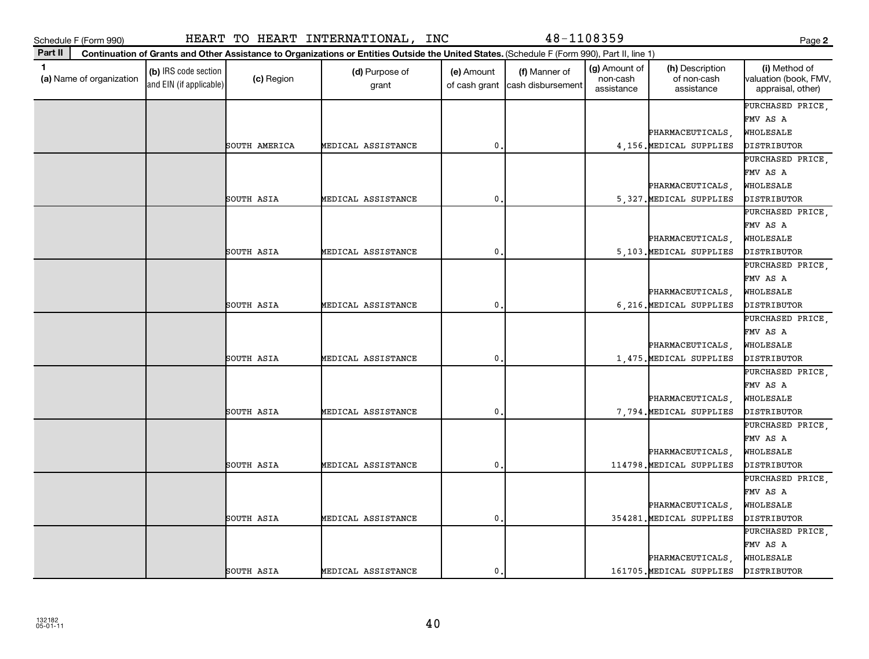|              | Schedule F (Form 990)    |                                                 |               | HEART TO HEART INTERNATIONAL, INC                                                                                                            |              | 48-1108359                                       |                                         |                                              | Page 2                                                      |
|--------------|--------------------------|-------------------------------------------------|---------------|----------------------------------------------------------------------------------------------------------------------------------------------|--------------|--------------------------------------------------|-----------------------------------------|----------------------------------------------|-------------------------------------------------------------|
| Part II      |                          |                                                 |               | Continuation of Grants and Other Assistance to Organizations or Entities Outside the United States. (Schedule F (Form 990), Part II, line 1) |              |                                                  |                                         |                                              |                                                             |
| $\mathbf{1}$ | (a) Name of organization | (b) IRS code section<br>and EIN (if applicable) | (c) Region    | (d) Purpose of<br>grant                                                                                                                      | (e) Amount   | (f) Manner of<br>of cash grant cash disbursement | (g) Amount of<br>non-cash<br>assistance | (h) Description<br>of non-cash<br>assistance | (i) Method of<br>valuation (book, FMV,<br>appraisal, other) |
|              |                          |                                                 | SOUTH AMERICA | MEDICAL ASSISTANCE                                                                                                                           | $\mathbf 0$  |                                                  |                                         | PHARMACEUTICALS,<br>4,156. MEDICAL SUPPLIES  | PURCHASED PRICE<br>FMV AS A<br>WHOLESALE<br>DISTRIBUTOR     |
|              |                          |                                                 | SOUTH ASIA    | MEDICAL ASSISTANCE                                                                                                                           | $\mathbf 0$  |                                                  |                                         | PHARMACEUTICALS,<br>5,327. MEDICAL SUPPLIES  | PURCHASED PRICE.<br>FMV AS A<br>WHOLESALE<br>DISTRIBUTOR    |
|              |                          |                                                 | SOUTH ASIA    | MEDICAL ASSISTANCE                                                                                                                           | $\mathbf 0$  |                                                  |                                         | PHARMACEUTICALS<br>5,103. MEDICAL SUPPLIES   | PURCHASED PRICE,<br>FMV AS A<br>WHOLESALE<br>DISTRIBUTOR    |
|              |                          |                                                 | SOUTH ASIA    | MEDICAL ASSISTANCE                                                                                                                           | $\mathbf{0}$ |                                                  |                                         | PHARMACEUTICALS,<br>6, 216. MEDICAL SUPPLIES | PURCHASED PRICE<br>FMV AS A<br>WHOLESALE<br>DISTRIBUTOR     |
|              |                          |                                                 | SOUTH ASIA    | MEDICAL ASSISTANCE                                                                                                                           | $\mathbf 0$  |                                                  |                                         | PHARMACEUTICALS,<br>1,475. MEDICAL SUPPLIES  | PURCHASED PRICE,<br>FMV AS A<br>WHOLESALE<br>DISTRIBUTOR    |
|              |                          |                                                 | SOUTH ASIA    | MEDICAL ASSISTANCE                                                                                                                           | $\mathbf{0}$ |                                                  |                                         | PHARMACEUTICALS<br>7,794. MEDICAL SUPPLIES   | PURCHASED PRICE.<br>FMV AS A<br>WHOLESALE<br>DISTRIBUTOR    |
|              |                          |                                                 | SOUTH ASIA    | MEDICAL ASSISTANCE                                                                                                                           | $\mathbf{0}$ |                                                  |                                         | PHARMACEUTICALS,<br>114798. MEDICAL SUPPLIES | PURCHASED PRICE<br>FMV AS A<br>WHOLESALE<br>DISTRIBUTOR     |
|              |                          |                                                 | SOUTH ASIA    | MEDICAL ASSISTANCE                                                                                                                           | $\mathbf 0$  |                                                  |                                         | PHARMACEUTICALS,<br>354281. MEDICAL SUPPLIES | PURCHASED PRICE,<br>FMV AS A<br>WHOLESALE<br>DISTRIBUTOR    |
|              |                          |                                                 | SOUTH ASIA    | MEDICAL ASSISTANCE                                                                                                                           | 0.           |                                                  |                                         | PHARMACEUTICALS<br>161705. MEDICAL SUPPLIES  | PURCHASED PRICE.<br>FMV AS A<br>WHOLESALE<br>DISTRIBUTOR    |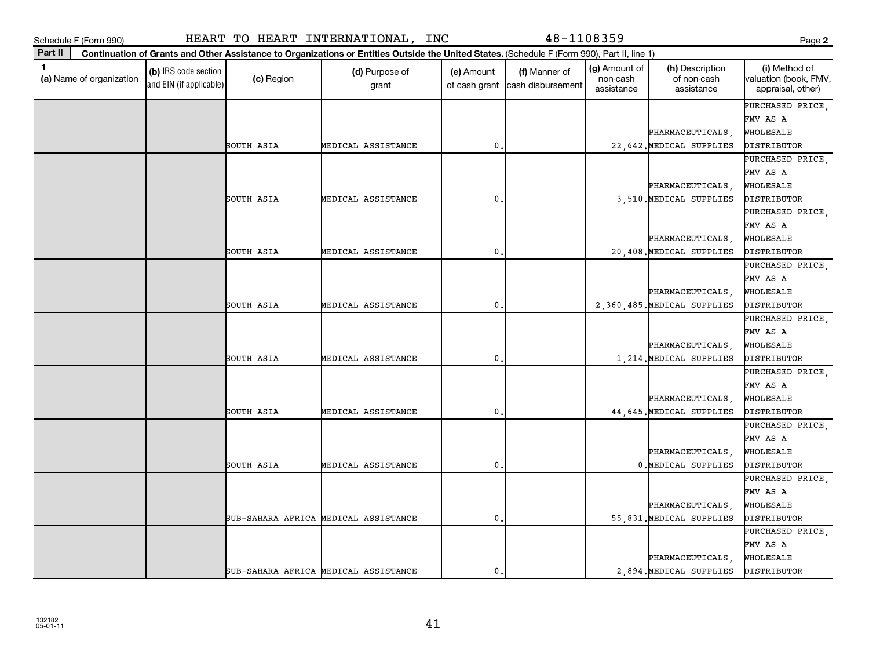| Schedule F (Form 990)                      |                                                 |            | HEART TO HEART INTERNATIONAL, INC                                                                                                            |                             | 48-1108359                         |                                         |                                              | Page 2                                                      |
|--------------------------------------------|-------------------------------------------------|------------|----------------------------------------------------------------------------------------------------------------------------------------------|-----------------------------|------------------------------------|-----------------------------------------|----------------------------------------------|-------------------------------------------------------------|
| Part II                                    |                                                 |            | Continuation of Grants and Other Assistance to Organizations or Entities Outside the United States. (Schedule F (Form 990), Part II, line 1) |                             |                                    |                                         |                                              |                                                             |
| $\blacksquare$<br>(a) Name of organization | (b) IRS code section<br>and EIN (if applicable) | (c) Region | (d) Purpose of<br>grant                                                                                                                      | (e) Amount<br>of cash grant | (f) Manner of<br>cash disbursement | (g) Amount of<br>non-cash<br>assistance | (h) Description<br>of non-cash<br>assistance | (i) Method of<br>valuation (book, FMV,<br>appraisal, other) |
|                                            |                                                 |            |                                                                                                                                              |                             |                                    |                                         |                                              | PURCHASED PRICE                                             |
|                                            |                                                 |            |                                                                                                                                              |                             |                                    |                                         |                                              | FMV AS A                                                    |
|                                            |                                                 |            |                                                                                                                                              |                             |                                    |                                         | PHARMACEUTICALS,                             | WHOLESALE                                                   |
|                                            |                                                 | SOUTH ASIA | MEDICAL ASSISTANCE                                                                                                                           | $\mathbf{0}$ .              |                                    |                                         | 22, 642. MEDICAL SUPPLIES                    | DISTRIBUTOR                                                 |
|                                            |                                                 |            |                                                                                                                                              |                             |                                    |                                         |                                              | PURCHASED PRICE,                                            |
|                                            |                                                 |            |                                                                                                                                              |                             |                                    |                                         |                                              | FMV AS A                                                    |
|                                            |                                                 |            |                                                                                                                                              |                             |                                    |                                         | PHARMACEUTICALS,                             | WHOLESALE                                                   |
|                                            |                                                 | SOUTH ASIA | MEDICAL ASSISTANCE                                                                                                                           | $\mathbf{0}$                |                                    |                                         | 3,510. MEDICAL SUPPLIES                      | DISTRIBUTOR                                                 |
|                                            |                                                 |            |                                                                                                                                              |                             |                                    |                                         |                                              | PURCHASED PRICE,                                            |
|                                            |                                                 |            |                                                                                                                                              |                             |                                    |                                         |                                              | FMV AS A                                                    |
|                                            |                                                 |            |                                                                                                                                              |                             |                                    |                                         | PHARMACEUTICALS,                             | WHOLESALE                                                   |
|                                            |                                                 | SOUTH ASIA | MEDICAL ASSISTANCE                                                                                                                           | $\mathbf{0}$                |                                    |                                         | 20,408. MEDICAL SUPPLIES                     | DISTRIBUTOR                                                 |
|                                            |                                                 |            |                                                                                                                                              |                             |                                    |                                         |                                              | PURCHASED PRICE.                                            |
|                                            |                                                 |            |                                                                                                                                              |                             |                                    |                                         |                                              | FMV AS A                                                    |
|                                            |                                                 |            |                                                                                                                                              |                             |                                    |                                         | PHARMACEUTICALS,                             | WHOLESALE                                                   |
|                                            |                                                 | SOUTH ASIA | MEDICAL ASSISTANCE                                                                                                                           | 0.                          |                                    |                                         | 2,360,485. MEDICAL SUPPLIES                  | DISTRIBUTOR                                                 |
|                                            |                                                 |            |                                                                                                                                              |                             |                                    |                                         |                                              | PURCHASED PRICE,                                            |
|                                            |                                                 |            |                                                                                                                                              |                             |                                    |                                         |                                              | FMV AS A                                                    |
|                                            |                                                 |            |                                                                                                                                              |                             |                                    |                                         | PHARMACEUTICALS,                             | WHOLESALE                                                   |
|                                            |                                                 | SOUTH ASIA | MEDICAL ASSISTANCE                                                                                                                           | $\mathbf 0$                 |                                    |                                         | 1, 214. MEDICAL SUPPLIES                     | DISTRIBUTOR                                                 |
|                                            |                                                 |            |                                                                                                                                              |                             |                                    |                                         |                                              | PURCHASED PRICE,                                            |
|                                            |                                                 |            |                                                                                                                                              |                             |                                    |                                         |                                              | FMV AS A                                                    |
|                                            |                                                 |            |                                                                                                                                              |                             |                                    |                                         | PHARMACEUTICALS,                             | WHOLESALE                                                   |
|                                            |                                                 | SOUTH ASIA | MEDICAL ASSISTANCE                                                                                                                           | $\mathbf{0}$                |                                    |                                         | 44,645. MEDICAL SUPPLIES                     | DISTRIBUTOR                                                 |
|                                            |                                                 |            |                                                                                                                                              |                             |                                    |                                         |                                              | PURCHASED PRICE                                             |
|                                            |                                                 |            |                                                                                                                                              |                             |                                    |                                         |                                              | FMV AS A                                                    |
|                                            |                                                 |            |                                                                                                                                              |                             |                                    |                                         | PHARMACEUTICALS,                             | WHOLESALE                                                   |
|                                            |                                                 | SOUTH ASIA | MEDICAL ASSISTANCE                                                                                                                           | $\mathbf{0}$                |                                    |                                         | 0. MEDICAL SUPPLIES                          | DISTRIBUTOR                                                 |
|                                            |                                                 |            |                                                                                                                                              |                             |                                    |                                         |                                              | PURCHASED PRICE,                                            |
|                                            |                                                 |            |                                                                                                                                              |                             |                                    |                                         |                                              | FMV AS A                                                    |
|                                            |                                                 |            |                                                                                                                                              |                             |                                    |                                         | PHARMACEUTICALS,                             | WHOLESALE                                                   |
|                                            |                                                 |            | SUB-SAHARA AFRICA MEDICAL ASSISTANCE                                                                                                         | $\mathbf 0$ .               |                                    |                                         | 55,831. MEDICAL SUPPLIES                     | DISTRIBUTOR                                                 |
|                                            |                                                 |            |                                                                                                                                              |                             |                                    |                                         |                                              | PURCHASED PRICE.                                            |
|                                            |                                                 |            |                                                                                                                                              |                             |                                    |                                         |                                              | FMV AS A                                                    |
|                                            |                                                 |            |                                                                                                                                              |                             |                                    |                                         | PHARMACEUTICALS,                             | WHOLESALE                                                   |
|                                            |                                                 |            | SUB-SAHARA AFRICA MEDICAL ASSISTANCE                                                                                                         | $\mathbf{0}$ .              |                                    |                                         | 2,894. MEDICAL SUPPLIES                      | DISTRIBUTOR                                                 |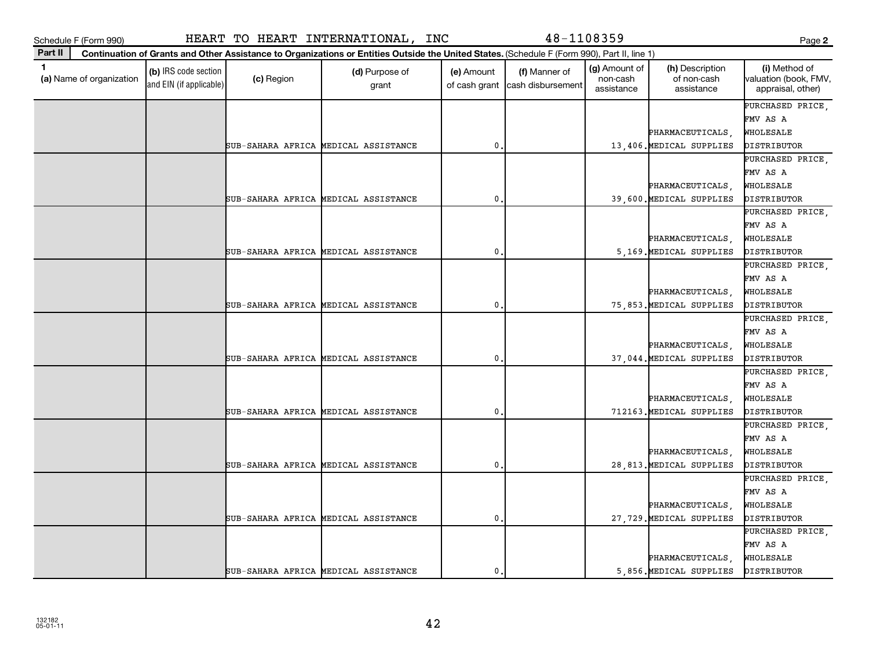|              | Schedule F (Form 990)    |                                                 |            | HEART TO HEART INTERNATIONAL, INC                                                                                                            |                             | 48-1108359                         |                                         |                                              | Page 2                                                      |
|--------------|--------------------------|-------------------------------------------------|------------|----------------------------------------------------------------------------------------------------------------------------------------------|-----------------------------|------------------------------------|-----------------------------------------|----------------------------------------------|-------------------------------------------------------------|
| Part II      |                          |                                                 |            | Continuation of Grants and Other Assistance to Organizations or Entities Outside the United States. (Schedule F (Form 990), Part II, line 1) |                             |                                    |                                         |                                              |                                                             |
| $\mathbf{1}$ | (a) Name of organization | (b) IRS code section<br>and EIN (if applicable) | (c) Region | (d) Purpose of<br>grant                                                                                                                      | (e) Amount<br>of cash grant | (f) Manner of<br>cash disbursement | (g) Amount of<br>non-cash<br>assistance | (h) Description<br>of non-cash<br>assistance | (i) Method of<br>valuation (book, FMV,<br>appraisal, other) |
|              |                          |                                                 |            |                                                                                                                                              |                             |                                    |                                         | PHARMACEUTICALS,                             | PURCHASED PRICE,<br>FMV AS A<br>WHOLESALE                   |
|              |                          |                                                 |            | SUB-SAHARA AFRICA MEDICAL ASSISTANCE                                                                                                         | $\mathbf 0$                 |                                    |                                         | 13,406. MEDICAL SUPPLIES                     | DISTRIBUTOR                                                 |
|              |                          |                                                 |            |                                                                                                                                              |                             |                                    |                                         | PHARMACEUTICALS                              | PURCHASED PRICE,<br>FMV AS A<br>WHOLESALE                   |
|              |                          |                                                 |            | SUB-SAHARA AFRICA MEDICAL ASSISTANCE                                                                                                         | 0                           |                                    |                                         | 39,600. MEDICAL SUPPLIES                     | DISTRIBUTOR                                                 |
|              |                          |                                                 |            |                                                                                                                                              |                             |                                    |                                         | PHARMACEUTICALS,                             | PURCHASED PRICE,<br>FMV AS A<br>WHOLESALE                   |
|              |                          |                                                 |            | SUB-SAHARA AFRICA MEDICAL ASSISTANCE                                                                                                         | $\mathbf 0$                 |                                    |                                         | 5,169. MEDICAL SUPPLIES                      | DISTRIBUTOR                                                 |
|              |                          |                                                 |            |                                                                                                                                              |                             |                                    |                                         |                                              | PURCHASED PRICE<br>FMV AS A                                 |
|              |                          |                                                 |            |                                                                                                                                              |                             |                                    |                                         | PHARMACEUTICALS,                             | WHOLESALE                                                   |
|              |                          |                                                 |            | SUB-SAHARA AFRICA MEDICAL ASSISTANCE                                                                                                         | $\mathbf{0}$                |                                    |                                         | 75,853. MEDICAL SUPPLIES                     | DISTRIBUTOR                                                 |
|              |                          |                                                 |            |                                                                                                                                              |                             |                                    |                                         | PHARMACEUTICALS,                             | PURCHASED PRICE.<br>FMV AS A<br>WHOLESALE                   |
|              |                          |                                                 |            | SUB-SAHARA AFRICA MEDICAL ASSISTANCE                                                                                                         | 0                           |                                    |                                         | 37,044. MEDICAL SUPPLIES                     | DISTRIBUTOR                                                 |
|              |                          |                                                 |            |                                                                                                                                              |                             |                                    |                                         | PHARMACEUTICALS,                             | PURCHASED PRICE,<br>FMV AS A<br>WHOLESALE                   |
|              |                          |                                                 |            | SUB-SAHARA AFRICA MEDICAL ASSISTANCE                                                                                                         | 0                           |                                    |                                         | 712163. MEDICAL SUPPLIES                     | DISTRIBUTOR                                                 |
|              |                          |                                                 |            |                                                                                                                                              |                             |                                    |                                         | PHARMACEUTICALS,                             | PURCHASED PRICE,<br>FMV AS A<br>WHOLESALE                   |
|              |                          |                                                 |            | SUB-SAHARA AFRICA MEDICAL ASSISTANCE                                                                                                         | 0                           |                                    |                                         | 28,813. MEDICAL SUPPLIES                     | DISTRIBUTOR                                                 |
|              |                          |                                                 |            | SUB-SAHARA AFRICA MEDICAL ASSISTANCE                                                                                                         | $\mathbf 0$ .               |                                    |                                         | PHARMACEUTICALS,<br>27,729. MEDICAL SUPPLIES | PURCHASED PRICE.<br>FMV AS A<br>WHOLESALE<br>DISTRIBUTOR    |
|              |                          |                                                 |            | SUB-SAHARA AFRICA MEDICAL ASSISTANCE                                                                                                         | $\mathbf{0}$ .              |                                    |                                         | PHARMACEUTICALS,<br>5,856. MEDICAL SUPPLIES  | PURCHASED PRICE,<br>FMV AS A<br>WHOLESALE<br>DISTRIBUTOR    |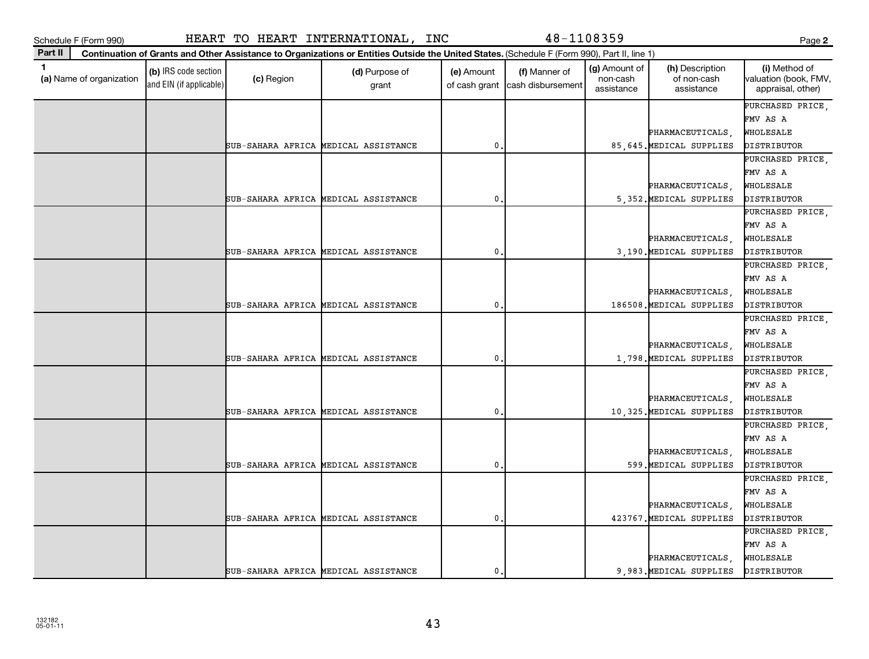|              | Schedule F (Form 990)    |                                                 |            | HEART TO HEART INTERNATIONAL, INC                                                                                                            |                             | 48-1108359                         |                                         |                                              | Page 2                                                       |
|--------------|--------------------------|-------------------------------------------------|------------|----------------------------------------------------------------------------------------------------------------------------------------------|-----------------------------|------------------------------------|-----------------------------------------|----------------------------------------------|--------------------------------------------------------------|
| Part II      |                          |                                                 |            | Continuation of Grants and Other Assistance to Organizations or Entities Outside the United States. (Schedule F (Form 990), Part II, line 1) |                             |                                    |                                         |                                              |                                                              |
| $\mathbf{1}$ | (a) Name of organization | (b) IRS code section<br>and EIN (if applicable) | (c) Region | (d) Purpose of<br>grant                                                                                                                      | (e) Amount<br>of cash grant | (f) Manner of<br>cash disbursement | (g) Amount of<br>non-cash<br>assistance | (h) Description<br>of non-cash<br>assistance | (i) Method of<br>[valuation (book, FMV,<br>appraisal, other) |
|              |                          |                                                 |            | SUB-SAHARA AFRICA MEDICAL ASSISTANCE                                                                                                         | $\mathbf{0}$                |                                    |                                         | PHARMACEUTICALS,<br>85,645. MEDICAL SUPPLIES | PURCHASED PRICE<br>FMV AS A<br>WHOLESALE<br>DISTRIBUTOR      |
|              |                          |                                                 |            | SUB-SAHARA AFRICA MEDICAL ASSISTANCE                                                                                                         | $\mathbf{0}$                |                                    |                                         | PHARMACEUTICALS,<br>5,352. MEDICAL SUPPLIES  | PURCHASED PRICE,<br>FMV AS A<br>WHOLESALE<br>DISTRIBUTOR     |
|              |                          |                                                 |            | SUB-SAHARA AFRICA MEDICAL ASSISTANCE                                                                                                         | $\mathbf{0}$                |                                    |                                         | PHARMACEUTICALS<br>3,190. MEDICAL SUPPLIES   | PURCHASED PRICE,<br>FMV AS A<br>WHOLESALE<br>DISTRIBUTOR     |
|              |                          |                                                 |            | SUB-SAHARA AFRICA MEDICAL ASSISTANCE                                                                                                         | $\pmb{0}$                   |                                    |                                         | PHARMACEUTICALS,<br>186508. MEDICAL SUPPLIES | PURCHASED PRICE<br>FMV AS A<br>WHOLESALE<br>DISTRIBUTOR      |
|              |                          |                                                 |            | SUB-SAHARA AFRICA MEDICAL ASSISTANCE                                                                                                         | $\mathbf{0}$                |                                    |                                         | PHARMACEUTICALS,<br>1,798. MEDICAL SUPPLIES  | PURCHASED PRICE,<br>FMV AS A<br>WHOLESALE<br>DISTRIBUTOR     |
|              |                          |                                                 |            | SUB-SAHARA AFRICA MEDICAL ASSISTANCE                                                                                                         | $\mathbf{0}$                |                                    |                                         | PHARMACEUTICALS<br>10,325. MEDICAL SUPPLIES  | PURCHASED PRICE,<br>FMV AS A<br>WHOLESALE<br>DISTRIBUTOR     |
|              |                          |                                                 |            | SUB-SAHARA AFRICA MEDICAL ASSISTANCE                                                                                                         | $\mathbf 0$                 |                                    |                                         | PHARMACEUTICALS,<br>599. MEDICAL SUPPLIES    | PURCHASED PRICE,<br>FMV AS A<br>WHOLESALE<br>DISTRIBUTOR     |
|              |                          |                                                 |            | SUB-SAHARA AFRICA MEDICAL ASSISTANCE                                                                                                         | $\mathbf{0}$                |                                    |                                         | PHARMACEUTICALS,<br>423767. MEDICAL SUPPLIES | PURCHASED PRICE,<br>FMV AS A<br>WHOLESALE<br>DISTRIBUTOR     |
|              |                          |                                                 |            | SUB-SAHARA AFRICA MEDICAL ASSISTANCE                                                                                                         | $\mathbf{0}$ .              |                                    |                                         | PHARMACEUTICALS<br>9.983. MEDICAL SUPPLIES   | PURCHASED PRICE.<br>FMV AS A<br>WHOLESALE<br>DISTRIBUTOR     |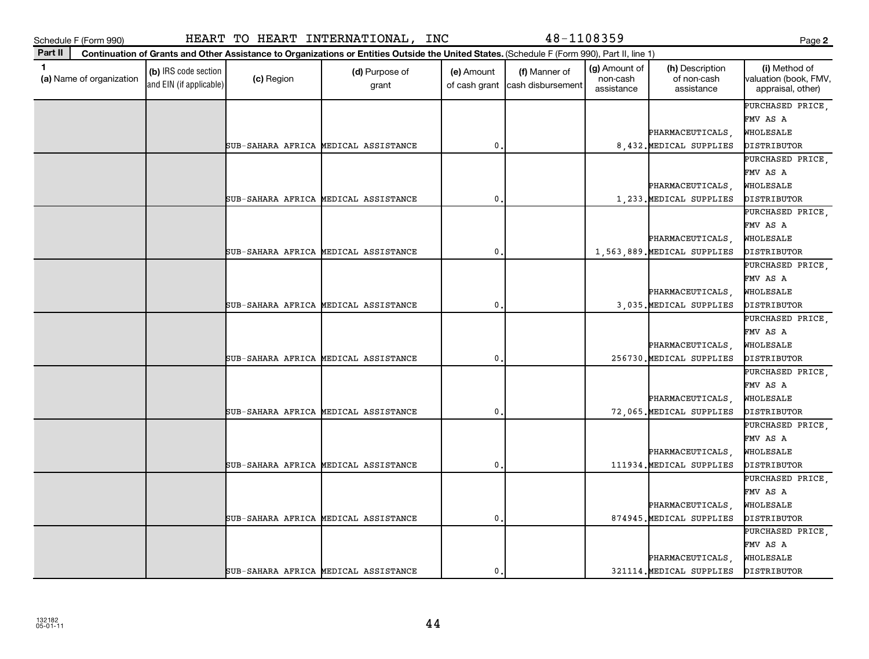|         | Schedule F (Form 990)    |                                                 |            | HEART TO HEART INTERNATIONAL, INC                                                                                                            |                             | 48-1108359                         |                                         |                                                 | Page 2                                                       |
|---------|--------------------------|-------------------------------------------------|------------|----------------------------------------------------------------------------------------------------------------------------------------------|-----------------------------|------------------------------------|-----------------------------------------|-------------------------------------------------|--------------------------------------------------------------|
| Part II |                          |                                                 |            | Continuation of Grants and Other Assistance to Organizations or Entities Outside the United States. (Schedule F (Form 990), Part II, line 1) |                             |                                    |                                         |                                                 |                                                              |
| 1       | (a) Name of organization | (b) IRS code section<br>and EIN (if applicable) | (c) Region | (d) Purpose of<br>grant                                                                                                                      | (e) Amount<br>of cash grant | (f) Manner of<br>cash disbursement | (g) Amount of<br>non-cash<br>assistance | (h) Description<br>of non-cash<br>assistance    | (i) Method of<br>[valuation (book, FMV,<br>appraisal, other) |
|         |                          |                                                 |            | SUB-SAHARA AFRICA MEDICAL ASSISTANCE                                                                                                         | $\mathbf 0$                 |                                    |                                         | PHARMACEUTICALS,<br>8.432. MEDICAL SUPPLIES     | PURCHASED PRICE<br>FMV AS A<br>WHOLESALE<br>DISTRIBUTOR      |
|         |                          |                                                 |            | SUB-SAHARA AFRICA MEDICAL ASSISTANCE                                                                                                         | 0                           |                                    |                                         | PHARMACEUTICALS,<br>1,233. MEDICAL SUPPLIES     | PURCHASED PRICE,<br>FMV AS A<br>WHOLESALE<br>DISTRIBUTOR     |
|         |                          |                                                 |            | SUB-SAHARA AFRICA MEDICAL ASSISTANCE                                                                                                         | $\mathbf 0$                 |                                    |                                         | PHARMACEUTICALS,<br>1,563,889. MEDICAL SUPPLIES | PURCHASED PRICE,<br>FMV AS A<br>WHOLESALE<br>DISTRIBUTOR     |
|         |                          |                                                 |            | SUB-SAHARA AFRICA MEDICAL ASSISTANCE                                                                                                         | 0                           |                                    |                                         | PHARMACEUTICALS,<br>3,035. MEDICAL SUPPLIES     | PURCHASED PRICE<br>FMV AS A<br>WHOLESALE<br>DISTRIBUTOR      |
|         |                          |                                                 |            | SUB-SAHARA AFRICA MEDICAL ASSISTANCE                                                                                                         | $\mathbf 0$                 |                                    |                                         | PHARMACEUTICALS,<br>256730. MEDICAL SUPPLIES    | PURCHASED PRICE,<br>FMV AS A<br>WHOLESALE<br>DISTRIBUTOR     |
|         |                          |                                                 |            | SUB-SAHARA AFRICA MEDICAL ASSISTANCE                                                                                                         | $\pmb{0}$                   |                                    |                                         | PHARMACEUTICALS,<br>72,065. MEDICAL SUPPLIES    | PURCHASED PRICE,<br>FMV AS A<br>WHOLESALE<br>DISTRIBUTOR     |
|         |                          |                                                 |            | SUB-SAHARA AFRICA MEDICAL ASSISTANCE                                                                                                         | 0                           |                                    |                                         | PHARMACEUTICALS,<br>111934. MEDICAL SUPPLIES    | PURCHASED PRICE<br>FMV AS A<br>WHOLESALE<br>DISTRIBUTOR      |
|         |                          |                                                 |            | SUB-SAHARA AFRICA MEDICAL ASSISTANCE                                                                                                         | $\mathbf{0}$                |                                    |                                         | PHARMACEUTICALS,<br>874945. MEDICAL SUPPLIES    | PURCHASED PRICE,<br>FMV AS A<br>WHOLESALE<br>DISTRIBUTOR     |
|         |                          |                                                 |            | SUB-SAHARA AFRICA MEDICAL ASSISTANCE                                                                                                         | $\mathbf{0}$ .              |                                    |                                         | PHARMACEUTICALS<br>321114. MEDICAL SUPPLIES     | PURCHASED PRICE.<br>FMV AS A<br>WHOLESALE<br>DISTRIBUTOR     |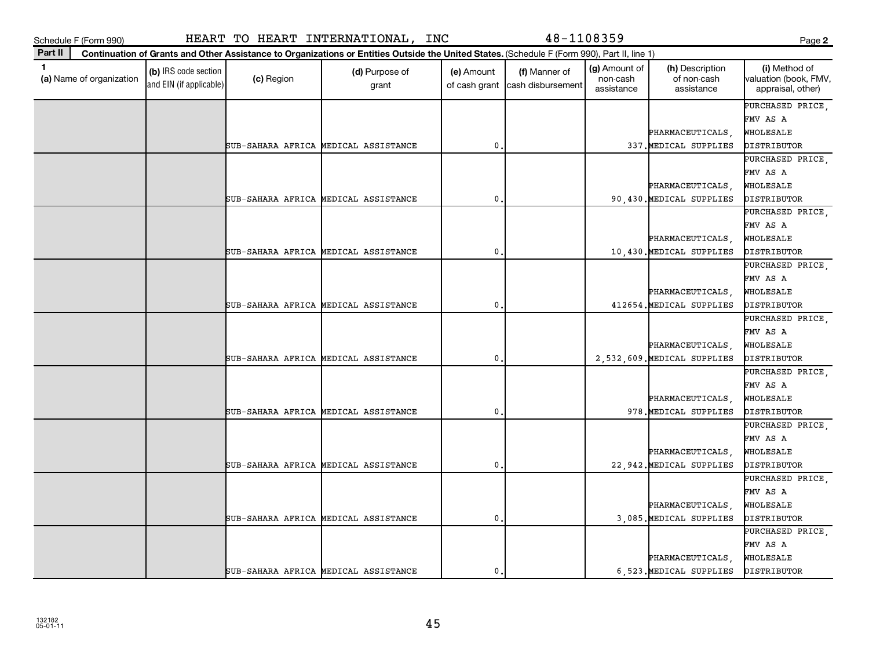|         | Schedule F (Form 990)    |                                                 |            | HEART TO HEART INTERNATIONAL, INC                                                                                                            |                             | 48-1108359                         |                                         |                                                 | Page 2                                                          |
|---------|--------------------------|-------------------------------------------------|------------|----------------------------------------------------------------------------------------------------------------------------------------------|-----------------------------|------------------------------------|-----------------------------------------|-------------------------------------------------|-----------------------------------------------------------------|
| Part II |                          |                                                 |            | Continuation of Grants and Other Assistance to Organizations or Entities Outside the United States. (Schedule F (Form 990), Part II, line 1) |                             |                                    |                                         |                                                 |                                                                 |
| 1       | (a) Name of organization | (b) IRS code section<br>and EIN (if applicable) | (c) Region | (d) Purpose of<br>grant                                                                                                                      | (e) Amount<br>of cash grant | (f) Manner of<br>cash disbursement | (g) Amount of<br>non-cash<br>assistance | (h) Description<br>of non-cash<br>assistance    | (i) Method of<br>valuation (book, FMV,<br>appraisal, other)     |
|         |                          |                                                 |            | SUB-SAHARA AFRICA MEDICAL ASSISTANCE                                                                                                         | $\mathbf{0}$                |                                    |                                         | PHARMACEUTICALS,<br>337. MEDICAL SUPPLIES       | PURCHASED PRICE.<br>FMV AS A<br>WHOLESALE<br>DISTRIBUTOR        |
|         |                          |                                                 |            | SUB-SAHARA AFRICA MEDICAL ASSISTANCE                                                                                                         | 0                           |                                    |                                         | PHARMACEUTICALS,<br>90,430. MEDICAL SUPPLIES    | PURCHASED PRICE,<br>FMV AS A<br>WHOLESALE<br>DISTRIBUTOR        |
|         |                          |                                                 |            | SUB-SAHARA AFRICA MEDICAL ASSISTANCE                                                                                                         | 0                           |                                    |                                         | PHARMACEUTICALS,<br>10,430. MEDICAL SUPPLIES    | PURCHASED PRICE,<br>FMV AS A<br>WHOLESALE<br>DISTRIBUTOR        |
|         |                          |                                                 |            | SUB-SAHARA AFRICA MEDICAL ASSISTANCE                                                                                                         | $\mathbf{0}$                |                                    |                                         | PHARMACEUTICALS,<br>412654. MEDICAL SUPPLIES    | PURCHASED PRICE.<br>FMV AS A<br>WHOLESALE<br>DISTRIBUTOR        |
|         |                          |                                                 |            | SUB-SAHARA AFRICA MEDICAL ASSISTANCE                                                                                                         | 0                           |                                    |                                         | PHARMACEUTICALS,<br>2,532,609. MEDICAL SUPPLIES | PURCHASED PRICE,<br>FMV AS A<br>WHOLESALE<br><b>DISTRIBUTOR</b> |
|         |                          |                                                 |            | SUB-SAHARA AFRICA MEDICAL ASSISTANCE                                                                                                         | $\mathbf{0}$                |                                    |                                         | PHARMACEUTICALS,<br>978. MEDICAL SUPPLIES       | PURCHASED PRICE,<br>FMV AS A<br>WHOLESALE<br>DISTRIBUTOR        |
|         |                          |                                                 |            | SUB-SAHARA AFRICA MEDICAL ASSISTANCE                                                                                                         | $\mathbf 0$                 |                                    |                                         | PHARMACEUTICALS,<br>22,942. MEDICAL SUPPLIES    | PURCHASED PRICE,<br>FMV AS A<br>WHOLESALE<br>DISTRIBUTOR        |
|         |                          |                                                 |            | SUB-SAHARA AFRICA MEDICAL ASSISTANCE                                                                                                         | $\mathbf{0}$                |                                    |                                         | PHARMACEUTICALS,<br>3,085. MEDICAL SUPPLIES     | PURCHASED PRICE,<br>FMV AS A<br>WHOLESALE<br>DISTRIBUTOR        |
|         |                          |                                                 |            | SUB-SAHARA AFRICA MEDICAL ASSISTANCE                                                                                                         | $\mathbf{0}$ .              |                                    |                                         | PHARMACEUTICALS,<br>6.523. MEDICAL SUPPLIES     | PURCHASED PRICE,<br>FMV AS A<br>WHOLESALE<br>DISTRIBUTOR        |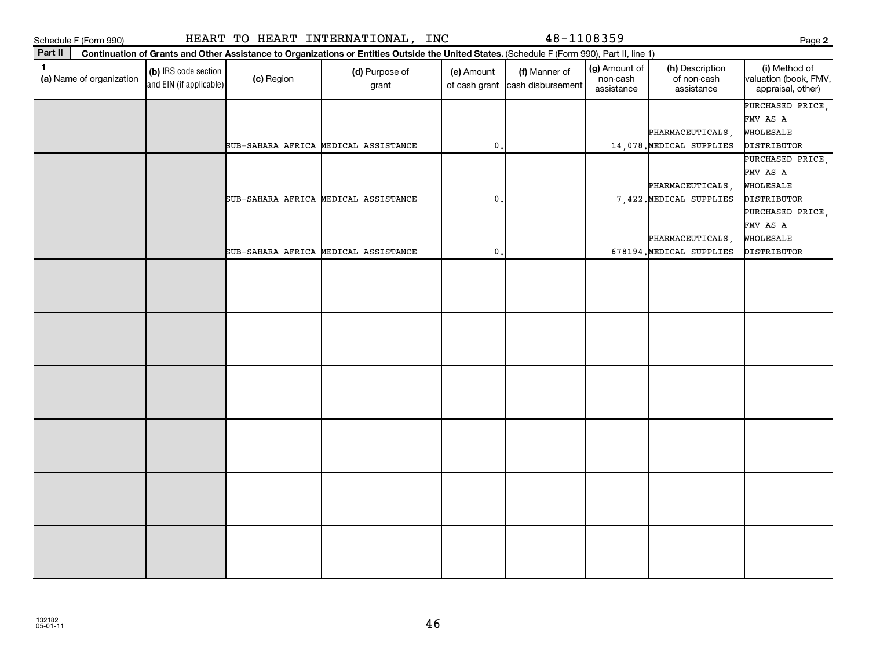| Schedule F (Form 990)                    |                                                 |            | HEART TO HEART INTERNATIONAL, INC                                                                                                            |                             | 48-1108359                         |                                         |                                              | Page 2                                                          |
|------------------------------------------|-------------------------------------------------|------------|----------------------------------------------------------------------------------------------------------------------------------------------|-----------------------------|------------------------------------|-----------------------------------------|----------------------------------------------|-----------------------------------------------------------------|
| Part II                                  |                                                 |            | Continuation of Grants and Other Assistance to Organizations or Entities Outside the United States. (Schedule F (Form 990), Part II, line 1) |                             |                                    |                                         |                                              |                                                                 |
| $\mathbf{1}$<br>(a) Name of organization | (b) IRS code section<br>and EIN (if applicable) | (c) Region | (d) Purpose of<br>grant                                                                                                                      | (e) Amount<br>of cash grant | (f) Manner of<br>cash disbursement | (g) Amount of<br>non-cash<br>assistance | (h) Description<br>of non-cash<br>assistance | (i) Method of<br>valuation (book, FMV,<br>appraisal, other)     |
|                                          |                                                 |            | SUB-SAHARA AFRICA MEDICAL ASSISTANCE                                                                                                         | 0                           |                                    |                                         | PHARMACEUTICALS,<br>14,078. MEDICAL SUPPLIES | PURCHASED PRICE,<br>FMV AS A<br>WHOLESALE<br>DISTRIBUTOR        |
|                                          |                                                 |            | SUB-SAHARA AFRICA MEDICAL ASSISTANCE                                                                                                         | 0                           |                                    |                                         | PHARMACEUTICALS,<br>7,422. MEDICAL SUPPLIES  | PURCHASED PRICE,<br>FMV AS A<br>WHOLESALE<br><b>DISTRIBUTOR</b> |
|                                          |                                                 |            | SUB-SAHARA AFRICA MEDICAL ASSISTANCE                                                                                                         | 0                           |                                    |                                         | PHARMACEUTICALS,<br>678194. MEDICAL SUPPLIES | PURCHASED PRICE,<br>FMV AS A<br>WHOLESALE<br>DISTRIBUTOR        |
|                                          |                                                 |            |                                                                                                                                              |                             |                                    |                                         |                                              |                                                                 |
|                                          |                                                 |            |                                                                                                                                              |                             |                                    |                                         |                                              |                                                                 |
|                                          |                                                 |            |                                                                                                                                              |                             |                                    |                                         |                                              |                                                                 |
|                                          |                                                 |            |                                                                                                                                              |                             |                                    |                                         |                                              |                                                                 |
|                                          |                                                 |            |                                                                                                                                              |                             |                                    |                                         |                                              |                                                                 |
|                                          |                                                 |            |                                                                                                                                              |                             |                                    |                                         |                                              |                                                                 |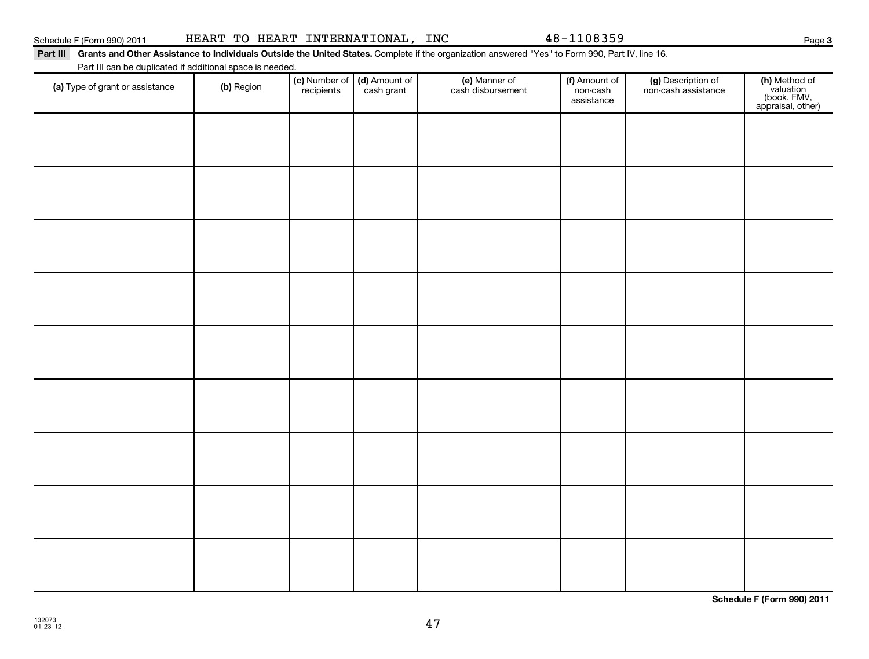| Part III                                                  |            |                             |                                             | Grants and Other Assistance to individuals Outside the United States. Complete if the organization answered "Yes" to Form 990, Part IV, line To. |                                         |                                           |                   |
|-----------------------------------------------------------|------------|-----------------------------|---------------------------------------------|--------------------------------------------------------------------------------------------------------------------------------------------------|-----------------------------------------|-------------------------------------------|-------------------|
| Part III can be duplicated if additional space is needed. |            |                             |                                             |                                                                                                                                                  |                                         |                                           |                   |
| (a) Type of grant or assistance                           | (b) Region | (c) Number of<br>recipients | $\vert$ (d) Amount of $\vert$<br>cash grant | (e) Manner of<br>cash disbursement                                                                                                               | (f) Amount of<br>non-cash<br>assistance | (g) Description of<br>non-cash assistance | (h)<br>(b<br>appr |
|                                                           |            |                             |                                             |                                                                                                                                                  |                                         |                                           |                   |
|                                                           |            |                             |                                             |                                                                                                                                                  |                                         |                                           |                   |
|                                                           |            |                             |                                             |                                                                                                                                                  |                                         |                                           |                   |

#### Schedule F (Form 990) 2011 HEAR'I' I'O HEAR'I' IN'I'ERNA'I'IONALI, INC 4 8-I I U 8 3 5 9 HEART TO HEART INTERNATIONAL, INC 48-1108359

**Part III Grants and Other Assistance to Individuals Outside the United States.**  Complete if the organization answered "Yes" to Form 990, Part IV, line 16.

| (a) Type of grant or assistance | (b) Region | recipients | cash grant | cash disbursement | non-cash<br>assistance | non-cash assistance | valuation<br>(book, FMV,<br>appraisal, other) |
|---------------------------------|------------|------------|------------|-------------------|------------------------|---------------------|-----------------------------------------------|
|                                 |            |            |            |                   |                        |                     |                                               |
|                                 |            |            |            |                   |                        |                     |                                               |
|                                 |            |            |            |                   |                        |                     |                                               |
|                                 |            |            |            |                   |                        |                     |                                               |
|                                 |            |            |            |                   |                        |                     |                                               |
|                                 |            |            |            |                   |                        |                     |                                               |
|                                 |            |            |            |                   |                        |                     |                                               |
|                                 |            |            |            |                   |                        |                     |                                               |
|                                 |            |            |            |                   |                        |                     |                                               |

**Schedule F (Form 990) 2011**

(h) Method of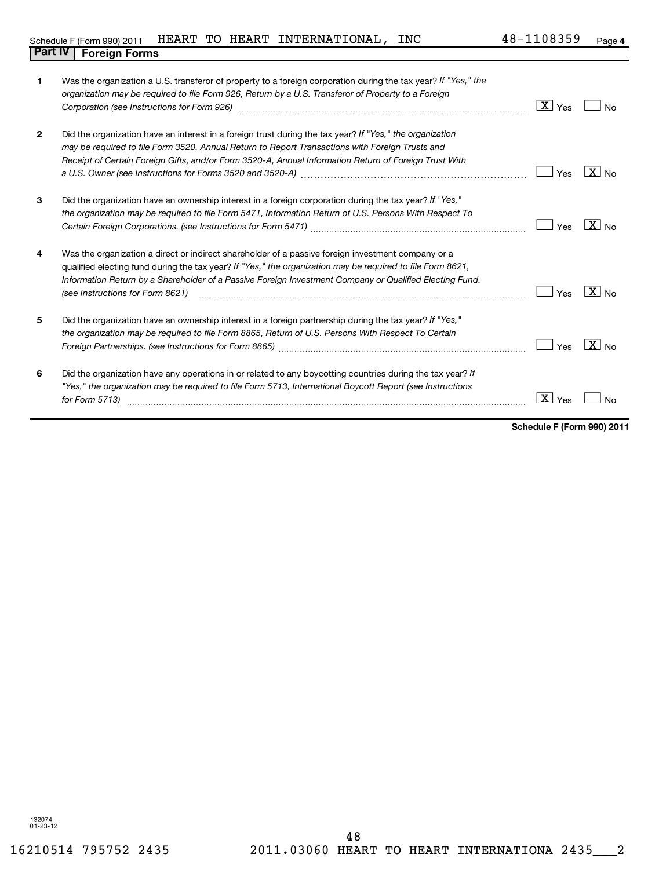| 1              | Was the organization a U.S. transferor of property to a foreign corporation during the tax year? If "Yes," the<br>organization may be required to file Form 926, Return by a U.S. Transferor of Property to a Foreign<br>Corporation (see Instructions for Form 926) [11] Corporation (See Instruction of School of School of School (See Instructions for Form 926) | $\boxed{\mathbf{X}}$ Yes | <b>No</b>         |
|----------------|----------------------------------------------------------------------------------------------------------------------------------------------------------------------------------------------------------------------------------------------------------------------------------------------------------------------------------------------------------------------|--------------------------|-------------------|
| $\overline{2}$ | Did the organization have an interest in a foreign trust during the tax year? If "Yes," the organization<br>may be required to file Form 3520, Annual Return to Report Transactions with Foreign Trusts and<br>Receipt of Certain Foreign Gifts, and/or Form 3520-A, Annual Information Return of Foreign Trust With                                                 | Yes                      | $\overline{X}$ No |
| 3              | Did the organization have an ownership interest in a foreign corporation during the tax year? If "Yes,"<br>the organization may be required to file Form 5471, Information Return of U.S. Persons With Respect To                                                                                                                                                    | Yes                      | $X _{N_Q}$        |
| 4              | Was the organization a direct or indirect shareholder of a passive foreign investment company or a<br>qualified electing fund during the tax year? If "Yes," the organization may be required to file Form 8621,<br>Information Return by a Shareholder of a Passive Foreign Investment Company or Qualified Electing Fund.<br>(see Instructions for Form 8621)      | Yes                      | $X _{NQ}$         |
| 5              | Did the organization have an ownership interest in a foreign partnership during the tax year? If "Yes,"<br>the organization may be required to file Form 8865, Return of U.S. Persons With Respect To Certain                                                                                                                                                        | Yes                      | $\sqrt{X}$ No     |
| 6              | Did the organization have any operations in or related to any boycotting countries during the tax year? If<br>"Yes," the organization may be required to file Form 5713, International Boycott Report (see Instructions<br>for Form 5713)                                                                                                                            | $\lfloor x \rfloor$ Yes  |                   |

**Schedule F (Form 990) 2011**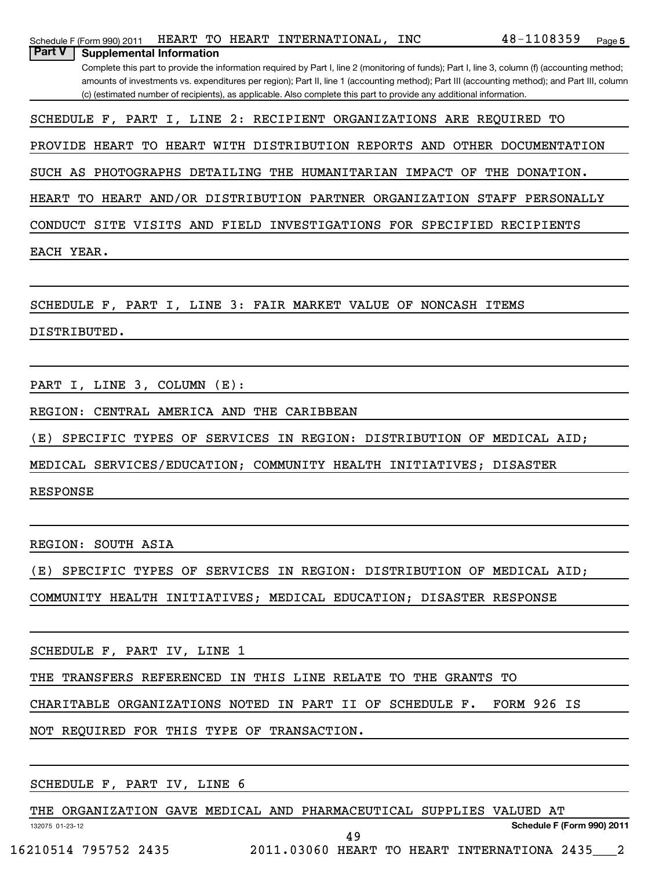| HEART TO HEART INTERNATIONAL,<br>INC<br>Schedule F (Form 990) 2011                                                                                                                                                                                                  | 48-1108359    | Page 5 |
|---------------------------------------------------------------------------------------------------------------------------------------------------------------------------------------------------------------------------------------------------------------------|---------------|--------|
| Part V<br><b>Supplemental Information</b>                                                                                                                                                                                                                           |               |        |
| Complete this part to provide the information required by Part I, line 2 (monitoring of funds); Part I, line 3, column (f) (accounting method;                                                                                                                      |               |        |
| amounts of investments vs. expenditures per region); Part II, line 1 (accounting method); Part III (accounting method); and Part III, column<br>(c) (estimated number of recipients), as applicable. Also complete this part to provide any additional information. |               |        |
|                                                                                                                                                                                                                                                                     |               |        |
| SCHEDULE F, PART I, LINE 2: RECIPIENT ORGANIZATIONS ARE REQUIRED TO                                                                                                                                                                                                 |               |        |
| TO HEART WITH DISTRIBUTION REPORTS AND OTHER DOCUMENTATION<br>PROVIDE HEART                                                                                                                                                                                         |               |        |
|                                                                                                                                                                                                                                                                     |               |        |
| PHOTOGRAPHS<br>DETAILING THE HUMANITARIAN IMPACT<br>SUCH AS<br>OF                                                                                                                                                                                                   | THE DONATION. |        |
| TO HEART AND/OR DISTRIBUTION PARTNER ORGANIZATION STAFF PERSONALLY<br>HEART                                                                                                                                                                                         |               |        |
|                                                                                                                                                                                                                                                                     |               |        |
| CONDUCT SITE VISITS AND FIELD INVESTIGATIONS FOR SPECIFIED RECIPIENTS                                                                                                                                                                                               |               |        |
| EACH YEAR.                                                                                                                                                                                                                                                          |               |        |
|                                                                                                                                                                                                                                                                     |               |        |
|                                                                                                                                                                                                                                                                     |               |        |
| NONCASH ITEMS<br>SCHEDULE F, PART I, LINE 3: FAIR MARKET VALUE OF                                                                                                                                                                                                   |               |        |
| DISTRIBUTED.                                                                                                                                                                                                                                                        |               |        |
|                                                                                                                                                                                                                                                                     |               |        |
|                                                                                                                                                                                                                                                                     |               |        |
| PART I, LINE 3, COLUMN (E):                                                                                                                                                                                                                                         |               |        |
| CENTRAL AMERICA AND THE CARIBBEAN                                                                                                                                                                                                                                   |               |        |
| REGION:                                                                                                                                                                                                                                                             |               |        |
| (E)<br><b>SERVICES</b><br>IN REGION:<br>DISTRIBUTION OF MEDICAL AID;<br>SPECIFIC TYPES OF                                                                                                                                                                           |               |        |
| MEDICAL SERVICES/EDUCATION; COMMUNITY HEALTH INITIATIVES; DISASTER                                                                                                                                                                                                  |               |        |
|                                                                                                                                                                                                                                                                     |               |        |
| <b>RESPONSE</b>                                                                                                                                                                                                                                                     |               |        |
|                                                                                                                                                                                                                                                                     |               |        |
|                                                                                                                                                                                                                                                                     |               |        |
| REGION: SOUTH ASIA                                                                                                                                                                                                                                                  |               |        |
| (E) SPECIFIC TYPES OF SERVICES IN REGION: DISTRIBUTION OF MEDICAL AID;                                                                                                                                                                                              |               |        |
| COMMUNITY HEALTH INITIATIVES; MEDICAL EDUCATION; DISASTER RESPONSE                                                                                                                                                                                                  |               |        |
|                                                                                                                                                                                                                                                                     |               |        |
|                                                                                                                                                                                                                                                                     |               |        |
|                                                                                                                                                                                                                                                                     |               |        |
|                                                                                                                                                                                                                                                                     |               |        |
| THE TRANSFERS REFERENCED IN THIS LINE RELATE TO THE GRANTS TO                                                                                                                                                                                                       |               |        |
| CHARITABLE ORGANIZATIONS NOTED IN PART II OF SCHEDULE F. FORM 926 IS                                                                                                                                                                                                |               |        |
|                                                                                                                                                                                                                                                                     |               |        |
|                                                                                                                                                                                                                                                                     |               |        |
|                                                                                                                                                                                                                                                                     |               |        |
| SCHEDULE F, PART IV, LINE 6<br><u> 1980 - John Stein, mars and de Britain and de Britain and de Britain and de Britain and de Britain and de Br</u>                                                                                                                 |               |        |
|                                                                                                                                                                                                                                                                     |               |        |
| THE ORGANIZATION GAVE MEDICAL AND PHARMACEUTICAL SUPPLIES VALUED AT                                                                                                                                                                                                 |               |        |

16210514 795752 2435 2011.03060 HEART TO HEART INTERNATIONA 2435\_\_\_2

132075 01-23-12

**Schedule F (Form 990) 2011**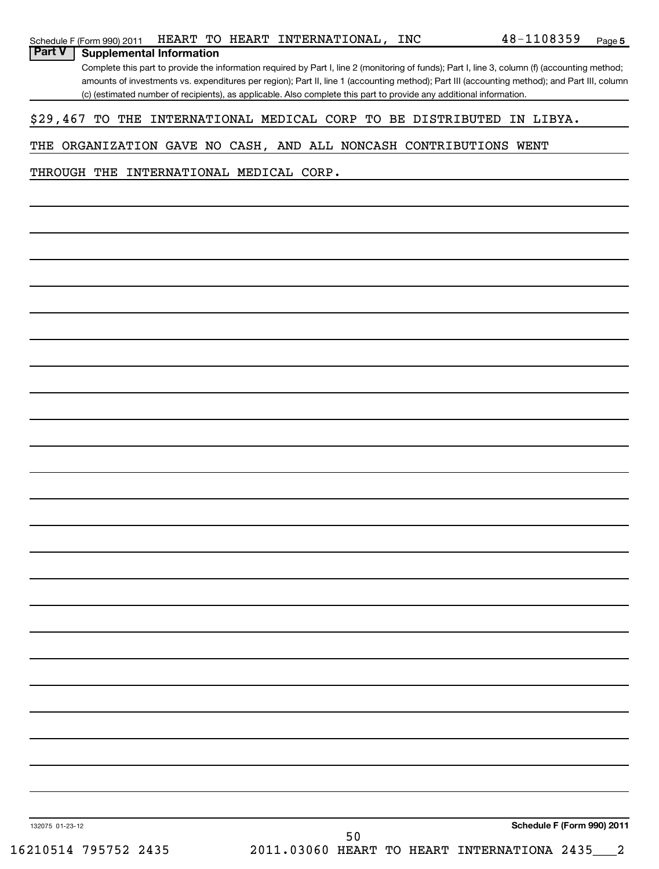| Schedule F (Form 990) 2011 | HEART |  |  | TO HEART INTERNATIONAL, | INC | 48-<br>.08359 | Page |  |
|----------------------------|-------|--|--|-------------------------|-----|---------------|------|--|
|----------------------------|-------|--|--|-------------------------|-----|---------------|------|--|

Complete this part to provide the information required by Part I, line 2 (monitoring of funds); Part I, line 3, column (f) (accounting method; amounts of investments vs. expenditures per region); Part II, line 1 (accounting method); Part III (accounting method); and Part III, column (c) (estimated number of recipients), as applicable. Also complete this part to provide any additional information.

### \$29,467 TO THE INTERNATIONAL MEDICAL CORP TO BE DISTRIBUTED IN LIBYA.

#### THE ORGANIZATION GAVE NO CASH, AND ALL NONCASH CONTRIBUTIONS WENT

THROUGH THE INTERNATIONAL MEDICAL CORP.

**Part V** | Supplemental Information

132075 01-23-12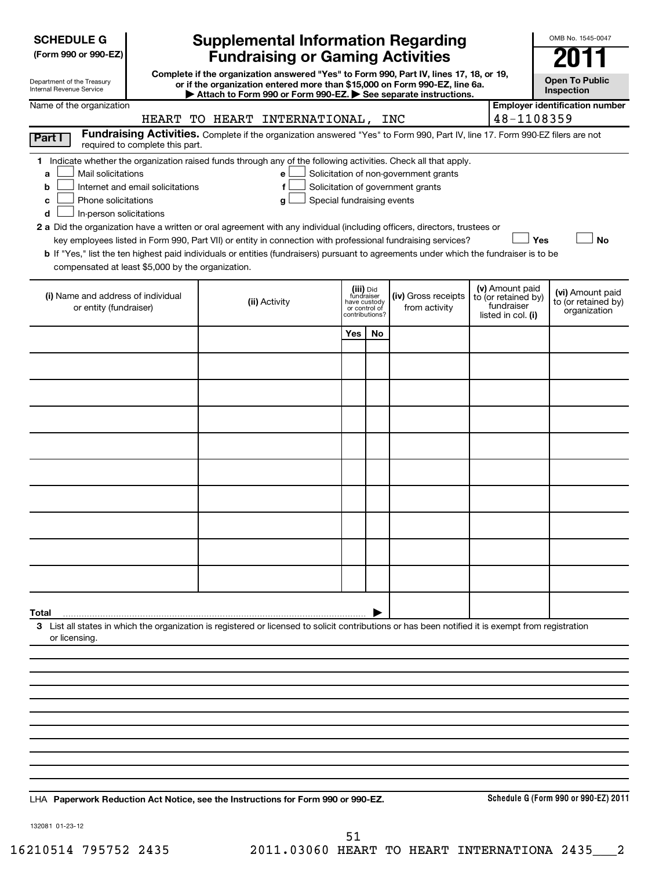| <b>SCHEDULE G</b> |
|-------------------|
|-------------------|

| (Form 990 or 990-EZ) |  |  |  |  |
|----------------------|--|--|--|--|
|----------------------|--|--|--|--|

| Department of the Treasury      |  |
|---------------------------------|--|
| <b>Internal Revenue Service</b> |  |

## **Supplemental Information Regarding Fundraising or Gaming Activities 2012**

**Complete if the organization answered "Yes" to Form 990, Part IV, lines 17, 18, or 19, or if the organization entered more than \$15,000 on Form 990-EZ, line 6a. | Attach to Form 990 or Form 990-EZ. | See separate instructions.**

**Open To Public Inspection**

OMB No. 1545-0047

| Name of the organization                                                                                                                                                                                                                                                                                                                                                                                                                                                                                                                                                                                                                                                                   |                                                     |                                                          |                |                                                                            |  |                                                                            | <b>Employer identification number</b>                   |  |  |
|--------------------------------------------------------------------------------------------------------------------------------------------------------------------------------------------------------------------------------------------------------------------------------------------------------------------------------------------------------------------------------------------------------------------------------------------------------------------------------------------------------------------------------------------------------------------------------------------------------------------------------------------------------------------------------------------|-----------------------------------------------------|----------------------------------------------------------|----------------|----------------------------------------------------------------------------|--|----------------------------------------------------------------------------|---------------------------------------------------------|--|--|
|                                                                                                                                                                                                                                                                                                                                                                                                                                                                                                                                                                                                                                                                                            | HEART TO HEART INTERNATIONAL, INC                   |                                                          |                |                                                                            |  | 48-1108359                                                                 |                                                         |  |  |
| Fundraising Activities. Complete if the organization answered "Yes" to Form 990, Part IV, line 17. Form 990-EZ filers are not<br>Part I<br>required to complete this part.                                                                                                                                                                                                                                                                                                                                                                                                                                                                                                                 |                                                     |                                                          |                |                                                                            |  |                                                                            |                                                         |  |  |
| 1 Indicate whether the organization raised funds through any of the following activities. Check all that apply.<br>Mail solicitations<br>a<br>Internet and email solicitations<br>b<br>Phone solicitations<br>c<br>In-person solicitations<br>d<br>2 a Did the organization have a written or oral agreement with any individual (including officers, directors, trustees or<br>key employees listed in Form 990, Part VII) or entity in connection with professional fundraising services?<br>b If "Yes," list the ten highest paid individuals or entities (fundraisers) pursuant to agreements under which the fundraiser is to be<br>compensated at least \$5,000 by the organization. | е<br>$\mathbf f$<br>Special fundraising events<br>q |                                                          |                | Solicitation of non-government grants<br>Solicitation of government grants |  | Yes                                                                        | <b>No</b>                                               |  |  |
| (i) Name and address of individual<br>or entity (fundraiser)                                                                                                                                                                                                                                                                                                                                                                                                                                                                                                                                                                                                                               | (ii) Activity                                       | (iii) Did<br>fundraiser<br>have custody<br>or control of | contributions? | (iv) Gross receipts<br>from activity                                       |  | (v) Amount paid<br>to (or retained by)<br>fundraiser<br>listed in col. (i) | (vi) Amount paid<br>to (or retained by)<br>organization |  |  |
|                                                                                                                                                                                                                                                                                                                                                                                                                                                                                                                                                                                                                                                                                            |                                                     | Yes                                                      | No             |                                                                            |  |                                                                            |                                                         |  |  |
|                                                                                                                                                                                                                                                                                                                                                                                                                                                                                                                                                                                                                                                                                            |                                                     |                                                          |                |                                                                            |  |                                                                            |                                                         |  |  |
|                                                                                                                                                                                                                                                                                                                                                                                                                                                                                                                                                                                                                                                                                            |                                                     |                                                          |                |                                                                            |  |                                                                            |                                                         |  |  |
|                                                                                                                                                                                                                                                                                                                                                                                                                                                                                                                                                                                                                                                                                            |                                                     |                                                          |                |                                                                            |  |                                                                            |                                                         |  |  |
|                                                                                                                                                                                                                                                                                                                                                                                                                                                                                                                                                                                                                                                                                            |                                                     |                                                          |                |                                                                            |  |                                                                            |                                                         |  |  |
|                                                                                                                                                                                                                                                                                                                                                                                                                                                                                                                                                                                                                                                                                            |                                                     |                                                          |                |                                                                            |  |                                                                            |                                                         |  |  |
|                                                                                                                                                                                                                                                                                                                                                                                                                                                                                                                                                                                                                                                                                            |                                                     |                                                          |                |                                                                            |  |                                                                            |                                                         |  |  |
|                                                                                                                                                                                                                                                                                                                                                                                                                                                                                                                                                                                                                                                                                            |                                                     |                                                          |                |                                                                            |  |                                                                            |                                                         |  |  |
|                                                                                                                                                                                                                                                                                                                                                                                                                                                                                                                                                                                                                                                                                            |                                                     |                                                          |                |                                                                            |  |                                                                            |                                                         |  |  |
|                                                                                                                                                                                                                                                                                                                                                                                                                                                                                                                                                                                                                                                                                            |                                                     |                                                          |                |                                                                            |  |                                                                            |                                                         |  |  |
| Total                                                                                                                                                                                                                                                                                                                                                                                                                                                                                                                                                                                                                                                                                      |                                                     |                                                          |                |                                                                            |  |                                                                            |                                                         |  |  |
| 3 List all states in which the organization is registered or licensed to solicit contributions or has been notified it is exempt from registration<br>or licensing.                                                                                                                                                                                                                                                                                                                                                                                                                                                                                                                        |                                                     |                                                          |                |                                                                            |  |                                                                            |                                                         |  |  |
|                                                                                                                                                                                                                                                                                                                                                                                                                                                                                                                                                                                                                                                                                            |                                                     |                                                          |                |                                                                            |  |                                                                            |                                                         |  |  |
|                                                                                                                                                                                                                                                                                                                                                                                                                                                                                                                                                                                                                                                                                            |                                                     |                                                          |                |                                                                            |  |                                                                            |                                                         |  |  |
|                                                                                                                                                                                                                                                                                                                                                                                                                                                                                                                                                                                                                                                                                            |                                                     |                                                          |                |                                                                            |  |                                                                            |                                                         |  |  |
|                                                                                                                                                                                                                                                                                                                                                                                                                                                                                                                                                                                                                                                                                            |                                                     |                                                          |                |                                                                            |  |                                                                            |                                                         |  |  |
|                                                                                                                                                                                                                                                                                                                                                                                                                                                                                                                                                                                                                                                                                            |                                                     |                                                          |                |                                                                            |  |                                                                            |                                                         |  |  |
|                                                                                                                                                                                                                                                                                                                                                                                                                                                                                                                                                                                                                                                                                            |                                                     |                                                          |                |                                                                            |  |                                                                            |                                                         |  |  |
|                                                                                                                                                                                                                                                                                                                                                                                                                                                                                                                                                                                                                                                                                            |                                                     |                                                          |                |                                                                            |  |                                                                            |                                                         |  |  |
|                                                                                                                                                                                                                                                                                                                                                                                                                                                                                                                                                                                                                                                                                            |                                                     |                                                          |                |                                                                            |  |                                                                            |                                                         |  |  |
|                                                                                                                                                                                                                                                                                                                                                                                                                                                                                                                                                                                                                                                                                            |                                                     |                                                          |                |                                                                            |  |                                                                            |                                                         |  |  |

**Paperwork Reduction Act Notice, see the Instructions for Form 990 or 990-EZ.** LHA

**Schedule G (Form 990 or 990-EZ) 2011**

132081 01-23-12

16210514 795752 2435 2011.03060 HEART TO HEART INTERNATIONA 2435\_\_\_2 51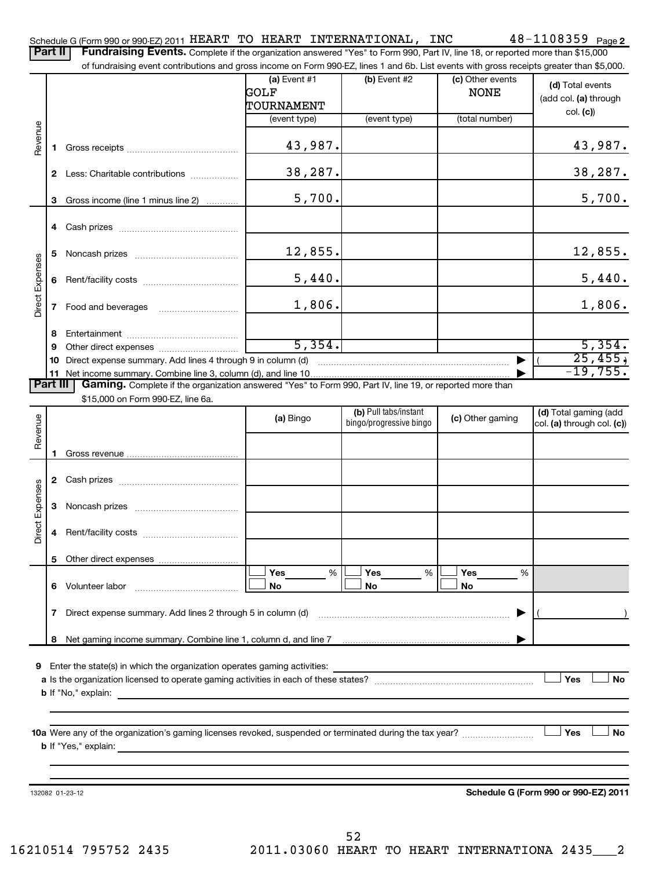|                        | <b>Part II</b> | Schedule G (Form 990 or 990-EZ) 2011 HEART TO HEART INTERNATIONAL, INC<br>Fundraising Events. Complete if the organization answered "Yes" to Form 990, Part IV, line 18, or reported more than \$15,000 |                            |                         |                  | $48 - 1108359$ Page 2                |
|------------------------|----------------|---------------------------------------------------------------------------------------------------------------------------------------------------------------------------------------------------------|----------------------------|-------------------------|------------------|--------------------------------------|
|                        |                | of fundraising event contributions and gross income on Form 990-EZ, lines 1 and 6b. List events with gross receipts greater than \$5,000.                                                               |                            |                         |                  |                                      |
|                        |                |                                                                                                                                                                                                         | (a) Event $#1$             | $(b)$ Event #2          | (c) Other events | (d) Total events                     |
|                        |                |                                                                                                                                                                                                         | GOLF                       |                         | <b>NONE</b>      | (add col. (a) through                |
|                        |                |                                                                                                                                                                                                         | TOURNAMENT<br>(event type) | (event type)            | (total number)   | col. (c)                             |
|                        |                |                                                                                                                                                                                                         |                            |                         |                  |                                      |
| Revenue                | 1              |                                                                                                                                                                                                         | 43,987.                    |                         |                  | 43,987.                              |
|                        | $\mathbf{2}$   | Less: Charitable contributions                                                                                                                                                                          | 38,287.                    |                         |                  | 38,287.                              |
|                        | 3              | Gross income (line 1 minus line 2)                                                                                                                                                                      | 5,700.                     |                         |                  | 5,700.                               |
|                        | 4              |                                                                                                                                                                                                         |                            |                         |                  |                                      |
|                        | 5              |                                                                                                                                                                                                         | 12,855.                    |                         |                  | 12,855.                              |
| <b>Direct Expenses</b> | 6              |                                                                                                                                                                                                         | 5,440.                     |                         |                  | 5,440.                               |
|                        | 7              |                                                                                                                                                                                                         | 1,806.                     |                         |                  | 1,806.                               |
|                        |                |                                                                                                                                                                                                         |                            |                         |                  |                                      |
|                        | 8              |                                                                                                                                                                                                         | 5,354.                     |                         |                  | 5,354.                               |
|                        | 9<br>10        | Direct expense summary. Add lines 4 through 9 in column (d)                                                                                                                                             |                            |                         |                  | 25,455,                              |
|                        | 11             |                                                                                                                                                                                                         |                            |                         |                  | $-19,755.$                           |
| <b>Part III</b>        |                | Gaming. Complete if the organization answered "Yes" to Form 990, Part IV, line 19, or reported more than                                                                                                |                            |                         |                  |                                      |
|                        |                | \$15,000 on Form 990-EZ, line 6a.                                                                                                                                                                       |                            |                         |                  |                                      |
|                        |                |                                                                                                                                                                                                         |                            | (b) Pull tabs/instant   |                  | (d) Total gaming (add                |
| Revenue                |                |                                                                                                                                                                                                         | (a) Bingo                  | bingo/progressive bingo | (c) Other gaming | col. (a) through col. (c))           |
|                        |                |                                                                                                                                                                                                         |                            |                         |                  |                                      |
|                        |                |                                                                                                                                                                                                         |                            |                         |                  |                                      |
|                        |                |                                                                                                                                                                                                         |                            |                         |                  |                                      |
|                        | $\mathbf{2}$   | Cash prizes [11] Cash prizes [11] Cash prizes [11] Cash prizes [11] [11] Casa Divideo [11] [11] 2012                                                                                                    |                            |                         |                  |                                      |
|                        |                |                                                                                                                                                                                                         |                            |                         |                  |                                      |
| Expenses               | 3              |                                                                                                                                                                                                         |                            |                         |                  |                                      |
| ぉ<br>Dire              | 4              |                                                                                                                                                                                                         |                            |                         |                  |                                      |
|                        | 5              |                                                                                                                                                                                                         |                            |                         |                  |                                      |
|                        |                |                                                                                                                                                                                                         | Yes<br>%                   | Yes<br>%                | Yes<br>%         |                                      |
|                        | 6              | Volunteer labor                                                                                                                                                                                         | No                         | No                      | No               |                                      |
|                        | 7              | Direct expense summary. Add lines 2 through 5 in column (d)                                                                                                                                             |                            |                         |                  |                                      |
|                        | 8              |                                                                                                                                                                                                         |                            |                         |                  |                                      |
|                        |                |                                                                                                                                                                                                         |                            |                         |                  |                                      |
| 9                      |                | Enter the state(s) in which the organization operates gaming activities:                                                                                                                                |                            |                         |                  |                                      |
|                        |                |                                                                                                                                                                                                         |                            |                         |                  | Yes<br><b>No</b>                     |
|                        |                |                                                                                                                                                                                                         |                            |                         |                  |                                      |
|                        |                |                                                                                                                                                                                                         |                            |                         |                  |                                      |
|                        |                |                                                                                                                                                                                                         |                            |                         |                  | <b>No</b><br>Yes                     |
|                        |                | <b>b</b> If "Yes," explain:                                                                                                                                                                             |                            |                         |                  |                                      |
|                        |                |                                                                                                                                                                                                         |                            |                         |                  |                                      |
|                        |                | 132082 01-23-12                                                                                                                                                                                         |                            |                         |                  | Schedule G (Form 990 or 990-EZ) 2011 |
|                        |                |                                                                                                                                                                                                         |                            |                         |                  |                                      |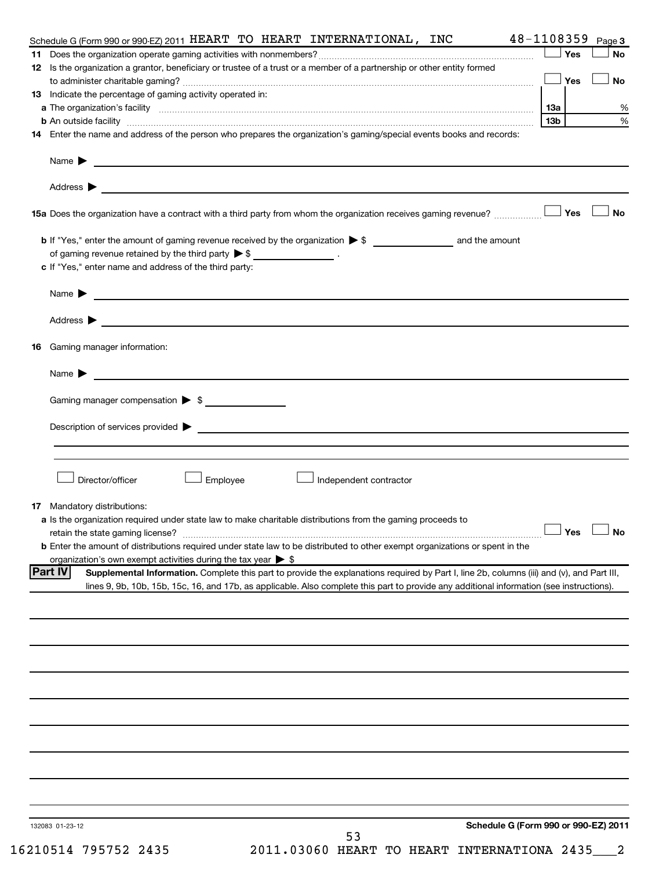| 48-1108359<br>Schedule G (Form 990 or 990-EZ) 2011 HEART TO HEART INTERNATIONAL, INC                                                                                                                                                      |            |            | Page 3               |
|-------------------------------------------------------------------------------------------------------------------------------------------------------------------------------------------------------------------------------------------|------------|------------|----------------------|
|                                                                                                                                                                                                                                           |            | Yes        | No                   |
| 12 Is the organization a grantor, beneficiary or trustee of a trust or a member of a partnership or other entity formed                                                                                                                   |            |            |                      |
|                                                                                                                                                                                                                                           | $\Box$ Yes |            | No                   |
| 13 Indicate the percentage of gaming activity operated in:                                                                                                                                                                                |            |            |                      |
| a The organization's facility www.communication.com/www.communication.com/www.communication/setter [                                                                                                                                      | 13a        |            | %                    |
| <b>b</b> An outside facility <b>with the contract of the contract of the contract of the contract of the contract of the contract of the contract of the contract of the contract of the contract of the contract of the contract of </b> | 13b        |            | %                    |
| 14 Enter the name and address of the person who prepares the organization's gaming/special events books and records:                                                                                                                      |            |            |                      |
|                                                                                                                                                                                                                                           |            |            |                      |
|                                                                                                                                                                                                                                           |            |            |                      |
| 15a Does the organization have a contract with a third party from whom the organization receives gaming revenue?                                                                                                                          |            | <b>Yes</b> | No                   |
|                                                                                                                                                                                                                                           |            |            |                      |
| of gaming revenue retained by the third party $\triangleright$ \$ __________________.                                                                                                                                                     |            |            |                      |
| c If "Yes," enter name and address of the third party:                                                                                                                                                                                    |            |            |                      |
| Name ▶ <u>───────────────</u>                                                                                                                                                                                                             |            |            |                      |
|                                                                                                                                                                                                                                           |            |            |                      |
|                                                                                                                                                                                                                                           |            |            |                      |
| <b>16</b> Gaming manager information:                                                                                                                                                                                                     |            |            |                      |
| Name $\blacktriangleright$<br><u> 1980 - Andrea Andrew Maria (h. 1980).</u>                                                                                                                                                               |            |            |                      |
| Gaming manager compensation > \$                                                                                                                                                                                                          |            |            |                      |
|                                                                                                                                                                                                                                           |            |            |                      |
|                                                                                                                                                                                                                                           |            |            |                      |
|                                                                                                                                                                                                                                           |            |            |                      |
| Director/officer<br>Employee<br>J Independent contractor                                                                                                                                                                                  |            |            |                      |
|                                                                                                                                                                                                                                           |            |            |                      |
| 17 Mandatory distributions:<br>a Is the organization required under state law to make charitable distributions from the gaming proceeds to                                                                                                |            |            |                      |
| retain the state gaming license?                                                                                                                                                                                                          |            |            | $\Box$ Yes $\Box$ No |
| <b>b</b> Enter the amount of distributions required under state law to be distributed to other exempt organizations or spent in the                                                                                                       |            |            |                      |
| organization's own exempt activities during the tax year $\triangleright$ \$                                                                                                                                                              |            |            |                      |
| <b>Part IV</b><br>Supplemental Information. Complete this part to provide the explanations required by Part I, line 2b, columns (iii) and (v), and Part III,                                                                              |            |            |                      |
| lines 9, 9b, 10b, 15b, 15c, 16, and 17b, as applicable. Also complete this part to provide any additional information (see instructions).                                                                                                 |            |            |                      |
|                                                                                                                                                                                                                                           |            |            |                      |
|                                                                                                                                                                                                                                           |            |            |                      |
|                                                                                                                                                                                                                                           |            |            |                      |
|                                                                                                                                                                                                                                           |            |            |                      |
|                                                                                                                                                                                                                                           |            |            |                      |
|                                                                                                                                                                                                                                           |            |            |                      |
|                                                                                                                                                                                                                                           |            |            |                      |
|                                                                                                                                                                                                                                           |            |            |                      |
|                                                                                                                                                                                                                                           |            |            |                      |
|                                                                                                                                                                                                                                           |            |            |                      |
| Schedule G (Form 990 or 990-EZ) 2011<br>132083 01-23-12                                                                                                                                                                                   |            |            |                      |
| 53                                                                                                                                                                                                                                        |            |            |                      |

16210514 795752 2435 2011.03060 HEART TO HEART INTERNATIONA 2435\_\_\_2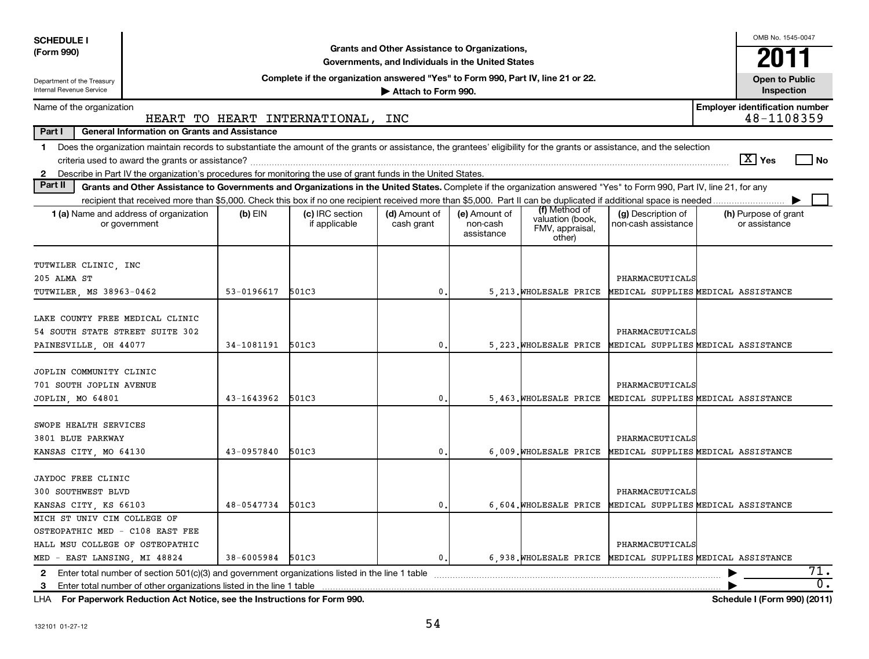| <b>SCHEDULE I</b>                                      |                                                                                                                                                                            |                |                                                                                  |                                                   |                                         |                                               |                                                            |                                       | OMB No. 1545-0047                   |  |
|--------------------------------------------------------|----------------------------------------------------------------------------------------------------------------------------------------------------------------------------|----------------|----------------------------------------------------------------------------------|---------------------------------------------------|-----------------------------------------|-----------------------------------------------|------------------------------------------------------------|---------------------------------------|-------------------------------------|--|
| (Form 990)                                             |                                                                                                                                                                            |                |                                                                                  | Grants and Other Assistance to Organizations,     |                                         |                                               |                                                            |                                       | 2011                                |  |
|                                                        |                                                                                                                                                                            |                |                                                                                  | Governments, and Individuals in the United States |                                         |                                               |                                                            |                                       |                                     |  |
| Department of the Treasury<br>Internal Revenue Service |                                                                                                                                                                            |                | Complete if the organization answered "Yes" to Form 990, Part IV, line 21 or 22. | Attach to Form 990.                               |                                         |                                               |                                                            |                                       | <b>Open to Public</b><br>Inspection |  |
| Name of the organization                               |                                                                                                                                                                            |                |                                                                                  |                                                   |                                         |                                               |                                                            | <b>Employer identification number</b> |                                     |  |
|                                                        |                                                                                                                                                                            |                | HEART TO HEART INTERNATIONAL,                                                    | INC                                               |                                         |                                               |                                                            |                                       | 48-1108359                          |  |
| Part I                                                 | <b>General Information on Grants and Assistance</b>                                                                                                                        |                |                                                                                  |                                                   |                                         |                                               |                                                            |                                       |                                     |  |
|                                                        | 1 Does the organization maintain records to substantiate the amount of the grants or assistance, the grantees' eligibility for the grants or assistance, and the selection |                |                                                                                  |                                                   |                                         |                                               |                                                            |                                       |                                     |  |
|                                                        |                                                                                                                                                                            |                |                                                                                  |                                                   |                                         |                                               |                                                            | $ \overline{X} $ Yes                  | l No                                |  |
|                                                        | 2 Describe in Part IV the organization's procedures for monitoring the use of grant funds in the United States.                                                            |                |                                                                                  |                                                   |                                         |                                               |                                                            |                                       |                                     |  |
| Part II                                                | Grants and Other Assistance to Governments and Organizations in the United States. Complete if the organization answered "Yes" to Form 990, Part IV, line 21, for any      |                |                                                                                  |                                                   |                                         |                                               |                                                            |                                       |                                     |  |
|                                                        |                                                                                                                                                                            |                |                                                                                  |                                                   |                                         | (f) Method of                                 |                                                            |                                       |                                     |  |
|                                                        | 1 (a) Name and address of organization<br>or government                                                                                                                    | $(b)$ EIN      | (c) IRC section<br>if applicable                                                 | (d) Amount of<br>cash grant                       | (e) Amount of<br>non-cash<br>assistance | valuation (book,<br>FMV, appraisal,<br>other) | (g) Description of<br>non-cash assistance                  | (h) Purpose of grant<br>or assistance |                                     |  |
|                                                        |                                                                                                                                                                            |                |                                                                                  |                                                   |                                         |                                               |                                                            |                                       |                                     |  |
| TUTWILER CLINIC, INC                                   |                                                                                                                                                                            |                |                                                                                  |                                                   |                                         |                                               |                                                            |                                       |                                     |  |
| 205 ALMA ST                                            |                                                                                                                                                                            |                |                                                                                  |                                                   |                                         |                                               | PHARMACEUTICALS                                            |                                       |                                     |  |
| TUTWILER, MS 38963-0462                                |                                                                                                                                                                            | $53 - 0196617$ | 501C3                                                                            | 0                                                 |                                         | 5 213. WHOLESALE PRICE                        | MEDICAL SUPPLIES MEDICAL ASSISTANCE                        |                                       |                                     |  |
|                                                        |                                                                                                                                                                            |                |                                                                                  |                                                   |                                         |                                               |                                                            |                                       |                                     |  |
| LAKE COUNTY FREE MEDICAL CLINIC                        |                                                                                                                                                                            |                |                                                                                  |                                                   |                                         |                                               |                                                            |                                       |                                     |  |
| 54 SOUTH STATE STREET SUITE 302                        |                                                                                                                                                                            |                |                                                                                  |                                                   |                                         |                                               | PHARMACEUTICALS                                            |                                       |                                     |  |
| PAINESVILLE, OH 44077                                  |                                                                                                                                                                            | 34-1081191     | 501C3                                                                            | 0                                                 |                                         | 5, 223. WHOLESALE PRICE                       | MEDICAL SUPPLIES MEDICAL ASSISTANCE                        |                                       |                                     |  |
|                                                        |                                                                                                                                                                            |                |                                                                                  |                                                   |                                         |                                               |                                                            |                                       |                                     |  |
| JOPLIN COMMUNITY CLINIC                                |                                                                                                                                                                            |                |                                                                                  |                                                   |                                         |                                               |                                                            |                                       |                                     |  |
| 701 SOUTH JOPLIN AVENUE                                |                                                                                                                                                                            |                |                                                                                  |                                                   |                                         |                                               | PHARMACEUTICALS                                            |                                       |                                     |  |
| JOPLIN, MO 64801                                       |                                                                                                                                                                            | 43-1643962     | 501C3                                                                            | 0                                                 |                                         | 5.463. WHOLESALE PRICE                        | MEDICAL SUPPLIES MEDICAL ASSISTANCE                        |                                       |                                     |  |
|                                                        |                                                                                                                                                                            |                |                                                                                  |                                                   |                                         |                                               |                                                            |                                       |                                     |  |
| SWOPE HEALTH SERVICES                                  |                                                                                                                                                                            |                |                                                                                  |                                                   |                                         |                                               |                                                            |                                       |                                     |  |
| 3801 BLUE PARKWAY                                      |                                                                                                                                                                            |                |                                                                                  |                                                   |                                         |                                               | PHARMACEUTICALS                                            |                                       |                                     |  |
| KANSAS CITY, MO 64130                                  |                                                                                                                                                                            | 43-0957840     | 501C3                                                                            | 0                                                 |                                         | 6.009. WHOLESALE PRICE                        | MEDICAL SUPPLIES MEDICAL ASSISTANCE                        |                                       |                                     |  |
|                                                        |                                                                                                                                                                            |                |                                                                                  |                                                   |                                         |                                               |                                                            |                                       |                                     |  |
| <b>JAYDOC FREE CLINIC</b>                              |                                                                                                                                                                            |                |                                                                                  |                                                   |                                         |                                               |                                                            |                                       |                                     |  |
| 300 SOUTHWEST BLVD                                     |                                                                                                                                                                            |                |                                                                                  |                                                   |                                         |                                               | PHARMACEUTICALS                                            |                                       |                                     |  |
| KANSAS CITY, KS 66103                                  |                                                                                                                                                                            | 48-0547734     | 501C3                                                                            | $\mathbf{0}$                                      |                                         | 6.604. WHOLESALE PRICE                        | MEDICAL SUPPLIES MEDICAL ASSISTANCE                        |                                       |                                     |  |
| MICH ST UNIV CIM COLLEGE OF                            |                                                                                                                                                                            |                |                                                                                  |                                                   |                                         |                                               |                                                            |                                       |                                     |  |
| OSTEOPATHIC MED - C108 EAST FEE                        |                                                                                                                                                                            |                |                                                                                  |                                                   |                                         |                                               |                                                            |                                       |                                     |  |
| HALL MSU COLLEGE OF OSTEOPATHIC                        |                                                                                                                                                                            |                |                                                                                  |                                                   |                                         |                                               | PHARMACEUTICALS                                            |                                       |                                     |  |
| MED - EAST LANSING, MI 48824                           |                                                                                                                                                                            | 38-6005984     | 501C3                                                                            | $\mathbf 0$ .                                     |                                         |                                               | 6,938. WHOLESALE PRICE MEDICAL SUPPLIES MEDICAL ASSISTANCE |                                       |                                     |  |
| $\mathbf{2}$                                           | Enter total number of section 501(c)(3) and government organizations listed in the line 1 table                                                                            |                |                                                                                  |                                                   |                                         |                                               |                                                            |                                       | 71.                                 |  |
| 3                                                      | Enter total number of other organizations listed in the line 1 table                                                                                                       |                |                                                                                  |                                                   |                                         |                                               |                                                            |                                       | 0.                                  |  |
| LHA                                                    | For Paperwork Reduction Act Notice, see the Instructions for Form 990.                                                                                                     |                |                                                                                  |                                                   |                                         |                                               |                                                            |                                       | Schedule I (Form 990) (2011)        |  |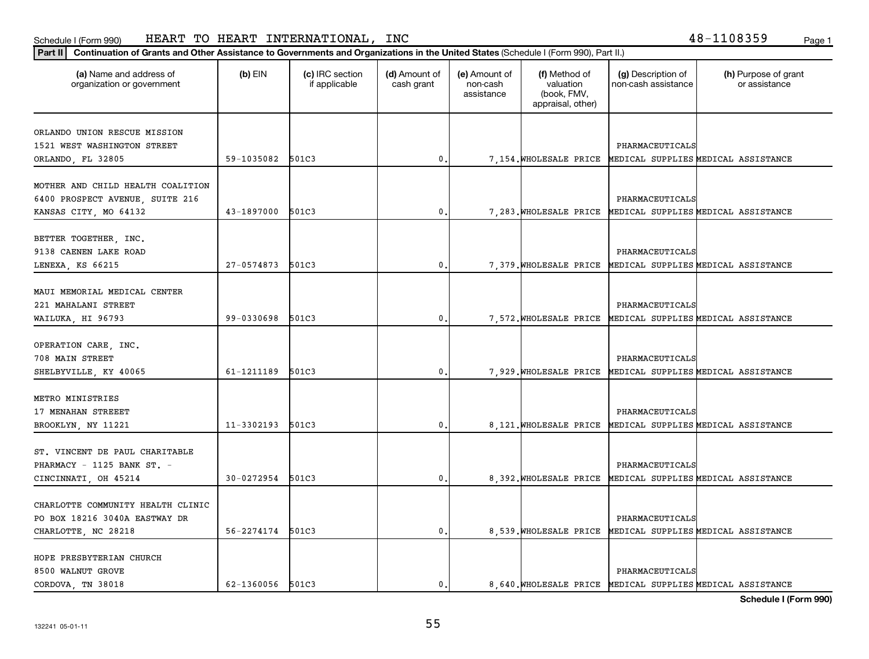**Part II Continuation of Grants and Other Assistance to Governments and Organizations in the United States**  (Schedule I (Form 990), Part II.)

| (a) Name and address of<br>organization or government                                         | $(b)$ EIN        | (c) IRC section<br>if applicable | (d) Amount of<br>cash grant | (e) Amount of<br>non-cash<br>assistance | (f) Method of<br>valuation<br>(book, FMV,<br>appraisal, other) | (g) Description of<br>non-cash assistance | (h) Purpose of grant<br>or assistance                       |
|-----------------------------------------------------------------------------------------------|------------------|----------------------------------|-----------------------------|-----------------------------------------|----------------------------------------------------------------|-------------------------------------------|-------------------------------------------------------------|
| ORLANDO UNION RESCUE MISSION<br>1521 WEST WASHINGTON STREET<br>ORLANDO, FL 32805              | 59-1035082       | 501C3                            | $\mathbf{0}$ .              |                                         |                                                                | PHARMACEUTICALS                           | 7,154. WHOLESALE PRICE MEDICAL SUPPLIES MEDICAL ASSISTANCE  |
| MOTHER AND CHILD HEALTH COALITION<br>6400 PROSPECT AVENUE, SUITE 216<br>KANSAS CITY, MO 64132 | 43-1897000       | 501C3                            | $\mathbf{0}$ .              |                                         |                                                                | PHARMACEUTICALS                           | 7, 283. WHOLESALE PRICE MEDICAL SUPPLIES MEDICAL ASSISTANCE |
| BETTER TOGETHER, INC.<br>9138 CAENEN LAKE ROAD<br>LENEXA, KS 66215                            | 27-0574873       | 501C3                            | $\mathbf{0}$ .              |                                         |                                                                | PHARMACEUTICALS                           | 7,379. WHOLESALE PRICE MEDICAL SUPPLIES MEDICAL ASSISTANCE  |
| MAUI MEMORIAL MEDICAL CENTER<br>221 MAHALANI STREET<br>WAILUKA, HI 96793                      | 99-0330698       | 501C3                            | $\mathbf{0}$                |                                         |                                                                | PHARMACEUTICALS                           | 7,572. WHOLESALE PRICE MEDICAL SUPPLIES MEDICAL ASSISTANCE  |
| OPERATION CARE, INC.<br>708 MAIN STREET<br>SHELBYVILLE, KY 40065                              | 61-1211189       | 501C3                            | $\mathbf{0}$ .              |                                         |                                                                | PHARMACEUTICALS                           | 7,929. WHOLESALE PRICE MEDICAL SUPPLIES MEDICAL ASSISTANCE  |
| METRO MINISTRIES<br>17 MENAHAN STREEET<br>BROOKLYN, NY 11221                                  | 11-3302193       | 501C3                            | $\mathfrak o$ .             |                                         |                                                                | PHARMACEUTICALS                           | 8, 121. WHOLESALE PRICE MEDICAL SUPPLIES MEDICAL ASSISTANCE |
| ST. VINCENT DE PAUL CHARITABLE<br>PHARMACY - 1125 BANK ST. -<br>CINCINNATI, OH 45214          | 30-0272954       | 501C3                            | 0.                          |                                         |                                                                | PHARMACEUTICALS                           | 8, 392. WHOLESALE PRICE MEDICAL SUPPLIES MEDICAL ASSISTANCE |
| CHARLOTTE COMMUNITY HEALTH CLINIC<br>PO BOX 18216 3040A EASTWAY DR<br>CHARLOTTE, NC 28218     | 56-2274174       | 501C3                            | $\mathbf{0}$ .              |                                         |                                                                | PHARMACEUTICALS                           | 8,539. WHOLESALE PRICE MEDICAL SUPPLIES MEDICAL ASSISTANCE  |
| HOPE PRESBYTERIAN CHURCH<br>8500 WALNUT GROVE<br>CORDOVA, TN 38018                            | 62-1360056 501C3 |                                  | $\mathbf{0}$ .              |                                         |                                                                | PHARMACEUTICALS                           | 8,640. WHOLESALE PRICE MEDICAL SUPPLIES MEDICAL ASSISTANCE  |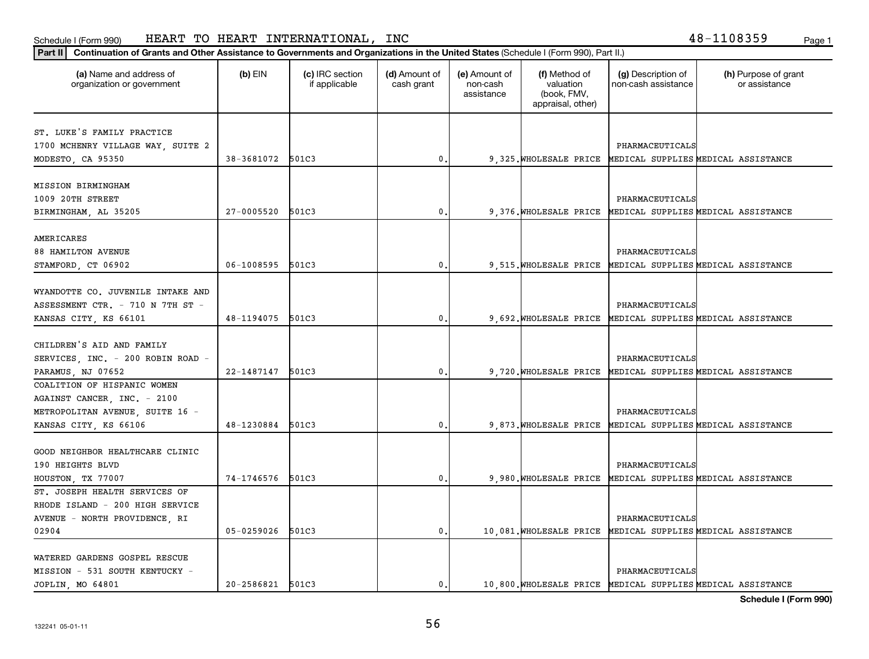| Part II   Continuation of Grants and Other Assistance to Governments and Organizations in the United States (Schedule I (Form 990), Part II.) |                  |                                  |                             |                                         |                                                                |                                           |                                                             |
|-----------------------------------------------------------------------------------------------------------------------------------------------|------------------|----------------------------------|-----------------------------|-----------------------------------------|----------------------------------------------------------------|-------------------------------------------|-------------------------------------------------------------|
| (a) Name and address of<br>organization or government                                                                                         | $(b)$ EIN        | (c) IRC section<br>if applicable | (d) Amount of<br>cash grant | (e) Amount of<br>non-cash<br>assistance | (f) Method of<br>valuation<br>(book, FMV,<br>appraisal, other) | (g) Description of<br>non-cash assistance | (h) Purpose of grant<br>or assistance                       |
|                                                                                                                                               |                  |                                  |                             |                                         |                                                                |                                           |                                                             |
| ST. LUKE'S FAMILY PRACTICE                                                                                                                    |                  |                                  |                             |                                         |                                                                |                                           |                                                             |
| 1700 MCHENRY VILLAGE WAY, SUITE 2                                                                                                             |                  |                                  |                             |                                         |                                                                | PHARMACEUTICALS                           |                                                             |
| MODESTO, CA 95350                                                                                                                             | 38-3681072       | 501C3                            | 0                           |                                         |                                                                |                                           | 9,325. WHOLESALE PRICE MEDICAL SUPPLIES MEDICAL ASSISTANCE  |
| MISSION BIRMINGHAM                                                                                                                            |                  |                                  |                             |                                         |                                                                |                                           |                                                             |
| 1009 20TH STREET                                                                                                                              |                  |                                  |                             |                                         |                                                                | PHARMACEUTICALS                           |                                                             |
|                                                                                                                                               | $27 - 0005520$   | 501C3                            | 0                           |                                         |                                                                |                                           |                                                             |
| BIRMINGHAM, AL 35205                                                                                                                          |                  |                                  |                             |                                         | 9,376. WHOLESALE PRICE                                         |                                           | MEDICAL SUPPLIES MEDICAL ASSISTANCE                         |
| AMERICARES                                                                                                                                    |                  |                                  |                             |                                         |                                                                |                                           |                                                             |
| 88 HAMILTON AVENUE                                                                                                                            |                  |                                  |                             |                                         |                                                                | PHARMACEUTICALS                           |                                                             |
| STAMFORD, CT 06902                                                                                                                            | 06-1008595       | 501C3                            | $\mathbf{0}$                |                                         | 9.515. WHOLESALE PRICE                                         |                                           | MEDICAL SUPPLIES MEDICAL ASSISTANCE                         |
|                                                                                                                                               |                  |                                  |                             |                                         |                                                                |                                           |                                                             |
| WYANDOTTE CO. JUVENILE INTAKE AND                                                                                                             |                  |                                  |                             |                                         |                                                                |                                           |                                                             |
| ASSESSMENT CTR. - 710 N 7TH ST -                                                                                                              |                  |                                  |                             |                                         |                                                                | PHARMACEUTICALS                           |                                                             |
| KANSAS CITY, KS 66101                                                                                                                         | 48-1194075       | 501C3                            | $\mathbf 0$                 |                                         | 9,692. WHOLESALE PRICE                                         |                                           | MEDICAL SUPPLIES MEDICAL ASSISTANCE                         |
|                                                                                                                                               |                  |                                  |                             |                                         |                                                                |                                           |                                                             |
| CHILDREN'S AID AND FAMILY                                                                                                                     |                  |                                  |                             |                                         |                                                                |                                           |                                                             |
| SERVICES, INC. - 200 ROBIN ROAD -                                                                                                             |                  |                                  |                             |                                         |                                                                | PHARMACEUTICALS                           |                                                             |
| PARAMUS, NJ 07652                                                                                                                             | $22 - 1487147$   | 501C3                            | 0                           |                                         | 9,720. WHOLESALE PRICE                                         |                                           | MEDICAL SUPPLIES MEDICAL ASSISTANCE                         |
| COALITION OF HISPANIC WOMEN                                                                                                                   |                  |                                  |                             |                                         |                                                                |                                           |                                                             |
| AGAINST CANCER, INC. - 2100                                                                                                                   |                  |                                  |                             |                                         |                                                                |                                           |                                                             |
| METROPOLITAN AVENUE, SUITE 16 -                                                                                                               |                  |                                  |                             |                                         |                                                                | PHARMACEUTICALS                           |                                                             |
|                                                                                                                                               | 48-1230884       | 501C3                            | $\mathbf{0}$                |                                         | 9,873. WHOLESALE PRICE                                         |                                           | MEDICAL SUPPLIES MEDICAL ASSISTANCE                         |
| KANSAS CITY, KS 66106                                                                                                                         |                  |                                  |                             |                                         |                                                                |                                           |                                                             |
| GOOD NEIGHBOR HEALTHCARE CLINIC                                                                                                               |                  |                                  |                             |                                         |                                                                |                                           |                                                             |
| 190 HEIGHTS BLVD                                                                                                                              |                  |                                  |                             |                                         |                                                                | PHARMACEUTICALS                           |                                                             |
| HOUSTON, TX 77007                                                                                                                             | 74-1746576       | 501C3                            | $\mathbf{0}$                |                                         |                                                                |                                           | 9,980. WHOLESALE PRICE MEDICAL SUPPLIES MEDICAL ASSISTANCE  |
| ST. JOSEPH HEALTH SERVICES OF                                                                                                                 |                  |                                  |                             |                                         |                                                                |                                           |                                                             |
|                                                                                                                                               |                  |                                  |                             |                                         |                                                                |                                           |                                                             |
| RHODE ISLAND - 200 HIGH SERVICE                                                                                                               |                  |                                  |                             |                                         |                                                                |                                           |                                                             |
| AVENUE - NORTH PROVIDENCE, RI                                                                                                                 |                  |                                  |                             |                                         |                                                                | PHARMACEUTICALS                           |                                                             |
| 02904                                                                                                                                         | 05-0259026       | 501C3                            | 0.                          |                                         | 10,081. WHOLESALE PRICE                                        |                                           | MEDICAL SUPPLIES MEDICAL ASSISTANCE                         |
| WATERED GARDENS GOSPEL RESCUE                                                                                                                 |                  |                                  |                             |                                         |                                                                |                                           |                                                             |
| MISSION - 531 SOUTH KENTUCKY -                                                                                                                |                  |                                  |                             |                                         |                                                                | PHARMACEUTICALS                           |                                                             |
| JOPLIN, MO 64801                                                                                                                              | 20-2586821 501C3 |                                  | $\mathbf{0}$ .              |                                         |                                                                |                                           | 10,800. WHOLESALE PRICE MEDICAL SUPPLIES MEDICAL ASSISTANCE |
|                                                                                                                                               |                  |                                  |                             |                                         |                                                                |                                           |                                                             |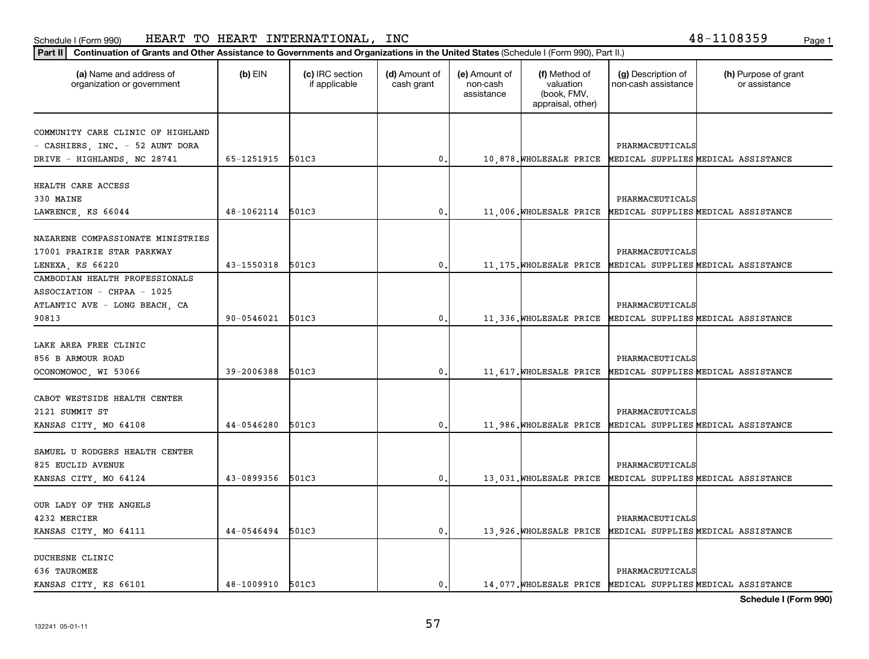**Part II Continuation of Grants and Other Assistance to Governments and Organizations in the United States**  (Schedule I (Form 990), Part II.)

| (a) Name and address of<br>organization or government                | $(b)$ EIN        | (c) IRC section<br>if applicable | (d) Amount of<br>cash grant | (e) Amount of<br>non-cash<br>assistance | (f) Method of<br>valuation<br>(book, FMV,<br>appraisal, other) | (g) Description of<br>non-cash assistance | (h) Purpose of grant<br>or assistance                        |
|----------------------------------------------------------------------|------------------|----------------------------------|-----------------------------|-----------------------------------------|----------------------------------------------------------------|-------------------------------------------|--------------------------------------------------------------|
| COMMUNITY CARE CLINIC OF HIGHLAND<br>- CASHIERS, INC. - 52 AUNT DORA |                  |                                  |                             |                                         |                                                                | PHARMACEUTICALS                           |                                                              |
| DRIVE - HIGHLANDS, NC 28741                                          | 65-1251915 501C3 |                                  | 0                           |                                         |                                                                |                                           | 10,878. WHOLESALE PRICE MEDICAL SUPPLIES MEDICAL ASSISTANCE  |
| HEALTH CARE ACCESS                                                   |                  |                                  |                             |                                         |                                                                |                                           |                                                              |
| 330 MAINE                                                            |                  |                                  |                             |                                         |                                                                | PHARMACEUTICALS                           |                                                              |
| LAWRENCE, KS 66044                                                   | 48-1062114       | 501C3                            | 0                           |                                         | 11,006.WHOLESALE PRICE                                         |                                           | MEDICAL SUPPLIES MEDICAL ASSISTANCE                          |
| NAZARENE COMPASSIONATE MINISTRIES                                    |                  |                                  |                             |                                         |                                                                |                                           |                                                              |
| 17001 PRAIRIE STAR PARKWAY                                           |                  |                                  |                             |                                         |                                                                | PHARMACEUTICALS                           |                                                              |
| LENEXA, KS 66220                                                     | 43-1550318 501C3 |                                  | 0                           |                                         |                                                                |                                           | 11, 175. WHOLESALE PRICE MEDICAL SUPPLIES MEDICAL ASSISTANCE |
| CAMBODIAN HEALTH PROFESSIONALS                                       |                  |                                  |                             |                                         |                                                                |                                           |                                                              |
| ASSOCIATION - CHPAA - 1025                                           |                  |                                  |                             |                                         |                                                                |                                           |                                                              |
| ATLANTIC AVE - LONG BEACH, CA                                        |                  |                                  |                             |                                         |                                                                | PHARMACEUTICALS                           |                                                              |
| 90813                                                                | 90-0546021       | 501C3                            | 0                           |                                         |                                                                |                                           | 11, 336. WHOLESALE PRICE MEDICAL SUPPLIES MEDICAL ASSISTANCE |
|                                                                      |                  |                                  |                             |                                         |                                                                |                                           |                                                              |
| LAKE AREA FREE CLINIC<br>856 B ARMOUR ROAD                           |                  |                                  |                             |                                         |                                                                | PHARMACEUTICALS                           |                                                              |
| OCONOMOWOC, WI 53066                                                 | 39-2006388       | 501C3                            | 0                           |                                         |                                                                |                                           | 11, 617. WHOLESALE PRICE MEDICAL SUPPLIES MEDICAL ASSISTANCE |
|                                                                      |                  |                                  |                             |                                         |                                                                |                                           |                                                              |
| CABOT WESTSIDE HEALTH CENTER                                         |                  |                                  |                             |                                         |                                                                |                                           |                                                              |
| 2121 SUMMIT ST                                                       |                  |                                  |                             |                                         |                                                                | PHARMACEUTICALS                           |                                                              |
| KANSAS CITY, MO 64108                                                | 44-0546280       | 501C3                            | 0                           |                                         |                                                                |                                           | 11,986. WHOLESALE PRICE MEDICAL SUPPLIES MEDICAL ASSISTANCE  |
| SAMUEL U RODGERS HEALTH CENTER                                       |                  |                                  |                             |                                         |                                                                |                                           |                                                              |
| 825 EUCLID AVENUE                                                    |                  |                                  |                             |                                         |                                                                | PHARMACEUTICALS                           |                                                              |
| KANSAS CITY, MO 64124                                                | 43-0899356 501C3 |                                  | 0                           |                                         |                                                                |                                           | 13,031. WHOLESALE PRICE MEDICAL SUPPLIES MEDICAL ASSISTANCE  |
|                                                                      |                  |                                  |                             |                                         |                                                                |                                           |                                                              |
| OUR LADY OF THE ANGELS                                               |                  |                                  |                             |                                         |                                                                |                                           |                                                              |
| 4232 MERCIER                                                         |                  |                                  |                             |                                         |                                                                | PHARMACEUTICALS                           |                                                              |
| KANSAS CITY, MO 64111                                                | 44-0546494 501C3 |                                  | $\mathbf 0$                 |                                         |                                                                |                                           | 13,926. WHOLESALE PRICE MEDICAL SUPPLIES MEDICAL ASSISTANCE  |
| DUCHESNE CLINIC                                                      |                  |                                  |                             |                                         |                                                                |                                           |                                                              |
| 636 TAUROMEE                                                         |                  |                                  |                             |                                         |                                                                | PHARMACEUTICALS                           |                                                              |
| KANSAS CITY, KS 66101                                                | 48-1009910       | 501C3                            | 0                           |                                         |                                                                |                                           | 14,077. WHOLESALE PRICE MEDICAL SUPPLIES MEDICAL ASSISTANCE  |
|                                                                      |                  |                                  |                             |                                         |                                                                |                                           | Schedule I (Form 990)                                        |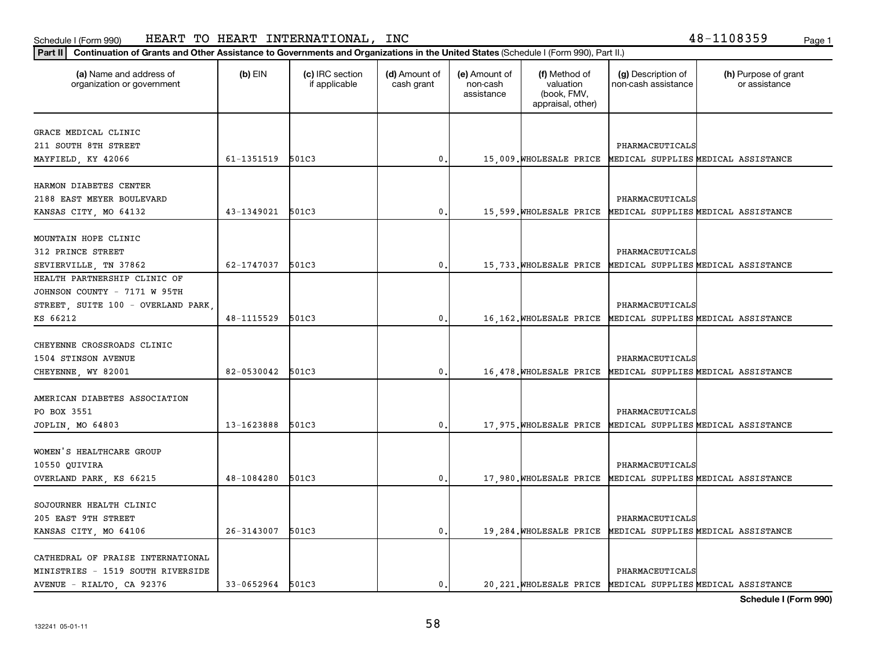| Continuation of Grants and Other Assistance to Governments and Organizations in the United States (Schedule I (Form 990), Part II.)<br>  Part II |                  |                                  |                             |                                         |                                                                |                                           |                                                              |
|--------------------------------------------------------------------------------------------------------------------------------------------------|------------------|----------------------------------|-----------------------------|-----------------------------------------|----------------------------------------------------------------|-------------------------------------------|--------------------------------------------------------------|
| (a) Name and address of<br>organization or government                                                                                            | $(b)$ EIN        | (c) IRC section<br>if applicable | (d) Amount of<br>cash grant | (e) Amount of<br>non-cash<br>assistance | (f) Method of<br>valuation<br>(book, FMV,<br>appraisal, other) | (g) Description of<br>non-cash assistance | (h) Purpose of grant<br>or assistance                        |
|                                                                                                                                                  |                  |                                  |                             |                                         |                                                                |                                           |                                                              |
| GRACE MEDICAL CLINIC                                                                                                                             |                  |                                  |                             |                                         |                                                                |                                           |                                                              |
| 211 SOUTH 8TH STREET                                                                                                                             |                  |                                  |                             |                                         |                                                                | PHARMACEUTICALS                           |                                                              |
| MAYFIELD, KY 42066                                                                                                                               | 61-1351519 501C3 |                                  | 0.                          |                                         |                                                                |                                           | 15,009. WHOLESALE PRICE MEDICAL SUPPLIES MEDICAL ASSISTANCE  |
| HARMON DIABETES CENTER                                                                                                                           |                  |                                  |                             |                                         |                                                                |                                           |                                                              |
| 2188 EAST MEYER BOULEVARD                                                                                                                        |                  |                                  |                             |                                         |                                                                | PHARMACEUTICALS                           |                                                              |
| KANSAS CITY, MO 64132                                                                                                                            | 43-1349021       | 501C3                            | $\mathbf 0$ .               |                                         |                                                                |                                           | 15,599. WHOLESALE PRICE MEDICAL SUPPLIES MEDICAL ASSISTANCE  |
|                                                                                                                                                  |                  |                                  |                             |                                         |                                                                |                                           |                                                              |
| MOUNTAIN HOPE CLINIC                                                                                                                             |                  |                                  |                             |                                         |                                                                |                                           |                                                              |
| 312 PRINCE STREET                                                                                                                                |                  |                                  |                             |                                         |                                                                | PHARMACEUTICALS                           |                                                              |
| SEVIERVILLE, TN 37862                                                                                                                            | 62-1747037       | 501C3                            | 0.                          |                                         |                                                                |                                           | 15, 733. WHOLESALE PRICE MEDICAL SUPPLIES MEDICAL ASSISTANCE |
| HEALTH PARTNERSHIP CLINIC OF                                                                                                                     |                  |                                  |                             |                                         |                                                                |                                           |                                                              |
| JOHNSON COUNTY - 7171 W 95TH                                                                                                                     |                  |                                  |                             |                                         |                                                                |                                           |                                                              |
| STREET, SUITE 100 - OVERLAND PARK                                                                                                                |                  |                                  |                             |                                         |                                                                | PHARMACEUTICALS                           |                                                              |
| KS 66212                                                                                                                                         | 48-1115529       | 501C3                            | $\mathbf 0$ .               |                                         |                                                                |                                           | 16,162. WHOLESALE PRICE MEDICAL SUPPLIES MEDICAL ASSISTANCE  |
|                                                                                                                                                  |                  |                                  |                             |                                         |                                                                |                                           |                                                              |
| CHEYENNE CROSSROADS CLINIC                                                                                                                       |                  |                                  |                             |                                         |                                                                |                                           |                                                              |
| 1504 STINSON AVENUE                                                                                                                              |                  |                                  |                             |                                         |                                                                | PHARMACEUTICALS                           |                                                              |
| CHEYENNE, WY 82001                                                                                                                               | 82-0530042       | 501C3                            | $\mathbf 0$ .               |                                         |                                                                |                                           | 16,478. WHOLESALE PRICE MEDICAL SUPPLIES MEDICAL ASSISTANCE  |
|                                                                                                                                                  |                  |                                  |                             |                                         |                                                                |                                           |                                                              |
| AMERICAN DIABETES ASSOCIATION                                                                                                                    |                  |                                  |                             |                                         |                                                                |                                           |                                                              |
| PO BOX 3551                                                                                                                                      |                  |                                  |                             |                                         |                                                                | PHARMACEUTICALS                           |                                                              |
| JOPLIN, MO 64803                                                                                                                                 | 13-1623888       | 501C3                            | 0.                          |                                         |                                                                |                                           | 17,975. WHOLESALE PRICE MEDICAL SUPPLIES MEDICAL ASSISTANCE  |
|                                                                                                                                                  |                  |                                  |                             |                                         |                                                                |                                           |                                                              |
| WOMEN'S HEALTHCARE GROUP                                                                                                                         |                  |                                  |                             |                                         |                                                                |                                           |                                                              |
| 10550 QUIVIRA                                                                                                                                    |                  |                                  |                             |                                         |                                                                | PHARMACEUTICALS                           |                                                              |
| OVERLAND PARK, KS 66215                                                                                                                          | 48-1084280       | 501C3                            | 0.                          |                                         |                                                                |                                           | 17,980. WHOLESALE PRICE MEDICAL SUPPLIES MEDICAL ASSISTANCE  |
|                                                                                                                                                  |                  |                                  |                             |                                         |                                                                |                                           |                                                              |
| SOJOURNER HEALTH CLINIC                                                                                                                          |                  |                                  |                             |                                         |                                                                |                                           |                                                              |
| 205 EAST 9TH STREET                                                                                                                              |                  |                                  |                             |                                         |                                                                | PHARMACEUTICALS                           |                                                              |
| KANSAS CITY, MO 64106                                                                                                                            | 26-3143007       | 501C3                            | $\mathbf 0$ .               |                                         |                                                                |                                           | 19, 284. WHOLESALE PRICE MEDICAL SUPPLIES MEDICAL ASSISTANCE |
|                                                                                                                                                  |                  |                                  |                             |                                         |                                                                |                                           |                                                              |
| CATHEDRAL OF PRAISE INTERNATIONAL<br>MINISTRIES - 1519 SOUTH RIVERSIDE                                                                           |                  |                                  |                             |                                         |                                                                | PHARMACEUTICALS                           |                                                              |
| AVENUE - RIALTO, CA 92376                                                                                                                        | 33-0652964 501C3 |                                  | $\mathbf{0}$ .              |                                         |                                                                |                                           | 20, 221. WHOLESALE PRICE MEDICAL SUPPLIES MEDICAL ASSISTANCE |
|                                                                                                                                                  |                  |                                  |                             |                                         |                                                                |                                           |                                                              |

**Schedule I (Form 990)**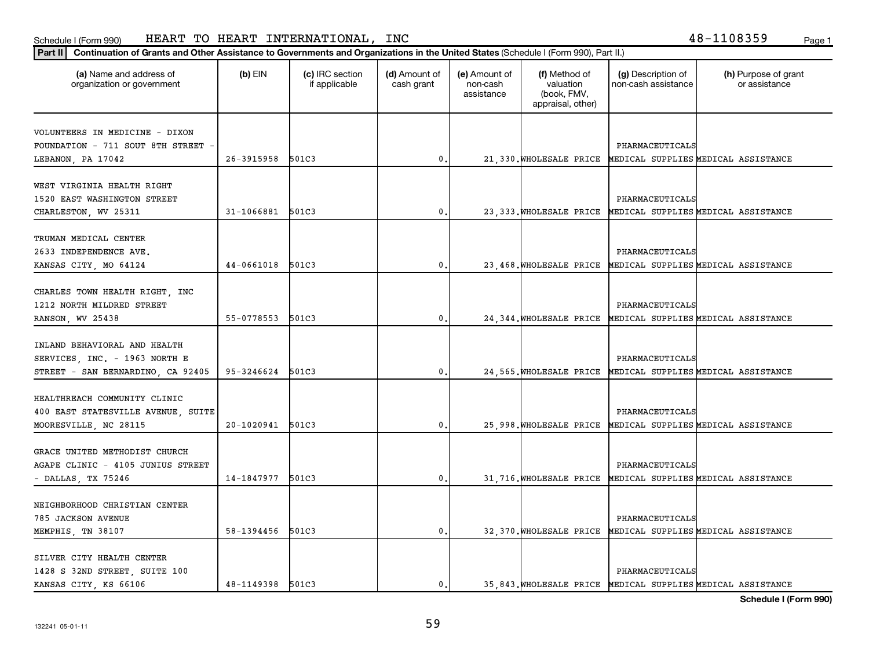**Part II Continuation of Grants and Other Assistance to Governments and Organizations in the United States**  (Schedule I (Form 990), Part II.)

| (a) Name and address of<br>organization or government | (b) EIN          | (c) IRC section<br>if applicable | (d) Amount of<br>cash grant | (e) Amount of<br>non-cash<br>assistance | (f) Method of<br>valuation<br>(book, FMV,<br>appraisal, other) | (g) Description of<br>non-cash assistance | (h) Purpose of grant<br>or assistance                        |
|-------------------------------------------------------|------------------|----------------------------------|-----------------------------|-----------------------------------------|----------------------------------------------------------------|-------------------------------------------|--------------------------------------------------------------|
| VOLUNTEERS IN MEDICINE - DIXON                        |                  |                                  |                             |                                         |                                                                |                                           |                                                              |
| FOUNDATION - 711 SOUT 8TH STREET                      |                  |                                  |                             |                                         |                                                                | PHARMACEUTICALS                           |                                                              |
| LEBANON, PA 17042                                     | 26-3915958       | 501C3                            | $\mathbf 0$ .               |                                         |                                                                |                                           | 21, 330. WHOLESALE PRICE MEDICAL SUPPLIES MEDICAL ASSISTANCE |
| WEST VIRGINIA HEALTH RIGHT                            |                  |                                  |                             |                                         |                                                                |                                           |                                                              |
| 1520 EAST WASHINGTON STREET                           |                  |                                  |                             |                                         |                                                                | PHARMACEUTICALS                           |                                                              |
| CHARLESTON, WV 25311                                  | 31-1066881       | 501C3                            | 0                           |                                         |                                                                |                                           | 23, 333. WHOLESALE PRICE MEDICAL SUPPLIES MEDICAL ASSISTANCE |
|                                                       |                  |                                  |                             |                                         |                                                                |                                           |                                                              |
| TRUMAN MEDICAL CENTER                                 |                  |                                  |                             |                                         |                                                                |                                           |                                                              |
| 2633 INDEPENDENCE AVE.                                |                  |                                  |                             |                                         |                                                                | PHARMACEUTICALS                           |                                                              |
| KANSAS CITY, MO 64124                                 | 44-0661018       | 501C3                            | 0                           |                                         |                                                                |                                           | 23, 468. WHOLESALE PRICE MEDICAL SUPPLIES MEDICAL ASSISTANCE |
| CHARLES TOWN HEALTH RIGHT, INC                        |                  |                                  |                             |                                         |                                                                |                                           |                                                              |
| 1212 NORTH MILDRED STREET                             |                  |                                  |                             |                                         |                                                                | PHARMACEUTICALS                           |                                                              |
| RANSON, WV 25438                                      | 55-0778553       | 501C3                            | 0                           |                                         |                                                                |                                           | 24, 344. WHOLESALE PRICE MEDICAL SUPPLIES MEDICAL ASSISTANCE |
|                                                       |                  |                                  |                             |                                         |                                                                |                                           |                                                              |
| INLAND BEHAVIORAL AND HEALTH                          |                  |                                  |                             |                                         |                                                                |                                           |                                                              |
| SERVICES, INC. - 1963 NORTH E                         |                  |                                  |                             |                                         |                                                                | PHARMACEUTICALS                           |                                                              |
| STREET - SAN BERNARDINO, CA 92405                     | 95-3246624       | 501C3                            | 0                           |                                         |                                                                |                                           | 24, 565. WHOLESALE PRICE MEDICAL SUPPLIES MEDICAL ASSISTANCE |
|                                                       |                  |                                  |                             |                                         |                                                                |                                           |                                                              |
| HEALTHREACH COMMUNITY CLINIC                          |                  |                                  |                             |                                         |                                                                |                                           |                                                              |
| 400 EAST STATESVILLE AVENUE, SUITE                    |                  |                                  |                             |                                         |                                                                | PHARMACEUTICALS                           |                                                              |
| MOORESVILLE, NC 28115                                 | 20-1020941       | 501C3                            | 0                           |                                         |                                                                |                                           | 25,998. WHOLESALE PRICE MEDICAL SUPPLIES MEDICAL ASSISTANCE  |
| GRACE UNITED METHODIST CHURCH                         |                  |                                  |                             |                                         |                                                                |                                           |                                                              |
| AGAPE CLINIC - 4105 JUNIUS STREET                     |                  |                                  |                             |                                         |                                                                | PHARMACEUTICALS                           |                                                              |
| - DALLAS, TX 75246                                    | 14-1847977       | 501C3                            | 0                           |                                         |                                                                |                                           | 31, 716. WHOLESALE PRICE MEDICAL SUPPLIES MEDICAL ASSISTANCE |
|                                                       |                  |                                  |                             |                                         |                                                                |                                           |                                                              |
| NEIGHBORHOOD CHRISTIAN CENTER                         |                  |                                  |                             |                                         |                                                                |                                           |                                                              |
| 785 JACKSON AVENUE                                    |                  |                                  |                             |                                         |                                                                | PHARMACEUTICALS                           |                                                              |
| MEMPHIS, TN 38107                                     | 58-1394456       | 501C3                            | 0                           |                                         |                                                                |                                           | 32, 370. WHOLESALE PRICE MEDICAL SUPPLIES MEDICAL ASSISTANCE |
|                                                       |                  |                                  |                             |                                         |                                                                |                                           |                                                              |
| SILVER CITY HEALTH CENTER                             |                  |                                  |                             |                                         |                                                                |                                           |                                                              |
| 1428 S 32ND STREET, SUITE 100                         |                  |                                  |                             |                                         |                                                                | PHARMACEUTICALS                           |                                                              |
| KANSAS CITY, KS 66106                                 | 48-1149398 501C3 |                                  | 0.                          |                                         |                                                                |                                           | 35, 843. WHOLESALE PRICE MEDICAL SUPPLIES MEDICAL ASSISTANCE |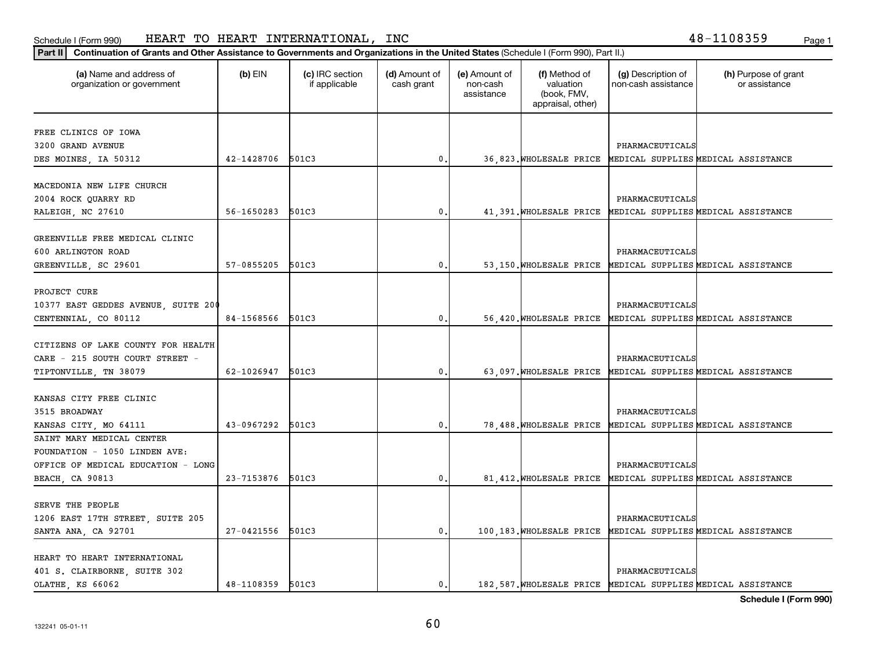**Part II Continuation of Grants and Other Assistance to Governments and Organizations in the United States**  (Schedule I (Form 990), Part II.)

| (a) Name and address of<br>organization or government | $(b)$ EIN  | (c) IRC section<br>if applicable | (d) Amount of<br>cash grant | (e) Amount of<br>non-cash<br>assistance | (f) Method of<br>valuation<br>(book, FMV,<br>appraisal, other) | (g) Description of<br>non-cash assistance | (h) Purpose of grant<br>or assistance                        |
|-------------------------------------------------------|------------|----------------------------------|-----------------------------|-----------------------------------------|----------------------------------------------------------------|-------------------------------------------|--------------------------------------------------------------|
| FREE CLINICS OF IOWA                                  |            |                                  |                             |                                         |                                                                |                                           |                                                              |
| 3200 GRAND AVENUE                                     |            |                                  |                             |                                         |                                                                | PHARMACEUTICALS                           |                                                              |
| DES MOINES, IA 50312                                  | 42-1428706 | 501C3                            | $\mathbf{0}$                |                                         |                                                                |                                           | 36,823. WHOLESALE PRICE MEDICAL SUPPLIES MEDICAL ASSISTANCE  |
| MACEDONIA NEW LIFE CHURCH                             |            |                                  |                             |                                         |                                                                |                                           |                                                              |
|                                                       |            |                                  |                             |                                         |                                                                |                                           |                                                              |
| 2004 ROCK QUARRY RD                                   |            |                                  |                             |                                         |                                                                | PHARMACEUTICALS                           |                                                              |
| RALEIGH, NC 27610                                     | 56-1650283 | 501C3                            | $\mathbf 0$                 |                                         |                                                                |                                           | 41, 391. WHOLESALE PRICE MEDICAL SUPPLIES MEDICAL ASSISTANCE |
| GREENVILLE FREE MEDICAL CLINIC                        |            |                                  |                             |                                         |                                                                |                                           |                                                              |
| 600 ARLINGTON ROAD                                    |            |                                  |                             |                                         |                                                                | PHARMACEUTICALS                           |                                                              |
|                                                       | 57-0855205 | 501C3                            | $\mathbf 0$                 |                                         |                                                                |                                           | 53,150. WHOLESALE PRICE MEDICAL SUPPLIES MEDICAL ASSISTANCE  |
| GREENVILLE, SC 29601                                  |            |                                  |                             |                                         |                                                                |                                           |                                                              |
| PROJECT CURE                                          |            |                                  |                             |                                         |                                                                |                                           |                                                              |
| 10377 EAST GEDDES AVENUE, SUITE 200                   |            |                                  |                             |                                         |                                                                | PHARMACEUTICALS                           |                                                              |
| CENTENNIAL, CO 80112                                  | 84-1568566 | 501C3                            | $\pmb{0}$                   |                                         |                                                                |                                           | 56,420. WHOLESALE PRICE MEDICAL SUPPLIES MEDICAL ASSISTANCE  |
|                                                       |            |                                  |                             |                                         |                                                                |                                           |                                                              |
| CITIZENS OF LAKE COUNTY FOR HEALTH                    |            |                                  |                             |                                         |                                                                |                                           |                                                              |
| CARE - 215 SOUTH COURT STREET -                       |            |                                  |                             |                                         |                                                                | PHARMACEUTICALS                           |                                                              |
|                                                       | 62-1026947 | 501C3                            | $\mathbf 0$                 |                                         |                                                                |                                           |                                                              |
| TIPTONVILLE, TN 38079                                 |            |                                  |                             |                                         | 63,097. WHOLESALE PRICE                                        |                                           | MEDICAL SUPPLIES MEDICAL ASSISTANCE                          |
| KANSAS CITY FREE CLINIC                               |            |                                  |                             |                                         |                                                                |                                           |                                                              |
| 3515 BROADWAY                                         |            |                                  |                             |                                         |                                                                | PHARMACEUTICALS                           |                                                              |
| KANSAS CITY, MO 64111                                 | 43-0967292 | 501C3                            | $\mathbf 0$                 |                                         |                                                                |                                           | 78,488. WHOLESALE PRICE MEDICAL SUPPLIES MEDICAL ASSISTANCE  |
| SAINT MARY MEDICAL CENTER                             |            |                                  |                             |                                         |                                                                |                                           |                                                              |
| FOUNDATION - 1050 LINDEN AVE:                         |            |                                  |                             |                                         |                                                                |                                           |                                                              |
| OFFICE OF MEDICAL EDUCATION - LONG                    |            |                                  |                             |                                         |                                                                | PHARMACEUTICALS                           |                                                              |
|                                                       | 23-7153876 | 501C3                            | 0                           |                                         |                                                                |                                           | 81, 412. WHOLESALE PRICE MEDICAL SUPPLIES MEDICAL ASSISTANCE |
| BEACH, CA 90813                                       |            |                                  |                             |                                         |                                                                |                                           |                                                              |
| SERVE THE PEOPLE                                      |            |                                  |                             |                                         |                                                                |                                           |                                                              |
| 1206 EAST 17TH STREET, SUITE 205                      |            |                                  |                             |                                         |                                                                | PHARMACEUTICALS                           |                                                              |
| SANTA ANA, CA 92701                                   | 27-0421556 | 501C3                            | $^{\rm 0}$ .                |                                         |                                                                |                                           | 100,183. WHOLESALE PRICE MEDICAL SUPPLIES MEDICAL ASSISTANCE |
|                                                       |            |                                  |                             |                                         |                                                                |                                           |                                                              |
| HEART TO HEART INTERNATIONAL                          |            |                                  |                             |                                         |                                                                |                                           |                                                              |
| 401 S. CLAIRBORNE, SUITE 302                          |            |                                  |                             |                                         |                                                                | PHARMACEUTICALS                           |                                                              |
| OLATHE, KS 66062                                      | 48-1108359 | 501C3                            | $\mathbf{0}$ .              |                                         |                                                                |                                           | 182,587. WHOLESALE PRICE MEDICAL SUPPLIES MEDICAL ASSISTANCE |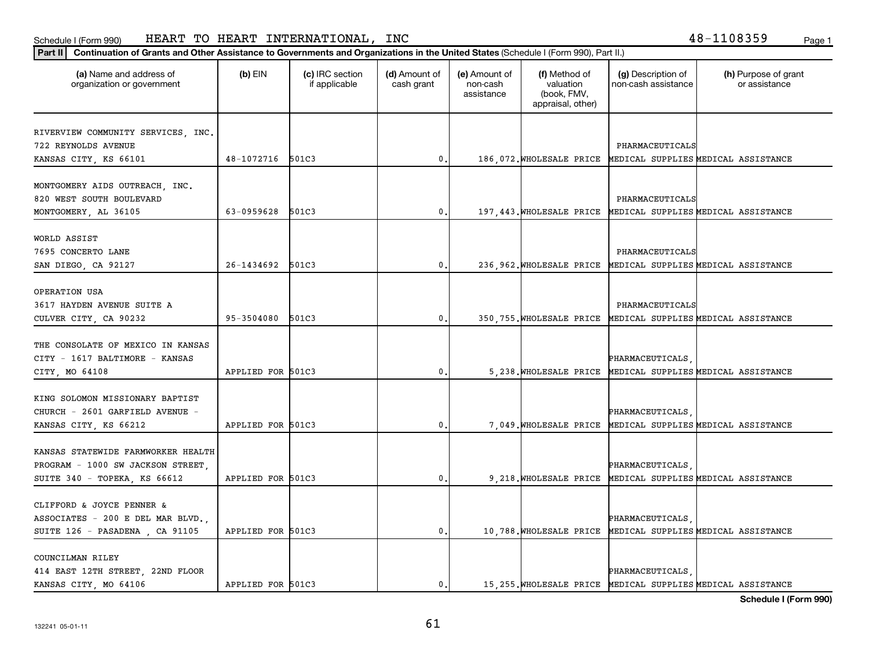**Part II Continuation of Grants and Other Assistance to Governments and Organizations in the United States**  (Schedule I (Form 990), Part II.)

| (a) Name and address of<br>organization or government | $(b)$ EIN         | (c) IRC section<br>if applicable | (d) Amount of<br>cash grant | (e) Amount of<br>non-cash<br>assistance | (f) Method of<br>valuation<br>(book, FMV,<br>appraisal, other) | (g) Description of<br>non-cash assistance | (h) Purpose of grant<br>or assistance                         |
|-------------------------------------------------------|-------------------|----------------------------------|-----------------------------|-----------------------------------------|----------------------------------------------------------------|-------------------------------------------|---------------------------------------------------------------|
| RIVERVIEW COMMUNITY SERVICES, INC.                    |                   |                                  |                             |                                         |                                                                |                                           |                                                               |
| 722 REYNOLDS AVENUE                                   |                   |                                  |                             |                                         |                                                                | PHARMACEUTICALS                           |                                                               |
| KANSAS CITY, KS 66101                                 | 48-1072716        | 501C3                            | $^{\rm 0}$ .                |                                         |                                                                |                                           | 186,072. WHOLESALE PRICE MEDICAL SUPPLIES MEDICAL ASSISTANCE  |
| MONTGOMERY AIDS OUTREACH, INC.                        |                   |                                  |                             |                                         |                                                                |                                           |                                                               |
| 820 WEST SOUTH BOULEVARD                              |                   |                                  |                             |                                         |                                                                | PHARMACEUTICALS                           |                                                               |
| MONTGOMERY, AL 36105                                  | 63-0959628        | 501C3                            | $\mathbf{0}$ .              |                                         |                                                                |                                           | 197, 443. WHOLESALE PRICE MEDICAL SUPPLIES MEDICAL ASSISTANCE |
| WORLD ASSIST                                          |                   |                                  |                             |                                         |                                                                |                                           |                                                               |
| 7695 CONCERTO LANE                                    |                   |                                  |                             |                                         |                                                                | PHARMACEUTICALS                           |                                                               |
| SAN DIEGO, CA 92127                                   | 26-1434692        | 501C3                            | $\mathbf{0}$                |                                         |                                                                |                                           | 236, 962. WHOLESALE PRICE MEDICAL SUPPLIES MEDICAL ASSISTANCE |
|                                                       |                   |                                  |                             |                                         |                                                                |                                           |                                                               |
| OPERATION USA<br>3617 HAYDEN AVENUE SUITE A           |                   |                                  |                             |                                         |                                                                | PHARMACEUTICALS                           |                                                               |
| CULVER CITY, CA 90232                                 | 95-3504080        | 501C3                            | $^{\rm 0}$ .                |                                         |                                                                |                                           | 350, 755. WHOLESALE PRICE MEDICAL SUPPLIES MEDICAL ASSISTANCE |
|                                                       |                   |                                  |                             |                                         |                                                                |                                           |                                                               |
| THE CONSOLATE OF MEXICO IN KANSAS                     |                   |                                  |                             |                                         |                                                                |                                           |                                                               |
| CITY - 1617 BALTIMORE - KANSAS                        |                   |                                  |                             |                                         |                                                                | PHARMACEUTICALS                           |                                                               |
| CITY, MO 64108                                        | APPLIED FOR 501C3 |                                  | $\mathbf{0}$ .              |                                         |                                                                |                                           | 5, 238. WHOLESALE PRICE MEDICAL SUPPLIES MEDICAL ASSISTANCE   |
| KING SOLOMON MISSIONARY BAPTIST                       |                   |                                  |                             |                                         |                                                                |                                           |                                                               |
| CHURCH - 2601 GARFIELD AVENUE -                       |                   |                                  |                             |                                         |                                                                | PHARMACEUTICALS                           |                                                               |
| KANSAS CITY, KS 66212                                 | APPLIED FOR 501C3 |                                  | 0                           |                                         |                                                                |                                           | 7,049. WHOLESALE PRICE MEDICAL SUPPLIES MEDICAL ASSISTANCE    |
|                                                       |                   |                                  |                             |                                         |                                                                |                                           |                                                               |
| KANSAS STATEWIDE FARMWORKER HEALTH                    |                   |                                  |                             |                                         |                                                                |                                           |                                                               |
| PROGRAM - 1000 SW JACKSON STREET,                     |                   |                                  |                             |                                         |                                                                | PHARMACEUTICALS                           |                                                               |
| SUITE 340 - TOPEKA, KS 66612                          | APPLIED FOR 501C3 |                                  | 0                           |                                         |                                                                |                                           | 9, 218. WHOLESALE PRICE MEDICAL SUPPLIES MEDICAL ASSISTANCE   |
| CLIFFORD & JOYCE PENNER &                             |                   |                                  |                             |                                         |                                                                |                                           |                                                               |
| ASSOCIATES - 200 E DEL MAR BLVD.,                     |                   |                                  |                             |                                         |                                                                | PHARMACEUTICALS                           |                                                               |
| SUITE 126 - PASADENA, CA 91105                        | APPLIED FOR 501C3 |                                  | $\mathbf{0}$ .              |                                         |                                                                |                                           | 10,788. WHOLESALE PRICE MEDICAL SUPPLIES MEDICAL ASSISTANCE   |
| COUNCILMAN RILEY                                      |                   |                                  |                             |                                         |                                                                |                                           |                                                               |
| 414 EAST 12TH STREET, 22ND FLOOR                      |                   |                                  |                             |                                         |                                                                | PHARMACEUTICALS                           |                                                               |
| KANSAS CITY, MO 64106                                 | APPLIED FOR 501C3 |                                  | 0.                          |                                         |                                                                |                                           | 15, 255. WHOLESALE PRICE MEDICAL SUPPLIES MEDICAL ASSISTANCE  |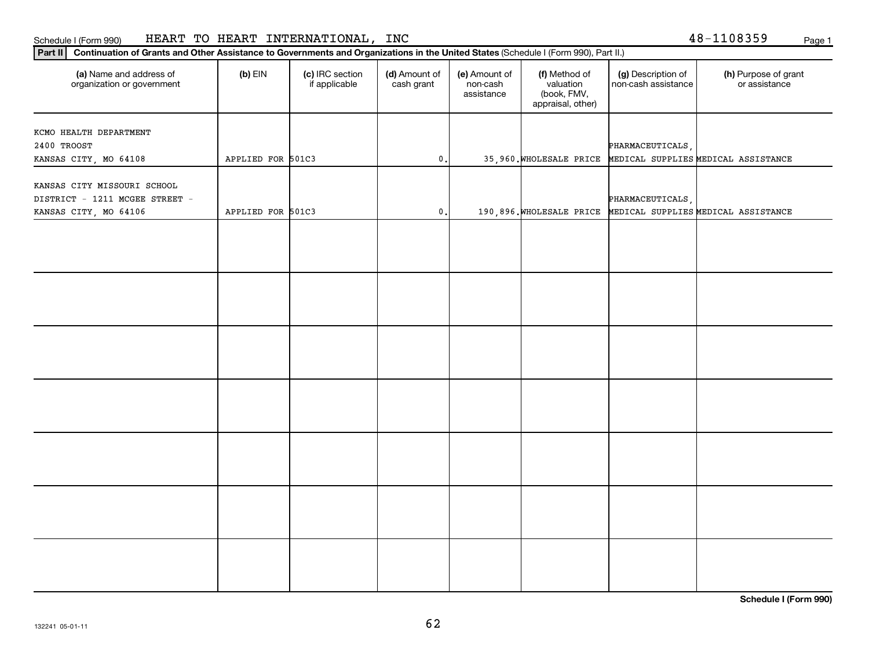| Part II   Continuation of Grants and Other Assistance to Governments and Organizations in the United States (Schedule I (Form 990), Part II.) |                   |                                  |                             |                                         |                                                                |                                           |                                       |
|-----------------------------------------------------------------------------------------------------------------------------------------------|-------------------|----------------------------------|-----------------------------|-----------------------------------------|----------------------------------------------------------------|-------------------------------------------|---------------------------------------|
| (a) Name and address of<br>organization or government                                                                                         | $(b)$ EIN         | (c) IRC section<br>if applicable | (d) Amount of<br>cash grant | (e) Amount of<br>non-cash<br>assistance | (f) Method of<br>valuation<br>(book, FMV,<br>appraisal, other) | (g) Description of<br>non cash assistance | (h) Purpose of grant<br>or assistance |
|                                                                                                                                               |                   |                                  |                             |                                         |                                                                |                                           |                                       |
| KCMO HEALTH DEPARTMENT<br>2400 TROOST                                                                                                         |                   |                                  |                             |                                         |                                                                |                                           |                                       |
| KANSAS CITY, MO 64108                                                                                                                         | APPLIED FOR 501C3 |                                  | $\mathfrak o$ .             |                                         | 35,960. WHOLESALE PRICE                                        | PHARMACEUTICALS,                          | MEDICAL SUPPLIES MEDICAL ASSISTANCE   |
|                                                                                                                                               |                   |                                  |                             |                                         |                                                                |                                           |                                       |
| KANSAS CITY MISSOURI SCHOOL<br>DISTRICT - 1211 MCGEE STREET -                                                                                 |                   |                                  |                             |                                         |                                                                | PHARMACEUTICALS                           |                                       |
| KANSAS CITY, MO 64106                                                                                                                         | APPLIED FOR 501C3 |                                  | $\mathfrak o$ .             |                                         | 190,896. WHOLESALE PRICE                                       |                                           | MEDICAL SUPPLIES MEDICAL ASSISTANCE   |
|                                                                                                                                               |                   |                                  |                             |                                         |                                                                |                                           |                                       |
|                                                                                                                                               |                   |                                  |                             |                                         |                                                                |                                           |                                       |
|                                                                                                                                               |                   |                                  |                             |                                         |                                                                |                                           |                                       |
|                                                                                                                                               |                   |                                  |                             |                                         |                                                                |                                           |                                       |
|                                                                                                                                               |                   |                                  |                             |                                         |                                                                |                                           |                                       |
|                                                                                                                                               |                   |                                  |                             |                                         |                                                                |                                           |                                       |
|                                                                                                                                               |                   |                                  |                             |                                         |                                                                |                                           |                                       |
|                                                                                                                                               |                   |                                  |                             |                                         |                                                                |                                           |                                       |
|                                                                                                                                               |                   |                                  |                             |                                         |                                                                |                                           |                                       |
|                                                                                                                                               |                   |                                  |                             |                                         |                                                                |                                           |                                       |
|                                                                                                                                               |                   |                                  |                             |                                         |                                                                |                                           |                                       |
|                                                                                                                                               |                   |                                  |                             |                                         |                                                                |                                           |                                       |
|                                                                                                                                               |                   |                                  |                             |                                         |                                                                |                                           |                                       |
|                                                                                                                                               |                   |                                  |                             |                                         |                                                                |                                           |                                       |

**Schedule I (Form 990)**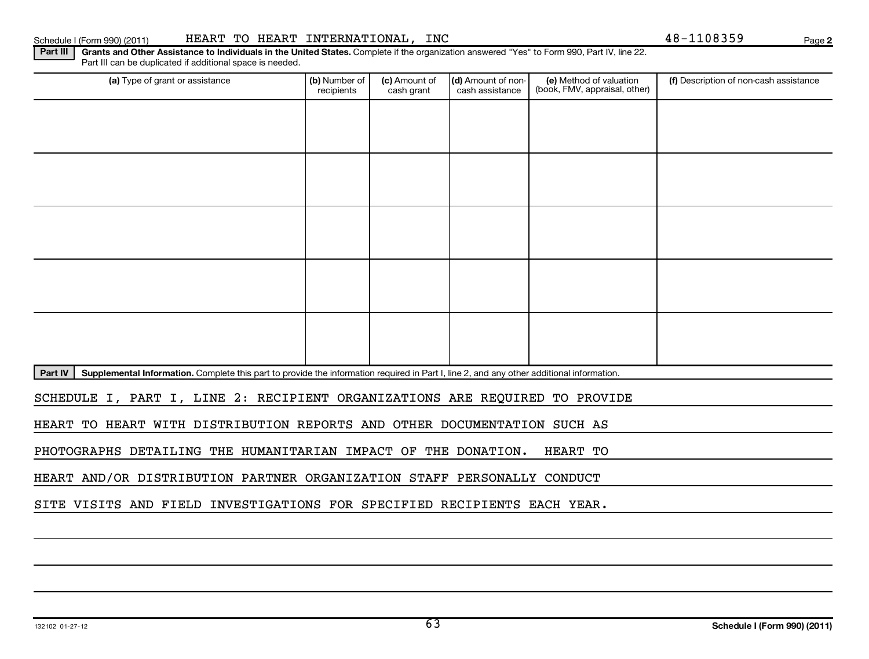## Schedule I (Form 990) (2011) Page HEART TO HEART INTERNATIONAL, INC 48-1108359

**2**

Part III | Grants and Other Assistance to Individuals in the United States. Complete if the organization answered "Yes" to Form 990, Part IV, line 22. Part III can be duplicated if additional space is needed.

| (a) Type of grant or assistance                                                                                                                      | (b) Number of<br>recipients                                                 | (c) Amount of<br>cash grant | (d) Amount of non-<br>cash assistance | (e) Method of valuation<br>(book, FMV, appraisal, other) | (f) Description of non-cash assistance |  |  |  |  |  |
|------------------------------------------------------------------------------------------------------------------------------------------------------|-----------------------------------------------------------------------------|-----------------------------|---------------------------------------|----------------------------------------------------------|----------------------------------------|--|--|--|--|--|
|                                                                                                                                                      |                                                                             |                             |                                       |                                                          |                                        |  |  |  |  |  |
|                                                                                                                                                      |                                                                             |                             |                                       |                                                          |                                        |  |  |  |  |  |
|                                                                                                                                                      |                                                                             |                             |                                       |                                                          |                                        |  |  |  |  |  |
|                                                                                                                                                      |                                                                             |                             |                                       |                                                          |                                        |  |  |  |  |  |
|                                                                                                                                                      |                                                                             |                             |                                       |                                                          |                                        |  |  |  |  |  |
|                                                                                                                                                      |                                                                             |                             |                                       |                                                          |                                        |  |  |  |  |  |
|                                                                                                                                                      |                                                                             |                             |                                       |                                                          |                                        |  |  |  |  |  |
|                                                                                                                                                      |                                                                             |                             |                                       |                                                          |                                        |  |  |  |  |  |
|                                                                                                                                                      |                                                                             |                             |                                       |                                                          |                                        |  |  |  |  |  |
|                                                                                                                                                      |                                                                             |                             |                                       |                                                          |                                        |  |  |  |  |  |
| Part IV<br>Supplemental Information. Complete this part to provide the information required in Part I, line 2, and any other additional information. |                                                                             |                             |                                       |                                                          |                                        |  |  |  |  |  |
|                                                                                                                                                      | SCHEDULE I, PART I, LINE 2: RECIPIENT ORGANIZATIONS ARE REQUIRED TO PROVIDE |                             |                                       |                                                          |                                        |  |  |  |  |  |
| HEART TO HEART WITH DISTRIBUTION REPORTS AND OTHER DOCUMENTATION SUCH AS                                                                             |                                                                             |                             |                                       |                                                          |                                        |  |  |  |  |  |

PHOTOGRAPHS DETAILING THE HUMANITARIAN IMPACT OF THE DONATION. HEART TO

HEART AND/OR DISTRIBUTION PARTNER ORGANIZATION STAFF PERSONALLY CONDUCT

SITE VISITS AND FIELD INVESTIGATIONS FOR SPECIFIED RECIPIENTS EACH YEAR.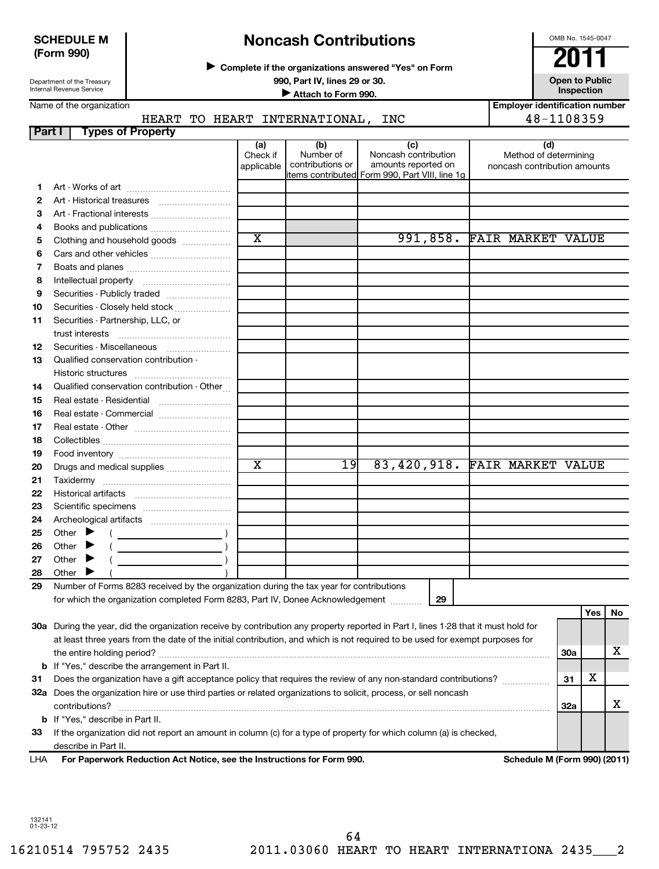### **SCHEDULE M (Form 990)**

Department of the Treasury Internal Revenue Service

# **Noncash Contributions**

**Complete if the organizations answered "Yes" on Form** <sup>J</sup>**2011**

**990, Part IV, lines 29 or 30. Open to Public Unspection**<br> **■** Attach to Form 990

**Inspection Inspection Inspection Inspection Inspection Employer identification number**

OMB No. 1545-0047

| Name of the organization |  |  |
|--------------------------|--|--|
|--------------------------|--|--|

### HEART TO HEART INTERNATIONAL, INC  $\vert$  48-1108359

| Part I   | <b>Types of Property</b>                                                                                                            |                               |                                      |                                                    |                                                              |     |     |    |
|----------|-------------------------------------------------------------------------------------------------------------------------------------|-------------------------------|--------------------------------------|----------------------------------------------------|--------------------------------------------------------------|-----|-----|----|
|          |                                                                                                                                     | (a)<br>Check if<br>applicable | (b)<br>Number of<br>contributions or | (c)<br>Noncash contribution<br>amounts reported on | (d)<br>Method of determining<br>noncash contribution amounts |     |     |    |
|          |                                                                                                                                     |                               |                                      | items contributed Form 990, Part VIII, line 1g     |                                                              |     |     |    |
| 1.       |                                                                                                                                     |                               |                                      |                                                    |                                                              |     |     |    |
| 2        |                                                                                                                                     |                               |                                      |                                                    |                                                              |     |     |    |
| 3        | Art - Fractional interests                                                                                                          |                               |                                      |                                                    |                                                              |     |     |    |
| 4        |                                                                                                                                     | $\overline{\textbf{x}}$       |                                      |                                                    | 991,858. FAIR MARKET VALUE                                   |     |     |    |
| 5        | Clothing and household goods                                                                                                        |                               |                                      |                                                    |                                                              |     |     |    |
| 6        |                                                                                                                                     |                               |                                      |                                                    |                                                              |     |     |    |
| 7<br>8   |                                                                                                                                     |                               |                                      |                                                    |                                                              |     |     |    |
| 9        | Securities - Publicly traded                                                                                                        |                               |                                      |                                                    |                                                              |     |     |    |
|          | Securities - Closely held stock                                                                                                     |                               |                                      |                                                    |                                                              |     |     |    |
| 10<br>11 | Securities - Partnership, LLC, or                                                                                                   |                               |                                      |                                                    |                                                              |     |     |    |
|          | trust interests                                                                                                                     |                               |                                      |                                                    |                                                              |     |     |    |
| 12       | Securities - Miscellaneous                                                                                                          |                               |                                      |                                                    |                                                              |     |     |    |
| 13       | Qualified conservation contribution -                                                                                               |                               |                                      |                                                    |                                                              |     |     |    |
|          |                                                                                                                                     |                               |                                      |                                                    |                                                              |     |     |    |
| 14       | Qualified conservation contribution - Other                                                                                         |                               |                                      |                                                    |                                                              |     |     |    |
| 15       | Real estate - Residential                                                                                                           |                               |                                      |                                                    |                                                              |     |     |    |
| 16       |                                                                                                                                     |                               |                                      |                                                    |                                                              |     |     |    |
| 17       |                                                                                                                                     |                               |                                      |                                                    |                                                              |     |     |    |
| 18       |                                                                                                                                     |                               |                                      |                                                    |                                                              |     |     |    |
| 19       |                                                                                                                                     |                               |                                      |                                                    |                                                              |     |     |    |
| 20       | Drugs and medical supplies                                                                                                          | $\overline{\textbf{x}}$       | 19                                   | 83,420,918. FAIR MARKET VALUE                      |                                                              |     |     |    |
| 21       |                                                                                                                                     |                               |                                      |                                                    |                                                              |     |     |    |
| 22       |                                                                                                                                     |                               |                                      |                                                    |                                                              |     |     |    |
| 23       |                                                                                                                                     |                               |                                      |                                                    |                                                              |     |     |    |
| 24       |                                                                                                                                     |                               |                                      |                                                    |                                                              |     |     |    |
| 25       | Other $\blacktriangleright$                                                                                                         |                               |                                      |                                                    |                                                              |     |     |    |
| 26       | Other                                                                                                                               |                               |                                      |                                                    |                                                              |     |     |    |
| 27       | Other                                                                                                                               |                               |                                      |                                                    |                                                              |     |     |    |
| 28       | Other $\blacktriangleright$                                                                                                         |                               |                                      |                                                    |                                                              |     |     |    |
| 29       | Number of Forms 8283 received by the organization during the tax year for contributions                                             |                               |                                      |                                                    |                                                              |     |     |    |
|          | for which the organization completed Form 8283, Part IV, Donee Acknowledgement                                                      |                               |                                      | 29                                                 |                                                              |     |     |    |
|          |                                                                                                                                     |                               |                                      |                                                    |                                                              |     | Yes | No |
|          | 30a During the year, did the organization receive by contribution any property reported in Part I, lines 1-28 that it must hold for |                               |                                      |                                                    |                                                              |     |     |    |
|          | at least three years from the date of the initial contribution, and which is not required to be used for exempt purposes for        |                               |                                      |                                                    |                                                              |     |     |    |
|          |                                                                                                                                     |                               |                                      |                                                    |                                                              | 30a |     | x  |
| b        | If "Yes," describe the arrangement in Part II.                                                                                      |                               |                                      |                                                    |                                                              |     |     |    |
| 31       | Does the organization have a gift acceptance policy that requires the review of any non-standard contributions?                     |                               |                                      |                                                    |                                                              | 31  | х   |    |
|          | 32a Does the organization hire or use third parties or related organizations to solicit, process, or sell noncash<br>contributions? |                               |                                      |                                                    |                                                              | 32a |     | x  |
|          | <b>b</b> If "Yes," describe in Part II.                                                                                             |                               |                                      |                                                    |                                                              |     |     |    |

**For Paperwork Reduction Act Notice, see the Instructions for Form 990. Schedule M (Form 990) (2011)** describe in Part II. LHA

**33** If the organization did not report an amount in column (c) for a type of property for which column (a) is checked,

132141 01-23-12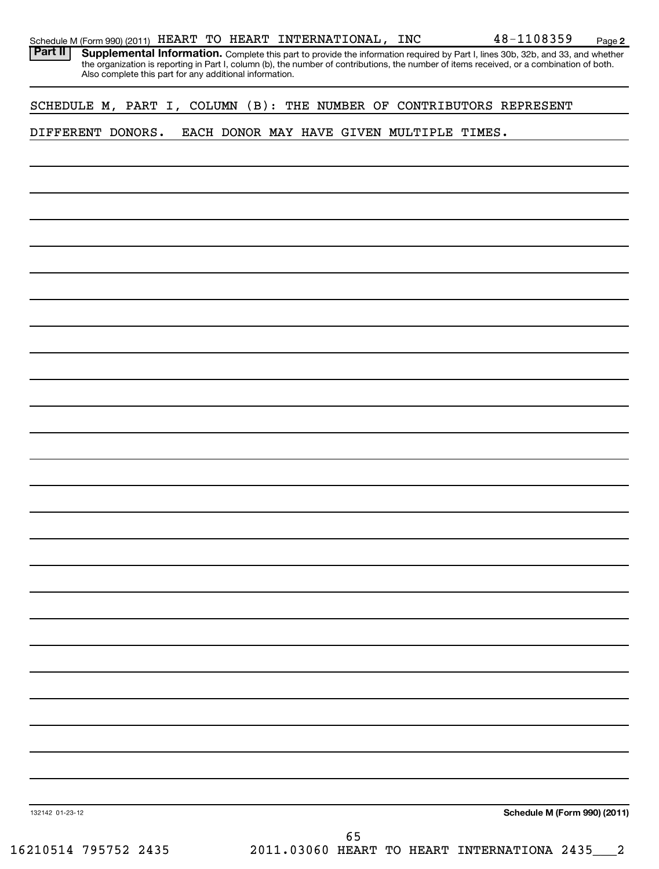| SCHEDULE M, PART I, COLUMN (B): THE NUMBER OF CONTRIBUTORS REPRESENT |  |  |  |  |    |                                           |                              |  |
|----------------------------------------------------------------------|--|--|--|--|----|-------------------------------------------|------------------------------|--|
| DIFFERENT DONORS.                                                    |  |  |  |  |    | EACH DONOR MAY HAVE GIVEN MULTIPLE TIMES. |                              |  |
|                                                                      |  |  |  |  |    |                                           |                              |  |
|                                                                      |  |  |  |  |    |                                           |                              |  |
|                                                                      |  |  |  |  |    |                                           |                              |  |
|                                                                      |  |  |  |  |    |                                           |                              |  |
|                                                                      |  |  |  |  |    |                                           |                              |  |
|                                                                      |  |  |  |  |    |                                           |                              |  |
|                                                                      |  |  |  |  |    |                                           |                              |  |
|                                                                      |  |  |  |  |    |                                           |                              |  |
|                                                                      |  |  |  |  |    |                                           |                              |  |
|                                                                      |  |  |  |  |    |                                           |                              |  |
|                                                                      |  |  |  |  |    |                                           |                              |  |
|                                                                      |  |  |  |  |    |                                           |                              |  |
|                                                                      |  |  |  |  |    |                                           |                              |  |
|                                                                      |  |  |  |  |    |                                           |                              |  |
|                                                                      |  |  |  |  |    |                                           |                              |  |
|                                                                      |  |  |  |  |    |                                           |                              |  |
|                                                                      |  |  |  |  |    |                                           |                              |  |
|                                                                      |  |  |  |  |    |                                           |                              |  |
|                                                                      |  |  |  |  |    |                                           |                              |  |
|                                                                      |  |  |  |  |    |                                           |                              |  |
|                                                                      |  |  |  |  |    |                                           |                              |  |
|                                                                      |  |  |  |  |    |                                           |                              |  |
|                                                                      |  |  |  |  |    |                                           |                              |  |
|                                                                      |  |  |  |  |    |                                           |                              |  |
|                                                                      |  |  |  |  |    |                                           |                              |  |
|                                                                      |  |  |  |  |    |                                           |                              |  |
|                                                                      |  |  |  |  |    |                                           |                              |  |
| 132142 01-23-12                                                      |  |  |  |  |    |                                           | Schedule M (Form 990) (2011) |  |
|                                                                      |  |  |  |  | 65 |                                           |                              |  |
| 16210514 795752 2435 2011.03060 HEART TO HEART INTERNATIONA 2435 2   |  |  |  |  |    |                                           |                              |  |

Part II | Supplemental Information. Complete this part to provide the information required by Part I, lines 30b, 32b, and 33, and whether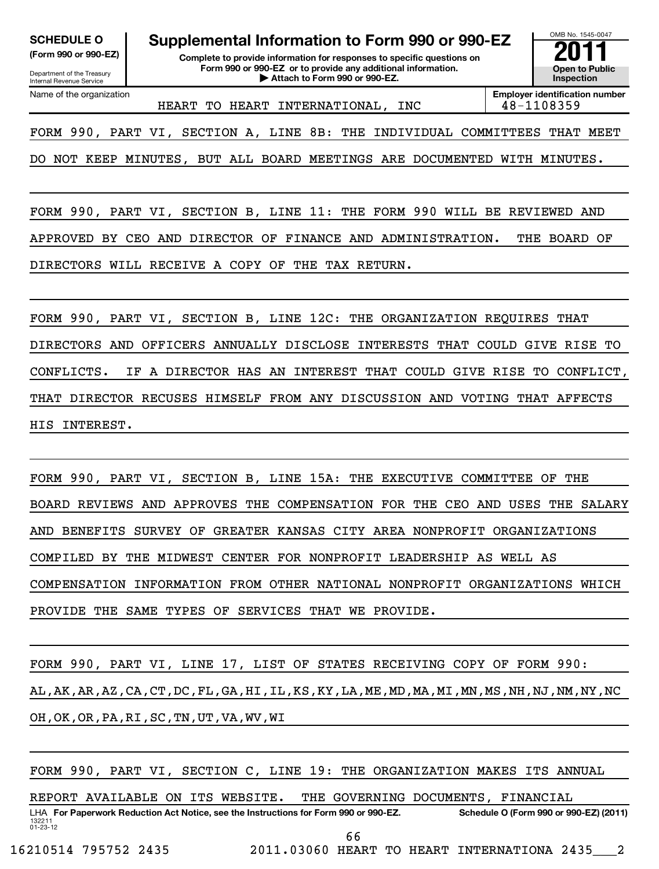| <b>SCHEDULE O</b> |  |
|-------------------|--|
|                   |  |

Department of the Treasury Internal Revenue Service Name of the organization

**(Form 990 or 990-EZ) Complete to provide information for responses to specific questions on Form 990 or 990-EZ or to provide any additional information. | Attach to Form 990 or 990-EZ. Open to Public Supplemental Information to Form 990 or 990-EZ**<br> **Complete to provide information for responses to specific questions on**<br>
Form 990 or 990-EZ or to provide any additional information.



HEART TO HEART INTERNATIONAL, INC 48-1108359

**Employer identification number**

FORM 990, PART VI, SECTION A, LINE 8B: THE INDIVIDUAL COMMITTEES THAT MEET

DO NOT KEEP MINUTES, BUT ALL BOARD MEETINGS ARE DOCUMENTED WITH MINUTES.

FORM 990, PART VI, SECTION B, LINE 11: THE FORM 990 WILL BE REVIEWED AND APPROVED BY CEO AND DIRECTOR OF FINANCE AND ADMINISTRATION. THE BOARD OF DIRECTORS WILL RECEIVE A COPY OF THE TAX RETURN.

FORM 990, PART VI, SECTION B, LINE 12C: THE ORGANIZATION REQUIRES THAT DIRECTORS AND OFFICERS ANNUALLY DISCLOSE INTERESTS THAT COULD GIVE RISE TO CONFLICTS. IF A DIRECTOR HAS AN INTEREST THAT COULD GIVE RISE TO CONFLICT, THAT DIRECTOR RECUSES HIMSELF FROM ANY DISCUSSION AND VOTING THAT AFFECTS HIS INTEREST.

FORM 990, PART VI, SECTION B, LINE 15A: THE EXECUTIVE COMMITTEE OF THE BOARD REVIEWS AND APPROVES THE COMPENSATION FOR THE CEO AND USES THE SALARY AND BENEFITS SURVEY OF GREATER KANSAS CITY AREA NONPROFIT ORGANIZATIONS COMPILED BY THE MIDWEST CENTER FOR NONPROFIT LEADERSHIP AS WELL AS COMPENSATION INFORMATION FROM OTHER NATIONAL NONPROFIT ORGANIZATIONS WHICH PROVIDE THE SAME TYPES OF SERVICES THAT WE PROVIDE.

FORM 990, PART VI, LINE 17, LIST OF STATES RECEIVING COPY OF FORM 990: AL,AK,AR,AZ,CA,CT,DC,FL,GA,HI,IL,KS,KY,LA,ME,MD,MA,MI,MN,MS,NH,NJ,NM,NY,NC OH,OK,OR,PA,RI,SC,TN,UT,VA,WV,WI

FORM 990, PART VI, SECTION C, LINE 19: THE ORGANIZATION MAKES ITS ANNUAL

REPORT AVAILABLE ON ITS WEBSITE. THE GOVERNING DOCUMENTS, FINANCIAL

132211 01-23-12 LHA For Paperwork Reduction Act Notice, see the Instructions for Form 990 or 990-EZ. Schedule O (Form 990 or 990-EZ) (2011) 66

16210514 795752 2435 2011.03060 HEART TO HEART INTERNATIONA 2435\_\_\_2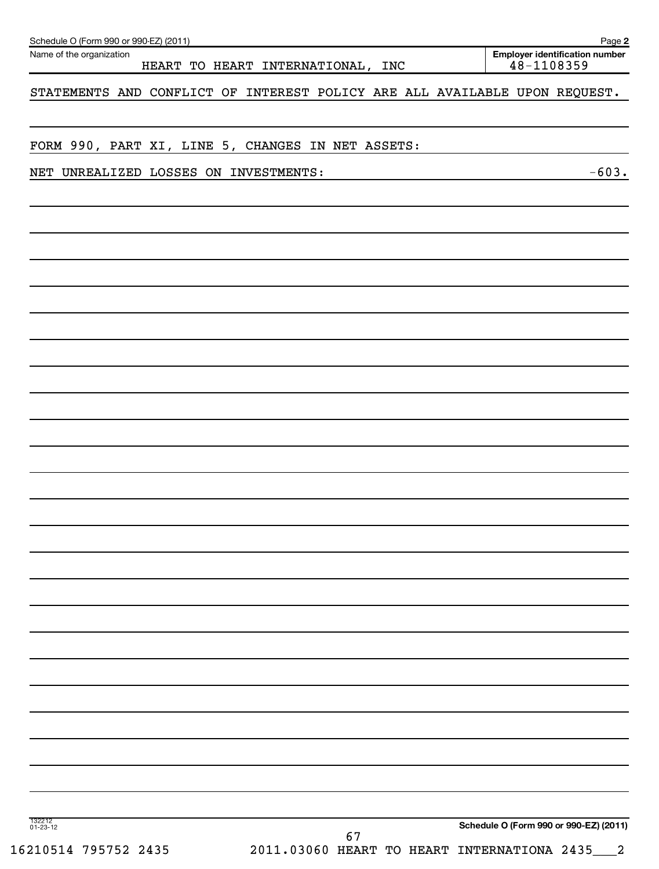| Name of the organization                                                   | HEART TO HEART INTERNATIONAL, INC |    |  | 48-1108359 | <b>Employer identification number</b>  |
|----------------------------------------------------------------------------|-----------------------------------|----|--|------------|----------------------------------------|
| STATEMENTS AND CONFLICT OF INTEREST POLICY ARE ALL AVAILABLE UPON REQUEST. |                                   |    |  |            |                                        |
|                                                                            |                                   |    |  |            |                                        |
| FORM 990, PART XI, LINE 5, CHANGES IN NET ASSETS:                          |                                   |    |  |            |                                        |
| NET UNREALIZED LOSSES ON INVESTMENTS:                                      |                                   |    |  |            | $-603.$                                |
|                                                                            |                                   |    |  |            |                                        |
|                                                                            |                                   |    |  |            |                                        |
|                                                                            |                                   |    |  |            |                                        |
|                                                                            |                                   |    |  |            |                                        |
|                                                                            |                                   |    |  |            |                                        |
|                                                                            |                                   |    |  |            |                                        |
|                                                                            |                                   |    |  |            |                                        |
|                                                                            |                                   |    |  |            |                                        |
|                                                                            |                                   |    |  |            |                                        |
|                                                                            |                                   |    |  |            |                                        |
|                                                                            |                                   |    |  |            |                                        |
|                                                                            |                                   |    |  |            |                                        |
|                                                                            |                                   |    |  |            |                                        |
|                                                                            |                                   |    |  |            |                                        |
|                                                                            |                                   |    |  |            |                                        |
|                                                                            |                                   |    |  |            |                                        |
|                                                                            |                                   |    |  |            |                                        |
|                                                                            |                                   |    |  |            |                                        |
|                                                                            |                                   |    |  |            |                                        |
| 132212<br>01-23-12                                                         |                                   | 67 |  |            | Schedule O (Form 990 or 990-EZ) (2011) |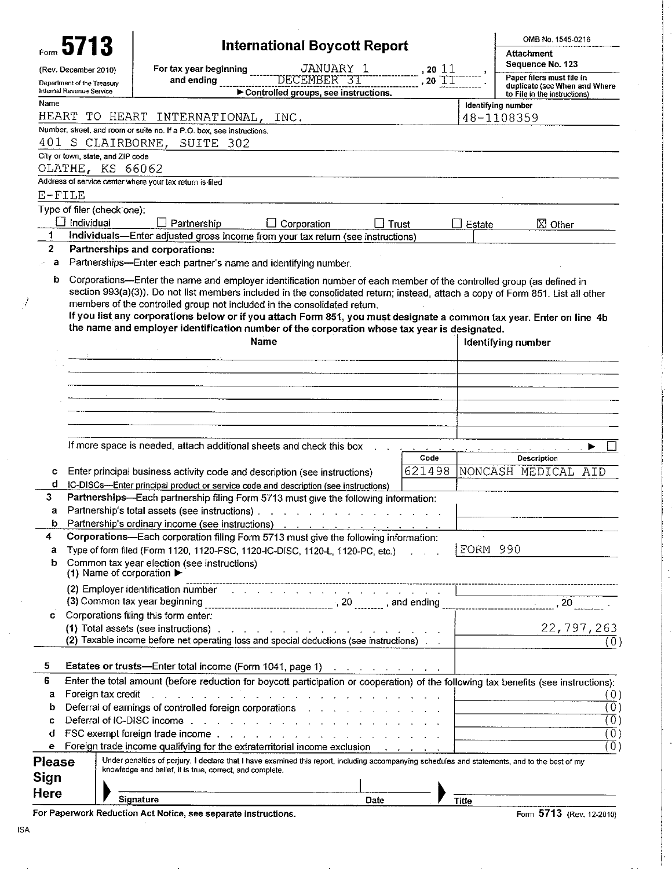|                          | 5713                                          |                                                                                                                                                                                                                                                                                                  | International Boycott Report                                       |                                                              |                            | OMB No. 1545-0216<br>Attachment                                                                                                      |
|--------------------------|-----------------------------------------------|--------------------------------------------------------------------------------------------------------------------------------------------------------------------------------------------------------------------------------------------------------------------------------------------------|--------------------------------------------------------------------|--------------------------------------------------------------|----------------------------|--------------------------------------------------------------------------------------------------------------------------------------|
|                          |                                               |                                                                                                                                                                                                                                                                                                  |                                                                    |                                                              |                            | Sequence No. 123                                                                                                                     |
|                          | (Rev. December 2010)                          | For tax year beginning<br>and ending                                                                                                                                                                                                                                                             | JANUARY 1<br>DECEMBER 31                                           |                                                              | , 2011<br>$20$ $\text{II}$ | Paper filers must file in                                                                                                            |
| Internal Revenue Service | Department of the Treasury                    |                                                                                                                                                                                                                                                                                                  | Controlled groups, see instructions.                               |                                                              |                            | duplicate (see When and Where                                                                                                        |
| Name                     |                                               |                                                                                                                                                                                                                                                                                                  |                                                                    |                                                              |                            | to File in the instructions)<br>Identifying number                                                                                   |
| HEART                    |                                               | TO HEART INTERNATIONAL,                                                                                                                                                                                                                                                                          | INC.                                                               |                                                              |                            | 48-1108359                                                                                                                           |
|                          |                                               | Number, street, and room or suite no. If a P.O. box, see instructions.                                                                                                                                                                                                                           |                                                                    |                                                              |                            |                                                                                                                                      |
|                          | 401 S CLAIRBORNE,                             | SUITE 302                                                                                                                                                                                                                                                                                        |                                                                    |                                                              |                            |                                                                                                                                      |
|                          | City or town state, and ZIP code              |                                                                                                                                                                                                                                                                                                  |                                                                    |                                                              |                            |                                                                                                                                      |
|                          | OLATHE, KS 66062                              |                                                                                                                                                                                                                                                                                                  |                                                                    |                                                              |                            |                                                                                                                                      |
|                          |                                               | Address of service center where your tax return is filed                                                                                                                                                                                                                                         |                                                                    |                                                              |                            |                                                                                                                                      |
| E-FILE                   |                                               |                                                                                                                                                                                                                                                                                                  |                                                                    |                                                              |                            |                                                                                                                                      |
|                          | Type of filer (check one):                    |                                                                                                                                                                                                                                                                                                  |                                                                    |                                                              |                            |                                                                                                                                      |
|                          | Individual                                    | $\Box$ Partnership                                                                                                                                                                                                                                                                               | Corporation                                                        | $\sqcup$ Trust                                               | Estate                     | $\boxtimes$ Other                                                                                                                    |
| 1                        |                                               | Individuals-Enter adjusted gross income from your tax return (see instructions)                                                                                                                                                                                                                  |                                                                    |                                                              |                            |                                                                                                                                      |
| $\overline{2}$           |                                               | Partnerships and corporations:                                                                                                                                                                                                                                                                   |                                                                    |                                                              |                            |                                                                                                                                      |
| a                        |                                               | Partnerships-Enter each partner's name and identifying number.                                                                                                                                                                                                                                   |                                                                    |                                                              |                            |                                                                                                                                      |
| b                        |                                               | Corporations-Enter the name and employer identification number of each member of the controlled group (as defined in                                                                                                                                                                             |                                                                    |                                                              |                            |                                                                                                                                      |
|                          |                                               | members of the controlled group not included in the consolidated return.<br>If you list any corporations below or if you attach Form 851, you must designate a common tax year. Enter on line 4b<br>the name and employer identification number of the corporation whose tax year is designated. | Name                                                               |                                                              |                            | <b>Identifying number</b>                                                                                                            |
|                          |                                               |                                                                                                                                                                                                                                                                                                  |                                                                    |                                                              |                            |                                                                                                                                      |
|                          |                                               |                                                                                                                                                                                                                                                                                                  |                                                                    |                                                              |                            |                                                                                                                                      |
|                          |                                               |                                                                                                                                                                                                                                                                                                  |                                                                    |                                                              |                            |                                                                                                                                      |
|                          |                                               |                                                                                                                                                                                                                                                                                                  |                                                                    |                                                              |                            |                                                                                                                                      |
|                          |                                               |                                                                                                                                                                                                                                                                                                  |                                                                    |                                                              |                            |                                                                                                                                      |
|                          |                                               |                                                                                                                                                                                                                                                                                                  |                                                                    |                                                              |                            |                                                                                                                                      |
|                          |                                               |                                                                                                                                                                                                                                                                                                  |                                                                    |                                                              |                            |                                                                                                                                      |
|                          |                                               | If more space is needed, attach additional sheets and check this box                                                                                                                                                                                                                             |                                                                    |                                                              |                            | $\mathbf{L}$                                                                                                                         |
|                          |                                               |                                                                                                                                                                                                                                                                                                  |                                                                    |                                                              | Code                       | Description                                                                                                                          |
| с                        |                                               | Enter principal business activity code and description (see instructions)                                                                                                                                                                                                                        |                                                                    |                                                              | 621498                     | NONCASH MEDICAL<br>AID                                                                                                               |
| d                        |                                               | IC-DISCs-Enter principal product or service code and description (see instructions)                                                                                                                                                                                                              |                                                                    |                                                              |                            |                                                                                                                                      |
| 3                        |                                               | Partnerships-Each partnership filing Form 5713 must give the following information:                                                                                                                                                                                                              |                                                                    |                                                              |                            |                                                                                                                                      |
| a                        |                                               | Partnership's total assets (see instructions).                                                                                                                                                                                                                                                   | والموالي والمتناوب والمتحال والمتناوب والمتناوب والمتناوب والمناوب |                                                              |                            |                                                                                                                                      |
| b                        |                                               |                                                                                                                                                                                                                                                                                                  |                                                                    |                                                              |                            |                                                                                                                                      |
| 4                        |                                               | Corporations—Each corporation filing Form 5713 must give the following information:                                                                                                                                                                                                              |                                                                    |                                                              |                            |                                                                                                                                      |
| а                        |                                               | Type of form filed (Form 1120, 1120-FSC, 1120-IC-DISC, 1120-L, 1120-PC, etc.)                                                                                                                                                                                                                    |                                                                    |                                                              |                            | FORM 990                                                                                                                             |
| b                        |                                               | Common tax year election (see instructions)                                                                                                                                                                                                                                                      |                                                                    |                                                              |                            |                                                                                                                                      |
|                          | (1) Name of corporation $\blacktriangleright$ |                                                                                                                                                                                                                                                                                                  |                                                                    |                                                              |                            |                                                                                                                                      |
|                          |                                               | (2) Employer identification number (e.g. because of example, and a set of the contract of the contract of the                                                                                                                                                                                    |                                                                    |                                                              |                            |                                                                                                                                      |
|                          |                                               |                                                                                                                                                                                                                                                                                                  |                                                                    |                                                              |                            |                                                                                                                                      |
| С                        |                                               | Corporations filing this form enter:                                                                                                                                                                                                                                                             |                                                                    |                                                              |                            |                                                                                                                                      |
|                          |                                               | (1) Total assets (see instructions).                                                                                                                                                                                                                                                             | and the contract of the contract of the contract of the            |                                                              |                            | 22, 797, 263                                                                                                                         |
|                          |                                               | (2) Taxable income before net operating loss and special deductions (see instructions)                                                                                                                                                                                                           |                                                                    |                                                              |                            | (0                                                                                                                                   |
|                          |                                               |                                                                                                                                                                                                                                                                                                  |                                                                    |                                                              |                            |                                                                                                                                      |
| 5                        |                                               | Estates or trusts-Enter total income (Form 1041, page 1)                                                                                                                                                                                                                                         |                                                                    | $\mathcal{A}$ . The second contribution of the $\mathcal{A}$ |                            |                                                                                                                                      |
| 6                        |                                               | Enter the total amount (before reduction for boycott participation or cooperation) of the following tax benefits (see instructions):                                                                                                                                                             |                                                                    |                                                              |                            |                                                                                                                                      |
| а                        | Foreign tax credit                            | a construction of the construction of the construction of the construction of the construction of the construction of the construction of the construction of the construction of the construction of the construction of the                                                                    |                                                                    |                                                              |                            | (0)                                                                                                                                  |
| b                        |                                               | Deferral of earnings of controlled foreign corporations and a series and a series of the Deferral of earnings                                                                                                                                                                                    |                                                                    |                                                              |                            | $\overline{0}$<br>the control of the control of the control of the control of                                                        |
| c                        |                                               | Deferral of IC-DISC income with a subset of the state of the state of the DISC income with a state of the state of the state of the state of the state of the state of the state of the state of the state of the state of the                                                                   |                                                                    |                                                              |                            | $\overline{0}$<br><u> 1980 - Antonio Alemania, prima de la conte</u>                                                                 |
| d                        |                                               |                                                                                                                                                                                                                                                                                                  |                                                                    |                                                              |                            | $\overline{(0)}$<br><u> The Communication of the Communication of the Communication of the Communication of the Communication of</u> |
| е                        |                                               | Foreign trade income qualifying for the extraterritorial income exclusion                                                                                                                                                                                                                        |                                                                    |                                                              |                            | $\left( 0\right)$                                                                                                                    |
| Please                   |                                               | Under penalties of perjury, I declare that I have examined this report, including accompanying schedules and statements, and to the best of my                                                                                                                                                   |                                                                    |                                                              |                            |                                                                                                                                      |
| Sign                     |                                               | knowledge and belief, it is true, correct, and complete.                                                                                                                                                                                                                                         |                                                                    |                                                              |                            |                                                                                                                                      |
|                          |                                               |                                                                                                                                                                                                                                                                                                  |                                                                    |                                                              |                            |                                                                                                                                      |
| Here                     |                                               | Signature                                                                                                                                                                                                                                                                                        |                                                                    | Date                                                         | <b>Title</b>               |                                                                                                                                      |

For Paperwork Reduction Act Notice, see separate instructions.

 $\bar{\alpha}$ 

Ą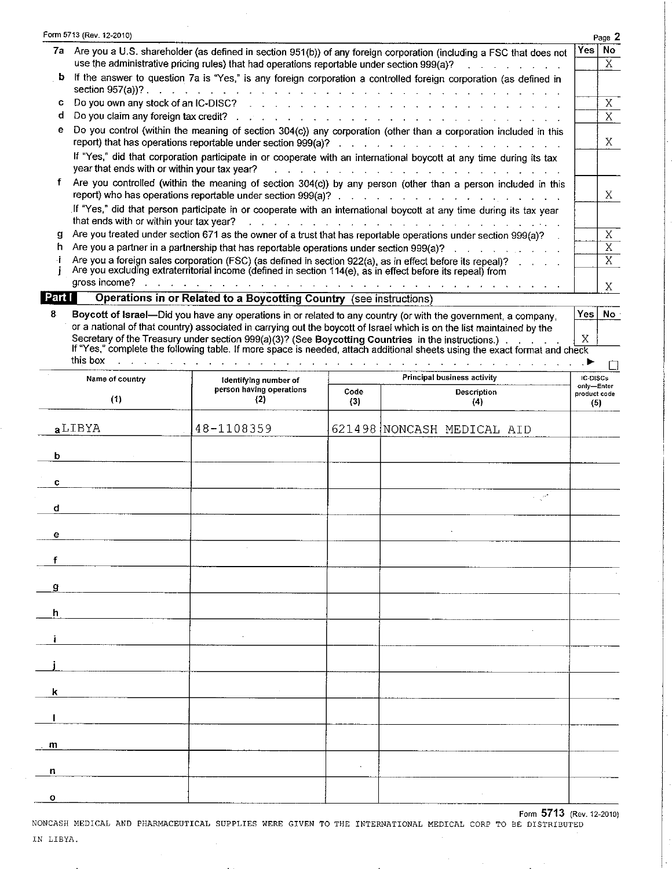|        | Form 5713 (Rev. 12-2010)                                                                                                                                                                                                                                                                                                           |     | Page 2   |
|--------|------------------------------------------------------------------------------------------------------------------------------------------------------------------------------------------------------------------------------------------------------------------------------------------------------------------------------------|-----|----------|
|        | 7a Are you a U.S. shareholder (as defined in section 951(b)) of any foreign corporation (including a FSC that does not                                                                                                                                                                                                             | Yes | No.      |
|        | use the administrative pricing rules) that had operations reportable under section 999(a)?<br>$\mathbf{r}$ and $\mathbf{r}$ are the set of the set of the set of the set of the set of the set of the set of the set of the set of the set of the set of the set of the set of the set of the set of the set of the set of the set |     | X.       |
| b      | If the answer to question 7a is "Yes," is any foreign corporation a controlled foreign corporation (as defined in                                                                                                                                                                                                                  |     |          |
| с      | Do you own any stock of an IC-DISC? The contract of the contract of the contract of the Contract of the Contract of the Contract of the Contract of the Contract of the Contract of the Contract of the Contract of the Contra                                                                                                     |     | X        |
| d      | Do you claim any foreign tax credit? And the contract of the contract of the contract of the contract of the contract of the contract of the contract of the contract of the contract of the contract of the contract of the c                                                                                                     |     | X        |
| e      | Do you control (within the meaning of section 304(c)) any corporation (other than a corporation included in this<br>report) that has operations reportable under section 999(a)? The and a subset of the set of the set of the set                                                                                                 |     | X.       |
|        | If "Yes," did that corporation participate in or cooperate with an international boycott at any time during its tax<br>year that ends with or within your tax year?<br>المتابعة والمتابعة والمتابعة والمتابعة والمتابعة والمتابعة والمتابعة والمتابعة والمتابعة                                                                    |     |          |
|        | Are you controlled (within the meaning of section 304(c)) by any person (other than a person included in this                                                                                                                                                                                                                      |     | X.       |
|        | If "Yes," did that person participate in or cooperate with an international boycott at any time during its tax year<br>that ends with or within your tax year? The contract of the contract of the contract of the state of the contract of                                                                                        |     |          |
| g      | Are you treated under section 671 as the owner of a trust that has reportable operations under section 999(a)?                                                                                                                                                                                                                     |     | X        |
| h      | Are you a partner in a partnership that has reportable operations under section 999(a)?<br>.                                                                                                                                                                                                                                       |     | X.       |
|        | Are you a foreign sales corporation (FSC) (as defined in section 922(a), as in effect before its repeal)?                                                                                                                                                                                                                          |     | X        |
|        | Are you excluding extraterritorial income (defined in section 114(e), as in effect before its repeal) from                                                                                                                                                                                                                         |     |          |
|        | gross income?<br>the contract of the contract of the contract of the contract of the contract of the contract of the contract of                                                                                                                                                                                                   |     | X        |
| Part I | Operations in or Related to a Boycotting Country (see instructions)                                                                                                                                                                                                                                                                |     |          |
| 8      | Boycott of Israel—Did you have any operations in or related to any country (or with the government, a company,                                                                                                                                                                                                                     |     | Yes   No |
|        | or a national of that country) associated in carrying out the boycott of Israel which is on the list maintained by the                                                                                                                                                                                                             |     |          |

Secretary of the Treasury under section 999(a)(3)? (See Boycotting Countries in the instructions.)<br>If "Yes," complete the following table. If more space is needed, attach additional sheets using the exact format and check

 $\Box$ 

| Name of country                             | Identifying number of           |             | Principal business activity |                                   |  |  |  |  |
|---------------------------------------------|---------------------------------|-------------|-----------------------------|-----------------------------------|--|--|--|--|
| (1)                                         | person having operations<br>(2) | Code<br>(3) | Description<br>(4)          | only-Enter<br>product code<br>(5) |  |  |  |  |
| aLIBYA                                      | 48-1108359                      |             | 621498 NONCASH MEDICAL AID  |                                   |  |  |  |  |
| $\mathbf b$                                 |                                 |             |                             |                                   |  |  |  |  |
| $\mathbf{c}$                                |                                 |             |                             |                                   |  |  |  |  |
| $\mathbf d$                                 |                                 |             | $\omega \in \mathbb{R}^d$   |                                   |  |  |  |  |
| $\mathbf e$                                 |                                 |             |                             |                                   |  |  |  |  |
| f                                           |                                 |             |                             |                                   |  |  |  |  |
| g                                           |                                 |             |                             |                                   |  |  |  |  |
| $\boldsymbol{\mathsf{h}}$<br>$\sim 10^{-1}$ |                                 |             |                             |                                   |  |  |  |  |
| i.                                          | $\mathcal{L}$                   |             |                             |                                   |  |  |  |  |
|                                             |                                 |             | $\sim$                      |                                   |  |  |  |  |
| $\mathsf k$                                 |                                 |             |                             |                                   |  |  |  |  |
| 1                                           |                                 |             |                             |                                   |  |  |  |  |
| $\mathbf{m}$                                |                                 |             |                             |                                   |  |  |  |  |
| $\mathsf{n}$                                |                                 | $\omega$    |                             |                                   |  |  |  |  |
| $\mathbf{o}$                                |                                 |             |                             |                                   |  |  |  |  |

Form 5713 (Rev. 12-2010) NONCASH MEDICAL AND PHARMACEUTICAL SUPPLIES WERE GIVEN TO THE INTERNATIONAL MEDICAL CORP TO BE DISTRIBUTED IN LIBYA.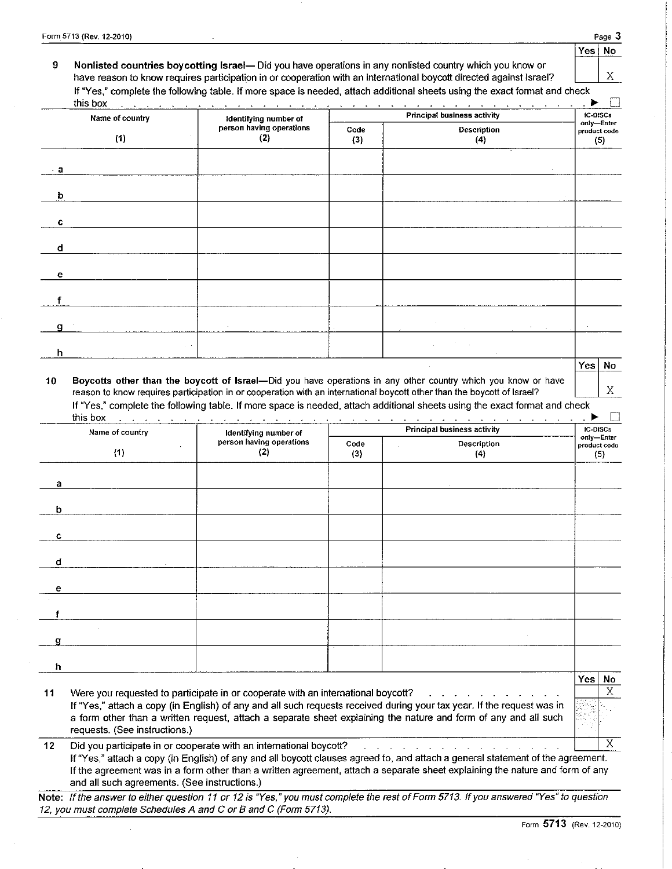X

Χ

Yes

| Nonlisted countries boycotting Israel—Did you have operations in any nonlisted country which you know or                   |  |
|----------------------------------------------------------------------------------------------------------------------------|--|
| have reason to know requires participation in or cooperation with an international boycott directed against Israel?        |  |
| If "Yes," complete the following table. If more space is needed, attach additional sheets using the exact format and check |  |

| this box<br>Name of country | Identifying number of           |             | and a construction of the construction of the construction of the construction of the construction of the construction of the construction of the construction of the construction of the construction of the construction of<br><b>Principal business activity</b> | <b>IC-DISCs</b>                   |
|-----------------------------|---------------------------------|-------------|---------------------------------------------------------------------------------------------------------------------------------------------------------------------------------------------------------------------------------------------------------------------|-----------------------------------|
| (1)                         | person having operations<br>(2) | Code<br>(3) | <b>Description</b><br>(4)                                                                                                                                                                                                                                           | only-Enter<br>product code<br>(5) |
| $\cdot$ a                   |                                 |             |                                                                                                                                                                                                                                                                     |                                   |
| $\mathbf b$                 |                                 |             |                                                                                                                                                                                                                                                                     |                                   |
| $\mathbf C$                 |                                 |             |                                                                                                                                                                                                                                                                     |                                   |
| $\mathbf d$                 |                                 |             |                                                                                                                                                                                                                                                                     |                                   |
| e                           |                                 |             |                                                                                                                                                                                                                                                                     |                                   |
|                             |                                 |             |                                                                                                                                                                                                                                                                     |                                   |
| q                           |                                 |             |                                                                                                                                                                                                                                                                     |                                   |
| h                           |                                 |             |                                                                                                                                                                                                                                                                     |                                   |
|                             |                                 |             | $\sim$                                                                                                                                                                                                                                                              | Yes No                            |

Boycotts other than the boycott of Israel-Did you have operations in any other country which you know or have 10 reason to know requires participation in or cooperation with an international boycott other than the boycott of Israel? If "Yes," complete the following table. If more space is needed, attach additional sheets using the exact format and check

| Name of country | Identifying number of                                                            |             | <b>Principal business activity</b>                                                                                                                                                                                                      |                                    |  |  |  |
|-----------------|----------------------------------------------------------------------------------|-------------|-----------------------------------------------------------------------------------------------------------------------------------------------------------------------------------------------------------------------------------------|------------------------------------|--|--|--|
| (1)             | person having operations<br>(2)                                                  | Code<br>(3) | Description<br>(4)                                                                                                                                                                                                                      | only-Enter<br>product code<br>(5)  |  |  |  |
| а               |                                                                                  |             |                                                                                                                                                                                                                                         |                                    |  |  |  |
| b               |                                                                                  |             |                                                                                                                                                                                                                                         |                                    |  |  |  |
| c               |                                                                                  |             |                                                                                                                                                                                                                                         |                                    |  |  |  |
| d               |                                                                                  |             |                                                                                                                                                                                                                                         |                                    |  |  |  |
| e               |                                                                                  |             |                                                                                                                                                                                                                                         |                                    |  |  |  |
|                 |                                                                                  |             |                                                                                                                                                                                                                                         |                                    |  |  |  |
| g               |                                                                                  |             |                                                                                                                                                                                                                                         |                                    |  |  |  |
| h               |                                                                                  |             |                                                                                                                                                                                                                                         |                                    |  |  |  |
| 11              | Were you requested to participate in or cooperate with an international boycott? |             | and a state of the state of the state of the state of the state of the state of the state of the state of the<br>If "Yes," attach a copy (in English) of any and all such requests received during your tax year. If the request was in | Yesl<br>No<br>$\overline{X}$<br>XI |  |  |  |

requests. (See instructions.)  $12$ Did you participate in or cooperate with an international boycott? <u>na kama sa sana sa sa sa sa sa sa sa sa sa</u> If "Yes," attach a copy (in English) of any and all boycott clauses agreed to, and attach a general statement of the agreement.

If the agreement was in a form other than a written agreement, attach a separate sheet explaining the nature and form of any and all such agreements. (See instructions.)

Note: If the answer to either question 11 or 12 is "Yes," you must complete the rest of Form 5713. If you answered "Yes" to question 12, you must complete Schedules A and C or B and C (Form 5713).

 $\overline{\textsf{x}}$